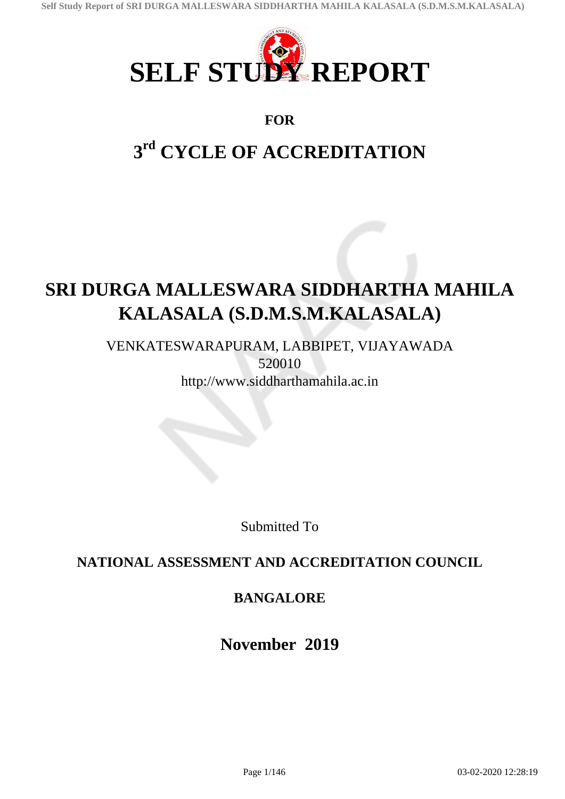

# **FOR**

# **3 rd CYCLE OF ACCREDITATION**

# **SRI DURGA MALLESWARA SIDDHARTHA MAHILA KALASALA (S.D.M.S.M.KALASALA)**

VENKATESWARAPURAM, LABBIPET, VIJAYAWADA 520010 http://www.siddharthamahila.ac.in

Submitted To

# **NATIONAL ASSESSMENT AND ACCREDITATION COUNCIL**

# **BANGALORE**

**November 2019**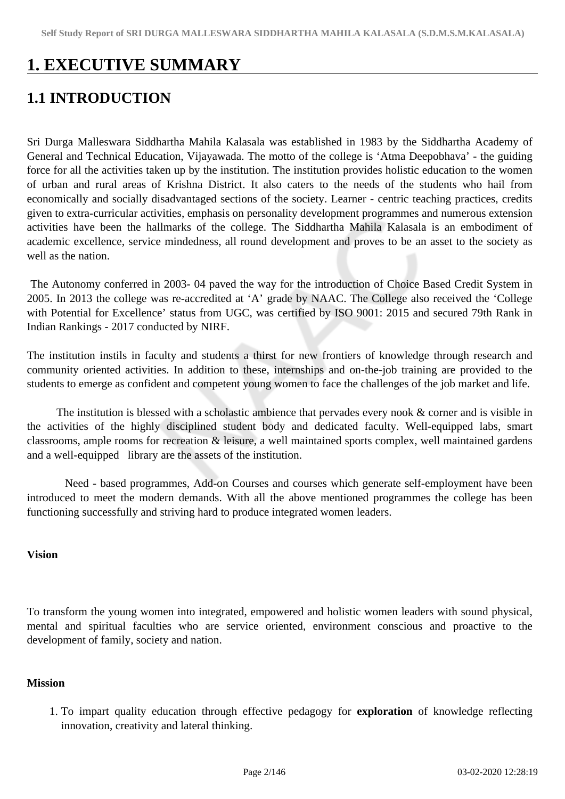# **1. EXECUTIVE SUMMARY**

# **1.1 INTRODUCTION**

Sri Durga Malleswara Siddhartha Mahila Kalasala was established in 1983 by the Siddhartha Academy of General and Technical Education, Vijayawada. The motto of the college is 'Atma Deepobhava' - the guiding force for all the activities taken up by the institution. The institution provides holistic education to the women of urban and rural areas of Krishna District. It also caters to the needs of the students who hail from economically and socially disadvantaged sections of the society. Learner - centric teaching practices, credits given to extra-curricular activities, emphasis on personality development programmes and numerous extension activities have been the hallmarks of the college. The Siddhartha Mahila Kalasala is an embodiment of academic excellence, service mindedness, all round development and proves to be an asset to the society as well as the nation.

 The Autonomy conferred in 2003- 04 paved the way for the introduction of Choice Based Credit System in 2005. In 2013 the college was re-accredited at 'A' grade by NAAC. The College also received the 'College with Potential for Excellence' status from UGC, was certified by ISO 9001: 2015 and secured 79th Rank in Indian Rankings - 2017 conducted by NIRF.

The institution instils in faculty and students a thirst for new frontiers of knowledge through research and community oriented activities. In addition to these, internships and on-the-job training are provided to the students to emerge as confident and competent young women to face the challenges of the job market and life.

 The institution is blessed with a scholastic ambience that pervades every nook & corner and is visible in the activities of the highly disciplined student body and dedicated faculty. Well-equipped labs, smart classrooms, ample rooms for recreation & leisure, a well maintained sports complex, well maintained gardens and a well-equipped library are the assets of the institution.

 Need - based programmes, Add-on Courses and courses which generate self-employment have been introduced to meet the modern demands. With all the above mentioned programmes the college has been functioning successfully and striving hard to produce integrated women leaders.

### **Vision**

To transform the young women into integrated, empowered and holistic women leaders with sound physical, mental and spiritual faculties who are service oriented, environment conscious and proactive to the development of family, society and nation.

#### **Mission**

1. To impart quality education through effective pedagogy for **exploration** of knowledge reflecting innovation, creativity and lateral thinking.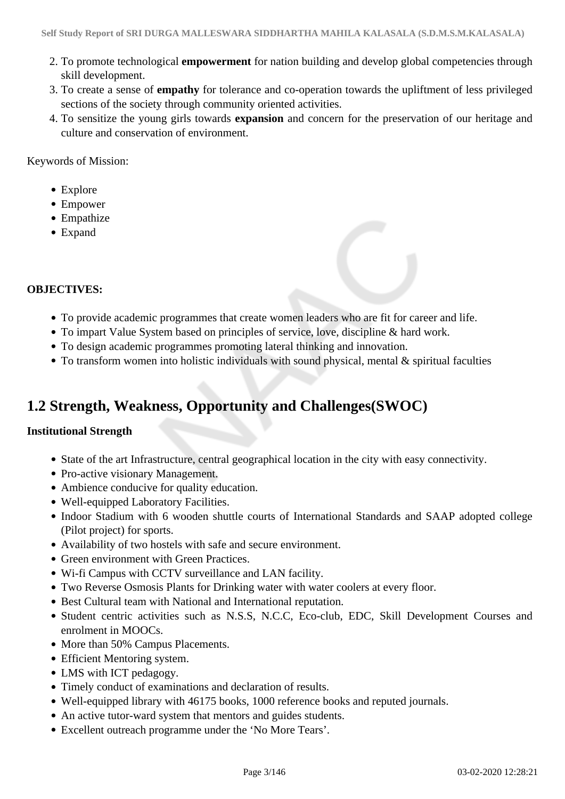- 2. To promote technological **empowerment** for nation building and develop global competencies through skill development.
- 3. To create a sense of **empathy** for tolerance and co-operation towards the upliftment of less privileged sections of the society through community oriented activities.
- 4. To sensitize the young girls towards **expansion** and concern for the preservation of our heritage and culture and conservation of environment.

Keywords of Mission:

- Explore
- Empower
- Empathize
- Expand

#### **OBJECTIVES:**

- To provide academic programmes that create women leaders who are fit for career and life.
- To impart Value System based on principles of service, love, discipline & hard work.
- To design academic programmes promoting lateral thinking and innovation.
- To transform women into holistic individuals with sound physical, mental & spiritual faculties

# **1.2 Strength, Weakness, Opportunity and Challenges(SWOC)**

#### **Institutional Strength**

- State of the art Infrastructure, central geographical location in the city with easy connectivity.
- Pro-active visionary Management.
- Ambience conducive for quality education.
- Well-equipped Laboratory Facilities.
- Indoor Stadium with 6 wooden shuttle courts of International Standards and SAAP adopted college (Pilot project) for sports.
- Availability of two hostels with safe and secure environment.
- Green environment with Green Practices.
- Wi-fi Campus with CCTV surveillance and LAN facility.
- Two Reverse Osmosis Plants for Drinking water with water coolers at every floor.
- Best Cultural team with National and International reputation.
- Student centric activities such as N.S.S, N.C.C, Eco-club, EDC, Skill Development Courses and enrolment in MOOCs.
- More than 50% Campus Placements.
- Efficient Mentoring system.
- LMS with ICT pedagogy.
- Timely conduct of examinations and declaration of results.
- Well-equipped library with 46175 books, 1000 reference books and reputed journals.
- An active tutor-ward system that mentors and guides students.
- Excellent outreach programme under the 'No More Tears'.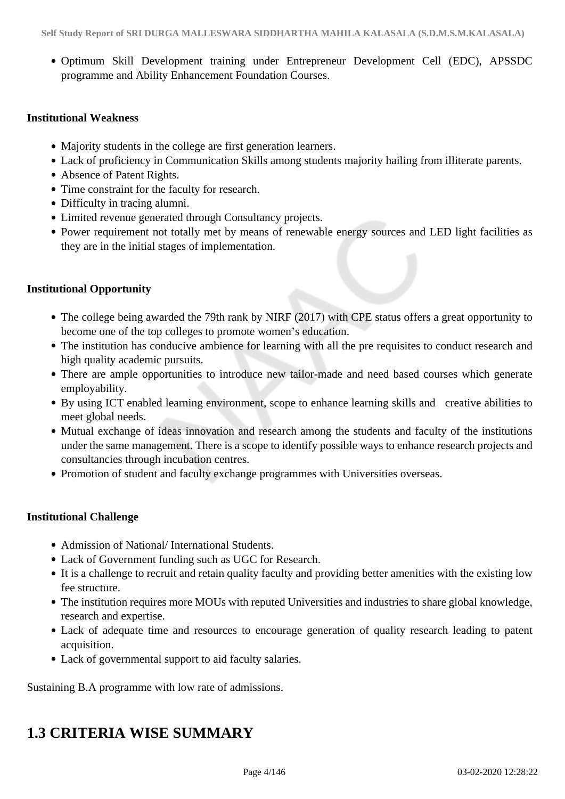Optimum Skill Development training under Entrepreneur Development Cell (EDC), APSSDC programme and Ability Enhancement Foundation Courses.

#### **Institutional Weakness**

- Majority students in the college are first generation learners.
- Lack of proficiency in Communication Skills among students majority hailing from illiterate parents.
- Absence of Patent Rights.
- Time constraint for the faculty for research.
- Difficulty in tracing alumni.
- Limited revenue generated through Consultancy projects.
- Power requirement not totally met by means of renewable energy sources and LED light facilities as they are in the initial stages of implementation.

#### **Institutional Opportunity**

- The college being awarded the 79th rank by NIRF (2017) with CPE status offers a great opportunity to become one of the top colleges to promote women's education.
- The institution has conducive ambience for learning with all the pre requisites to conduct research and high quality academic pursuits.
- There are ample opportunities to introduce new tailor-made and need based courses which generate employability.
- By using ICT enabled learning environment, scope to enhance learning skills and creative abilities to meet global needs.
- Mutual exchange of ideas innovation and research among the students and faculty of the institutions under the same management. There is a scope to identify possible ways to enhance research projects and consultancies through incubation centres.
- Promotion of student and faculty exchange programmes with Universities overseas.

#### **Institutional Challenge**

- Admission of National/ International Students.
- Lack of Government funding such as UGC for Research.
- It is a challenge to recruit and retain quality faculty and providing better amenities with the existing low fee structure.
- The institution requires more MOUs with reputed Universities and industries to share global knowledge, research and expertise.
- Lack of adequate time and resources to encourage generation of quality research leading to patent acquisition.
- Lack of governmental support to aid faculty salaries.

Sustaining B.A programme with low rate of admissions.

# **1.3 CRITERIA WISE SUMMARY**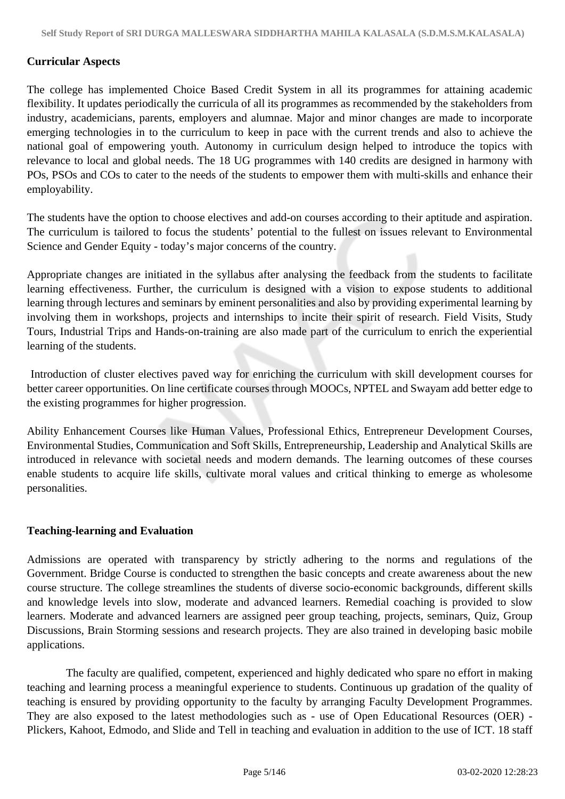#### **Curricular Aspects**

The college has implemented Choice Based Credit System in all its programmes for attaining academic flexibility. It updates periodically the curricula of all its programmes as recommended by the stakeholders from industry, academicians, parents, employers and alumnae. Major and minor changes are made to incorporate emerging technologies in to the curriculum to keep in pace with the current trends and also to achieve the national goal of empowering youth. Autonomy in curriculum design helped to introduce the topics with relevance to local and global needs. The 18 UG programmes with 140 credits are designed in harmony with POs, PSOs and COs to cater to the needs of the students to empower them with multi-skills and enhance their employability.

The students have the option to choose electives and add-on courses according to their aptitude and aspiration. The curriculum is tailored to focus the students' potential to the fullest on issues relevant to Environmental Science and Gender Equity - today's major concerns of the country.

Appropriate changes are initiated in the syllabus after analysing the feedback from the students to facilitate learning effectiveness. Further, the curriculum is designed with a vision to expose students to additional learning through lectures and seminars by eminent personalities and also by providing experimental learning by involving them in workshops, projects and internships to incite their spirit of research. Field Visits, Study Tours, Industrial Trips and Hands-on-training are also made part of the curriculum to enrich the experiential learning of the students.

 Introduction of cluster electives paved way for enriching the curriculum with skill development courses for better career opportunities. On line certificate courses through MOOCs, NPTEL and Swayam add better edge to the existing programmes for higher progression.

Ability Enhancement Courses like Human Values, Professional Ethics, Entrepreneur Development Courses, Environmental Studies, Communication and Soft Skills, Entrepreneurship, Leadership and Analytical Skills are introduced in relevance with societal needs and modern demands. The learning outcomes of these courses enable students to acquire life skills, cultivate moral values and critical thinking to emerge as wholesome personalities.

#### **Teaching-learning and Evaluation**

Admissions are operated with transparency by strictly adhering to the norms and regulations of the Government. Bridge Course is conducted to strengthen the basic concepts and create awareness about the new course structure. The college streamlines the students of diverse socio-economic backgrounds, different skills and knowledge levels into slow, moderate and advanced learners. Remedial coaching is provided to slow learners. Moderate and advanced learners are assigned peer group teaching, projects, seminars, Quiz, Group Discussions, Brain Storming sessions and research projects. They are also trained in developing basic mobile applications.

 The faculty are qualified, competent, experienced and highly dedicated who spare no effort in making teaching and learning process a meaningful experience to students. Continuous up gradation of the quality of teaching is ensured by providing opportunity to the faculty by arranging Faculty Development Programmes. They are also exposed to the latest methodologies such as - use of Open Educational Resources (OER) - Plickers, Kahoot, Edmodo, and Slide and Tell in teaching and evaluation in addition to the use of ICT. 18 staff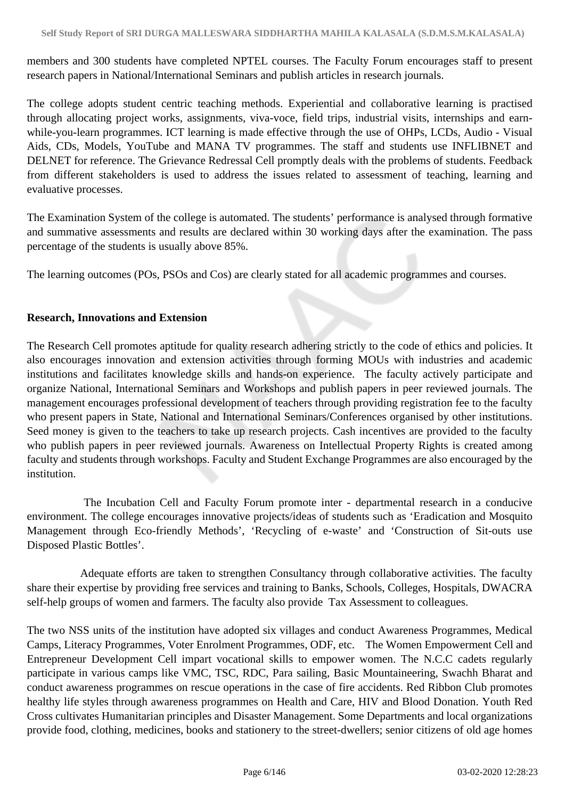members and 300 students have completed NPTEL courses. The Faculty Forum encourages staff to present research papers in National/International Seminars and publish articles in research journals.

The college adopts student centric teaching methods. Experiential and collaborative learning is practised through allocating project works, assignments, viva-voce, field trips, industrial visits, internships and earnwhile-you-learn programmes. ICT learning is made effective through the use of OHPs, LCDs, Audio - Visual Aids, CDs, Models, YouTube and MANA TV programmes. The staff and students use INFLIBNET and DELNET for reference. The Grievance Redressal Cell promptly deals with the problems of students. Feedback from different stakeholders is used to address the issues related to assessment of teaching, learning and evaluative processes.

The Examination System of the college is automated. The students' performance is analysed through formative and summative assessments and results are declared within 30 working days after the examination. The pass percentage of the students is usually above 85%.

The learning outcomes (POs, PSOs and Cos) are clearly stated for all academic programmes and courses.

#### **Research, Innovations and Extension**

The Research Cell promotes aptitude for quality research adhering strictly to the code of ethics and policies. It also encourages innovation and extension activities through forming MOUs with industries and academic institutions and facilitates knowledge skills and hands-on experience. The faculty actively participate and organize National, International Seminars and Workshops and publish papers in peer reviewed journals. The management encourages professional development of teachers through providing registration fee to the faculty who present papers in State, National and International Seminars/Conferences organised by other institutions. Seed money is given to the teachers to take up research projects. Cash incentives are provided to the faculty who publish papers in peer reviewed journals. Awareness on Intellectual Property Rights is created among faculty and students through workshops. Faculty and Student Exchange Programmes are also encouraged by the institution.

 The Incubation Cell and Faculty Forum promote inter - departmental research in a conducive environment. The college encourages innovative projects/ideas of students such as 'Eradication and Mosquito Management through Eco-friendly Methods', 'Recycling of e-waste' and 'Construction of Sit-outs use Disposed Plastic Bottles'.

 Adequate efforts are taken to strengthen Consultancy through collaborative activities. The faculty share their expertise by providing free services and training to Banks, Schools, Colleges, Hospitals, DWACRA self-help groups of women and farmers. The faculty also provide Tax Assessment to colleagues.

The two NSS units of the institution have adopted six villages and conduct Awareness Programmes, Medical Camps, Literacy Programmes, Voter Enrolment Programmes, ODF, etc. The Women Empowerment Cell and Entrepreneur Development Cell impart vocational skills to empower women. The N.C.C cadets regularly participate in various camps like VMC, TSC, RDC, Para sailing, Basic Mountaineering, Swachh Bharat and conduct awareness programmes on rescue operations in the case of fire accidents. Red Ribbon Club promotes healthy life styles through awareness programmes on Health and Care, HIV and Blood Donation. Youth Red Cross cultivates Humanitarian principles and Disaster Management. Some Departments and local organizations provide food, clothing, medicines, books and stationery to the street-dwellers; senior citizens of old age homes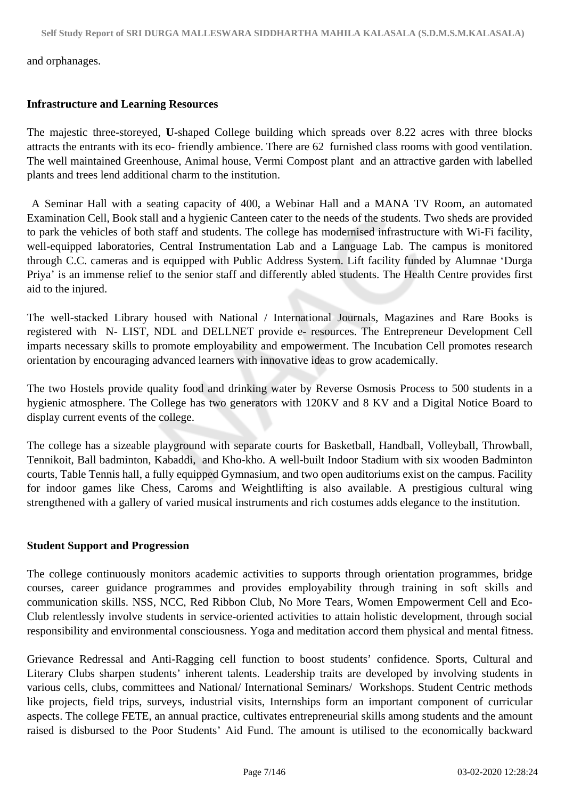and orphanages.

#### **Infrastructure and Learning Resources**

The majestic three-storeyed, **U-**shaped College building which spreads over 8.22 acres with three blocks attracts the entrants with its eco- friendly ambience. There are 62 furnished class rooms with good ventilation. The well maintained Greenhouse, Animal house, Vermi Compost plant and an attractive garden with labelled plants and trees lend additional charm to the institution.

 A Seminar Hall with a seating capacity of 400, a Webinar Hall and a MANA TV Room, an automated Examination Cell, Book stall and a hygienic Canteen cater to the needs of the students. Two sheds are provided to park the vehicles of both staff and students. The college has modernised infrastructure with Wi-Fi facility, well-equipped laboratories, Central Instrumentation Lab and a Language Lab. The campus is monitored through C.C. cameras and is equipped with Public Address System. Lift facility funded by Alumnae 'Durga Priya' is an immense relief to the senior staff and differently abled students. The Health Centre provides first aid to the injured.

The well-stacked Library housed with National / International Journals, Magazines and Rare Books is registered with N- LIST, NDL and DELLNET provide e- resources. The Entrepreneur Development Cell imparts necessary skills to promote employability and empowerment. The Incubation Cell promotes research orientation by encouraging advanced learners with innovative ideas to grow academically.

The two Hostels provide quality food and drinking water by Reverse Osmosis Process to 500 students in a hygienic atmosphere. The College has two generators with 120KV and 8 KV and a Digital Notice Board to display current events of the college.

The college has a sizeable playground with separate courts for Basketball, Handball, Volleyball, Throwball, Tennikoit, Ball badminton, Kabaddi, and Kho-kho. A well-built Indoor Stadium with six wooden Badminton courts, Table Tennis hall, a fully equipped Gymnasium, and two open auditoriums exist on the campus. Facility for indoor games like Chess, Caroms and Weightlifting is also available. A prestigious cultural wing strengthened with a gallery of varied musical instruments and rich costumes adds elegance to the institution.

#### **Student Support and Progression**

The college continuously monitors academic activities to supports through orientation programmes, bridge courses, career guidance programmes and provides employability through training in soft skills and communication skills. NSS, NCC, Red Ribbon Club, No More Tears, Women Empowerment Cell and Eco-Club relentlessly involve students in service-oriented activities to attain holistic development, through social responsibility and environmental consciousness. Yoga and meditation accord them physical and mental fitness.

Grievance Redressal and Anti-Ragging cell function to boost students' confidence. Sports, Cultural and Literary Clubs sharpen students' inherent talents. Leadership traits are developed by involving students in various cells, clubs, committees and National/ International Seminars/ Workshops. Student Centric methods like projects, field trips, surveys, industrial visits, Internships form an important component of curricular aspects. The college FETE, an annual practice, cultivates entrepreneurial skills among students and the amount raised is disbursed to the Poor Students' Aid Fund. The amount is utilised to the economically backward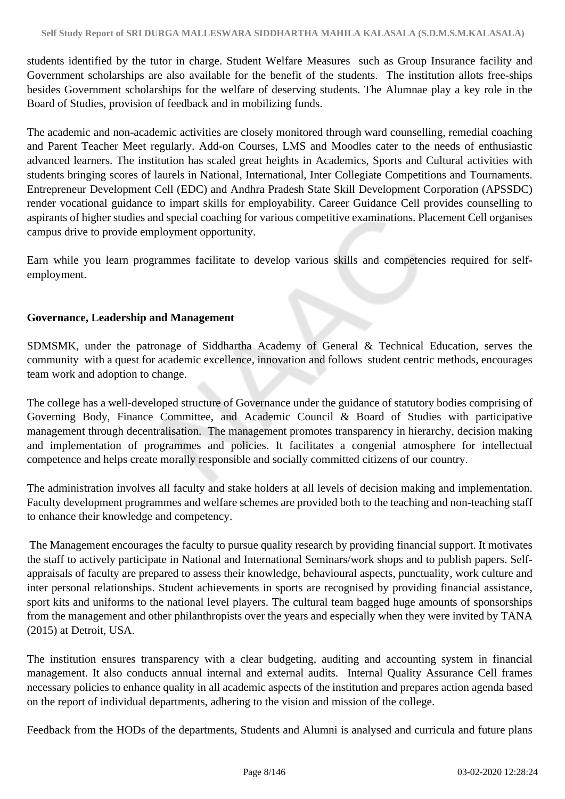students identified by the tutor in charge. Student Welfare Measures such as Group Insurance facility and Government scholarships are also available for the benefit of the students. The institution allots free-ships besides Government scholarships for the welfare of deserving students. The Alumnae play a key role in the Board of Studies, provision of feedback and in mobilizing funds.

The academic and non-academic activities are closely monitored through ward counselling, remedial coaching and Parent Teacher Meet regularly. Add-on Courses, LMS and Moodles cater to the needs of enthusiastic advanced learners. The institution has scaled great heights in Academics, Sports and Cultural activities with students bringing scores of laurels in National, International, Inter Collegiate Competitions and Tournaments. Entrepreneur Development Cell (EDC) and Andhra Pradesh State Skill Development Corporation (APSSDC) render vocational guidance to impart skills for employability. Career Guidance Cell provides counselling to aspirants of higher studies and special coaching for various competitive examinations. Placement Cell organises campus drive to provide employment opportunity.

Earn while you learn programmes facilitate to develop various skills and competencies required for selfemployment.

#### **Governance, Leadership and Management**

SDMSMK, under the patronage of Siddhartha Academy of General & Technical Education, serves the community with a quest for academic excellence, innovation and follows student centric methods, encourages team work and adoption to change.

The college has a well-developed structure of Governance under the guidance of statutory bodies comprising of Governing Body, Finance Committee, and Academic Council & Board of Studies with participative management through decentralisation. The management promotes transparency in hierarchy, decision making and implementation of programmes and policies. It facilitates a congenial atmosphere for intellectual competence and helps create morally responsible and socially committed citizens of our country.

The administration involves all faculty and stake holders at all levels of decision making and implementation. Faculty development programmes and welfare schemes are provided both to the teaching and non-teaching staff to enhance their knowledge and competency.

 The Management encourages the faculty to pursue quality research by providing financial support. It motivates the staff to actively participate in National and International Seminars/work shops and to publish papers. Selfappraisals of faculty are prepared to assess their knowledge, behavioural aspects, punctuality, work culture and inter personal relationships. Student achievements in sports are recognised by providing financial assistance, sport kits and uniforms to the national level players. The cultural team bagged huge amounts of sponsorships from the management and other philanthropists over the years and especially when they were invited by TANA (2015) at Detroit, USA.

The institution ensures transparency with a clear budgeting, auditing and accounting system in financial management. It also conducts annual internal and external audits. Internal Quality Assurance Cell frames necessary policies to enhance quality in all academic aspects of the institution and prepares action agenda based on the report of individual departments, adhering to the vision and mission of the college.

Feedback from the HODs of the departments, Students and Alumni is analysed and curricula and future plans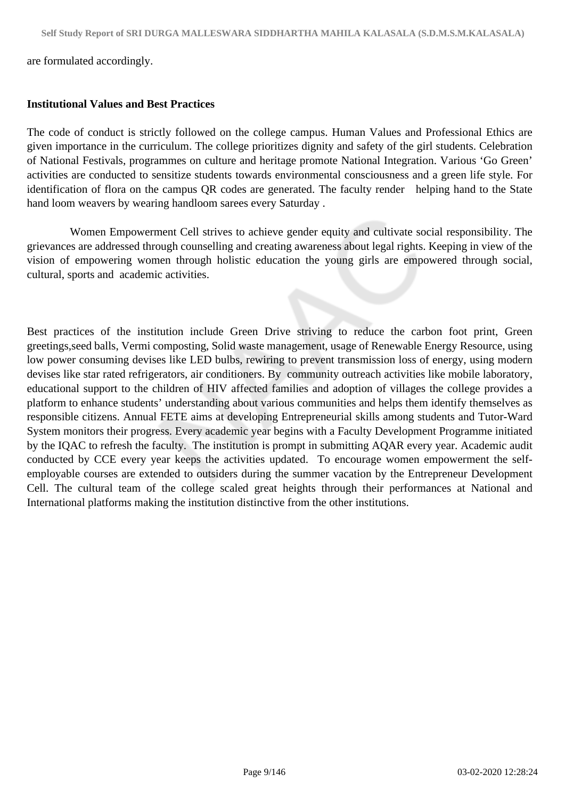are formulated accordingly.

#### **Institutional Values and Best Practices**

The code of conduct is strictly followed on the college campus. Human Values and Professional Ethics are given importance in the curriculum. The college prioritizes dignity and safety of the girl students. Celebration of National Festivals, programmes on culture and heritage promote National Integration. Various 'Go Green' activities are conducted to sensitize students towards environmental consciousness and a green life style. For identification of flora on the campus QR codes are generated. The faculty render helping hand to the State hand loom weavers by wearing handloom sarees every Saturday .

 Women Empowerment Cell strives to achieve gender equity and cultivate social responsibility. The grievances are addressed through counselling and creating awareness about legal rights. Keeping in view of the vision of empowering women through holistic education the young girls are empowered through social, cultural, sports and academic activities.

Best practices of the institution include Green Drive striving to reduce the carbon foot print, Green greetings,seed balls, Vermi composting, Solid waste management, usage of Renewable Energy Resource, using low power consuming devises like LED bulbs, rewiring to prevent transmission loss of energy, using modern devises like star rated refrigerators, air conditioners. By community outreach activities like mobile laboratory, educational support to the children of HIV affected families and adoption of villages the college provides a platform to enhance students' understanding about various communities and helps them identify themselves as responsible citizens. Annual FETE aims at developing Entrepreneurial skills among students and Tutor-Ward System monitors their progress. Every academic year begins with a Faculty Development Programme initiated by the IQAC to refresh the faculty. The institution is prompt in submitting AQAR every year. Academic audit conducted by CCE every year keeps the activities updated. To encourage women empowerment the selfemployable courses are extended to outsiders during the summer vacation by the Entrepreneur Development Cell. The cultural team of the college scaled great heights through their performances at National and International platforms making the institution distinctive from the other institutions.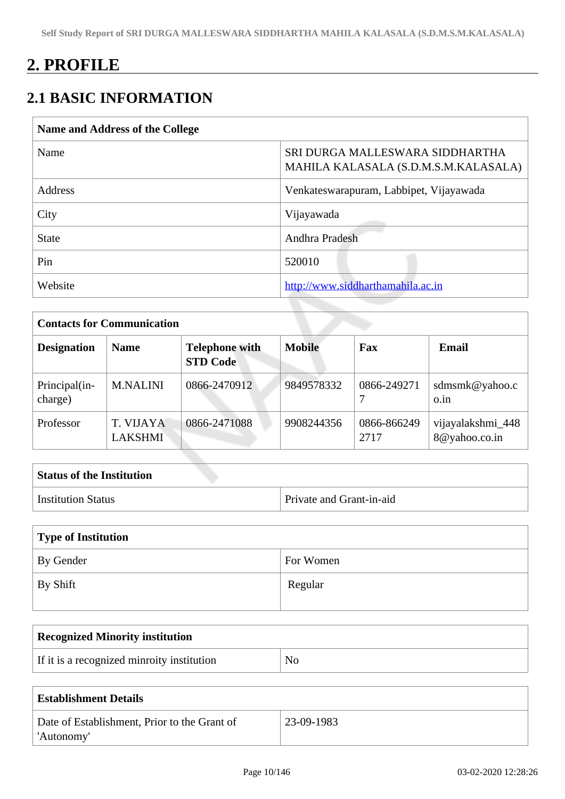# **2. PROFILE**

# **2.1 BASIC INFORMATION**

| Name and Address of the College |                                                                         |
|---------------------------------|-------------------------------------------------------------------------|
| Name                            | SRI DURGA MALLESWARA SIDDHARTHA<br>MAHILA KALASALA (S.D.M.S.M.KALASALA) |
| Address                         | Venkateswarapuram, Labbipet, Vijayawada                                 |
| City                            | Vijayawada                                                              |
| <b>State</b>                    | Andhra Pradesh                                                          |
| Pin                             | 520010                                                                  |
| Website                         | http://www.siddharthamahila.ac.in                                       |

|                                   | <b>Contacts for Communication</b>  |                                          |               |                     |                                    |  |  |  |  |  |
|-----------------------------------|------------------------------------|------------------------------------------|---------------|---------------------|------------------------------------|--|--|--|--|--|
| <b>Designation</b><br><b>Name</b> |                                    | <b>Telephone with</b><br><b>STD Code</b> | <b>Mobile</b> | Fax                 | <b>Email</b>                       |  |  |  |  |  |
| Principal(in-<br>charge)          | <b>M.NALINI</b>                    | 0866-2470912                             | 9849578332    | 0866-249271         | sdmsmk@yahoo.c<br>o.in             |  |  |  |  |  |
| Professor                         | <b>T. VIJAYA</b><br><b>LAKSHMI</b> | 0866-2471088                             | 9908244356    | 0866-866249<br>2717 | vijayalakshmi_448<br>8@yahoo.co.in |  |  |  |  |  |

| <b>Status of the Institution</b> |                          |
|----------------------------------|--------------------------|
| Institution Status               | Private and Grant-in-aid |

| Type of Institution |           |
|---------------------|-----------|
| By Gender           | For Women |
| $\perp$ By Shift    | Regular   |

| <b>Recognized Minority institution</b>     |    |  |  |  |  |  |
|--------------------------------------------|----|--|--|--|--|--|
| If it is a recognized minroity institution | No |  |  |  |  |  |

| <b>Establishment Details</b>                 |            |
|----------------------------------------------|------------|
| Date of Establishment, Prior to the Grant of | 23-09-1983 |
| 'Autonomy'                                   |            |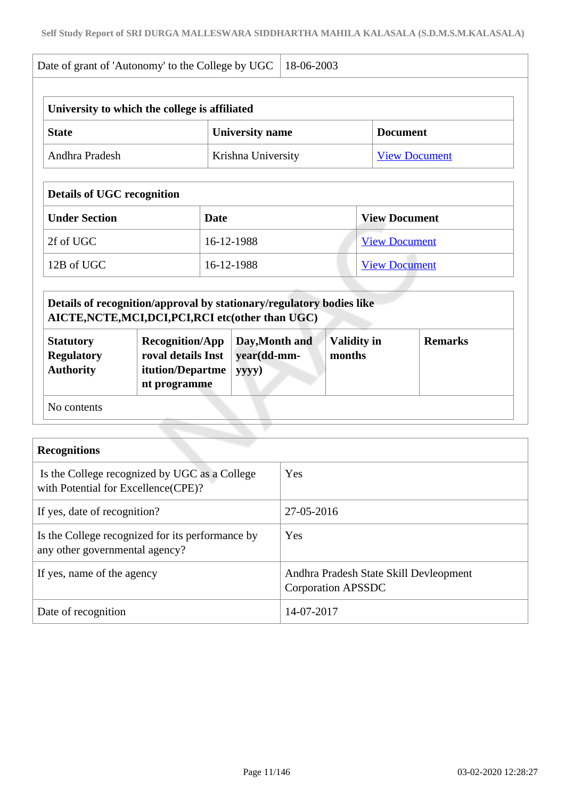|                                                           | University to which the college is affiliated                                    |             |                                                                                                                                                                       |                              |                      |  |  |
|-----------------------------------------------------------|----------------------------------------------------------------------------------|-------------|-----------------------------------------------------------------------------------------------------------------------------------------------------------------------|------------------------------|----------------------|--|--|
| <b>State</b>                                              |                                                                                  |             | <b>University name</b>                                                                                                                                                |                              | <b>Document</b>      |  |  |
| Andhra Pradesh                                            |                                                                                  |             | Krishna University                                                                                                                                                    |                              | <b>View Document</b> |  |  |
| <b>Details of UGC recognition</b>                         |                                                                                  |             |                                                                                                                                                                       |                              |                      |  |  |
| <b>Under Section</b>                                      |                                                                                  | <b>Date</b> |                                                                                                                                                                       |                              | <b>View Document</b> |  |  |
| 2f of UGC                                                 |                                                                                  | 16-12-1988  |                                                                                                                                                                       | <b>View Document</b>         |                      |  |  |
| 12B of UGC                                                |                                                                                  | 16-12-1988  |                                                                                                                                                                       |                              | <b>View Document</b> |  |  |
| <b>Statutory</b><br><b>Regulatory</b><br><b>Authority</b> | <b>Recognition/App</b><br>roval details Inst<br>itution/Departme<br>nt programme |             | Details of recognition/approval by stationary/regulatory bodies like<br>AICTE, NCTE, MCI, DCI, PCI, RCI etc(other than UGC)<br>Day, Month and<br>year(dd-mm-<br>yyyy) | <b>Validity in</b><br>months | <b>Remarks</b>       |  |  |
|                                                           |                                                                                  |             |                                                                                                                                                                       |                              |                      |  |  |

| Is the College recognized by UGC as a College<br>with Potential for Excellence (CPE)? | Yes                                                                 |
|---------------------------------------------------------------------------------------|---------------------------------------------------------------------|
| If yes, date of recognition?                                                          | 27-05-2016                                                          |
| Is the College recognized for its performance by<br>any other governmental agency?    | <b>Yes</b>                                                          |
| If yes, name of the agency                                                            | Andhra Pradesh State Skill Devleopment<br><b>Corporation APSSDC</b> |
| Date of recognition                                                                   | 14-07-2017                                                          |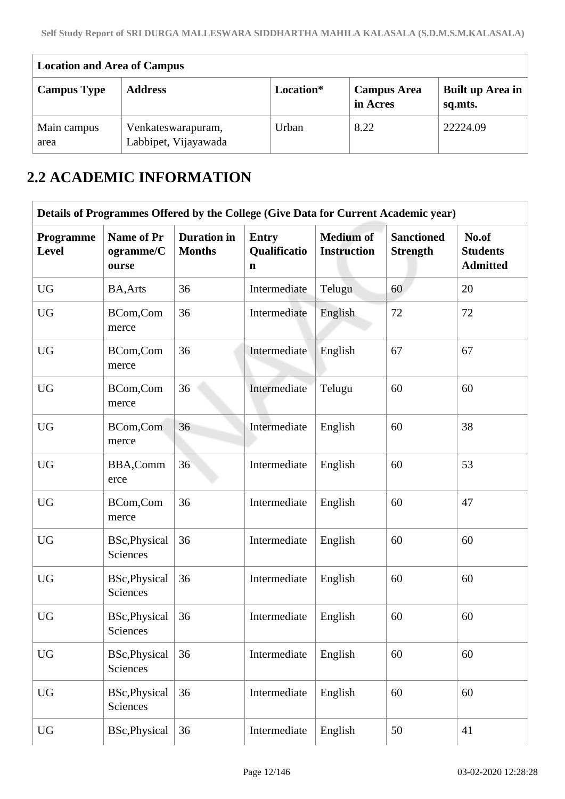| <b>Location and Area of Campus</b>   |                                            |           |                                |                             |  |  |  |  |  |
|--------------------------------------|--------------------------------------------|-----------|--------------------------------|-----------------------------|--|--|--|--|--|
| <b>Campus Type</b><br><b>Address</b> |                                            | Location* | <b>Campus Area</b><br>in Acres | Built up Area in<br>sq.mts. |  |  |  |  |  |
| Main campus<br>area                  | Venkateswarapuram,<br>Labbipet, Vijayawada | Urban     | 8.22                           | 22224.09                    |  |  |  |  |  |

# **2.2 ACADEMIC INFORMATION**

|                    | Details of Programmes Offered by the College (Give Data for Current Academic year) |    |                                                                                    |         |                                      |                                             |  |  |  |  |
|--------------------|------------------------------------------------------------------------------------|----|------------------------------------------------------------------------------------|---------|--------------------------------------|---------------------------------------------|--|--|--|--|
| Programme<br>Level | <b>Name of Pr</b><br>ogramme/C<br>ourse                                            |    | <b>Duration</b> in<br><b>Entry</b><br><b>Months</b><br>Qualificatio<br>$\mathbf n$ |         | <b>Sanctioned</b><br><b>Strength</b> | No.of<br><b>Students</b><br><b>Admitted</b> |  |  |  |  |
| <b>UG</b>          | <b>BA, Arts</b>                                                                    | 36 | Intermediate                                                                       | Telugu  | 60                                   | 20                                          |  |  |  |  |
| <b>UG</b>          | BCom,Com<br>merce                                                                  | 36 | Intermediate                                                                       | English | 72                                   | 72                                          |  |  |  |  |
| <b>UG</b>          | BCom,Com<br>merce                                                                  | 36 | Intermediate                                                                       | English | 67                                   | 67                                          |  |  |  |  |
| <b>UG</b>          | BCom,Com<br>merce                                                                  | 36 | Intermediate                                                                       | Telugu  | 60                                   | 60                                          |  |  |  |  |
| <b>UG</b>          | BCom,Com<br>merce                                                                  | 36 | Intermediate                                                                       | English | 60                                   | 38                                          |  |  |  |  |
| <b>UG</b>          | BBA,Comm<br>erce                                                                   | 36 | Intermediate                                                                       | English | 60                                   | 53                                          |  |  |  |  |
| <b>UG</b>          | BCom,Com<br>merce                                                                  | 36 | Intermediate                                                                       | English | 60                                   | 47                                          |  |  |  |  |
| <b>UG</b>          | BSc, Physical<br>Sciences                                                          | 36 | Intermediate                                                                       | English | 60                                   | 60                                          |  |  |  |  |
| <b>UG</b>          | BSc, Physical<br>Sciences                                                          | 36 | Intermediate                                                                       | English | 60                                   | 60                                          |  |  |  |  |
| <b>UG</b>          | <b>BSc, Physical</b><br>Sciences                                                   | 36 | Intermediate                                                                       | English | 60                                   | 60                                          |  |  |  |  |
| <b>UG</b>          | <b>BSc, Physical</b><br>Sciences                                                   | 36 | Intermediate                                                                       | English | 60                                   | 60                                          |  |  |  |  |
| <b>UG</b>          | BSc, Physical<br>Sciences                                                          | 36 | Intermediate                                                                       | English | 60                                   | 60                                          |  |  |  |  |
| <b>UG</b>          | BSc, Physical                                                                      | 36 | Intermediate                                                                       | English | 50                                   | 41                                          |  |  |  |  |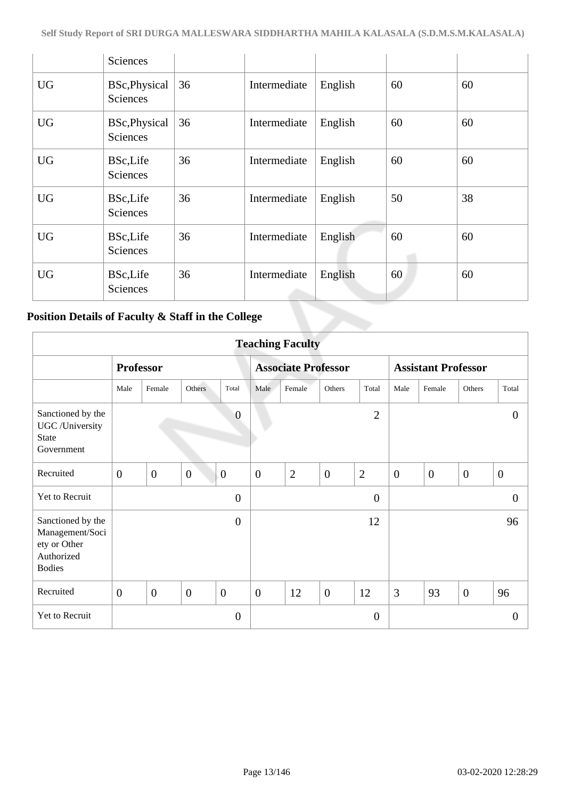|           | <b>Sciences</b>                  |    |              |         |    |    |
|-----------|----------------------------------|----|--------------|---------|----|----|
| <b>UG</b> | BSc, Physical<br>Sciences        | 36 | Intermediate | English | 60 | 60 |
| <b>UG</b> | BSc, Physical<br><b>Sciences</b> | 36 | Intermediate | English | 60 | 60 |
| <b>UG</b> | BSc, Life<br>Sciences            | 36 | Intermediate | English | 60 | 60 |
| <b>UG</b> | BSc, Life<br><b>Sciences</b>     | 36 | Intermediate | English | 50 | 38 |
| <b>UG</b> | BSc,Life<br><b>Sciences</b>      | 36 | Intermediate | English | 60 | 60 |
| <b>UG</b> | BSc,Life<br><b>Sciences</b>      | 36 | Intermediate | English | 60 | 60 |

### **Position Details of Faculty & Staff in the College**

| <b>Teaching Faculty</b>                                                             |                |                  |                |                  |                            |                |                  |                            |                  |                  |                  |                |
|-------------------------------------------------------------------------------------|----------------|------------------|----------------|------------------|----------------------------|----------------|------------------|----------------------------|------------------|------------------|------------------|----------------|
|                                                                                     |                | <b>Professor</b> |                |                  | <b>Associate Professor</b> |                |                  | <b>Assistant Professor</b> |                  |                  |                  |                |
|                                                                                     | Male           | Female           | Others         | Total            | Male                       | Female         | Others           | Total                      | Male             | Female           | Others           | Total          |
| Sanctioned by the<br>UGC /University<br><b>State</b><br>Government                  |                |                  |                | $\overline{0}$   |                            |                |                  | $\overline{2}$             |                  |                  |                  | $\overline{0}$ |
| Recruited                                                                           | $\overline{0}$ | $\mathbf{0}$     | $\overline{0}$ | $\boldsymbol{0}$ | $\overline{0}$             | $\overline{2}$ | $\boldsymbol{0}$ | $\overline{2}$             | $\boldsymbol{0}$ | $\boldsymbol{0}$ | $\boldsymbol{0}$ | $\overline{0}$ |
| Yet to Recruit                                                                      |                |                  |                | $\overline{0}$   |                            |                |                  | $\overline{0}$             |                  |                  |                  | $\overline{0}$ |
| Sanctioned by the<br>Management/Soci<br>ety or Other<br>Authorized<br><b>Bodies</b> |                |                  |                | $\overline{0}$   |                            |                |                  | 12                         |                  |                  |                  | 96             |
| Recruited                                                                           | $\overline{0}$ | $\overline{0}$   | $\overline{0}$ | $\overline{0}$   | $\overline{0}$             | 12             | $\overline{0}$   | 12                         | 3                | 93               | $\overline{0}$   | 96             |
| Yet to Recruit                                                                      |                |                  |                | $\overline{0}$   |                            |                |                  | $\overline{0}$             |                  |                  |                  | $\overline{0}$ |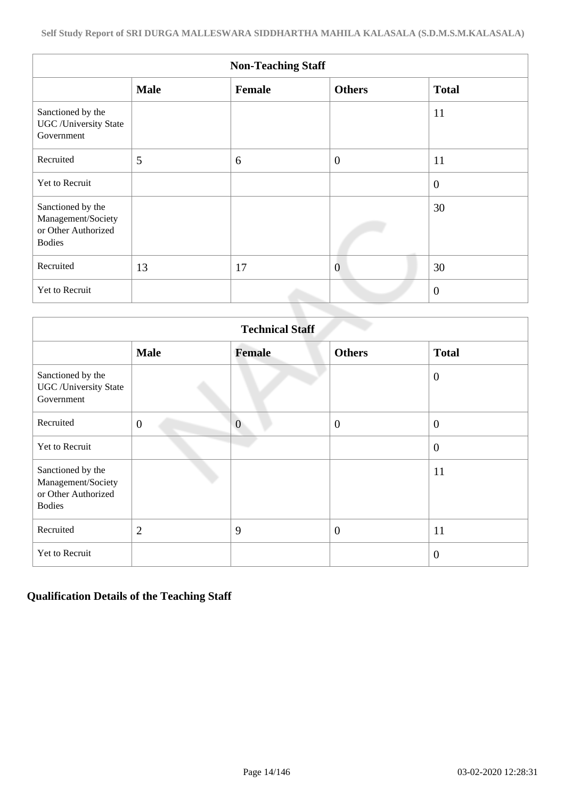|                                                                                 |             | <b>Non-Teaching Staff</b> |                  |                |
|---------------------------------------------------------------------------------|-------------|---------------------------|------------------|----------------|
|                                                                                 | <b>Male</b> | Female                    | <b>Others</b>    | <b>Total</b>   |
| Sanctioned by the<br><b>UGC</b> / University State<br>Government                |             |                           |                  | 11             |
| Recruited                                                                       | 5           | 6                         | $\boldsymbol{0}$ | 11             |
| Yet to Recruit                                                                  |             |                           |                  | $\overline{0}$ |
| Sanctioned by the<br>Management/Society<br>or Other Authorized<br><b>Bodies</b> |             |                           |                  | 30             |
| Recruited                                                                       | 13          | 17                        | $\overline{0}$   | 30             |
| Yet to Recruit                                                                  |             |                           |                  | $\overline{0}$ |

|                                                                                 |                | <b>Technical Staff</b> |                |                  |
|---------------------------------------------------------------------------------|----------------|------------------------|----------------|------------------|
|                                                                                 | <b>Male</b>    | Female                 | <b>Others</b>  | <b>Total</b>     |
| Sanctioned by the<br><b>UGC</b> / University State<br>Government                |                |                        |                | $\overline{0}$   |
| Recruited                                                                       | $\overline{0}$ | $\overline{0}$         | $\overline{0}$ | $\boldsymbol{0}$ |
| Yet to Recruit                                                                  |                |                        |                | $\theta$         |
| Sanctioned by the<br>Management/Society<br>or Other Authorized<br><b>Bodies</b> |                |                        |                | 11               |
| Recruited                                                                       | $\overline{2}$ | 9                      | $\overline{0}$ | 11               |
| Yet to Recruit                                                                  |                |                        |                | $\overline{0}$   |

## **Qualification Details of the Teaching Staff**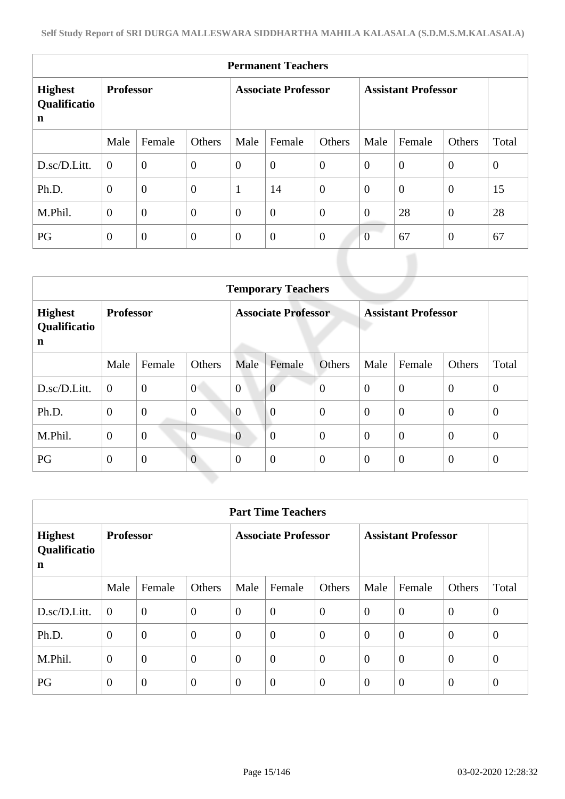| <b>Permanent Teachers</b>                     |                  |                |                            |                |                |                            |                |          |                |          |
|-----------------------------------------------|------------------|----------------|----------------------------|----------------|----------------|----------------------------|----------------|----------|----------------|----------|
| <b>Highest</b><br>Qualificatio<br>$\mathbf n$ | <b>Professor</b> |                | <b>Associate Professor</b> |                |                | <b>Assistant Professor</b> |                |          |                |          |
|                                               | Male             | Female         | Others                     | Male           | Female         | Others                     | Male           | Female   | Others         | Total    |
| D.sc/D.Litt.                                  | $\overline{0}$   | $\overline{0}$ | $\overline{0}$             | $\overline{0}$ | $\overline{0}$ | $\theta$                   | $\theta$       | $\theta$ | $\theta$       | $\theta$ |
| Ph.D.                                         | $\theta$         | $\overline{0}$ | $\boldsymbol{0}$           | $\mathbf{1}$   | 14             | $\overline{0}$             | $\overline{0}$ | $\theta$ | $\theta$       | 15       |
| M.Phil.                                       | $\overline{0}$   | $\overline{0}$ | $\overline{0}$             | $\overline{0}$ | $\overline{0}$ | $\overline{0}$             | $\overline{0}$ | 28       | $\overline{0}$ | 28       |
| PG                                            | $\overline{0}$   | $\overline{0}$ | $\boldsymbol{0}$           | $\theta$       | $\overline{0}$ | $\theta$                   | $\mathbf{0}$   | 67       | $\overline{0}$ | 67       |

|                                     | <b>Temporary Teachers</b> |                |                |                            |                |                |                            |                |                  |                |
|-------------------------------------|---------------------------|----------------|----------------|----------------------------|----------------|----------------|----------------------------|----------------|------------------|----------------|
| <b>Highest</b><br>Qualificatio<br>n | <b>Professor</b>          |                |                | <b>Associate Professor</b> |                |                | <b>Assistant Professor</b> |                |                  |                |
|                                     | Male                      | Female         | Others         | Male                       | Female         | Others         | Male                       | Female         | Others           | Total          |
| D.sc/D.Litt.                        | $\overline{0}$            | $\overline{0}$ | $\overline{0}$ | $\overline{0}$             | $\overline{0}$ | $\overline{0}$ | $\overline{0}$             | $\overline{0}$ | $\overline{0}$   | $\theta$       |
| Ph.D.                               | $\theta$                  | $\overline{0}$ | $\overline{0}$ | $\overline{0}$             | $\overline{0}$ | $\overline{0}$ | $\overline{0}$             | $\overline{0}$ | $\overline{0}$   | $\overline{0}$ |
| M.Phil.                             | $\overline{0}$            | $\overline{0}$ | $\overline{0}$ | $\overline{0}$             | $\overline{0}$ | $\overline{0}$ | $\overline{0}$             | $\overline{0}$ | $\overline{0}$   | $\overline{0}$ |
| PG                                  | $\theta$                  | $\mathbf{0}$   | $\overline{0}$ | $\overline{0}$             | $\overline{0}$ | $\overline{0}$ | $\overline{0}$             | $\theta$       | $\boldsymbol{0}$ | $\theta$       |

| <b>Part Time Teachers</b>           |                  |                |                            |                |                |                            |                |                |                |          |
|-------------------------------------|------------------|----------------|----------------------------|----------------|----------------|----------------------------|----------------|----------------|----------------|----------|
| <b>Highest</b><br>Qualificatio<br>n | <b>Professor</b> |                | <b>Associate Professor</b> |                |                | <b>Assistant Professor</b> |                |                |                |          |
|                                     | Male             | Female         | Others                     | Male           | Female         | Others                     | Male           | Female         | Others         | Total    |
| D.sc/D.Litt.                        | $\overline{0}$   | $\overline{0}$ | $\overline{0}$             | $\overline{0}$ | $\overline{0}$ | $\overline{0}$             | $\theta$       | $\overline{0}$ | $\overline{0}$ | $\theta$ |
| Ph.D.                               | $\overline{0}$   | $\overline{0}$ | $\overline{0}$             | $\Omega$       | $\overline{0}$ | $\overline{0}$             | $\Omega$       | $\overline{0}$ | $\overline{0}$ | $\theta$ |
| M.Phil.                             | $\mathbf{0}$     | $\overline{0}$ | $\overline{0}$             | $\theta$       | $\overline{0}$ | $\boldsymbol{0}$           | $\theta$       | $\overline{0}$ | $\overline{0}$ | $\theta$ |
| PG                                  | $\overline{0}$   | $\overline{0}$ | $\overline{0}$             | $\theta$       | $\overline{0}$ | $\overline{0}$             | $\overline{0}$ | $\overline{0}$ | $\theta$       | $\theta$ |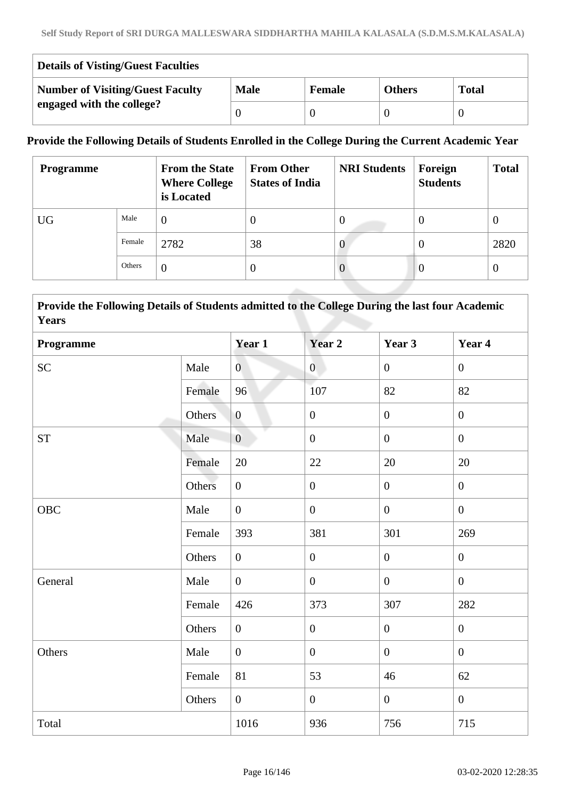| <b>Details of Visting/Guest Faculties</b> |             |               |               |              |  |  |  |
|-------------------------------------------|-------------|---------------|---------------|--------------|--|--|--|
| <b>Number of Visiting/Guest Faculty</b>   | <b>Male</b> | <b>Female</b> | <b>Others</b> | <b>Total</b> |  |  |  |
| engaged with the college?                 |             |               |               |              |  |  |  |

### **Provide the Following Details of Students Enrolled in the College During the Current Academic Year**

| <b>Programme</b> |        | <b>From the State</b><br><b>Where College</b><br>is Located | <b>From Other</b><br><b>States of India</b> | <b>NRI Students</b> | Foreign<br><b>Students</b> | <b>Total</b> |
|------------------|--------|-------------------------------------------------------------|---------------------------------------------|---------------------|----------------------------|--------------|
| <b>UG</b>        | Male   | $\theta$                                                    | $\theta$                                    | U                   | U                          | O            |
|                  | Female | 2782                                                        | 38                                          | U                   | 0                          | 2820         |
|                  | Others | $\overline{0}$                                              | 0                                           | $\mathbf{U}$        | U                          | $\theta$     |

 **Provide the Following Details of Students admitted to the College During the last four Academic Years**

| <b>Programme</b>   |        | Year 1           | Year 2           | Year 3           | Year 4           |
|--------------------|--------|------------------|------------------|------------------|------------------|
| SC                 | Male   | $\overline{0}$   | $\mathbf{0}$     | $\mathbf{0}$     | $\overline{0}$   |
|                    | Female | 96               | 107              | 82               | 82               |
|                    | Others | $\mathbf{0}$     | $\boldsymbol{0}$ | $\overline{0}$   | $\overline{0}$   |
| ${\cal S}{\cal T}$ | Male   | $\overline{0}$   | $\boldsymbol{0}$ | $\boldsymbol{0}$ | $\overline{0}$   |
|                    | Female | 20               | 22               | $20\,$           | 20               |
|                    | Others | $\overline{0}$   | $\boldsymbol{0}$ | $\boldsymbol{0}$ | $\overline{0}$   |
| <b>OBC</b>         | Male   | $\overline{0}$   | $\boldsymbol{0}$ | $\overline{0}$   | $\overline{0}$   |
|                    | Female | 393              | 381              | 301              | 269              |
|                    | Others | $\mathbf{0}$     | $\boldsymbol{0}$ | $\boldsymbol{0}$ | $\overline{0}$   |
| General            | Male   | $\overline{0}$   | $\overline{0}$   | $\overline{0}$   | $\overline{0}$   |
|                    | Female | 426              | 373              | 307              | 282              |
|                    | Others | $\boldsymbol{0}$ | $\boldsymbol{0}$ | $\boldsymbol{0}$ | $\overline{0}$   |
| Others             | Male   | $\overline{0}$   | $\boldsymbol{0}$ | $\overline{0}$   | $\boldsymbol{0}$ |
|                    | Female | 81               | 53               | 46               | 62               |
|                    | Others | $\overline{0}$   | $\boldsymbol{0}$ | $\boldsymbol{0}$ | $\boldsymbol{0}$ |
| Total              |        | 1016             | 936              | 756              | 715              |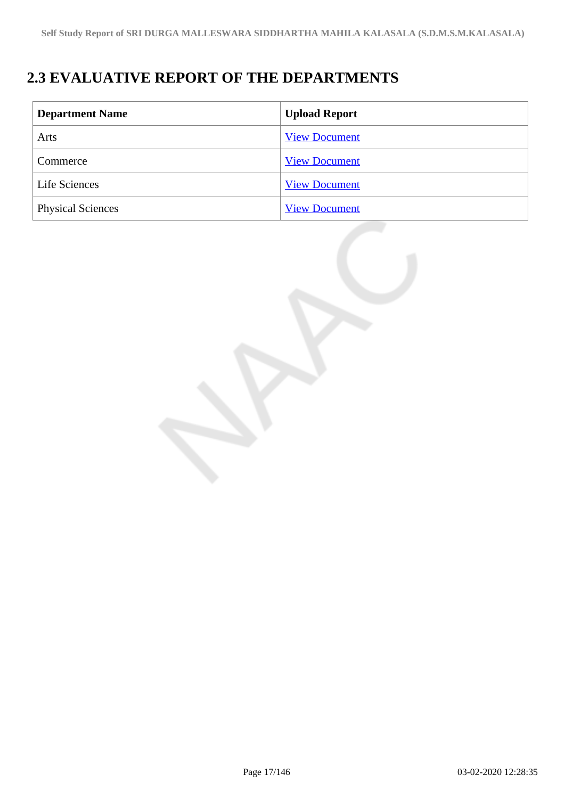# **2.3 EVALUATIVE REPORT OF THE DEPARTMENTS**

| <b>Department Name</b>   | <b>Upload Report</b> |
|--------------------------|----------------------|
| Arts                     | <b>View Document</b> |
| Commerce                 | <b>View Document</b> |
| Life Sciences            | <b>View Document</b> |
| <b>Physical Sciences</b> | <b>View Document</b> |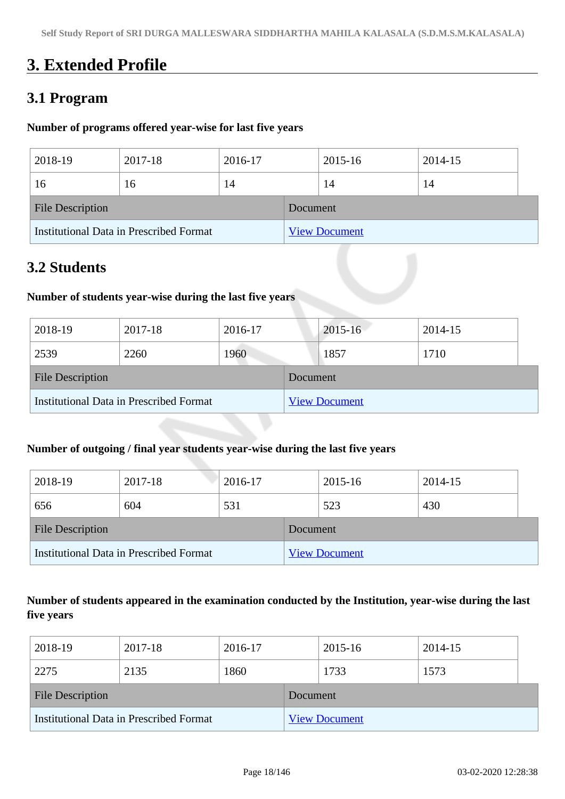# **3. Extended Profile**

# **3.1 Program**

#### **Number of programs offered year-wise for last five years**

| 2018-19                 | 2017-18                                 | 2016-17 |                      | 2015-16  | 2014-15 |  |
|-------------------------|-----------------------------------------|---------|----------------------|----------|---------|--|
| 16                      | 16                                      | 14      |                      | 14       | 14      |  |
| <b>File Description</b> |                                         |         |                      | Document |         |  |
|                         | Institutional Data in Prescribed Format |         | <b>View Document</b> |          |         |  |

# **3.2 Students**

#### **Number of students year-wise during the last five years**

| 2018-19                                 | 2017-18 | 2016-17 |                      | $2015 - 16$ | 2014-15 |  |
|-----------------------------------------|---------|---------|----------------------|-------------|---------|--|
| 2539                                    | 2260    | 1960    |                      | 1857        | 1710    |  |
| <b>File Description</b>                 |         |         | Document             |             |         |  |
| Institutional Data in Prescribed Format |         |         | <b>View Document</b> |             |         |  |

#### **Number of outgoing / final year students year-wise during the last five years**

| 2018-19                                        | 2017-18 | 2016-17 |                      | $2015 - 16$ | 2014-15 |  |  |
|------------------------------------------------|---------|---------|----------------------|-------------|---------|--|--|
| 656                                            | 604     | 531     |                      | 523         | 430     |  |  |
| <b>File Description</b>                        |         |         |                      | Document    |         |  |  |
| <b>Institutional Data in Prescribed Format</b> |         |         | <b>View Document</b> |             |         |  |  |

## **Number of students appeared in the examination conducted by the Institution, year-wise during the last five years**

| 2018-19                                 | 2017-18 | 2016-17  |                      | 2015-16 | 2014-15 |  |
|-----------------------------------------|---------|----------|----------------------|---------|---------|--|
| 2275                                    | 2135    | 1860     |                      | 1733    | 1573    |  |
| <b>File Description</b>                 |         | Document |                      |         |         |  |
| Institutional Data in Prescribed Format |         |          | <b>View Document</b> |         |         |  |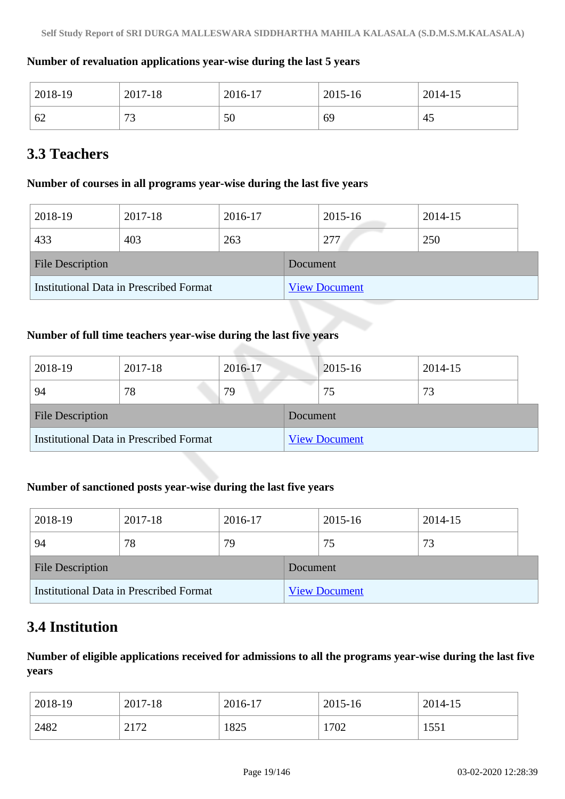#### **Number of revaluation applications year-wise during the last 5 years**

| 2018-19 | 2017-18      | 2016-17 | 2015-16 | 2014-15 |
|---------|--------------|---------|---------|---------|
| 62      | $\mathbf{z}$ | 50      | 69      | 45      |

# **3.3 Teachers**

#### **Number of courses in all programs year-wise during the last five years**

| 2018-19                                        | 2017-18 | 2016-17 |                      | 2015-16 | 2014-15 |  |
|------------------------------------------------|---------|---------|----------------------|---------|---------|--|
| 433                                            | 403     | 263     |                      | 277     | 250     |  |
| <b>File Description</b>                        |         |         | Document             |         |         |  |
| <b>Institutional Data in Prescribed Format</b> |         |         | <b>View Document</b> |         |         |  |

## **Number of full time teachers year-wise during the last five years**

| 2018-19                                 | 2017-18 | 2016-17 |          | 2015-16              | 2014-15 |  |
|-----------------------------------------|---------|---------|----------|----------------------|---------|--|
| 94                                      | 78      | 79      |          | 75                   | 73      |  |
| <b>File Description</b>                 |         |         | Document |                      |         |  |
| Institutional Data in Prescribed Format |         |         |          | <b>View Document</b> |         |  |

#### **Number of sanctioned posts year-wise during the last five years**

| 2018-19                                 | 2017-18 | 2016-17  |                      | 2015-16 |  | 2014-15 |  |
|-----------------------------------------|---------|----------|----------------------|---------|--|---------|--|
| 94                                      | 78      | 79       |                      | 75      |  | 73      |  |
| <b>File Description</b>                 |         | Document |                      |         |  |         |  |
| Institutional Data in Prescribed Format |         |          | <b>View Document</b> |         |  |         |  |

# **3.4 Institution**

**Number of eligible applications received for admissions to all the programs year-wise during the last five years**

| 2018-19 | 2017-18      | 2016-17 | 2015-16 | 2014-15 |
|---------|--------------|---------|---------|---------|
| 2482    | 2172<br>2112 | 1825    | 1702    | 1551    |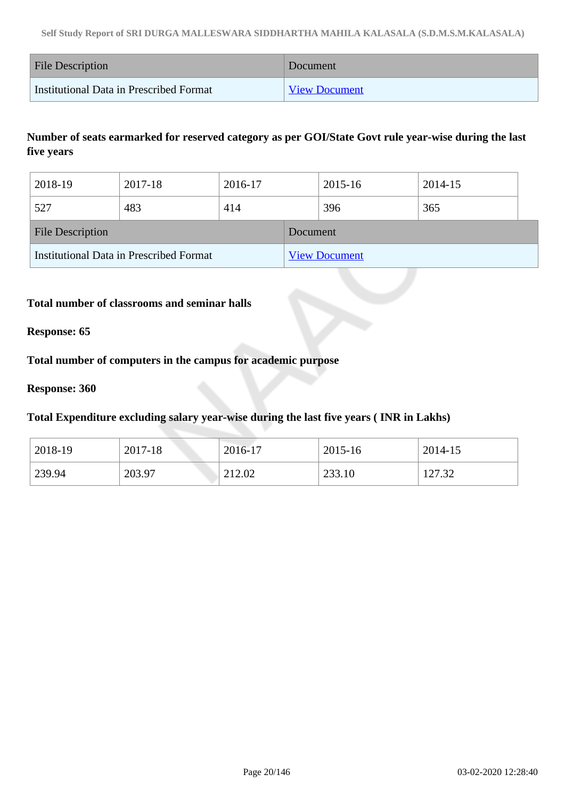| File Description                        | Document             |
|-----------------------------------------|----------------------|
| Institutional Data in Prescribed Format | <b>View Document</b> |

### **Number of seats earmarked for reserved category as per GOI/State Govt rule year-wise during the last five years**

| 2018-19                                 | 2017-18 | 2016-17  |                      | 2015-16 | 2014-15 |  |
|-----------------------------------------|---------|----------|----------------------|---------|---------|--|
| 527                                     | 483     | 414      |                      | 396     | 365     |  |
| <b>File Description</b>                 |         | Document |                      |         |         |  |
| Institutional Data in Prescribed Format |         |          | <b>View Document</b> |         |         |  |

#### **Total number of classrooms and seminar halls**

#### **Response: 65**

### **Total number of computers in the campus for academic purpose**

#### **Response: 360**

# **Total Expenditure excluding salary year-wise during the last five years ( INR in Lakhs)**

| 2018-19 | 2017-18 | 2016-17 | 2015-16 | 2014-15 |
|---------|---------|---------|---------|---------|
| 239.94  | 203.97  | 212.02  | 233.10  | 127.32  |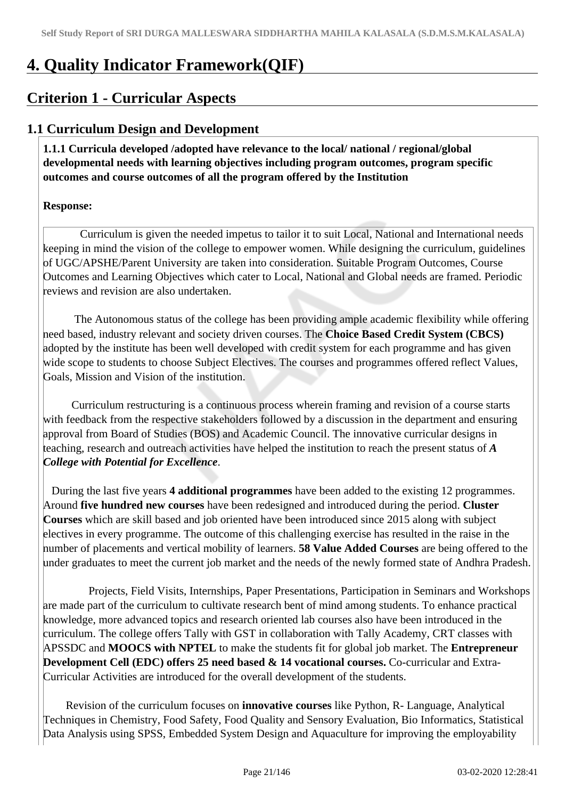# **4. Quality Indicator Framework(QIF)**

# **Criterion 1 - Curricular Aspects**

# **1.1 Curriculum Design and Development**

 **1.1.1 Curricula developed /adopted have relevance to the local/ national / regional/global developmental needs with learning objectives including program outcomes, program specific outcomes and course outcomes of all the program offered by the Institution**

### **Response:**

 Curriculum is given the needed impetus to tailor it to suit Local, National and International needs keeping in mind the vision of the college to empower women. While designing the curriculum, guidelines of UGC/APSHE/Parent University are taken into consideration. Suitable Program Outcomes, Course Outcomes and Learning Objectives which cater to Local, National and Global needs are framed. Periodic reviews and revision are also undertaken.

 The Autonomous status of the college has been providing ample academic flexibility while offering need based, industry relevant and society driven courses. The **Choice Based Credit System (CBCS)** adopted by the institute has been well developed with credit system for each programme and has given wide scope to students to choose Subject Electives. The courses and programmes offered reflect Values, Goals, Mission and Vision of the institution.

 Curriculum restructuring is a continuous process wherein framing and revision of a course starts with feedback from the respective stakeholders followed by a discussion in the department and ensuring approval from Board of Studies (BOS) and Academic Council. The innovative curricular designs in teaching, research and outreach activities have helped the institution to reach the present status of *A College with Potential for Excellence*.

 During the last five years **4 additional programmes** have been added to the existing 12 programmes. Around **five hundred new courses** have been redesigned and introduced during the period. **Cluster Courses** which are skill based and job oriented have been introduced since 2015 along with subject electives in every programme. The outcome of this challenging exercise has resulted in the raise in the number of placements and vertical mobility of learners. **58 Value Added Courses** are being offered to the under graduates to meet the current job market and the needs of the newly formed state of Andhra Pradesh.

 Projects, Field Visits, Internships, Paper Presentations, Participation in Seminars and Workshops are made part of the curriculum to cultivate research bent of mind among students. To enhance practical knowledge, more advanced topics and research oriented lab courses also have been introduced in the curriculum. The college offers Tally with GST in collaboration with Tally Academy, CRT classes with APSSDC and **MOOCS with NPTEL** to make the students fit for global job market. The **Entrepreneur Development Cell (EDC) offers 25 need based & 14 vocational courses.** Co-curricular and Extra-Curricular Activities are introduced for the overall development of the students.

 Revision of the curriculum focuses on **innovative courses** like Python, R- Language, Analytical Techniques in Chemistry, Food Safety, Food Quality and Sensory Evaluation, Bio Informatics, Statistical Data Analysis using SPSS, Embedded System Design and Aquaculture for improving the employability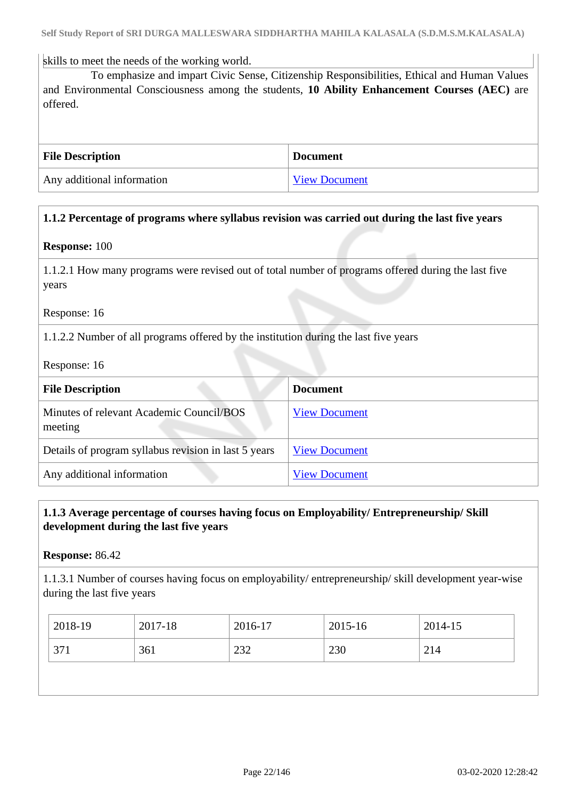skills to meet the needs of the working world.

 To emphasize and impart Civic Sense, Citizenship Responsibilities, Ethical and Human Values and Environmental Consciousness among the students, **10 Ability Enhancement Courses (AEC)** are offered.

| <b>File Description</b>    | <b>Document</b>      |
|----------------------------|----------------------|
| Any additional information | <b>View Document</b> |

## **1.1.2 Percentage of programs where syllabus revision was carried out during the last five years**

#### **Response:** 100

1.1.2.1 How many programs were revised out of total number of programs offered during the last five years

Response: 16

1.1.2.2 Number of all programs offered by the institution during the last five years

Response: 16

| <b>File Description</b>                              | <b>Document</b>      |
|------------------------------------------------------|----------------------|
| Minutes of relevant Academic Council/BOS<br>meeting  | <b>View Document</b> |
| Details of program syllabus revision in last 5 years | <b>View Document</b> |
| Any additional information                           | <b>View Document</b> |

#### **1.1.3 Average percentage of courses having focus on Employability/ Entrepreneurship/ Skill development during the last five years**

**Response:** 86.42

1.1.3.1 Number of courses having focus on employability/ entrepreneurship/ skill development year-wise during the last five years

| 2018-19 | 2017-18 | 2016-17 | 2015-16 | 2014-15 |
|---------|---------|---------|---------|---------|
| 371     | 361     | 232     | 230     | 214     |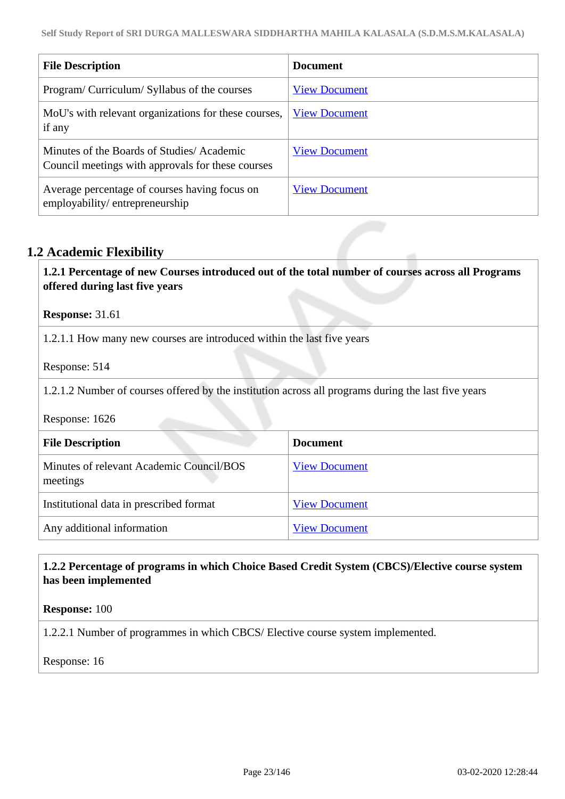| <b>File Description</b>                                                                        | <b>Document</b>      |
|------------------------------------------------------------------------------------------------|----------------------|
| Program/Curriculum/Syllabus of the courses                                                     | <b>View Document</b> |
| MoU's with relevant organizations for these courses,<br>if any                                 | <b>View Document</b> |
| Minutes of the Boards of Studies/Academic<br>Council meetings with approvals for these courses | <b>View Document</b> |
| Average percentage of courses having focus on<br>employability/entrepreneurship                | <b>View Document</b> |

## **1.2 Academic Flexibility**

 **1.2.1 Percentage of new Courses introduced out of the total number of courses across all Programs offered during last five years**

**Response:** 31.61

1.2.1.1 How many new courses are introduced within the last five years

Response: 514

1.2.1.2 Number of courses offered by the institution across all programs during the last five years

Response: 1626

| <b>File Description</b>                              | <b>Document</b>      |
|------------------------------------------------------|----------------------|
| Minutes of relevant Academic Council/BOS<br>meetings | <b>View Document</b> |
| Institutional data in prescribed format              | <b>View Document</b> |
| Any additional information                           | <b>View Document</b> |

#### **1.2.2 Percentage of programs in which Choice Based Credit System (CBCS)/Elective course system has been implemented**

**Response:** 100

1.2.2.1 Number of programmes in which CBCS/ Elective course system implemented.

Response: 16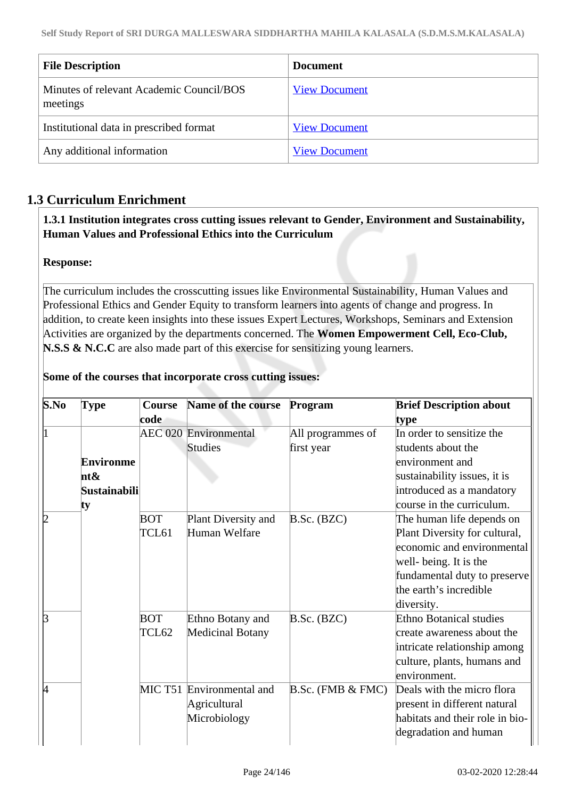| <b>File Description</b>                              | <b>Document</b>      |
|------------------------------------------------------|----------------------|
| Minutes of relevant Academic Council/BOS<br>meetings | <b>View Document</b> |
| Institutional data in prescribed format              | <b>View Document</b> |
| Any additional information                           | <b>View Document</b> |

# **1.3 Curriculum Enrichment**

### **1.3.1 Institution integrates cross cutting issues relevant to Gender, Environment and Sustainability, Human Values and Professional Ethics into the Curriculum**

#### **Response:**

The curriculum includes the crosscutting issues like Environmental Sustainability, Human Values and Professional Ethics and Gender Equity to transform learners into agents of change and progress. In addition, to create keen insights into these issues Expert Lectures, Workshops, Seminars and Extension Activities are organized by the departments concerned. The **Women Empowerment Cell, Eco-Club, N.S.S & N.C.C** are also made part of this exercise for sensitizing young learners.

#### **Some of the courses that incorporate cross cutting issues:**

| Type             | <b>Course</b> | Name of the course      | Program                                                   | <b>Brief Description about</b>  |
|------------------|---------------|-------------------------|-----------------------------------------------------------|---------------------------------|
|                  | code          |                         |                                                           | type                            |
|                  |               |                         | All programmes of                                         | In order to sensitize the       |
|                  |               | <b>Studies</b>          | first year                                                | students about the              |
| <b>Environme</b> |               |                         |                                                           | environment and                 |
| nt&              |               |                         |                                                           | sustainability issues, it is    |
|                  |               |                         |                                                           | introduced as a mandatory       |
| ty               |               |                         |                                                           | course in the curriculum.       |
|                  | <b>BOT</b>    | Plant Diversity and     | B.Sc. (BZC)                                               | The human life depends on       |
|                  | TCL61         | Human Welfare           |                                                           | Plant Diversity for cultural,   |
|                  |               |                         |                                                           | economic and environmental      |
|                  |               |                         |                                                           | well- being. It is the          |
|                  |               |                         |                                                           | fundamental duty to preserve    |
|                  |               |                         |                                                           | the earth's incredible          |
|                  |               |                         |                                                           | diversity.                      |
|                  | <b>BOT</b>    | Ethno Botany and        | B.Sc. (BZC)                                               | <b>Ethno Botanical studies</b>  |
|                  | TCL62         | <b>Medicinal Botany</b> |                                                           | create awareness about the      |
|                  |               |                         |                                                           | intricate relationship among    |
|                  |               |                         |                                                           | culture, plants, humans and     |
|                  |               |                         |                                                           | environment.                    |
|                  |               |                         | $B.Sc.$ (FMB $&$ FMC)                                     | Deals with the micro flora      |
|                  |               | Agricultural            |                                                           | present in different natural    |
|                  |               | Microbiology            |                                                           | habitats and their role in bio- |
|                  |               |                         |                                                           | degradation and human           |
|                  |               | <b>Sustainabili</b>     | <b>AEC 020 Environmental</b><br>MIC T51 Environmental and |                                 |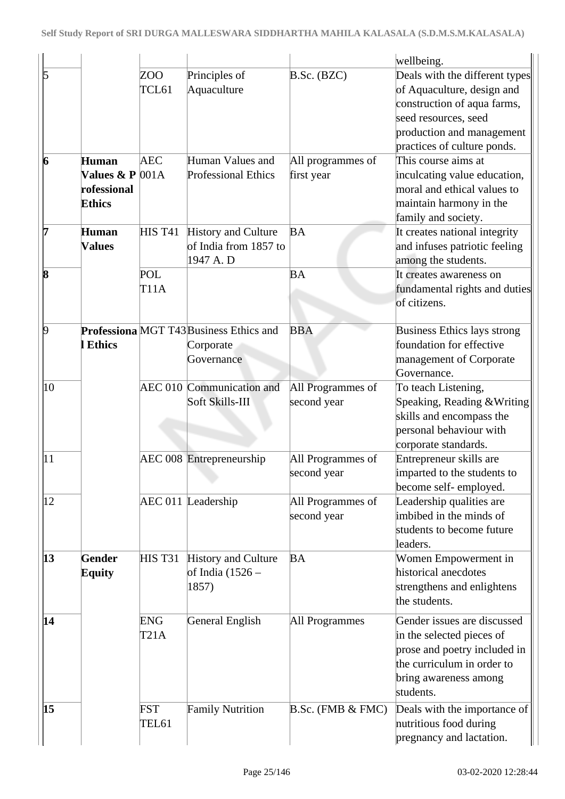|    |                                                    |                     |                                                                    |                                  | wellbeing.                                                                                                                                                   |
|----|----------------------------------------------------|---------------------|--------------------------------------------------------------------|----------------------------------|--------------------------------------------------------------------------------------------------------------------------------------------------------------|
| 5  |                                                    | ZOO<br>TCL61        | Principles of<br>Aquaculture                                       | B.Sc. (BZC)                      | Deals with the different types<br>of Aquaculture, design and<br>construction of aqua farms,                                                                  |
|    |                                                    |                     |                                                                    |                                  | seed resources, seed<br>production and management<br>practices of culture ponds.                                                                             |
| 6  | Human                                              | <b>AEC</b>          | Human Values and                                                   | All programmes of                | This course aims at                                                                                                                                          |
|    | Values $\&$ P 001A<br>rofessional<br><b>Ethics</b> |                     | <b>Professional Ethics</b>                                         | first year                       | inculcating value education,<br>moral and ethical values to<br>maintain harmony in the<br>family and society.                                                |
| 17 | <b>Human</b><br><b>Values</b>                      | <b>HIS T41</b>      | <b>History and Culture</b><br>of India from 1857 to<br>1947 A.D    | BA                               | It creates national integrity<br>and infuses patriotic feeling<br>among the students.                                                                        |
| 8  |                                                    | POL<br>T11A         |                                                                    | <b>BA</b>                        | It creates awareness on<br>fundamental rights and duties<br>of citizens.                                                                                     |
| 19 | l Ethics                                           |                     | Professiona MGT T43 Business Ethics and<br>Corporate<br>Governance | <b>BBA</b>                       | <b>Business Ethics lays strong</b><br>foundation for effective<br>management of Corporate<br>Governance.                                                     |
| 10 |                                                    |                     | <b>AEC 010 Communication and</b><br>Soft Skills-III                | All Programmes of<br>second year | To teach Listening,<br>Speaking, Reading & Writing<br>skills and encompass the<br>personal behaviour with<br>corporate standards.                            |
| 11 |                                                    |                     | <b>AEC 008</b> Entrepreneurship                                    | All Programmes of<br>second year | Entrepreneur skills are<br>imparted to the students to<br>become self-employed.                                                                              |
| 12 |                                                    |                     | AEC 011 Leadership                                                 | All Programmes of<br>second year | Leadership qualities are<br>imbibed in the minds of<br>students to become future<br>leaders.                                                                 |
| 13 | Gender<br><b>Equity</b>                            | HIS T <sub>31</sub> | <b>History and Culture</b><br>of India (1526 –<br>1857)            | BA                               | Women Empowerment in<br>historical anecdotes<br>strengthens and enlightens<br>the students.                                                                  |
| 14 |                                                    | <b>ENG</b><br>T21A  | General English                                                    | <b>All Programmes</b>            | Gender issues are discussed<br>in the selected pieces of<br>prose and poetry included in<br>the curriculum in order to<br>bring awareness among<br>students. |
| 15 |                                                    | <b>FST</b><br>TEL61 | <b>Family Nutrition</b>                                            | B.Sc. (FMB & FMC)                | Deals with the importance of<br>nutritious food during<br>pregnancy and lactation.                                                                           |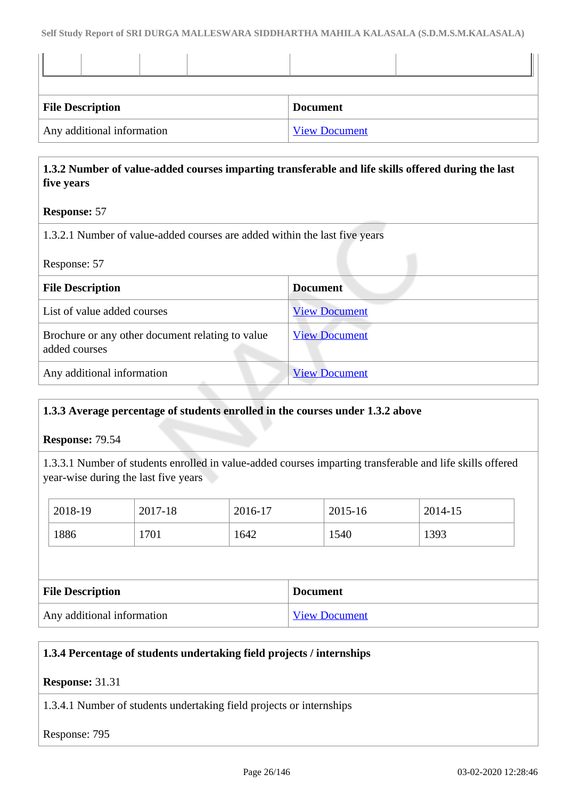**Self Study Report of SRI DURGA MALLESWARA SIDDHARTHA MAHILA KALASALA (S.D.M.S.M.KALASALA)**

| <b>File Description</b> | <b>Document</b> |
|-------------------------|-----------------|
|                         |                 |

### **1.3.2 Number of value-added courses imparting transferable and life skills offered during the last five years**

#### **Response:** 57

1.3.2.1 Number of value-added courses are added within the last five years

Response: 57

| $100 \mu U1100$                                                   |                      |  |
|-------------------------------------------------------------------|----------------------|--|
| <b>File Description</b>                                           | <b>Document</b>      |  |
| List of value added courses                                       | <b>View Document</b> |  |
| Brochure or any other document relating to value<br>added courses | <b>View Document</b> |  |
| Any additional information                                        | <b>View Document</b> |  |

#### **1.3.3 Average percentage of students enrolled in the courses under 1.3.2 above**

**Response:** 79.54

1.3.3.1 Number of students enrolled in value-added courses imparting transferable and life skills offered year-wise during the last five years

| 2018-19 | 2017-18 | 2016-17 | 2015-16 | 2014-15 |
|---------|---------|---------|---------|---------|
| 1886    | 1701    | 1642    | 1540    | 1393    |

| <b>File Description</b>    | <b>Document</b>      |
|----------------------------|----------------------|
| Any additional information | <b>View Document</b> |

### **1.3.4 Percentage of students undertaking field projects / internships**

#### **Response:** 31.31

1.3.4.1 Number of students undertaking field projects or internships

Response: 795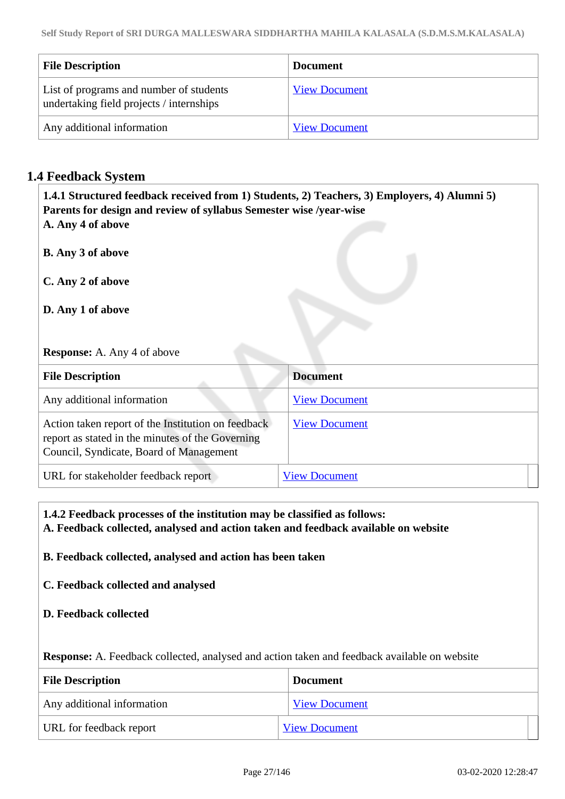| <b>File Description</b>                                                             | <b>Document</b>      |
|-------------------------------------------------------------------------------------|----------------------|
| List of programs and number of students<br>undertaking field projects / internships | <b>View Document</b> |
| Any additional information                                                          | <b>View Document</b> |

# **1.4 Feedback System**

| 1.4.1 Structured feedback received from 1) Students, 2) Teachers, 3) Employers, 4) Alumni 5)<br>Parents for design and review of syllabus Semester wise /year-wise<br>A. Any 4 of above |                      |
|-----------------------------------------------------------------------------------------------------------------------------------------------------------------------------------------|----------------------|
| <b>B.</b> Any 3 of above                                                                                                                                                                |                      |
| C. Any 2 of above                                                                                                                                                                       |                      |
| D. Any 1 of above                                                                                                                                                                       |                      |
| <b>Response:</b> A. Any 4 of above                                                                                                                                                      |                      |
| <b>File Description</b>                                                                                                                                                                 | <b>Document</b>      |
| Any additional information                                                                                                                                                              | <b>View Document</b> |
| Action taken report of the Institution on feedback<br>report as stated in the minutes of the Governing<br>Council, Syndicate, Board of Management                                       | <b>View Document</b> |
| URL for stakeholder feedback report                                                                                                                                                     |                      |

#### **1.4.2 Feedback processes of the institution may be classified as follows: A. Feedback collected, analysed and action taken and feedback available on website**

**B. Feedback collected, analysed and action has been taken**

- **C. Feedback collected and analysed**
- **D. Feedback collected**

**Response:** A. Feedback collected, analysed and action taken and feedback available on website

| <b>File Description</b>    | <b>Document</b>      |
|----------------------------|----------------------|
| Any additional information | <b>View Document</b> |
| URL for feedback report    | <b>View Document</b> |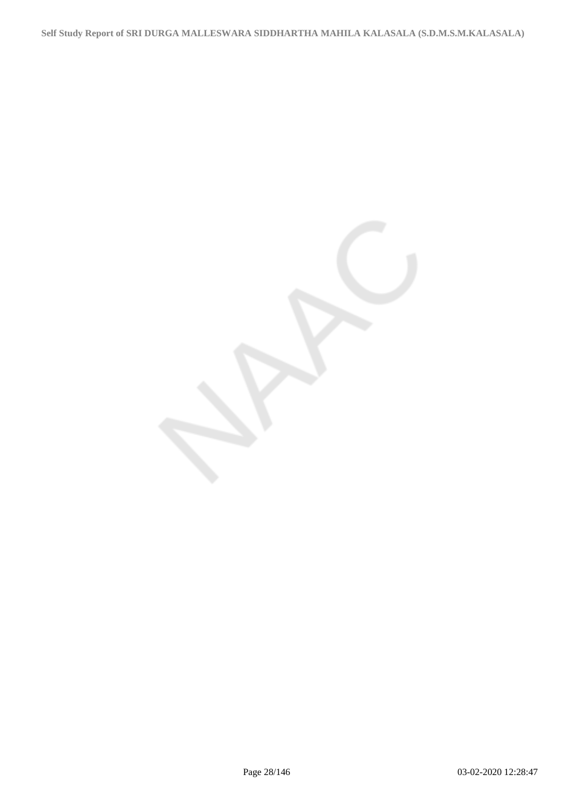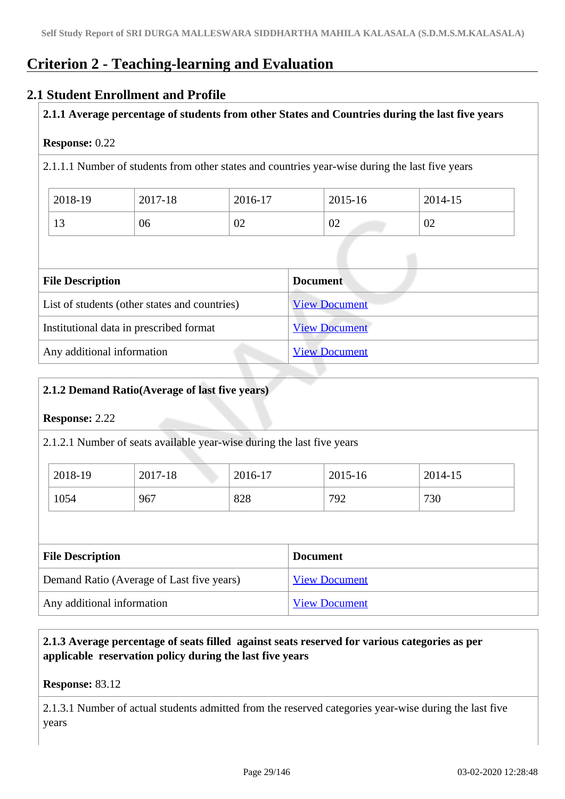# **Criterion 2 - Teaching-learning and Evaluation**

### **2.1 Student Enrollment and Profile**

#### **2.1.1 Average percentage of students from other States and Countries during the last five years**

#### **Response:** 0.22

2.1.1.1 Number of students from other states and countries year-wise during the last five years

| 2018-19            | 2017-18 | 2016-17 | 2015-16 | 2014-15 |
|--------------------|---------|---------|---------|---------|
| $1^{\circ}$<br>1 J | 06      | 02      | 02      | 02      |

| <b>File Description</b>                       | <b>Document</b>      |  |
|-----------------------------------------------|----------------------|--|
| List of students (other states and countries) | <b>View Document</b> |  |
| Institutional data in prescribed format       | <b>View Document</b> |  |
| Any additional information                    | <b>View Document</b> |  |

#### **2.1.2 Demand Ratio(Average of last five years)**

#### **Response:** 2.22

2.1.2.1 Number of seats available year-wise during the last five years

| 2018-19 | 2017-18 | 2016-17 | 2015-16 | 2014-15 |
|---------|---------|---------|---------|---------|
| 1054    | 967     | 828     | 792     | 730     |

| <b>File Description</b>                   | <b>Document</b>      |
|-------------------------------------------|----------------------|
| Demand Ratio (Average of Last five years) | <b>View Document</b> |
| Any additional information                | <b>View Document</b> |

 **2.1.3 Average percentage of seats filled against seats reserved for various categories as per applicable reservation policy during the last five years**

**Response:** 83.12

2.1.3.1 Number of actual students admitted from the reserved categories year-wise during the last five years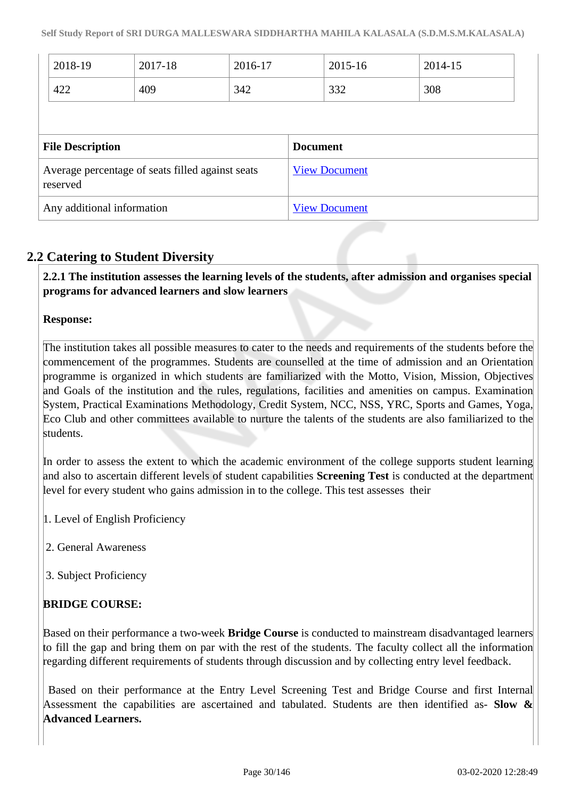|                                                              | 2018-19                    | 2017-18         | 2016-17              |  | 2015-16 | 2014-15 |  |
|--------------------------------------------------------------|----------------------------|-----------------|----------------------|--|---------|---------|--|
|                                                              | 422                        | 409             | 342                  |  | 332     | 308     |  |
|                                                              |                            |                 |                      |  |         |         |  |
| <b>File Description</b>                                      |                            | <b>Document</b> |                      |  |         |         |  |
| Average percentage of seats filled against seats<br>reserved |                            |                 | <b>View Document</b> |  |         |         |  |
|                                                              | Any additional information |                 |                      |  |         |         |  |

## **2.2 Catering to Student Diversity**

 **2.2.1 The institution assesses the learning levels of the students, after admission and organises special programs for advanced learners and slow learners**

#### **Response:**

The institution takes all possible measures to cater to the needs and requirements of the students before the commencement of the programmes. Students are counselled at the time of admission and an Orientation programme is organized in which students are familiarized with the Motto, Vision, Mission, Objectives and Goals of the institution and the rules, regulations, facilities and amenities on campus. Examination System, Practical Examinations Methodology, Credit System, NCC, NSS, YRC, Sports and Games, Yoga, Eco Club and other committees available to nurture the talents of the students are also familiarized to the students.

In order to assess the extent to which the academic environment of the college supports student learning and also to ascertain different levels of student capabilities **Screening Test** is conducted at the department level for every student who gains admission in to the college. This test assesses their

- 1. Level of English Proficiency
- 2. General Awareness
- 3. Subject Proficiency

### **BRIDGE COURSE:**

Based on their performance a two-week **Bridge Course** is conducted to mainstream disadvantaged learners to fill the gap and bring them on par with the rest of the students. The faculty collect all the information regarding different requirements of students through discussion and by collecting entry level feedback.

 Based on their performance at the Entry Level Screening Test and Bridge Course and first Internal Assessment the capabilities are ascertained and tabulated. Students are then identified as- **Slow & Advanced Learners.**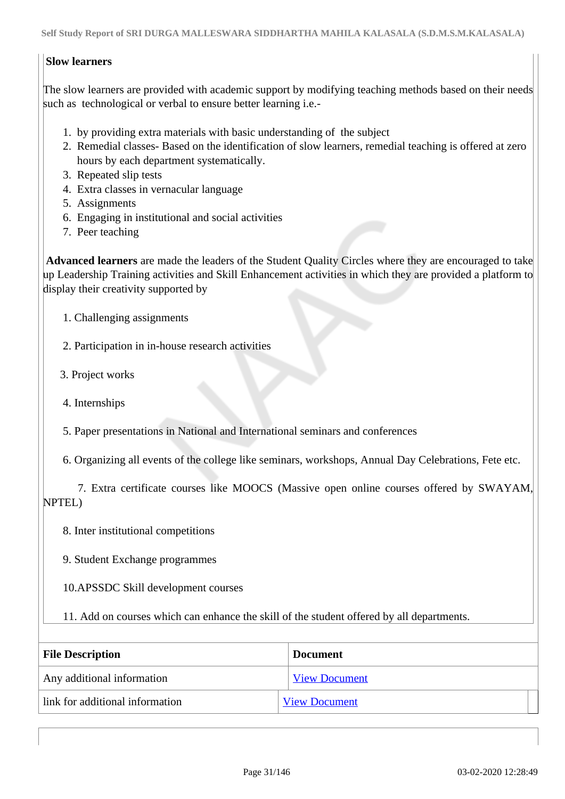#### **Slow learners**

The slow learners are provided with academic support by modifying teaching methods based on their needs such as technological or verbal to ensure better learning i.e.-

- 1. by providing extra materials with basic understanding of the subject
- 2. Remedial classes- Based on the identification of slow learners, remedial teaching is offered at zero hours by each department systematically.
- 3. Repeated slip tests
- 4. Extra classes in vernacular language
- 5. Assignments
- 6. Engaging in institutional and social activities
- 7. Peer teaching

 **Advanced learners** are made the leaders of the Student Quality Circles where they are encouraged to take up Leadership Training activities and Skill Enhancement activities in which they are provided a platform to display their creativity supported by

- 1. Challenging assignments
- 2. Participation in in-house research activities
- 3. Project works
- 4. Internships
- 5. Paper presentations in National and International seminars and conferences
- 6. Organizing all events of the college like seminars, workshops, Annual Day Celebrations, Fete etc.

 7. Extra certificate courses like MOOCS (Massive open online courses offered by SWAYAM, NPTEL)

8. Inter institutional competitions

9. Student Exchange programmes

10.APSSDC Skill development courses

11. Add on courses which can enhance the skill of the student offered by all departments.

| <b>File Description</b>         | <b>Document</b>      |  |
|---------------------------------|----------------------|--|
| Any additional information      | <b>View Document</b> |  |
| link for additional information | <b>View Document</b> |  |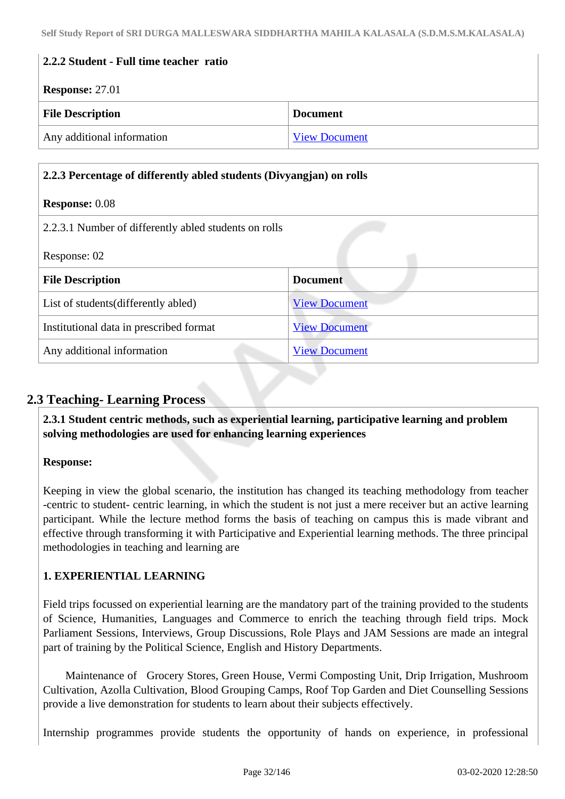| 2.2.2 Student - Full time teacher ratio            |                 |  |
|----------------------------------------------------|-----------------|--|
| <b>Response: 27.01</b>                             |                 |  |
| <b>File Description</b>                            | <b>Document</b> |  |
| Any additional information<br><b>View Document</b> |                 |  |
|                                                    |                 |  |

| 2.2.3 Percentage of differently abled students (Divyangian) on rolls |                      |  |
|----------------------------------------------------------------------|----------------------|--|
| <b>Response: 0.08</b>                                                |                      |  |
| 2.2.3.1 Number of differently abled students on rolls                |                      |  |
| Response: 02                                                         |                      |  |
| <b>File Description</b>                                              | <b>Document</b>      |  |
| List of students (differently abled)                                 | <b>View Document</b> |  |
| Institutional data in prescribed format                              | <b>View Document</b> |  |
| Any additional information                                           | <b>View Document</b> |  |

# **2.3 Teaching- Learning Process**

 **2.3.1 Student centric methods, such as experiential learning, participative learning and problem solving methodologies are used for enhancing learning experiences**

#### **Response:**

Keeping in view the global scenario, the institution has changed its teaching methodology from teacher -centric to student- centric learning, in which the student is not just a mere receiver but an active learning participant. While the lecture method forms the basis of teaching on campus this is made vibrant and effective through transforming it with Participative and Experiential learning methods. The three principal methodologies in teaching and learning are

### **1. EXPERIENTIAL LEARNING**

Field trips focussed on experiential learning are the mandatory part of the training provided to the students of Science, Humanities, Languages and Commerce to enrich the teaching through field trips. Mock Parliament Sessions, Interviews, Group Discussions, Role Plays and JAM Sessions are made an integral part of training by the Political Science, English and History Departments.

 Maintenance of Grocery Stores, Green House, Vermi Composting Unit, Drip Irrigation, Mushroom Cultivation, Azolla Cultivation, Blood Grouping Camps, Roof Top Garden and Diet Counselling Sessions provide a live demonstration for students to learn about their subjects effectively.

Internship programmes provide students the opportunity of hands on experience, in professional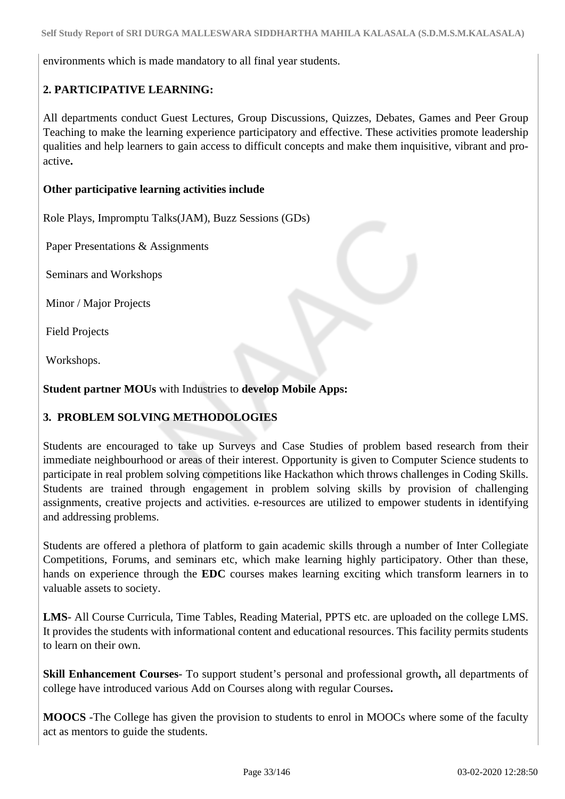environments which is made mandatory to all final year students.

# **2. PARTICIPATIVE LEARNING:**

All departments conduct Guest Lectures, Group Discussions, Quizzes, Debates, Games and Peer Group Teaching to make the learning experience participatory and effective. These activities promote leadership qualities and help learners to gain access to difficult concepts and make them inquisitive, vibrant and proactive**.** 

#### **Other participative learning activities include**

Role Plays, Impromptu Talks(JAM), Buzz Sessions (GDs)

Paper Presentations & Assignments

Seminars and Workshops

Minor / Major Projects

Field Projects

Workshops.

**Student partner MOUs** with Industries to **develop Mobile Apps:**

### **3. PROBLEM SOLVING METHODOLOGIES**

Students are encouraged to take up Surveys and Case Studies of problem based research from their immediate neighbourhood or areas of their interest. Opportunity is given to Computer Science students to participate in real problem solving competitions like Hackathon which throws challenges in Coding Skills. Students are trained through engagement in problem solving skills by provision of challenging assignments, creative projects and activities. e-resources are utilized to empower students in identifying and addressing problems.

Students are offered a plethora of platform to gain academic skills through a number of Inter Collegiate Competitions, Forums, and seminars etc, which make learning highly participatory. Other than these, hands on experience through the **EDC** courses makes learning exciting which transform learners in to valuable assets to society.

**LMS**- All Course Curricula, Time Tables, Reading Material, PPTS etc. are uploaded on the college LMS. It provides the students with informational content and educational resources. This facility permits students to learn on their own.

**Skill Enhancement Courses**- To support student's personal and professional growth**,** all departments of college have introduced various Add on Courses along with regular Courses**.**

**MOOCS** -The College has given the provision to students to enrol in MOOCs where some of the faculty act as mentors to guide the students.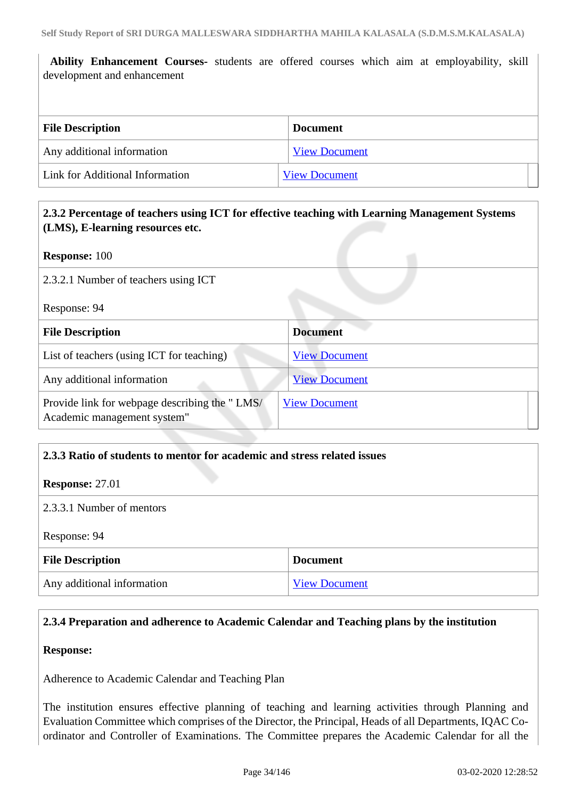**Ability Enhancement Courses-** students are offered courses which aim at employability, skill development and enhancement

| <b>File Description</b>         | <b>Document</b>      |
|---------------------------------|----------------------|
| Any additional information      | <b>View Document</b> |
| Link for Additional Information | <b>View Document</b> |

| 2.3.2 Percentage of teachers using ICT for effective teaching with Learning Management Systems<br>(LMS), E-learning resources etc. |                      |  |
|------------------------------------------------------------------------------------------------------------------------------------|----------------------|--|
| <b>Response: 100</b>                                                                                                               |                      |  |
| 2.3.2.1 Number of teachers using ICT                                                                                               |                      |  |
| Response: 94                                                                                                                       |                      |  |
| <b>File Description</b>                                                                                                            | <b>Document</b>      |  |
| List of teachers (using ICT for teaching)                                                                                          | <b>View Document</b> |  |
| Any additional information                                                                                                         | <b>View Document</b> |  |
| Provide link for webpage describing the "LMS/<br>Academic management system"                                                       | <b>View Document</b> |  |

#### **2.3.3 Ratio of students to mentor for academic and stress related issues**

#### **Response:** 27.01

#### 2.3.3.1 Number of mentors

Response: 94

| <b>File Description</b>    | <b>Document</b>      |
|----------------------------|----------------------|
| Any additional information | <b>View Document</b> |

#### **2.3.4 Preparation and adherence to Academic Calendar and Teaching plans by the institution**

### **Response:**

Adherence to Academic Calendar and Teaching Plan

The institution ensures effective planning of teaching and learning activities through Planning and Evaluation Committee which comprises of the Director, the Principal, Heads of all Departments, IQAC Coordinator and Controller of Examinations. The Committee prepares the Academic Calendar for all the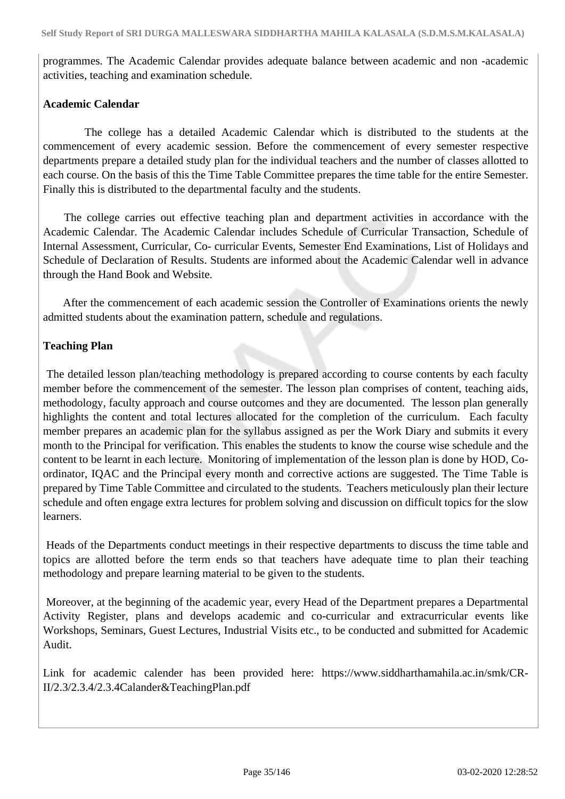programmes. The Academic Calendar provides adequate balance between academic and non -academic activities, teaching and examination schedule.

#### **Academic Calendar**

 The college has a detailed Academic Calendar which is distributed to the students at the commencement of every academic session. Before the commencement of every semester respective departments prepare a detailed study plan for the individual teachers and the number of classes allotted to each course. On the basis of this the Time Table Committee prepares the time table for the entire Semester. Finally this is distributed to the departmental faculty and the students.

 The college carries out effective teaching plan and department activities in accordance with the Academic Calendar. The Academic Calendar includes Schedule of Curricular Transaction, Schedule of Internal Assessment, Curricular, Co- curricular Events, Semester End Examinations, List of Holidays and Schedule of Declaration of Results. Students are informed about the Academic Calendar well in advance through the Hand Book and Website.

 After the commencement of each academic session the Controller of Examinations orients the newly admitted students about the examination pattern, schedule and regulations.

#### **Teaching Plan**

 The detailed lesson plan/teaching methodology is prepared according to course contents by each faculty member before the commencement of the semester. The lesson plan comprises of content, teaching aids, methodology, faculty approach and course outcomes and they are documented. The lesson plan generally highlights the content and total lectures allocated for the completion of the curriculum. Each faculty member prepares an academic plan for the syllabus assigned as per the Work Diary and submits it every month to the Principal for verification. This enables the students to know the course wise schedule and the content to be learnt in each lecture. Monitoring of implementation of the lesson plan is done by HOD, Coordinator, IQAC and the Principal every month and corrective actions are suggested. The Time Table is prepared by Time Table Committee and circulated to the students. Teachers meticulously plan their lecture schedule and often engage extra lectures for problem solving and discussion on difficult topics for the slow learners.

 Heads of the Departments conduct meetings in their respective departments to discuss the time table and topics are allotted before the term ends so that teachers have adequate time to plan their teaching methodology and prepare learning material to be given to the students.

 Moreover, at the beginning of the academic year, every Head of the Department prepares a Departmental Activity Register, plans and develops academic and co-curricular and extracurricular events like Workshops, Seminars, Guest Lectures, Industrial Visits etc., to be conducted and submitted for Academic Audit.

Link for academic calender has been provided here: https://www.siddharthamahila.ac.in/smk/CR-II/2.3/2.3.4/2.3.4Calander&TeachingPlan.pdf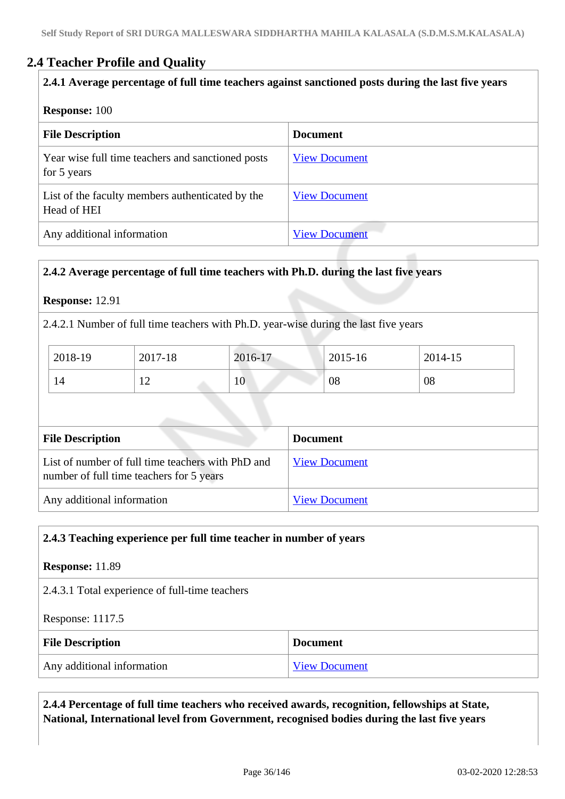# **2.4 Teacher Profile and Quality**

### **2.4.1 Average percentage of full time teachers against sanctioned posts during the last five years**

#### **Response:** 100

| <b>File Description</b>                                          | <b>Document</b>      |
|------------------------------------------------------------------|----------------------|
| Year wise full time teachers and sanctioned posts<br>for 5 years | <b>View Document</b> |
| List of the faculty members authenticated by the<br>Head of HEI  | <b>View Document</b> |
| Any additional information                                       | <b>View Document</b> |

#### **2.4.2 Average percentage of full time teachers with Ph.D. during the last five years**

#### **Response:** 12.91

2.4.2.1 Number of full time teachers with Ph.D. year-wise during the last five years

| 2018-19 | 2017-18               | 2016-17 | 2015-16 | 2014-15 |
|---------|-----------------------|---------|---------|---------|
| 14      | $1\sigma$<br><b>I</b> | 10      | 08      | 08      |

| <b>File Description</b>                                                                       | <b>Document</b>      |  |  |
|-----------------------------------------------------------------------------------------------|----------------------|--|--|
| List of number of full time teachers with PhD and<br>number of full time teachers for 5 years | <b>View Document</b> |  |  |
| Any additional information                                                                    | <b>View Document</b> |  |  |

#### **2.4.3 Teaching experience per full time teacher in number of years**

#### **Response:** 11.89

2.4.3.1 Total experience of full-time teachers

#### Response: 1117.5

| <b>File Description</b>    | <b>Document</b>      |
|----------------------------|----------------------|
| Any additional information | <b>View Document</b> |

 **2.4.4 Percentage of full time teachers who received awards, recognition, fellowships at State, National, International level from Government, recognised bodies during the last five years**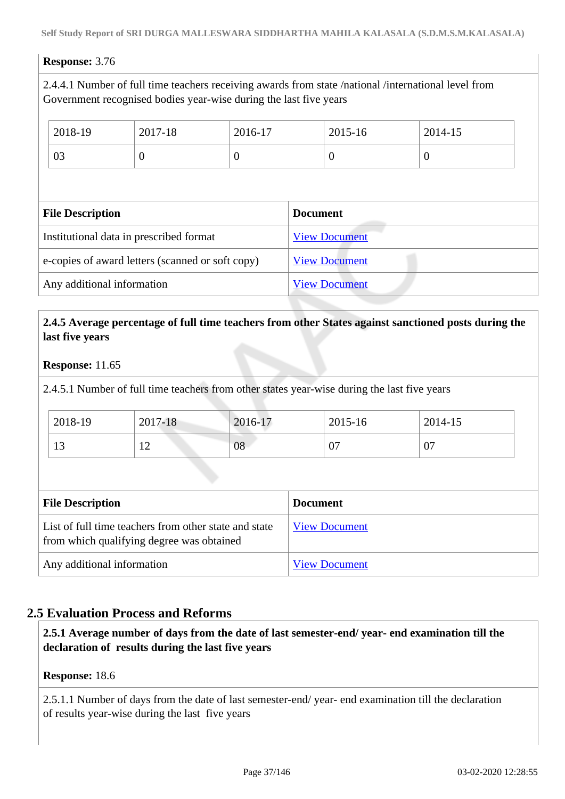### **Response:** 3.76

2.4.4.1 Number of full time teachers receiving awards from state /national /international level from Government recognised bodies year-wise during the last five years

| 2018-19                                 | 2017-18                                          | 2016-17          |  | 2015-16              | 2014-15          |
|-----------------------------------------|--------------------------------------------------|------------------|--|----------------------|------------------|
| 03                                      | $\theta$                                         | $\boldsymbol{0}$ |  | $\overline{0}$       | $\boldsymbol{0}$ |
|                                         |                                                  |                  |  |                      |                  |
| <b>File Description</b>                 |                                                  | <b>Document</b>  |  |                      |                  |
| Institutional data in prescribed format |                                                  |                  |  |                      |                  |
|                                         |                                                  |                  |  | <b>View Document</b> |                  |
|                                         | e-copies of award letters (scanned or soft copy) |                  |  | <b>View Document</b> |                  |

### **2.4.5 Average percentage of full time teachers from other States against sanctioned posts during the last five years**

#### **Response:** 11.65

2.4.5.1 Number of full time teachers from other states year-wise during the last five years

| 2018-19  | 2017-18 | 2016-17 | 2015-16                  | 2014-15 |
|----------|---------|---------|--------------------------|---------|
| 12<br>19 | ∸       | 08      | $\sim$<br>$\mathbf{U}$ , | 07      |

| <b>File Description</b>                                                                            | <b>Document</b>      |
|----------------------------------------------------------------------------------------------------|----------------------|
| List of full time teachers from other state and state<br>from which qualifying degree was obtained | <b>View Document</b> |
| Any additional information                                                                         | <b>View Document</b> |

### **2.5 Evaluation Process and Reforms**

 **2.5.1 Average number of days from the date of last semester-end/ year- end examination till the declaration of results during the last five years**

#### **Response:** 18.6

2.5.1.1 Number of days from the date of last semester-end/ year- end examination till the declaration of results year-wise during the last five years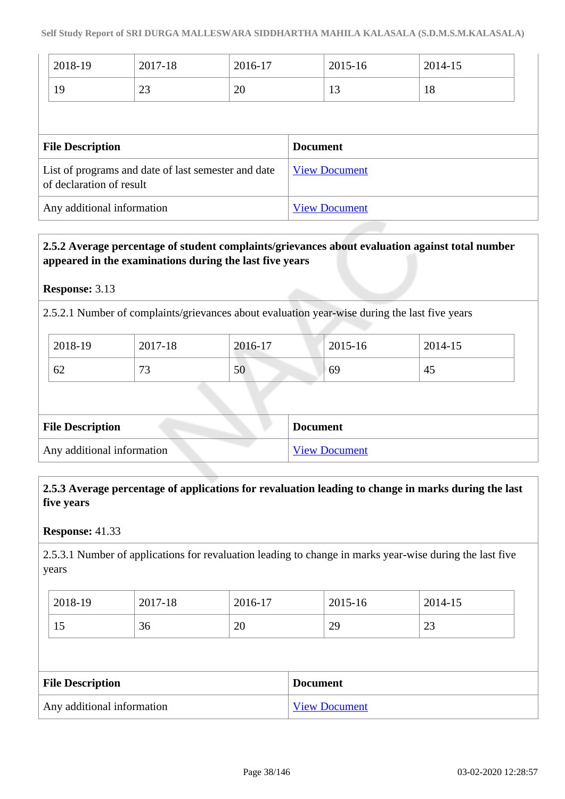| 2018-19 | 2017-18      | 2016-17 | 2015-16 | 2014-15 |
|---------|--------------|---------|---------|---------|
| 19      | $\cap$<br>رے | 20      | 13      | 18      |

| <b>File Description</b>                                                         | <b>Document</b>      |
|---------------------------------------------------------------------------------|----------------------|
| List of programs and date of last semester and date<br>of declaration of result | <b>View Document</b> |
| Any additional information                                                      | <b>View Document</b> |

### **2.5.2 Average percentage of student complaints/grievances about evaluation against total number appeared in the examinations during the last five years**

**Response:** 3.13

2.5.2.1 Number of complaints/grievances about evaluation year-wise during the last five years

| 2018-19 | 2017-18                        | 2016-17 | 2015-16 | 2014-15 |
|---------|--------------------------------|---------|---------|---------|
| 62      | $\overline{\phantom{a}}$<br>ັບ | 50      | 69      | -45     |

| <b>File Description</b>    | <b>Document</b>      |
|----------------------------|----------------------|
| Any additional information | <b>View Document</b> |

 **2.5.3 Average percentage of applications for revaluation leading to change in marks during the last five years** 

**Response:** 41.33

2.5.3.1 Number of applications for revaluation leading to change in marks year-wise during the last five years

| 2018-19 | 2017-18 | 2016-17 | 2015-16           | 2014-15      |
|---------|---------|---------|-------------------|--------------|
| . L.J   | 36      | 20      | $\gamma$ Q<br>ر ب | $\cap$<br>رے |

| <b>File Description</b>    | <b>Document</b>      |
|----------------------------|----------------------|
| Any additional information | <b>View Document</b> |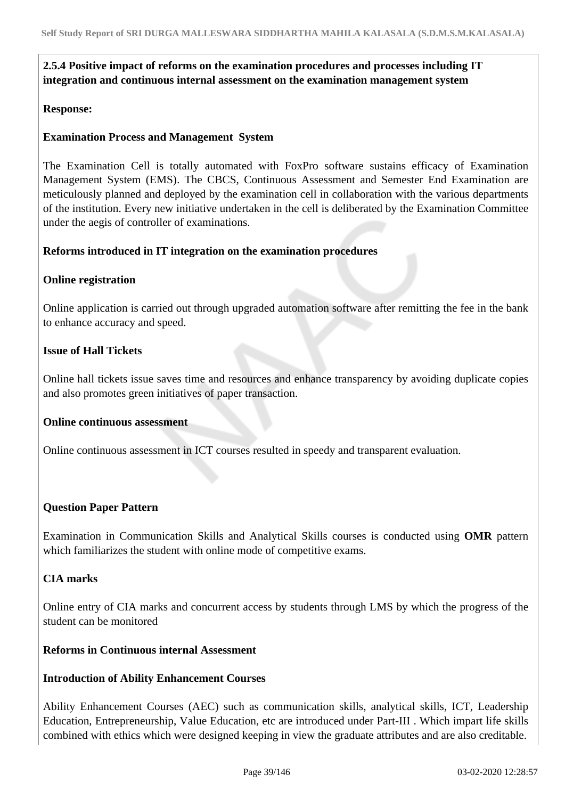### **2.5.4 Positive impact of reforms on the examination procedures and processes including IT integration and continuous internal assessment on the examination management system**

### **Response:**

### **Examination Process and Management System**

The Examination Cell is totally automated with FoxPro software sustains efficacy of Examination Management System (EMS). The CBCS, Continuous Assessment and Semester End Examination are meticulously planned and deployed by the examination cell in collaboration with the various departments of the institution. Every new initiative undertaken in the cell is deliberated by the Examination Committee under the aegis of controller of examinations.

### **Reforms introduced in IT integration on the examination procedures**

#### **Online registration**

Online application is carried out through upgraded automation software after remitting the fee in the bank to enhance accuracy and speed.

#### **Issue of Hall Tickets**

Online hall tickets issue saves time and resources and enhance transparency by avoiding duplicate copies and also promotes green initiatives of paper transaction.

#### **Online continuous assessment**

Online continuous assessment in ICT courses resulted in speedy and transparent evaluation.

### **Question Paper Pattern**

Examination in Communication Skills and Analytical Skills courses is conducted using **OMR** pattern which familiarizes the student with online mode of competitive exams.

### **CIA marks**

Online entry of CIA marks and concurrent access by students through LMS by which the progress of the student can be monitored

#### **Reforms in Continuous internal Assessment**

### **Introduction of Ability Enhancement Courses**

Ability Enhancement Courses (AEC) such as communication skills, analytical skills, ICT, Leadership Education, Entrepreneurship, Value Education, etc are introduced under Part-III . Which impart life skills combined with ethics which were designed keeping in view the graduate attributes and are also creditable.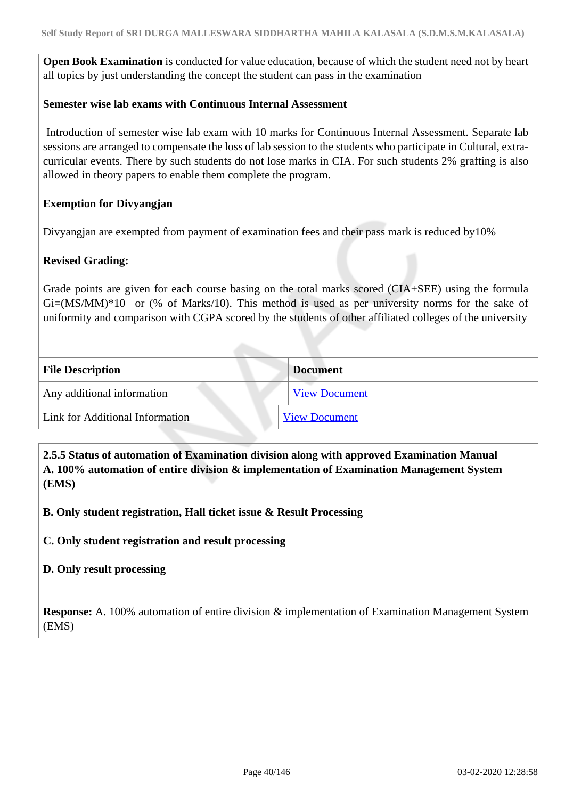**Open Book Examination** is conducted for value education, because of which the student need not by heart all topics by just understanding the concept the student can pass in the examination

#### **Semester wise lab exams with Continuous Internal Assessment**

 Introduction of semester wise lab exam with 10 marks for Continuous Internal Assessment. Separate lab sessions are arranged to compensate the loss of lab session to the students who participate in Cultural, extracurricular events. There by such students do not lose marks in CIA. For such students 2% grafting is also allowed in theory papers to enable them complete the program.

### **Exemption for Divyangjan**

Divyangjan are exempted from payment of examination fees and their pass mark is reduced by10%

### **Revised Grading:**

Grade points are given for each course basing on the total marks scored (CIA+SEE) using the formula Gi=(MS/MM)\*10 or (% of Marks/10). This method is used as per university norms for the sake of uniformity and comparison with CGPA scored by the students of other affiliated colleges of the university

| <b>File Description</b>         | <b>Document</b>      |
|---------------------------------|----------------------|
| Any additional information      | <b>View Document</b> |
| Link for Additional Information | <b>View Document</b> |

 **2.5.5 Status of automation of Examination division along with approved Examination Manual A. 100% automation of entire division & implementation of Examination Management System (EMS)**

**B. Only student registration, Hall ticket issue & Result Processing**

**C. Only student registration and result processing**

**D. Only result processing**

**Response:** A. 100% automation of entire division & implementation of Examination Management System (EMS)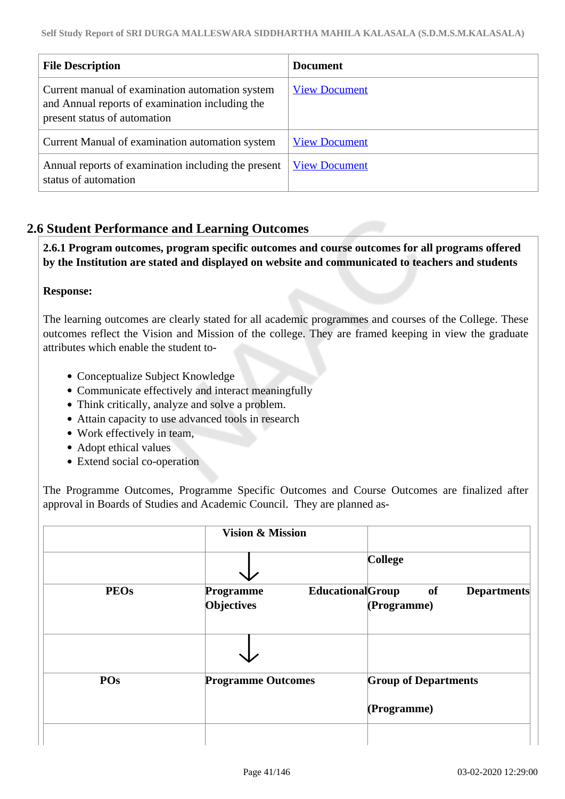| <b>File Description</b>                                                                                                            | <b>Document</b>      |
|------------------------------------------------------------------------------------------------------------------------------------|----------------------|
| Current manual of examination automation system<br>and Annual reports of examination including the<br>present status of automation | <b>View Document</b> |
| Current Manual of examination automation system                                                                                    | <b>View Document</b> |
| Annual reports of examination including the present<br>status of automation                                                        | <b>View Document</b> |

# **2.6 Student Performance and Learning Outcomes**

 **2.6.1 Program outcomes, program specific outcomes and course outcomes for all programs offered by the Institution are stated and displayed on website and communicated to teachers and students**

#### **Response:**

The learning outcomes are clearly stated for all academic programmes and courses of the College. These outcomes reflect the Vision and Mission of the college. They are framed keeping in view the graduate attributes which enable the student to-

- Conceptualize Subject Knowledge
- Communicate effectively and interact meaningfully
- Think critically, analyze and solve a problem.
- Attain capacity to use advanced tools in research
- Work effectively in team,
- Adopt ethical values
- Extend social co-operation

The Programme Outcomes, Programme Specific Outcomes and Course Outcomes are finalized after approval in Boards of Studies and Academic Council. They are planned as-

|             | <b>Vision &amp; Mission</b> |                                                                    |
|-------------|-----------------------------|--------------------------------------------------------------------|
|             |                             | <b>College</b>                                                     |
| <b>PEOs</b> | Programme<br>Objectives     | <b>EducationalGroup</b><br>of<br><b>Departments</b><br>(Programme) |
|             |                             |                                                                    |
| <b>POs</b>  | <b>Programme Outcomes</b>   | <b>Group of Departments</b>                                        |
|             |                             | (Programme)                                                        |
|             |                             |                                                                    |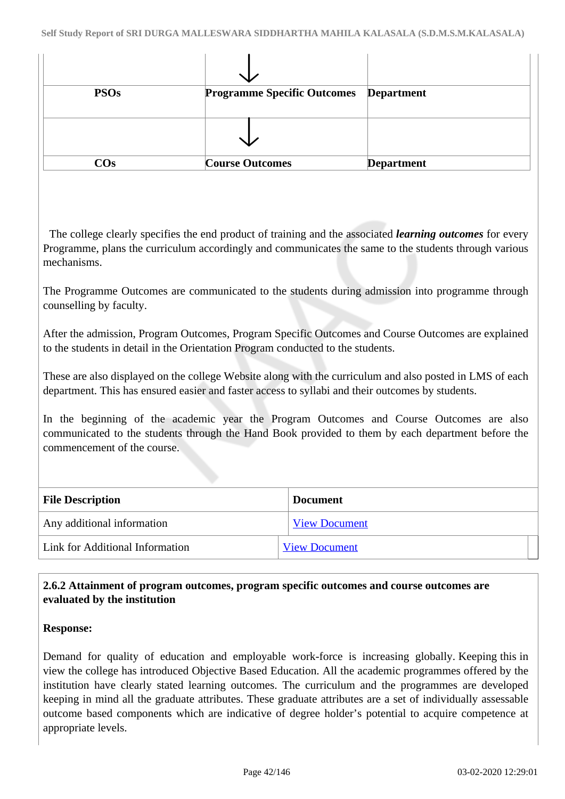| <b>PSOs</b> | <b>Programme Specific Outcomes</b> Department |                   |
|-------------|-----------------------------------------------|-------------------|
|             |                                               |                   |
| $\cos$      | <b>Course Outcomes</b>                        | <b>Department</b> |

 The college clearly specifies the end product of training and the associated *learning outcomes* for every Programme, plans the curriculum accordingly and communicates the same to the students through various mechanisms.

The Programme Outcomes are communicated to the students during admission into programme through counselling by faculty.

After the admission, Program Outcomes, Program Specific Outcomes and Course Outcomes are explained to the students in detail in the Orientation Program conducted to the students.

These are also displayed on the college Website along with the curriculum and also posted in LMS of each department. This has ensured easier and faster access to syllabi and their outcomes by students.

In the beginning of the academic year the Program Outcomes and Course Outcomes are also communicated to the students through the Hand Book provided to them by each department before the commencement of the course.

| <b>File Description</b>         | <b>Document</b>      |
|---------------------------------|----------------------|
| Any additional information      | <b>View Document</b> |
| Link for Additional Information | <b>View Document</b> |

### **2.6.2 Attainment of program outcomes, program specific outcomes and course outcomes are evaluated by the institution**

### **Response:**

Demand for quality of education and employable work-force is increasing globally. Keeping this in view the college has introduced Objective Based Education. All the academic programmes offered by the institution have clearly stated learning outcomes. The curriculum and the programmes are developed keeping in mind all the graduate attributes. These graduate attributes are a set of individually assessable outcome based components which are indicative of degree holder's potential to acquire competence at appropriate levels.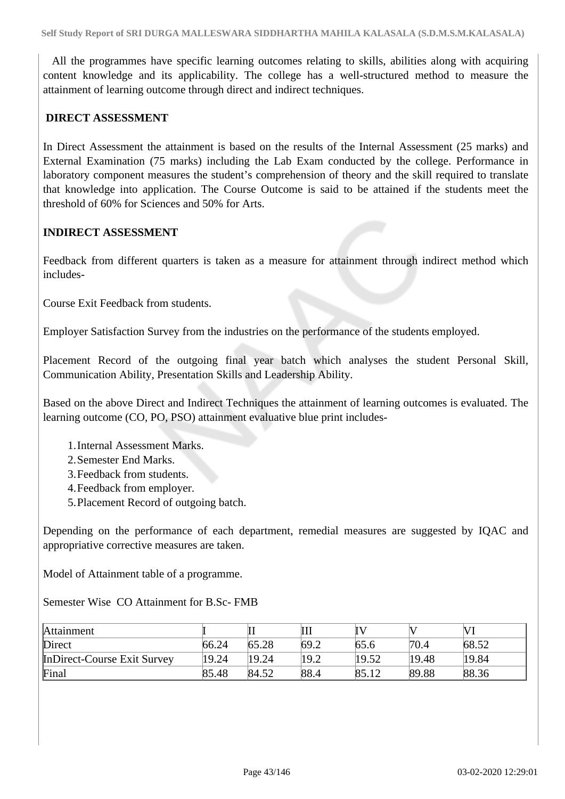All the programmes have specific learning outcomes relating to skills, abilities along with acquiring content knowledge and its applicability. The college has a well-structured method to measure the attainment of learning outcome through direct and indirect techniques.

### **DIRECT ASSESSMENT**

In Direct Assessment the attainment is based on the results of the Internal Assessment (25 marks) and External Examination (75 marks) including the Lab Exam conducted by the college. Performance in laboratory component measures the student's comprehension of theory and the skill required to translate that knowledge into application. The Course Outcome is said to be attained if the students meet the threshold of 60% for Sciences and 50% for Arts.

### **INDIRECT ASSESSMENT**

Feedback from different quarters is taken as a measure for attainment through indirect method which includes-

Course Exit Feedback from students.

Employer Satisfaction Survey from the industries on the performance of the students employed.

Placement Record of the outgoing final year batch which analyses the student Personal Skill, Communication Ability, Presentation Skills and Leadership Ability.

Based on the above Direct and Indirect Techniques the attainment of learning outcomes is evaluated. The learning outcome (CO, PO, PSO) attainment evaluative blue print includes-

- 1.Internal Assessment Marks.
- 2.Semester End Marks.
- 3.Feedback from students.
- 4.Feedback from employer.
- 5.Placement Record of outgoing batch.

Depending on the performance of each department, remedial measures are suggested by IQAC and appropriative corrective measures are taken.

Model of Attainment table of a programme.

Semester Wise CO Attainment for B.Sc- FMB

| <b>Attainment</b>           |       |       |      |       |       |       |  |
|-----------------------------|-------|-------|------|-------|-------|-------|--|
| Direct                      | 66.24 | 65.28 | 69.2 | 65.6  | 70.4  | 68.52 |  |
| InDirect-Course Exit Survey | 19.24 | 19.24 | 19.2 | 19.52 | 19.48 | 19.84 |  |
| Final                       | 85.48 | 84.52 | 88.4 |       | 89.88 | 88.36 |  |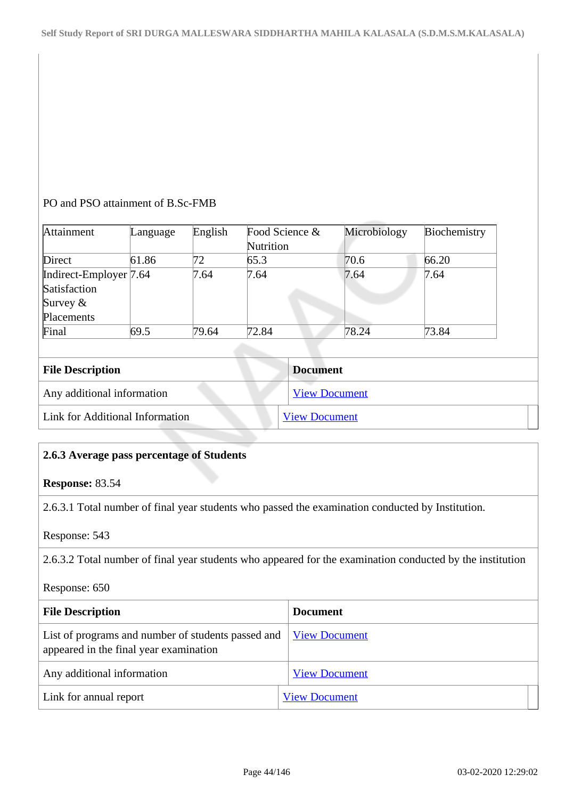### PO and PSO attainment of B.Sc-FMB

| Attainment                                                          | Language | English | Food Science &<br>Nutrition | Microbiology | Biochemistry |
|---------------------------------------------------------------------|----------|---------|-----------------------------|--------------|--------------|
| Direct                                                              | 61.86    | 72      | 65.3                        | 70.6         | 66.20        |
| Indirect-Employer 7.64<br>Satisfaction<br>Survey $\&$<br>Placements |          | 7.64    | 7.64                        | 7.64         | 7.64         |
| Final                                                               | 69.5     | 79.64   | 72.84                       | 78.24        | 73.84        |

| <b>File Description</b>         | <b>Document</b>      |
|---------------------------------|----------------------|
| Any additional information      | <b>View Document</b> |
| Link for Additional Information | <b>View Document</b> |

### **2.6.3 Average pass percentage of Students**

### **Response:** 83.54

2.6.3.1 Total number of final year students who passed the examination conducted by Institution.

Response: 543

2.6.3.2 Total number of final year students who appeared for the examination conducted by the institution

Response: 650

| <b>File Description</b>                                                                                                                              | <b>Document</b>      |
|------------------------------------------------------------------------------------------------------------------------------------------------------|----------------------|
| List of programs and number of students passed and $\sqrt{\frac{V_{\text{icw}}}{V_{\text{icw}}}}$ Document<br>appeared in the final year examination |                      |
| Any additional information                                                                                                                           | <b>View Document</b> |
| Link for annual report                                                                                                                               | <b>View Document</b> |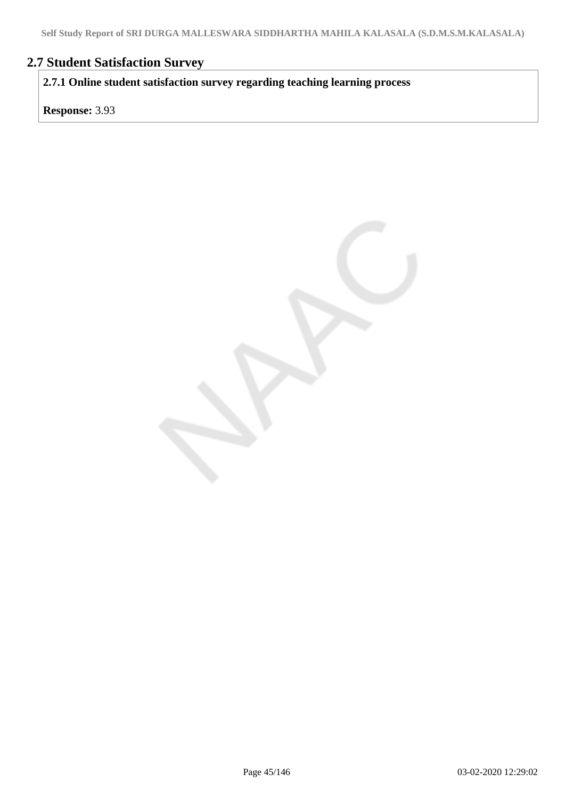# **2.7 Student Satisfaction Survey**

**2.7.1 Online student satisfaction survey regarding teaching learning process**

**Response:** 3.93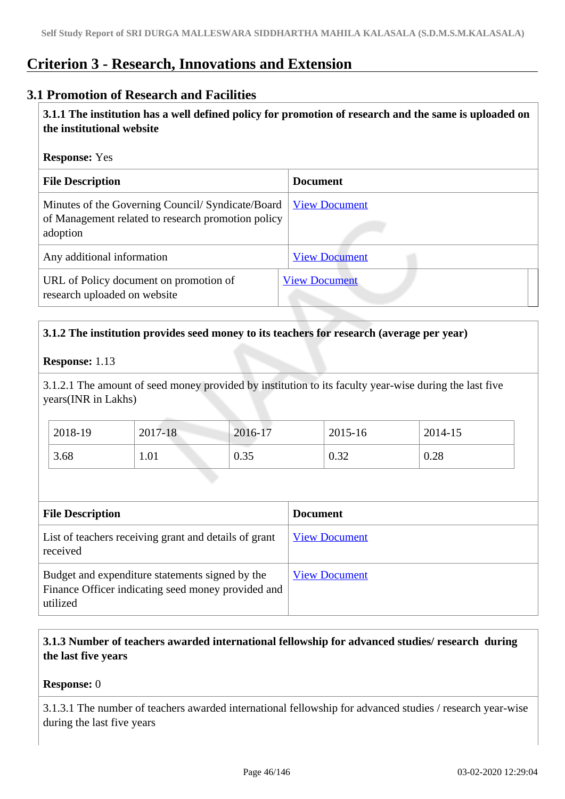# **Criterion 3 - Research, Innovations and Extension**

### **3.1 Promotion of Research and Facilities**

 **3.1.1 The institution has a well defined policy for promotion of research and the same is uploaded on the institutional website**

#### **Response:** Yes

| <b>File Description</b>                                                                                             | <b>Document</b>      |
|---------------------------------------------------------------------------------------------------------------------|----------------------|
| Minutes of the Governing Council/ Syndicate/Board<br>of Management related to research promotion policy<br>adoption | <b>View Document</b> |
| Any additional information                                                                                          | <b>View Document</b> |
| URL of Policy document on promotion of<br>research uploaded on website                                              | <b>View Document</b> |

### **3.1.2 The institution provides seed money to its teachers for research (average per year)**

#### **Response:** 1.13

3.1.2.1 The amount of seed money provided by institution to its faculty year-wise during the last five years(INR in Lakhs)

| 2018-19 | 2017-18 | 2016-17 | 2015-16 | 2014-15 |
|---------|---------|---------|---------|---------|
| 3.68    | 1.01    | 0.35    | 0.32    | 0.28    |

| <b>File Description</b>                                                                                           | <b>Document</b>      |
|-------------------------------------------------------------------------------------------------------------------|----------------------|
| List of teachers receiving grant and details of grant<br>received                                                 | <b>View Document</b> |
| Budget and expenditure statements signed by the<br>Finance Officer indicating seed money provided and<br>utilized | <b>View Document</b> |

### **3.1.3 Number of teachers awarded international fellowship for advanced studies/ research during the last five years**

#### **Response:** 0

3.1.3.1 The number of teachers awarded international fellowship for advanced studies / research year-wise during the last five years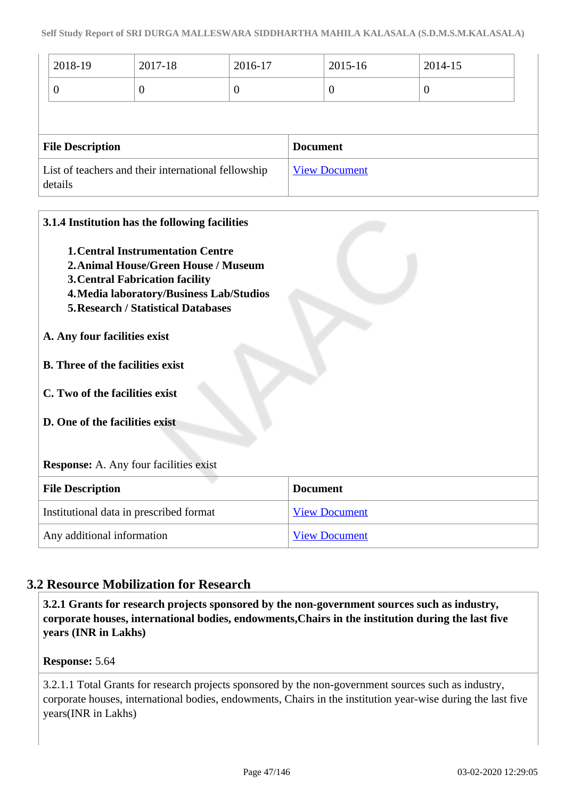| 2018-19 | 2017-18 | 2016-17 | $2015 - 16$ | $\frac{1}{2014-15}$ |
|---------|---------|---------|-------------|---------------------|
|         |         |         |             |                     |

| <b>File Description</b>                                        | <b>Document</b>      |
|----------------------------------------------------------------|----------------------|
| List of teachers and their international fellowship<br>details | <b>View Document</b> |

| 3.1.4 Institution has the following facilities<br><b>1. Central Instrumentation Centre</b><br>2. Animal House/Green House / Museum<br><b>3. Central Fabrication facility</b><br>4. Media laboratory/Business Lab/Studios<br><b>5. Research / Statistical Databases</b><br>A. Any four facilities exist |                      |
|--------------------------------------------------------------------------------------------------------------------------------------------------------------------------------------------------------------------------------------------------------------------------------------------------------|----------------------|
| <b>B.</b> Three of the facilities exist<br>C. Two of the facilities exist<br>D. One of the facilities exist<br><b>Response:</b> A. Any four facilities exist                                                                                                                                           |                      |
| <b>File Description</b>                                                                                                                                                                                                                                                                                | <b>Document</b>      |
| Institutional data in prescribed format                                                                                                                                                                                                                                                                | <b>View Document</b> |
| Any additional information                                                                                                                                                                                                                                                                             | <b>View Document</b> |

# **3.2 Resource Mobilization for Research**

 **3.2.1 Grants for research projects sponsored by the non-government sources such as industry, corporate houses, international bodies, endowments,Chairs in the institution during the last five years (INR in Lakhs)**

### **Response:** 5.64

3.2.1.1 Total Grants for research projects sponsored by the non-government sources such as industry, corporate houses, international bodies, endowments, Chairs in the institution year-wise during the last five years(INR in Lakhs)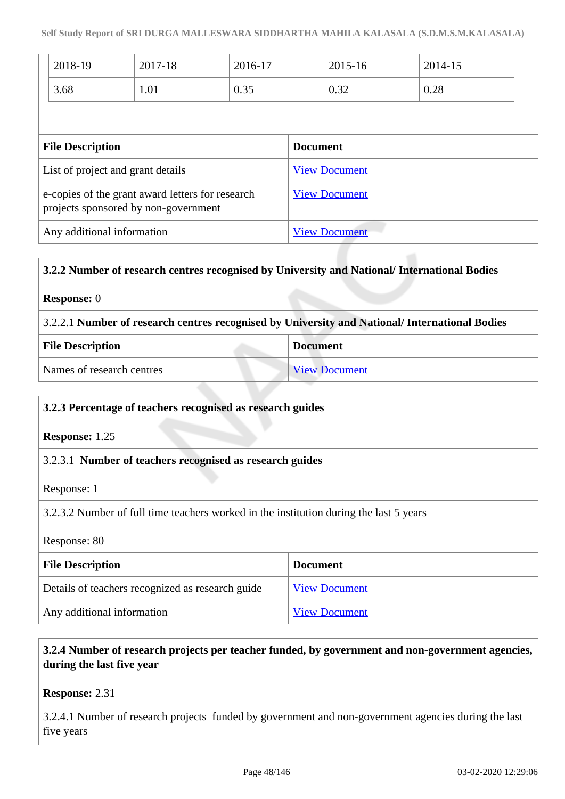| 2018-19 | 2017-18 | 2016-17 | 2015-16 | 2014-15 |
|---------|---------|---------|---------|---------|
| 3.68    | 1.01    | 0.35    | 0.32    | 0.28    |

| <b>File Description</b>                                                                  | <b>Document</b>      |
|------------------------------------------------------------------------------------------|----------------------|
| List of project and grant details                                                        | <b>View Document</b> |
| e-copies of the grant award letters for research<br>projects sponsored by non-government | <b>View Document</b> |
| Any additional information                                                               | <b>View Document</b> |

#### **3.2.2 Number of research centres recognised by University and National/ International Bodies**

#### **Response:** 0

3.2.2.1 **Number of research centres recognised by University and National/ International Bodies**

| <b>File Description</b>   | <b>Document</b>      |
|---------------------------|----------------------|
| Names of research centres | <b>View Document</b> |

| 3.2.3 Percentage of teachers recognised as research guides                             |                      |  |
|----------------------------------------------------------------------------------------|----------------------|--|
| <b>Response:</b> 1.25                                                                  |                      |  |
| 3.2.3.1 Number of teachers recognised as research guides                               |                      |  |
| Response: 1                                                                            |                      |  |
| 3.2.3.2 Number of full time teachers worked in the institution during the last 5 years |                      |  |
| Response: 80                                                                           |                      |  |
| <b>Document</b><br><b>File Description</b>                                             |                      |  |
| Details of teachers recognized as research guide                                       | <b>View Document</b> |  |
| Any additional information                                                             | <b>View Document</b> |  |

### **3.2.4 Number of research projects per teacher funded, by government and non-government agencies, during the last five year**

**Response:** 2.31

3.2.4.1 Number of research projects funded by government and non-government agencies during the last five years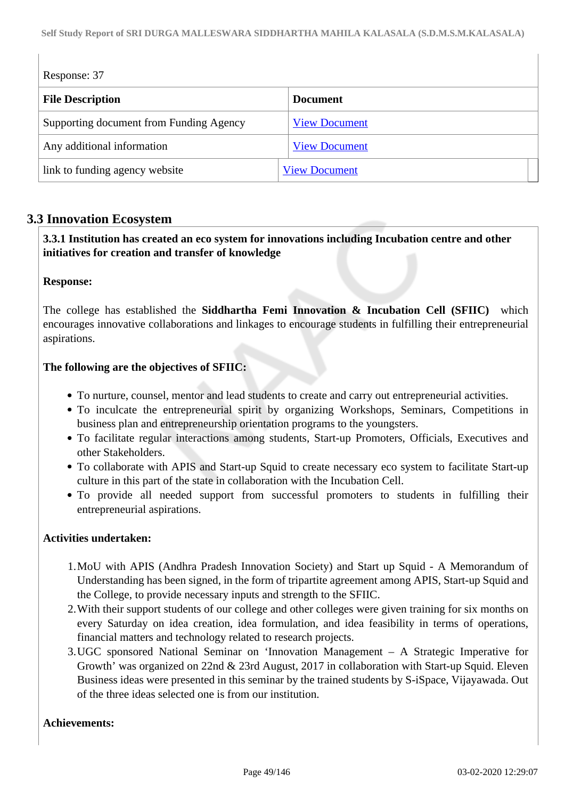**Self Study Report of SRI DURGA MALLESWARA SIDDHARTHA MAHILA KALASALA (S.D.M.S.M.KALASALA)**

| Response: 37                            |                      |  |  |
|-----------------------------------------|----------------------|--|--|
| <b>File Description</b>                 | <b>Document</b>      |  |  |
| Supporting document from Funding Agency | <b>View Document</b> |  |  |
| Any additional information              | <b>View Document</b> |  |  |
| link to funding agency website          | <b>View Document</b> |  |  |

### **3.3 Innovation Ecosystem**

 **3.3.1 Institution has created an eco system for innovations including Incubation centre and other initiatives for creation and transfer of knowledge**

#### **Response:**

The college has established the **Siddhartha Femi Innovation & Incubation Cell (SFIIC)** which encourages innovative collaborations and linkages to encourage students in fulfilling their entrepreneurial aspirations.

#### **The following are the objectives of SFIIC:**

- To nurture, counsel, mentor and lead students to create and carry out entrepreneurial activities.
- To inculcate the entrepreneurial spirit by organizing Workshops, Seminars, Competitions in business plan and entrepreneurship orientation programs to the youngsters.
- To facilitate regular interactions among students, Start-up Promoters, Officials, Executives and other Stakeholders.
- To collaborate with APIS and Start-up Squid to create necessary eco system to facilitate Start-up culture in this part of the state in collaboration with the Incubation Cell.
- To provide all needed support from successful promoters to students in fulfilling their entrepreneurial aspirations.

#### **Activities undertaken:**

- 1.MoU with APIS (Andhra Pradesh Innovation Society) and Start up Squid A Memorandum of Understanding has been signed, in the form of tripartite agreement among APIS, Start-up Squid and the College, to provide necessary inputs and strength to the SFIIC.
- 2.With their support students of our college and other colleges were given training for six months on every Saturday on idea creation, idea formulation, and idea feasibility in terms of operations, financial matters and technology related to research projects.
- 3.UGC sponsored National Seminar on 'Innovation Management A Strategic Imperative for Growth' was organized on 22nd & 23rd August, 2017 in collaboration with Start-up Squid. Eleven Business ideas were presented in this seminar by the trained students by S-iSpace, Vijayawada. Out of the three ideas selected one is from our institution.

#### **Achievements:**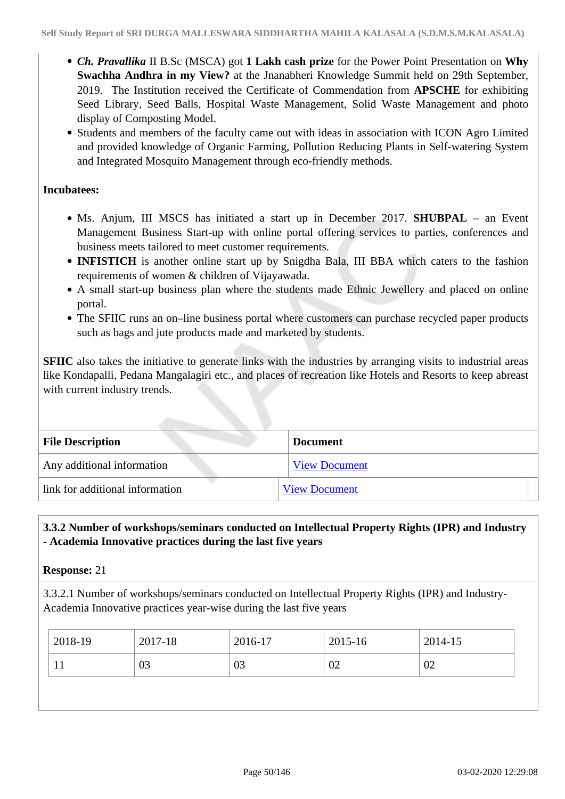- *Ch. Pravallika* II B.Sc (MSCA) got **1 Lakh cash prize** for the Power Point Presentation on **Why Swachha Andhra in my View?** at the Jnanabheri Knowledge Summit held on 29th September, 2019. The Institution received the Certificate of Commendation from **APSCHE** for exhibiting Seed Library, Seed Balls, Hospital Waste Management, Solid Waste Management and photo display of Composting Model.
- Students and members of the faculty came out with ideas in association with ICON Agro Limited and provided knowledge of Organic Farming, Pollution Reducing Plants in Self-watering System and Integrated Mosquito Management through eco-friendly methods.

### **Incubatees:**

- Ms. Anjum, III MSCS has initiated a start up in December 2017. **SHUBPAL**  an Event Management Business Start-up with online portal offering services to parties, conferences and business meets tailored to meet customer requirements.
- **INFISTICH** is another online start up by Snigdha Bala, III BBA which caters to the fashion requirements of women & children of Vijayawada.
- A small start-up business plan where the students made Ethnic Jewellery and placed on online portal.
- The SFIIC runs an on–line business portal where customers can purchase recycled paper products such as bags and jute products made and marketed by students.

**SFIIC** also takes the initiative to generate links with the industries by arranging visits to industrial areas like Kondapalli, Pedana Mangalagiri etc., and places of recreation like Hotels and Resorts to keep abreast with current industry trends.

| <b>File Description</b>         | <b>Document</b>      |
|---------------------------------|----------------------|
| Any additional information      | <b>View Document</b> |
| link for additional information | <b>View Document</b> |

### **3.3.2 Number of workshops/seminars conducted on Intellectual Property Rights (IPR) and Industry - Academia Innovative practices during the last five years**

### **Response:** 21

3.3.2.1 Number of workshops/seminars conducted on Intellectual Property Rights (IPR) and Industry-Academia Innovative practices year-wise during the last five years

|                      | 2014-15 | 2015-16 | 2016-17 | 2017-18 | 2018-19 |
|----------------------|---------|---------|---------|---------|---------|
| 03<br>03<br>02<br>02 |         |         |         |         |         |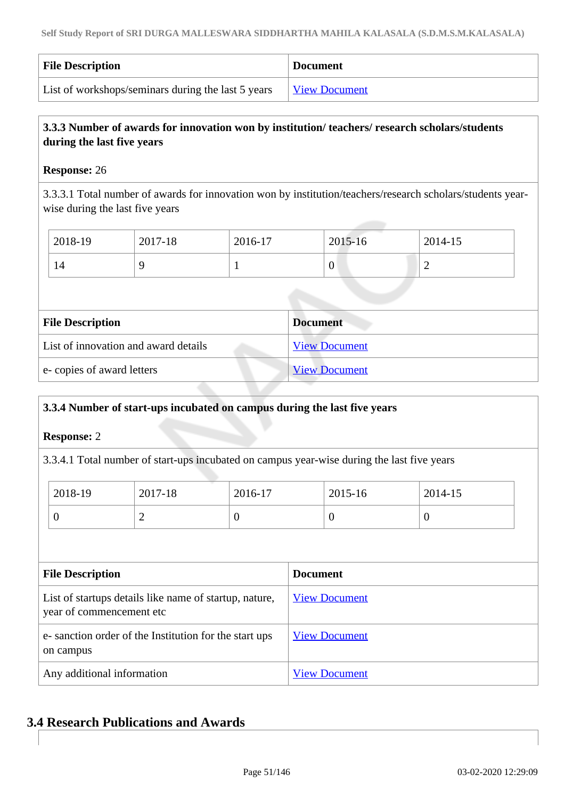| <b>File Description</b>                            | <b>Document</b>      |
|----------------------------------------------------|----------------------|
| List of workshops/seminars during the last 5 years | <b>View Document</b> |

### **3.3.3 Number of awards for innovation won by institution/ teachers/ research scholars/students during the last five years**

#### **Response:** 26

3.3.3.1 Total number of awards for innovation won by institution/teachers/research scholars/students yearwise during the last five years

| 2018-19 | 2017-18 | 2016-17 | 2015-16 | 2014-15 |
|---------|---------|---------|---------|---------|
| 14      |         |         | ν       |         |

| <b>File Description</b>              | <b>Document</b>      |
|--------------------------------------|----------------------|
| List of innovation and award details | <b>View Document</b> |
| e-copies of award letters            | <b>View Document</b> |

#### **3.3.4 Number of start-ups incubated on campus during the last five years**

**Response:** 2

3.3.4.1 Total number of start-ups incubated on campus year-wise during the last five years

| 2018-19 | 2017-18 | 2016-17 | 2015-16 | 2014-15 |
|---------|---------|---------|---------|---------|
|         | ∼       |         | v       | ◡       |

| <b>File Description</b>                                                             | <b>Document</b>      |
|-------------------------------------------------------------------------------------|----------------------|
| List of startups details like name of startup, nature,<br>year of commencement etc. | <b>View Document</b> |
| e-sanction order of the Institution for the start ups<br>on campus                  | <b>View Document</b> |
| Any additional information                                                          | <b>View Document</b> |

### **3.4 Research Publications and Awards**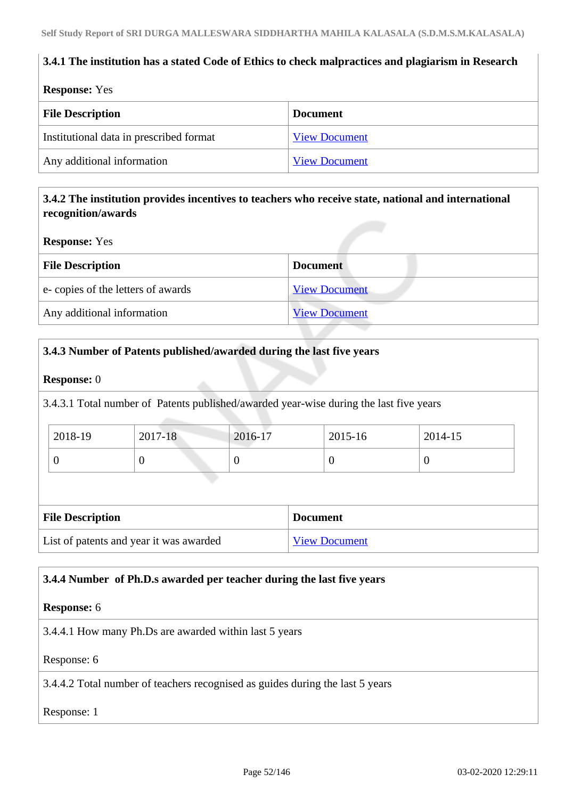# **3.4.1 The institution has a stated Code of Ethics to check malpractices and plagiarism in Research**

| <b>Response:</b> Yes                    |                      |  |
|-----------------------------------------|----------------------|--|
| <b>File Description</b>                 | <b>Document</b>      |  |
| Institutional data in prescribed format | <b>View Document</b> |  |
| Any additional information              | <b>View Document</b> |  |

### **3.4.2 The institution provides incentives to teachers who receive state, national and international recognition/awards**

**Response:** Yes

| <b>File Description</b>           | <b>Document</b>      |
|-----------------------------------|----------------------|
| e-copies of the letters of awards | <b>View Document</b> |
| Any additional information        | <b>View Document</b> |

#### **3.4.3 Number of Patents published/awarded during the last five years**

#### **Response:** 0

3.4.3.1 Total number of Patents published/awarded year-wise during the last five years

| 2018-19 | 2017-18 | 2016-17 | 2015-16 | 2014-15 |
|---------|---------|---------|---------|---------|
|         |         | ν       |         |         |

| <b>File Description</b>                 | <b>Document</b>      |
|-----------------------------------------|----------------------|
| List of patents and year it was awarded | <b>View Document</b> |

#### **3.4.4 Number of Ph.D.s awarded per teacher during the last five years**

#### **Response:** 6

3.4.4.1 How many Ph.Ds are awarded within last 5 years

Response: 6

3.4.4.2 Total number of teachers recognised as guides during the last 5 years

#### Response: 1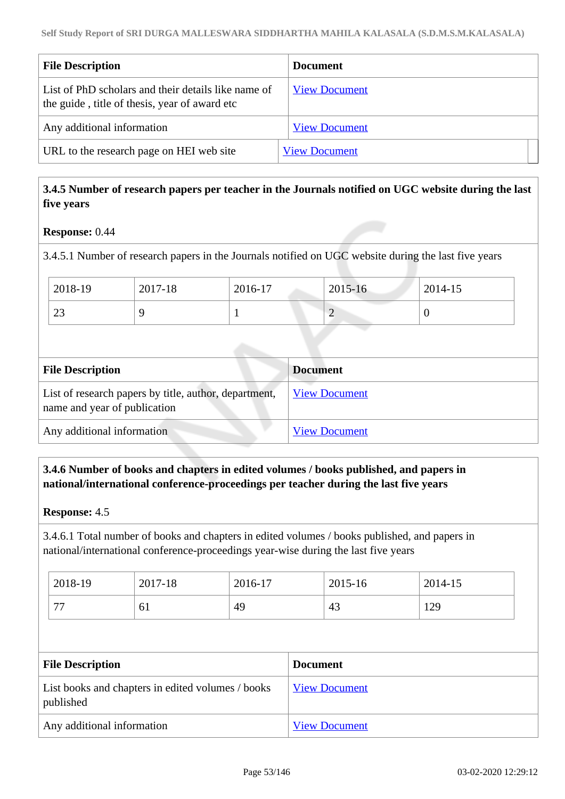| <b>File Description</b>                                                                              | <b>Document</b>      |
|------------------------------------------------------------------------------------------------------|----------------------|
| List of PhD scholars and their details like name of<br>the guide, title of thesis, year of award etc | <b>View Document</b> |
| Any additional information                                                                           | <b>View Document</b> |
| URL to the research page on HEI web site                                                             | <b>View Document</b> |

### **3.4.5 Number of research papers per teacher in the Journals notified on UGC website during the last five years**

#### **Response:** 0.44

3.4.5.1 Number of research papers in the Journals notified on UGC website during the last five years

| $12018-19$ | 2017-18 | 2016-17 | $2015 - 16$                   | 2014-15 |
|------------|---------|---------|-------------------------------|---------|
| 23         |         |         | $\overline{\phantom{0}}$<br>∼ |         |

| <b>File Description</b>                                                               | <b>Document</b>      |
|---------------------------------------------------------------------------------------|----------------------|
| List of research papers by title, author, department,<br>name and year of publication | <b>View Document</b> |
| Any additional information                                                            | <b>View Document</b> |

### **3.4.6 Number of books and chapters in edited volumes / books published, and papers in national/international conference-proceedings per teacher during the last five years**

#### **Response:** 4.5

3.4.6.1 Total number of books and chapters in edited volumes / books published, and papers in national/international conference-proceedings year-wise during the last five years

| 2018-19 | 2017-18 | 2016-17 | 2015-16          | 2014-15 |
|---------|---------|---------|------------------|---------|
| 77      | σI      | 49      | $\Lambda$<br>45. | 129     |

| <b>File Description</b>                                        | <b>Document</b>      |
|----------------------------------------------------------------|----------------------|
| List books and chapters in edited volumes / books<br>published | <b>View Document</b> |
| Any additional information                                     | <b>View Document</b> |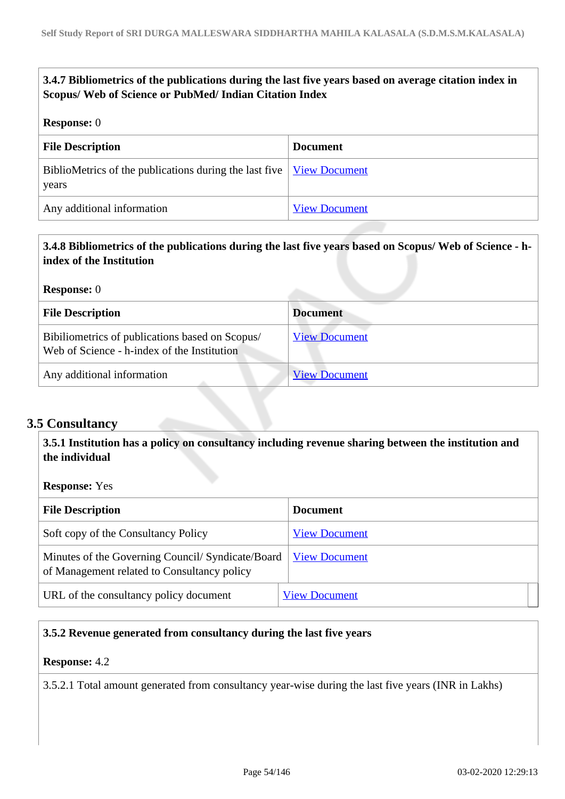### **3.4.7 Bibliometrics of the publications during the last five years based on average citation index in Scopus/ Web of Science or PubMed/ Indian Citation Index**

#### **Response:** 0

| <b>File Description</b>                                                                                        | <b>Document</b>      |
|----------------------------------------------------------------------------------------------------------------|----------------------|
| BiblioMetrics of the publications during the last five $\sqrt{\frac{V_{\text{icW}}}{V_{\text{icW}}}}$<br>years |                      |
| Any additional information                                                                                     | <b>View Document</b> |

## **3.4.8 Bibliometrics of the publications during the last five years based on Scopus/ Web of Science - hindex of the Institution**

**Response:** 0

| <b>File Description</b>                                                                        | <b>Document</b>      |
|------------------------------------------------------------------------------------------------|----------------------|
| Bibiliometrics of publications based on Scopus/<br>Web of Science - h-index of the Institution | <b>View Document</b> |
| Any additional information                                                                     | <b>View Document</b> |

### **3.5 Consultancy**

 **3.5.1 Institution has a policy on consultancy including revenue sharing between the institution and the individual**

**Response:** Yes

| <b>File Description</b>                                                                         | <b>Document</b>      |
|-------------------------------------------------------------------------------------------------|----------------------|
| Soft copy of the Consultancy Policy                                                             | <b>View Document</b> |
| Minutes of the Governing Council/Syndicate/Board<br>of Management related to Consultancy policy | <b>View Document</b> |
| URL of the consultancy policy document                                                          | <b>View Document</b> |

### **3.5.2 Revenue generated from consultancy during the last five years**

#### **Response:** 4.2

3.5.2.1 Total amount generated from consultancy year-wise during the last five years (INR in Lakhs)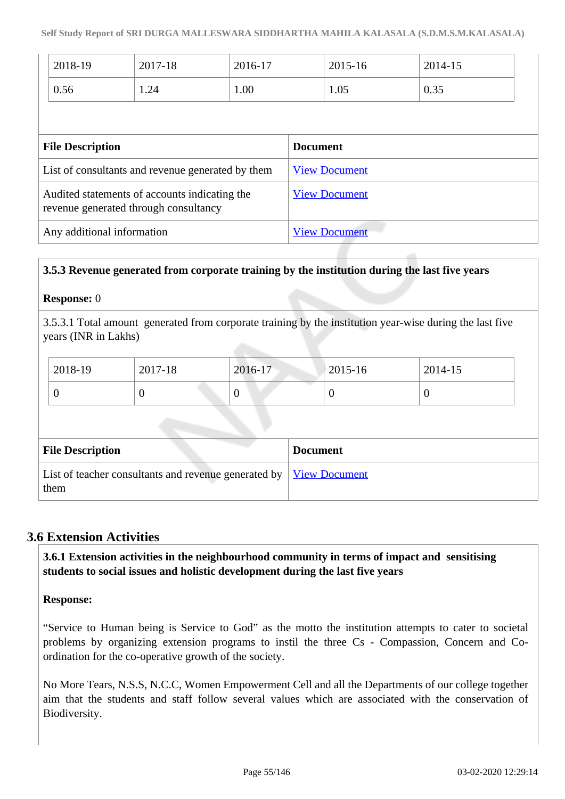| $2018-19$ | 2017-18 | 2016-17 | 2015-16 | 2014-15 |
|-----------|---------|---------|---------|---------|
| 0.56      | 1.24    | 1.00    | 1.05    | 0.35    |

| <b>File Description</b>                                                                | <b>Document</b>      |
|----------------------------------------------------------------------------------------|----------------------|
| List of consultants and revenue generated by them                                      | <b>View Document</b> |
| Audited statements of accounts indicating the<br>revenue generated through consultancy | <b>View Document</b> |
| Any additional information                                                             | <b>View Document</b> |

### **3.5.3 Revenue generated from corporate training by the institution during the last five years**

#### **Response:** 0

3.5.3.1 Total amount generated from corporate training by the institution year-wise during the last five years (INR in Lakhs)

| 2018-19 | 2017-18 | 2016-17 | $ 2015-16$ | 2014-15 |
|---------|---------|---------|------------|---------|
| ິ       |         |         | v          | ν       |

| <b>File Description</b>                                                           | <b>Document</b> |
|-----------------------------------------------------------------------------------|-----------------|
| List of teacher consultants and revenue generated by <u>View Document</u><br>them |                 |

### **3.6 Extension Activities**

 **3.6.1 Extension activities in the neighbourhood community in terms of impact and sensitising students to social issues and holistic development during the last five years**

#### **Response:**

"Service to Human being is Service to God" as the motto the institution attempts to cater to societal problems by organizing extension programs to instil the three Cs - Compassion, Concern and Coordination for the co-operative growth of the society.

No More Tears, N.S.S, N.C.C, Women Empowerment Cell and all the Departments of our college together aim that the students and staff follow several values which are associated with the conservation of Biodiversity.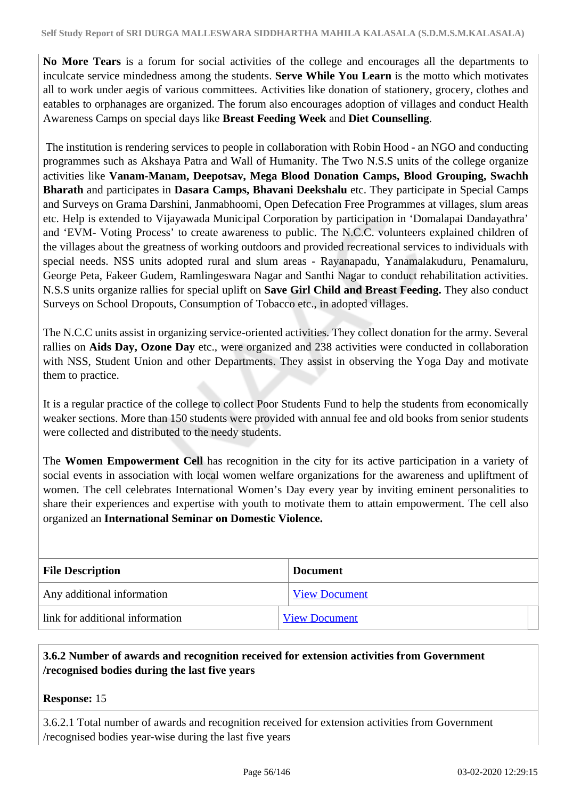**No More Tears** is a forum for social activities of the college and encourages all the departments to inculcate service mindedness among the students. **Serve While You Learn** is the motto which motivates all to work under aegis of various committees. Activities like donation of stationery, grocery, clothes and eatables to orphanages are organized. The forum also encourages adoption of villages and conduct Health Awareness Camps on special days like **Breast Feeding Week** and **Diet Counselling**.

 The institution is rendering services to people in collaboration with Robin Hood - an NGO and conducting programmes such as Akshaya Patra and Wall of Humanity. The Two N.S.S units of the college organize activities like **Vanam-Manam, Deepotsav, Mega Blood Donation Camps, Blood Grouping, Swachh Bharath** and participates in **Dasara Camps, Bhavani Deekshalu** etc. They participate in Special Camps and Surveys on Grama Darshini, Janmabhoomi, Open Defecation Free Programmes at villages, slum areas etc. Help is extended to Vijayawada Municipal Corporation by participation in 'Domalapai Dandayathra' and 'EVM- Voting Process' to create awareness to public. The N.C.C. volunteers explained children of the villages about the greatness of working outdoors and provided recreational services to individuals with special needs. NSS units adopted rural and slum areas - Rayanapadu, Yanamalakuduru, Penamaluru, George Peta, Fakeer Gudem, Ramlingeswara Nagar and Santhi Nagar to conduct rehabilitation activities. N.S.S units organize rallies for special uplift on **Save Girl Child and Breast Feeding.** They also conduct Surveys on School Dropouts, Consumption of Tobacco etc., in adopted villages.

The N.C.C units assist in organizing service-oriented activities. They collect donation for the army. Several rallies on **Aids Day, Ozone Day** etc., were organized and 238 activities were conducted in collaboration with NSS, Student Union and other Departments. They assist in observing the Yoga Day and motivate them to practice.

It is a regular practice of the college to collect Poor Students Fund to help the students from economically weaker sections. More than 150 students were provided with annual fee and old books from senior students were collected and distributed to the needy students.

The **Women Empowerment Cell** has recognition in the city for its active participation in a variety of social events in association with local women welfare organizations for the awareness and upliftment of women. The cell celebrates International Women's Day every year by inviting eminent personalities to share their experiences and expertise with youth to motivate them to attain empowerment. The cell also organized an **International Seminar on Domestic Violence.**

| <b>File Description</b>         | <b>Document</b>      |  |
|---------------------------------|----------------------|--|
| Any additional information      | <b>View Document</b> |  |
| link for additional information | <b>View Document</b> |  |

### **3.6.2 Number of awards and recognition received for extension activities from Government /recognised bodies during the last five years**

### **Response:** 15

3.6.2.1 Total number of awards and recognition received for extension activities from Government /recognised bodies year-wise during the last five years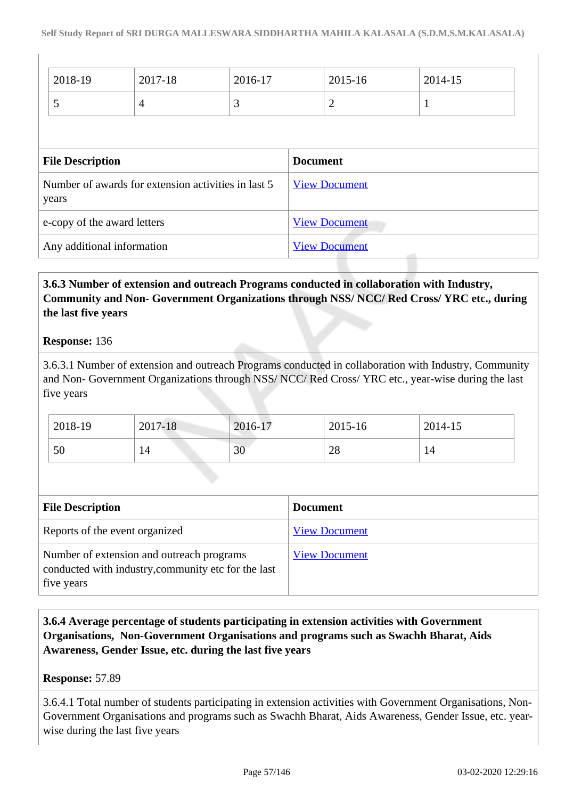| 2018-19                                                      | 2017-18        | 2016-17              | 2015-16                           | 2014-15      |
|--------------------------------------------------------------|----------------|----------------------|-----------------------------------|--------------|
| 5                                                            | $\overline{4}$ | 3                    | $\overline{2}$                    | $\mathbf{1}$ |
|                                                              |                |                      |                                   |              |
| <b>File Description</b>                                      |                |                      | <b>Document</b>                   |              |
| Number of awards for extension activities in last 5<br>years |                | <b>View Document</b> |                                   |              |
| e-copy of the award letters                                  |                | <b>View Document</b> |                                   |              |
| Any additional information                                   |                | <b>View Document</b> | <b>Contract Contract Contract</b> |              |

### **3.6.3 Number of extension and outreach Programs conducted in collaboration with Industry, Community and Non- Government Organizations through NSS/ NCC/ Red Cross/ YRC etc., during the last five years**

### **Response:** 136

3.6.3.1 Number of extension and outreach Programs conducted in collaboration with Industry, Community and Non- Government Organizations through NSS/ NCC/ Red Cross/ YRC etc., year-wise during the last five years

| 2018-19 | 2017-18 | 2016-17               | 2015-16 | 2014-15 |
|---------|---------|-----------------------|---------|---------|
| 50      | 14      | and the control<br>30 | 28      | 14      |

| <b>File Description</b>                                                                                        | <b>Document</b>      |
|----------------------------------------------------------------------------------------------------------------|----------------------|
| Reports of the event organized                                                                                 | <b>View Document</b> |
| Number of extension and outreach programs<br>conducted with industry, community etc for the last<br>five years | <b>View Document</b> |

### **3.6.4 Average percentage of students participating in extension activities with Government Organisations, Non-Government Organisations and programs such as Swachh Bharat, Aids Awareness, Gender Issue, etc. during the last five years**

#### **Response:** 57.89

3.6.4.1 Total number of students participating in extension activities with Government Organisations, Non-Government Organisations and programs such as Swachh Bharat, Aids Awareness, Gender Issue, etc. yearwise during the last five years

 $\begin{array}{c} \hline \end{array}$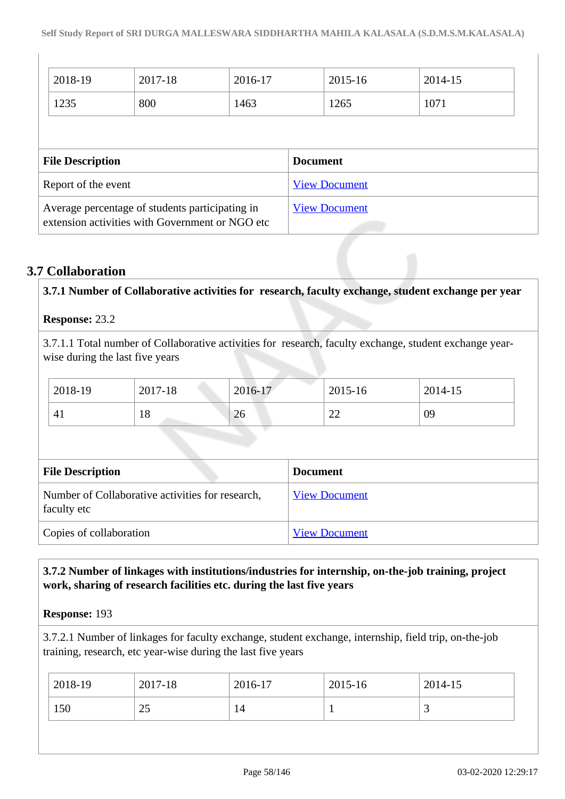| 2018-19                 | 2017-18 | 2016-17 |                 | 2015-16              | 2014-15 |
|-------------------------|---------|---------|-----------------|----------------------|---------|
| 1235                    | 800     | 1463    |                 | 1265                 | 1071    |
|                         |         |         |                 |                      |         |
| <b>File Description</b> |         |         | <b>Document</b> |                      |         |
| Report of the event     |         |         |                 |                      |         |
|                         |         |         |                 | <b>View Document</b> |         |

# **3.7 Collaboration**

 $\overline{\phantom{a}}$ 

|                         |                                                  |         |                      | 3.7.1 Number of Collaborative activities for research, faculty exchange, student exchange per year      |
|-------------------------|--------------------------------------------------|---------|----------------------|---------------------------------------------------------------------------------------------------------|
| <b>Response: 23.2</b>   |                                                  |         |                      |                                                                                                         |
|                         | wise during the last five years                  |         |                      | 3.7.1.1 Total number of Collaborative activities for research, faculty exchange, student exchange year- |
| 2018-19                 | 2017-18                                          | 2016-17 | 2015-16              | 2014-15                                                                                                 |
| 41                      | 18                                               | 26      | 22                   | 09                                                                                                      |
| <b>File Description</b> |                                                  |         | <b>Document</b>      |                                                                                                         |
| faculty etc             | Number of Collaborative activities for research, |         | <b>View Document</b> |                                                                                                         |
| Copies of collaboration |                                                  |         | <b>View Document</b> |                                                                                                         |

### **3.7.2 Number of linkages with institutions/industries for internship, on-the-job training, project work, sharing of research facilities etc. during the last five years**

**Response:** 193

3.7.2.1 Number of linkages for faculty exchange, student exchange, internship, field trip, on-the-job training, research, etc year-wise during the last five years

| 2018-19 | 2017-18 | 2016-17 | 2015-16 | 2014-15 |
|---------|---------|---------|---------|---------|
| 150     | رے      | 14      |         | ັ       |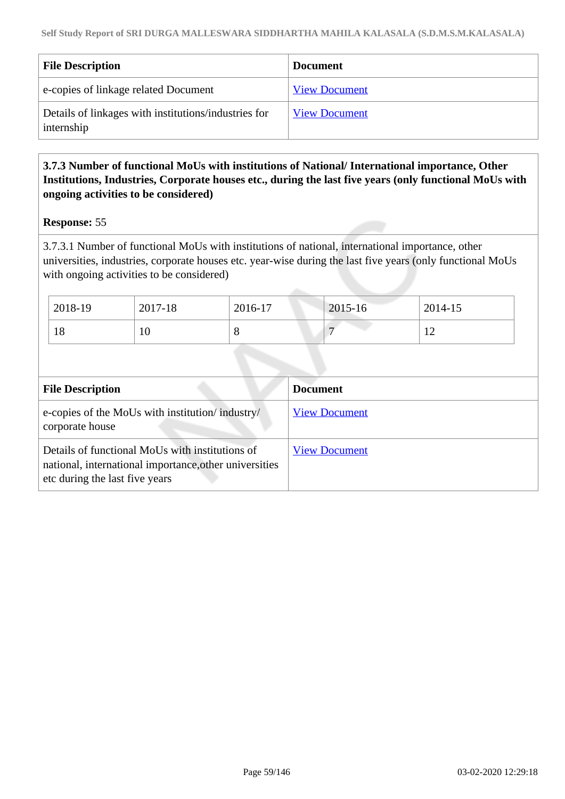| <b>File Description</b>                                            | <b>Document</b>      |
|--------------------------------------------------------------------|----------------------|
| e-copies of linkage related Document                               | <b>View Document</b> |
| Details of linkages with institutions/industries for<br>internship | <b>View Document</b> |

### **3.7.3 Number of functional MoUs with institutions of National/ International importance, Other Institutions, Industries, Corporate houses etc., during the last five years (only functional MoUs with ongoing activities to be considered)**

#### **Response:** 55

3.7.3.1 Number of functional MoUs with institutions of national, international importance, other universities, industries, corporate houses etc. year-wise during the last five years (only functional MoUs with ongoing activities to be considered)

| 2018-19 | 2017-18 | 2016-17     | 2015-16 | 2014-15              |
|---------|---------|-------------|---------|----------------------|
| 18      | 10      | $\mathbf o$ |         | 1 <sub>2</sub><br>∸∸ |

| <b>File Description</b>                                                                                                                     | <b>Document</b>      |
|---------------------------------------------------------------------------------------------------------------------------------------------|----------------------|
| e-copies of the MoUs with institution/industry/<br>corporate house                                                                          | <b>View Document</b> |
| Details of functional MoUs with institutions of<br>national, international importance, other universities<br>etc during the last five years | <b>View Document</b> |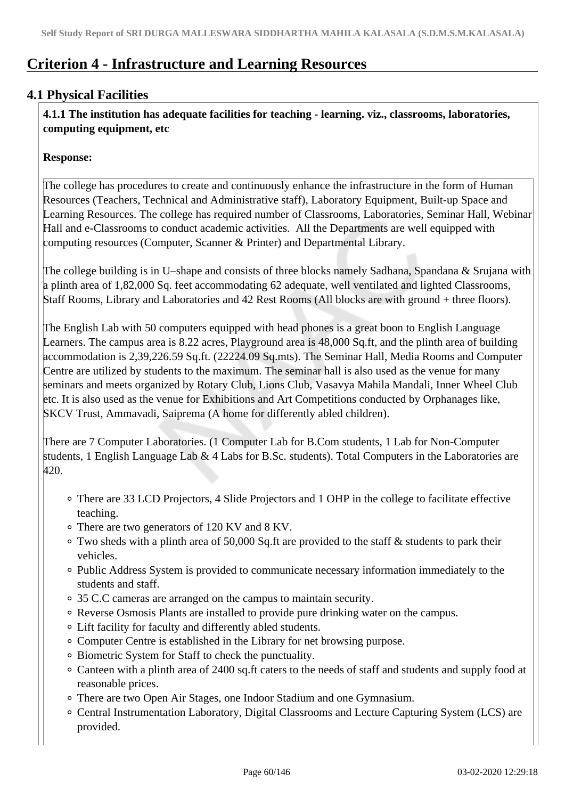# **Criterion 4 - Infrastructure and Learning Resources**

# **4.1 Physical Facilities**

 **4.1.1 The institution has adequate facilities for teaching - learning. viz., classrooms, laboratories, computing equipment, etc**

### **Response:**

The college has procedures to create and continuously enhance the infrastructure in the form of Human Resources (Teachers, Technical and Administrative staff), Laboratory Equipment, Built-up Space and Learning Resources. The college has required number of Classrooms, Laboratories, Seminar Hall, Webinar Hall and e-Classrooms to conduct academic activities. All the Departments are well equipped with computing resources (Computer, Scanner & Printer) and Departmental Library.

The college building is in U–shape and consists of three blocks namely Sadhana, Spandana & Srujana with a plinth area of 1,82,000 Sq. feet accommodating 62 adequate, well ventilated and lighted Classrooms, Staff Rooms, Library and Laboratories and 42 Rest Rooms (All blocks are with ground + three floors).

The English Lab with 50 computers equipped with head phones is a great boon to English Language Learners. The campus area is 8.22 acres, Playground area is 48,000 Sq.ft, and the plinth area of building accommodation is 2,39,226.59 Sq.ft. (22224.09 Sq.mts). The Seminar Hall, Media Rooms and Computer Centre are utilized by students to the maximum. The seminar hall is also used as the venue for many seminars and meets organized by Rotary Club, Lions Club, Vasavya Mahila Mandali, Inner Wheel Club etc. It is also used as the venue for Exhibitions and Art Competitions conducted by Orphanages like, SKCV Trust, Ammavadi, Saiprema (A home for differently abled children).

There are 7 Computer Laboratories. (1 Computer Lab for B.Com students, 1 Lab for Non-Computer students, 1 English Language Lab & 4 Labs for B.Sc. students). Total Computers in the Laboratories are 420.

- There are 33 LCD Projectors, 4 Slide Projectors and 1 OHP in the college to facilitate effective teaching.
- There are two generators of 120 KV and 8 KV.
- Two sheds with a plinth area of 50,000 Sq.ft are provided to the staff & students to park their vehicles.
- Public Address System is provided to communicate necessary information immediately to the students and staff.
- 35 C.C cameras are arranged on the campus to maintain security.
- Reverse Osmosis Plants are installed to provide pure drinking water on the campus.
- Lift facility for faculty and differently abled students.
- Computer Centre is established in the Library for net browsing purpose.
- Biometric System for Staff to check the punctuality.
- Canteen with a plinth area of 2400 sq.ft caters to the needs of staff and students and supply food at reasonable prices.
- There are two Open Air Stages, one Indoor Stadium and one Gymnasium.
- Central Instrumentation Laboratory, Digital Classrooms and Lecture Capturing System (LCS) are provided.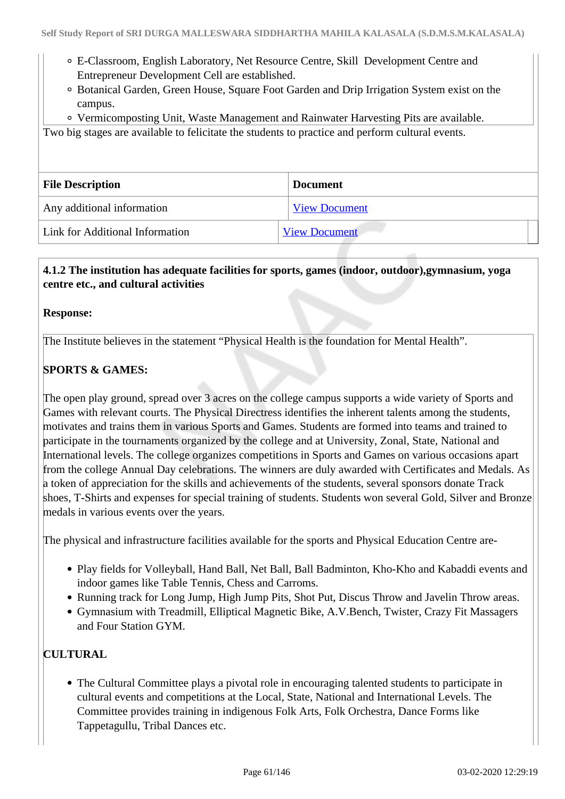- E-Classroom, English Laboratory, Net Resource Centre, Skill Development Centre and Entrepreneur Development Cell are established.
- Botanical Garden, Green House, Square Foot Garden and Drip Irrigation System exist on the campus.
- Vermicomposting Unit, Waste Management and Rainwater Harvesting Pits are available.

Two big stages are available to felicitate the students to practice and perform cultural events.

| <b>File Description</b>         | <b>Document</b>      |  |  |  |
|---------------------------------|----------------------|--|--|--|
| Any additional information      | <b>View Document</b> |  |  |  |
| Link for Additional Information | <b>View Document</b> |  |  |  |

### **4.1.2 The institution has adequate facilities for sports, games (indoor, outdoor),gymnasium, yoga centre etc., and cultural activities**

### **Response:**

The Institute believes in the statement "Physical Health is the foundation for Mental Health".

### **SPORTS & GAMES:**

The open play ground, spread over 3 acres on the college campus supports a wide variety of Sports and Games with relevant courts. The Physical Directress identifies the inherent talents among the students, motivates and trains them in various Sports and Games. Students are formed into teams and trained to participate in the tournaments organized by the college and at University, Zonal, State, National and International levels. The college organizes competitions in Sports and Games on various occasions apart from the college Annual Day celebrations. The winners are duly awarded with Certificates and Medals. As a token of appreciation for the skills and achievements of the students, several sponsors donate Track shoes, T-Shirts and expenses for special training of students. Students won several Gold, Silver and Bronze medals in various events over the years.

The physical and infrastructure facilities available for the sports and Physical Education Centre are-

- Play fields for Volleyball, Hand Ball, Net Ball, Ball Badminton, Kho-Kho and Kabaddi events and indoor games like Table Tennis, Chess and Carroms.
- Running track for Long Jump, High Jump Pits, Shot Put, Discus Throw and Javelin Throw areas.
- Gymnasium with Treadmill, Elliptical Magnetic Bike, A.V.Bench, Twister, Crazy Fit Massagers and Four Station GYM.

### **CULTURAL**

The Cultural Committee plays a pivotal role in encouraging talented students to participate in cultural events and competitions at the Local, State, National and International Levels. The Committee provides training in indigenous Folk Arts, Folk Orchestra, Dance Forms like Tappetagullu, Tribal Dances etc.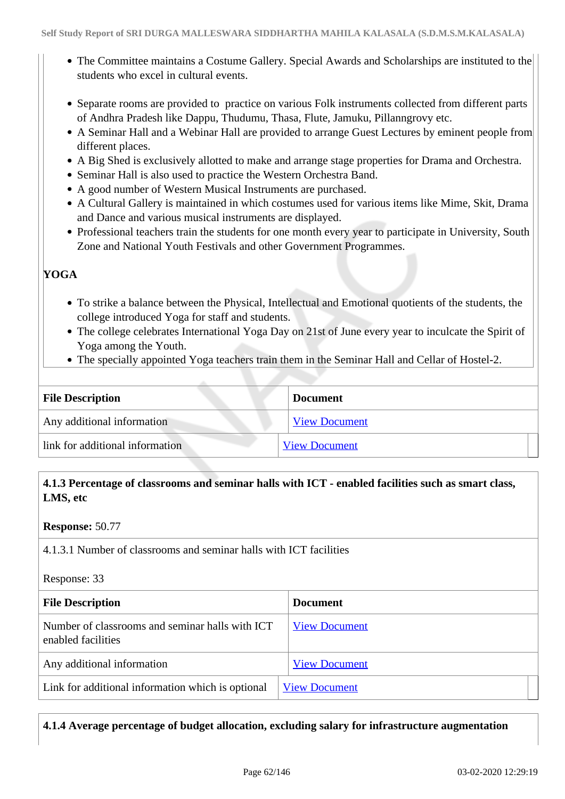- The Committee maintains a Costume Gallery. Special Awards and Scholarships are instituted to the students who excel in cultural events.
- Separate rooms are provided to practice on various Folk instruments collected from different parts of Andhra Pradesh like Dappu, Thudumu, Thasa, Flute, Jamuku, Pillanngrovy etc.
- A Seminar Hall and a Webinar Hall are provided to arrange Guest Lectures by eminent people from different places.
- A Big Shed is exclusively allotted to make and arrange stage properties for Drama and Orchestra.
- Seminar Hall is also used to practice the Western Orchestra Band.
- A good number of Western Musical Instruments are purchased.
- A Cultural Gallery is maintained in which costumes used for various items like Mime, Skit, Drama and Dance and various musical instruments are displayed.
- Professional teachers train the students for one month every year to participate in University, South Zone and National Youth Festivals and other Government Programmes.

### **YOGA**

- To strike a balance between the Physical, Intellectual and Emotional quotients of the students, the college introduced Yoga for staff and students.
- The college celebrates International Yoga Day on 21st of June every year to inculcate the Spirit of Yoga among the Youth.
- The specially appointed Yoga teachers train them in the Seminar Hall and Cellar of Hostel-2.

| <b>File Description</b>         | <b>Document</b>      |
|---------------------------------|----------------------|
| Any additional information      | <b>View Document</b> |
| link for additional information | <b>View Document</b> |

### **4.1.3 Percentage of classrooms and seminar halls with ICT - enabled facilities such as smart class, LMS, etc**

#### **Response:** 50.77

4.1.3.1 Number of classrooms and seminar halls with ICT facilities

Response: 33

| <b>File Description</b>                                               | <b>Document</b>      |
|-----------------------------------------------------------------------|----------------------|
| Number of classrooms and seminar halls with ICT<br>enabled facilities | <b>View Document</b> |
| Any additional information                                            | <b>View Document</b> |
| Link for additional information which is optional                     | <b>View Document</b> |

### **4.1.4 Average percentage of budget allocation, excluding salary for infrastructure augmentation**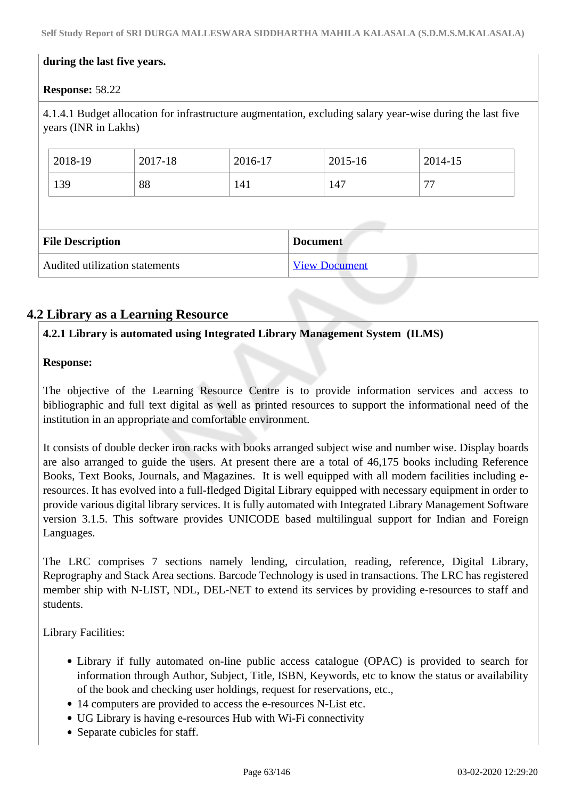### **during the last five years.**

### **Response:** 58.22

4.1.4.1 Budget allocation for infrastructure augmentation, excluding salary year-wise during the last five years (INR in Lakhs)

| 2018-19                 | 2017-18 | 2016-17 | 2015-16         | 2014-15 |
|-------------------------|---------|---------|-----------------|---------|
| 139                     | 88      | 141     | 147             | 77      |
|                         |         |         |                 |         |
|                         |         |         |                 |         |
| <b>File Description</b> |         |         | <b>Document</b> |         |

### **4.2 Library as a Learning Resource**

### **4.2.1 Library is automated using Integrated Library Management System (ILMS)**

### **Response:**

The objective of the Learning Resource Centre is to provide information services and access to bibliographic and full text digital as well as printed resources to support the informational need of the institution in an appropriate and comfortable environment.

It consists of double decker iron racks with books arranged subject wise and number wise. Display boards are also arranged to guide the users. At present there are a total of 46,175 books including Reference Books, Text Books, Journals, and Magazines. It is well equipped with all modern facilities including eresources. It has evolved into a full-fledged Digital Library equipped with necessary equipment in order to provide various digital library services. It is fully automated with Integrated Library Management Software version 3.1.5. This software provides UNICODE based multilingual support for Indian and Foreign Languages.

The LRC comprises 7 sections namely lending, circulation, reading, reference, Digital Library, Reprography and Stack Area sections. Barcode Technology is used in transactions. The LRC has registered member ship with N-LIST, NDL, DEL-NET to extend its services by providing e-resources to staff and students.

Library Facilities:

- Library if fully automated on-line public access catalogue (OPAC) is provided to search for information through Author, Subject, Title, ISBN, Keywords, etc to know the status or availability of the book and checking user holdings, request for reservations, etc.,
- 14 computers are provided to access the e-resources N-List etc.
- UG Library is having e-resources Hub with Wi-Fi connectivity
- Separate cubicles for staff.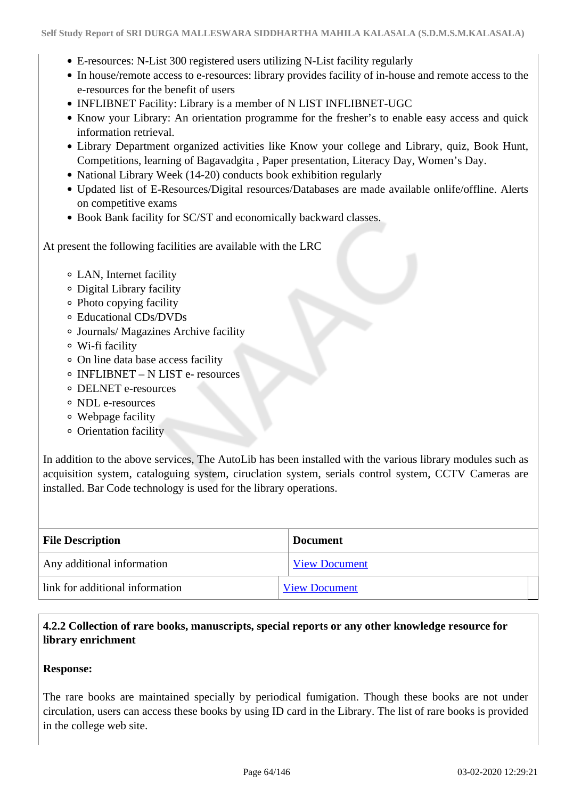- E-resources: N-List 300 registered users utilizing N-List facility regularly
- In house/remote access to e-resources: library provides facility of in-house and remote access to the e-resources for the benefit of users
- INFLIBNET Facility: Library is a member of N LIST INFLIBNET-UGC
- Know your Library: An orientation programme for the fresher's to enable easy access and quick information retrieval.
- Library Department organized activities like Know your college and Library, quiz, Book Hunt, Competitions, learning of Bagavadgita , Paper presentation, Literacy Day, Women's Day.
- National Library Week (14-20) conducts book exhibition regularly
- Updated list of E-Resources/Digital resources/Databases are made available onlife/offline. Alerts on competitive exams
- Book Bank facility for SC/ST and economically backward classes.

At present the following facilities are available with the LRC

- LAN, Internet facility
- Digital Library facility
- Photo copying facility
- Educational CDs/DVDs
- Journals/ Magazines Archive facility
- Wi-fi facility
- On line data base access facility
- INFLIBNET N LIST e- resources
- DELNET e-resources
- NDL e-resources
- Webpage facility
- Orientation facility

In addition to the above services, The AutoLib has been installed with the various library modules such as acquisition system, cataloguing system, ciruclation system, serials control system, CCTV Cameras are installed. Bar Code technology is used for the library operations.

| <b>File Description</b>         | <b>Document</b>      |
|---------------------------------|----------------------|
| Any additional information      | <b>View Document</b> |
| link for additional information | <b>View Document</b> |

### **4.2.2 Collection of rare books, manuscripts, special reports or any other knowledge resource for library enrichment**

#### **Response:**

The rare books are maintained specially by periodical fumigation. Though these books are not under circulation, users can access these books by using ID card in the Library. The list of rare books is provided in the college web site.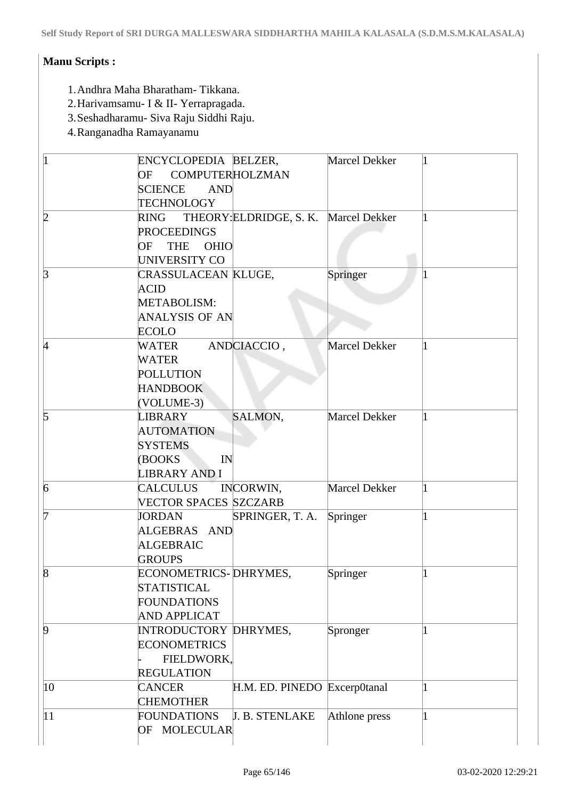### **Manu Scripts :**

- 1.Andhra Maha Bharatham- Tikkana.
- 2.Harivamsamu- I & II- Yerrapragada.
- 3.Seshadharamu- Siva Raju Siddhi Raju.
- 4.Ranganadha Ramayanamu

| $\vert$ 1      | ENCYCLOPEDIA BELZER,                        |                                       | Marcel Dekker |   |
|----------------|---------------------------------------------|---------------------------------------|---------------|---|
|                | <b>COMPUTERHOLZMAN</b><br>OF                |                                       |               |   |
|                | <b>SCIENCE</b><br><b>AND</b>                |                                       |               |   |
|                | <b>TECHNOLOGY</b>                           |                                       |               |   |
| $\overline{2}$ | <b>RING</b>                                 | THEORY: ELDRIDGE, S. K. Marcel Dekker |               |   |
|                | <b>PROCEEDINGS</b>                          |                                       |               |   |
|                | <b>THE</b><br><b>OHIO</b><br>OF             |                                       |               |   |
|                | UNIVERSITY CO                               |                                       |               |   |
| $\beta$        | CRASSULACEAN KLUGE,                         |                                       | Springer      |   |
|                | <b>ACID</b>                                 |                                       |               |   |
|                | <b>METABOLISM:</b>                          |                                       |               |   |
|                | <b>ANALYSIS OF AN</b>                       |                                       |               |   |
|                | <b>ECOLO</b>                                |                                       |               |   |
| $\vert 4$      | WATER                                       | ANDCIACCIO,                           | Marcel Dekker | 1 |
|                | WATER                                       |                                       |               |   |
|                | <b>POLLUTION</b>                            |                                       |               |   |
|                | <b>HANDBOOK</b>                             |                                       |               |   |
|                | (VOLUME-3)                                  |                                       |               |   |
| 5              | <b>LIBRARY</b>                              | SALMON,                               | Marcel Dekker |   |
|                | <b>AUTOMATION</b>                           |                                       |               |   |
|                | <b>SYSTEMS</b>                              |                                       |               |   |
|                | (BOOKS)<br>IN                               |                                       |               |   |
|                | <b>LIBRARY AND I</b>                        |                                       |               |   |
| 6              | <b>CALCULUS</b>                             | INCORWIN,                             | Marcel Dekker |   |
|                | <b>VECTOR SPACES SZCZARB</b>                |                                       |               |   |
| 17             | <b>JORDAN</b>                               | SPRINGER, T. A.                       | Springer      |   |
|                | ALGEBRAS AND                                |                                       |               |   |
|                | <b>ALGEBRAIC</b>                            |                                       |               |   |
|                |                                             |                                       |               |   |
| $\sqrt{8}$     | <b>GROUPS</b>                               |                                       |               |   |
|                | ECONOMETRICS-DHRYMES,<br><b>STATISTICAL</b> |                                       | Springer      |   |
|                | <b>FOUNDATIONS</b>                          |                                       |               |   |
|                | <b>AND APPLICAT</b>                         |                                       |               |   |
| 9              |                                             |                                       |               |   |
|                | <b>INTRODUCTORY DHRYMES,</b>                |                                       | Spronger      |   |
|                | <b>ECONOMETRICS</b>                         |                                       |               |   |
|                | FIELDWORK,                                  |                                       |               |   |
|                | <b>REGULATION</b>                           |                                       |               |   |
| $ 10\rangle$   | <b>CANCER</b>                               | H.M. ED. PINEDO Excerp0tanal          |               |   |
|                | <b>CHEMOTHER</b>                            |                                       |               |   |
| 11             | <b>FOUNDATIONS</b>                          | <b>J. B. STENLAKE</b>                 | Athlone press |   |
|                | <b>MOLECULAR</b><br>OF                      |                                       |               |   |
|                |                                             |                                       |               |   |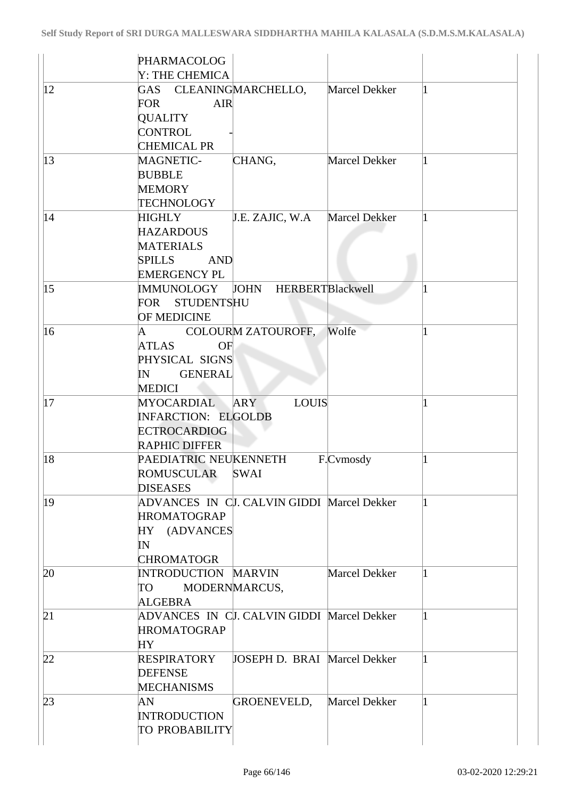|              | PHARMACOLOG                                        |               |             |
|--------------|----------------------------------------------------|---------------|-------------|
|              | Y: THE CHEMICA                                     |               |             |
| $ 12\rangle$ | GAS CLEANINGMARCHELLO,                             | Marcel Dekker |             |
|              | <b>AIR</b><br><b>FOR</b>                           |               |             |
|              | <b>QUALITY</b>                                     |               |             |
|              | <b>CONTROL</b>                                     |               |             |
|              | <b>CHEMICAL PR</b>                                 |               |             |
| 13           | CHANG,<br><b>MAGNETIC-</b>                         | Marcel Dekker | 1           |
|              | <b>BUBBLE</b>                                      |               |             |
|              | <b>MEMORY</b>                                      |               |             |
|              | <b>TECHNOLOGY</b>                                  |               |             |
| 14           | J.E. ZAJIC, W.A<br>HIGHLY                          | Marcel Dekker | 1           |
|              | <b>HAZARDOUS</b>                                   |               |             |
|              | <b>MATERIALS</b>                                   |               |             |
|              | <b>SPILLS</b><br><b>AND</b>                        |               |             |
|              | <b>EMERGENCY PL</b>                                |               |             |
| 15           | JOHN HERBERTBlackwell<br>IMMUNOLOGY                |               |             |
|              | FOR STUDENTSHU                                     |               |             |
|              | <b>OF MEDICINE</b>                                 |               |             |
| 16           | COLOURM ZATOUROFF,<br>$\overline{A}$               | Wolfe         | 1           |
|              | <b>ATLAS</b><br>OF                                 |               |             |
|              | PHYSICAL SIGNS                                     |               |             |
|              | <b>GENERAL</b><br>IN                               |               |             |
|              | <b>MEDICI</b>                                      |               |             |
| 17           | <b>LOUIS</b><br><b>ARY</b><br>MYOCARDIAL           |               |             |
|              | <b>INFARCTION: ELGOLDB</b>                         |               |             |
|              | <b>ECTROCARDIOG</b>                                |               |             |
|              | <b>RAPHIC DIFFER</b>                               |               |             |
| 18           | PAEDIATRIC NEUKENNETH                              | F.Cvmosdy     |             |
|              | ROMUSCULAR SWAI                                    |               |             |
|              | <b>DISEASES</b>                                    |               |             |
| 19           | <b>ADVANCES IN CJ. CALVIN GIDDI Marcel Dekker</b>  |               |             |
|              | <b>HROMATOGRAP</b>                                 |               |             |
|              | HY (ADVANCES                                       |               |             |
|              |                                                    |               |             |
|              | IN                                                 |               |             |
|              | <b>CHROMATOGR</b>                                  |               |             |
| 20           | INTRODUCTION MARVIN                                | Marcel Dekker | 1           |
|              | MODERNMARCUS,<br>TO                                |               |             |
|              | ALGEBRA                                            |               |             |
| 21           | ADVANCES IN CJ. CALVIN GIDDI Marcel Dekker         |               | 1           |
|              | <b>HROMATOGRAP</b>                                 |               |             |
|              | HY                                                 |               |             |
| 22           | JOSEPH D. BRAI Marcel Dekker<br><b>RESPIRATORY</b> |               | 1           |
|              | <b>DEFENSE</b>                                     |               |             |
|              | <b>MECHANISMS</b>                                  |               |             |
| 23           | GROENEVELD,<br>AN                                  | Marcel Dekker | $\mathbf 1$ |
|              | <b>INTRODUCTION</b>                                |               |             |
|              | TO PROBABILITY                                     |               |             |
|              |                                                    |               |             |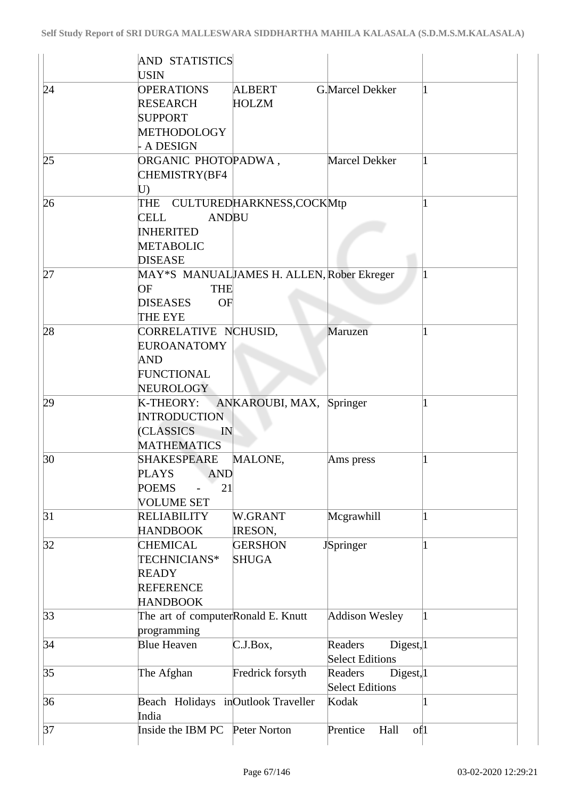|    | AND STATISTICS<br><b>USIN</b>                                                                                             |                                                           |
|----|---------------------------------------------------------------------------------------------------------------------------|-----------------------------------------------------------|
| 24 | <b>OPERATIONS</b><br><b>ALBERT</b><br><b>HOLZM</b><br><b>RESEARCH</b><br><b>SUPPORT</b><br><b>METHODOLOGY</b><br>A DESIGN | G.Marcel Dekker                                           |
| 25 | ORGANIC PHOTOPADWA,<br>CHEMISTRY(BF4<br>U)                                                                                | Marcel Dekker<br>$\mathbf 1$                              |
| 26 | CULTUREDHARKNESS, COCKMtp<br>THE<br><b>ANDBU</b><br>CELL<br><b>INHERITED</b><br><b>METABOLIC</b><br><b>DISEASE</b>        |                                                           |
| 27 | MAY*S MANUALJAMES H. ALLEN, Rober Ekreger<br><b>THE</b><br>OF<br><b>DISEASES</b><br>OF<br>THE EYE                         | 1                                                         |
| 28 | CORRELATIVE NCHUSID,<br><b>EUROANATOMY</b><br><b>AND</b><br><b>FUNCTIONAL</b><br>NEUROLOGY                                | Maruzen                                                   |
| 29 | ANKAROUBI, MAX, Springer<br>K-THEORY:<br><b>INTRODUCTION</b><br><b>(CLASSICS</b><br>IN<br><b>MATHEMATICS</b>              |                                                           |
| 30 | MALONE,<br>SHAKESPEARE<br>PLAYS AND<br>21<br><b>POEMS</b><br><b>VOLUME SET</b>                                            | Ams press                                                 |
| 31 | <b>RELIABILITY</b><br>W.GRANT<br><b>HANDBOOK</b><br><b>IRESON,</b>                                                        | Mcgrawhill                                                |
| 32 | <b>CHEMICAL</b><br><b>GERSHON</b><br>TECHNICIANS*<br><b>SHUGA</b><br><b>READY</b><br><b>REFERENCE</b><br><b>HANDBOOK</b>  | <b>J</b> Springer                                         |
| 33 | The art of computerRonald E. Knutt<br>programming                                                                         | <b>Addison Wesley</b><br>1                                |
| 34 | <b>Blue Heaven</b><br>C.J.Box,                                                                                            | Readers<br>Digest, <sup>1</sup><br><b>Select Editions</b> |
| 35 | Fredrick forsyth<br>The Afghan                                                                                            | Readers<br>Digest, 1<br><b>Select Editions</b>            |
| 36 | Beach Holidays inOutlook Traveller<br>India                                                                               | Kodak<br>1                                                |
| 37 | Inside the IBM PC<br>Peter Norton                                                                                         | Hall<br>of <sub>1</sub><br>Prentice                       |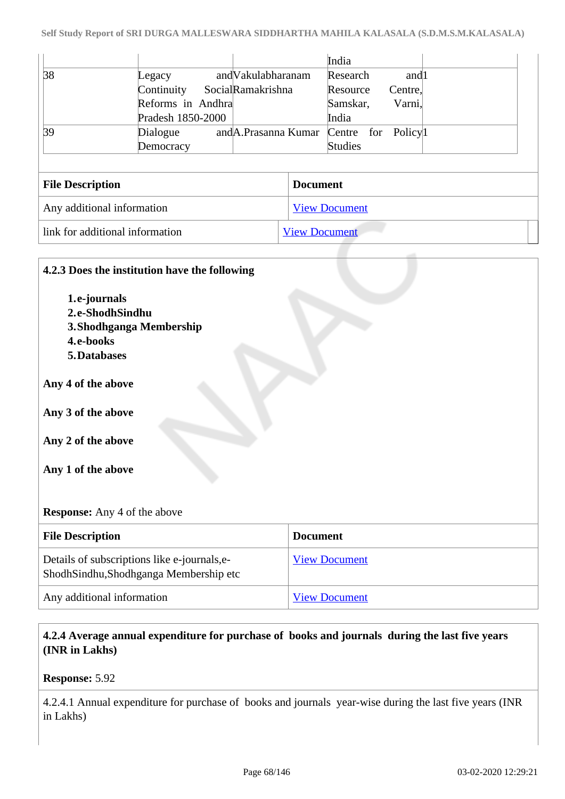| 38<br>39                   | Legacy<br>Continuity<br>Reforms in Andhra<br>Pradesh 1850-2000<br>Dialogue<br>Democracy | India<br>andVakulabharanam<br>Research<br>and <sub>1</sub><br>SocialRamakrishna<br>Resource<br>Centre.<br>Varni,<br>Samskar,<br>India<br>and A. Prasanna Kumar Centre for<br>Policy <sup>[1]</sup><br><b>Studies</b> |
|----------------------------|-----------------------------------------------------------------------------------------|----------------------------------------------------------------------------------------------------------------------------------------------------------------------------------------------------------------------|
| <b>File Description</b>    |                                                                                         | <b>Document</b>                                                                                                                                                                                                      |
| Any additional information |                                                                                         | <b>View Document</b>                                                                                                                                                                                                 |
|                            | link for additional information                                                         | <b>View Document</b>                                                                                                                                                                                                 |

| 4.2.3 Does the institution have the following                                        |                      |
|--------------------------------------------------------------------------------------|----------------------|
| 1.e-journals                                                                         |                      |
| 2.e-ShodhSindhu                                                                      |                      |
| 3. Shodhganga Membership                                                             |                      |
| 4.e-books                                                                            |                      |
| 5. Databases                                                                         |                      |
| Any 4 of the above                                                                   |                      |
| Any 3 of the above                                                                   |                      |
| Any 2 of the above                                                                   |                      |
| Any 1 of the above                                                                   |                      |
| <b>Response:</b> Any 4 of the above                                                  |                      |
| <b>File Description</b>                                                              | <b>Document</b>      |
| Details of subscriptions like e-journals,e-<br>ShodhSindhu,Shodhganga Membership etc | <b>View Document</b> |
| Any additional information                                                           | <b>View Document</b> |

# **4.2.4 Average annual expenditure for purchase of books and journals during the last five years (INR in Lakhs)**

**Response:** 5.92

4.2.4.1 Annual expenditure for purchase of books and journals year-wise during the last five years (INR in Lakhs)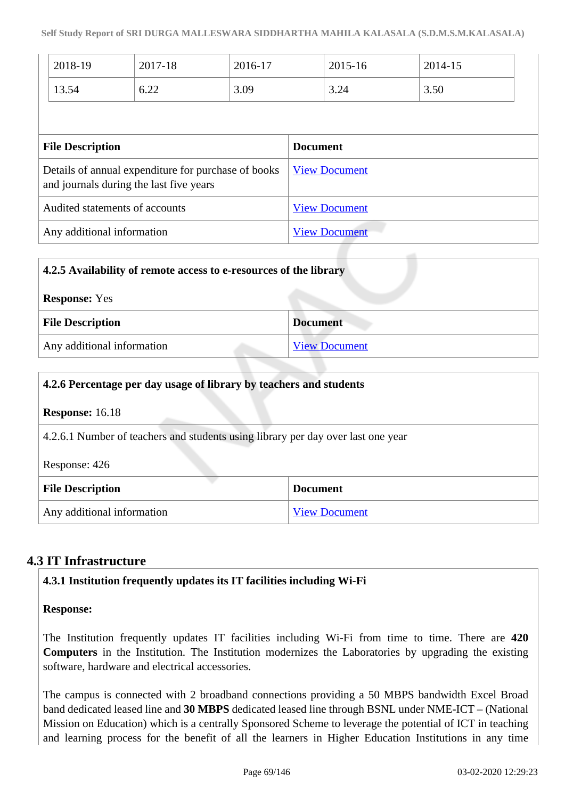| $2018-19$ | 2017-18 | 2016-17 | $2015 - 16$ | 2014-15 |
|-----------|---------|---------|-------------|---------|
| 13.54     | 6.22    | 3.09    | 3.24        | 3.50    |

| <b>File Description</b>                                                                        | <b>Document</b>      |
|------------------------------------------------------------------------------------------------|----------------------|
| Details of annual expenditure for purchase of books<br>and journals during the last five years | <b>View Document</b> |
| Audited statements of accounts                                                                 | <b>View Document</b> |
| Any additional information                                                                     | <b>View Document</b> |

| 4.2.5 Availability of remote access to e-resources of the library |                      |  |
|-------------------------------------------------------------------|----------------------|--|
| <b>Response:</b> Yes                                              |                      |  |
| <b>File Description</b>                                           | <b>Document</b>      |  |
| Any additional information                                        | <b>View Document</b> |  |

| 4.2.6 Percentage per day usage of library by teachers and students               |                      |
|----------------------------------------------------------------------------------|----------------------|
| <b>Response:</b> 16.18                                                           |                      |
| 4.2.6.1 Number of teachers and students using library per day over last one year |                      |
| Response: 426                                                                    |                      |
| <b>File Description</b><br><b>Document</b>                                       |                      |
| Any additional information                                                       | <b>View Document</b> |

# **4.3 IT Infrastructure**

**4.3.1 Institution frequently updates its IT facilities including Wi-Fi**

### **Response:**

The Institution frequently updates IT facilities including Wi-Fi from time to time. There are **420 Computers** in the Institution. The Institution modernizes the Laboratories by upgrading the existing software, hardware and electrical accessories.

The campus is connected with 2 broadband connections providing a 50 MBPS bandwidth Excel Broad band dedicated leased line and **30 MBPS** dedicated leased line through BSNL under NME-ICT – (National Mission on Education) which is a centrally Sponsored Scheme to leverage the potential of ICT in teaching and learning process for the benefit of all the learners in Higher Education Institutions in any time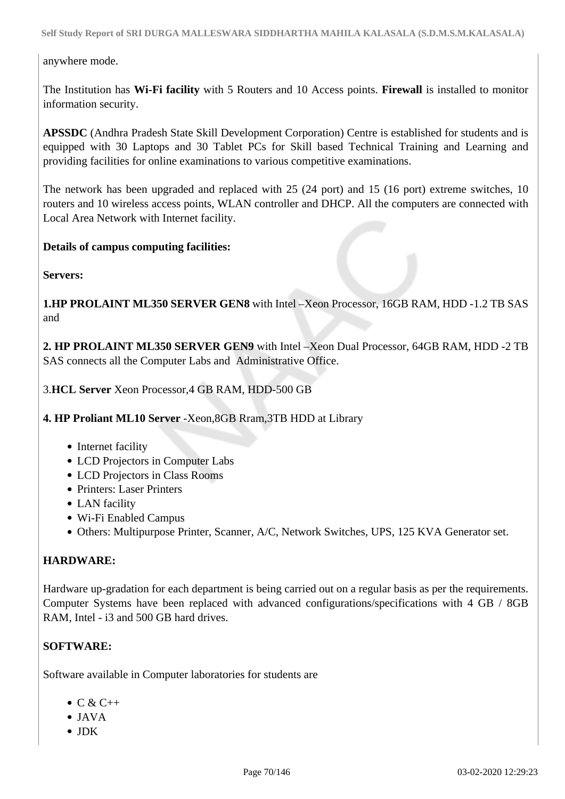anywhere mode.

The Institution has **Wi-Fi facility** with 5 Routers and 10 Access points. **Firewall** is installed to monitor information security.

**APSSDC** (Andhra Pradesh State Skill Development Corporation) Centre is established for students and is equipped with 30 Laptops and 30 Tablet PCs for Skill based Technical Training and Learning and providing facilities for online examinations to various competitive examinations.

The network has been upgraded and replaced with 25 (24 port) and 15 (16 port) extreme switches, 10 routers and 10 wireless access points, WLAN controller and DHCP. All the computers are connected with Local Area Network with Internet facility.

### **Details of campus computing facilities:**

**Servers:**

**1.HP PROLAINT ML350 SERVER GEN8** with Intel –Xeon Processor, 16GB RAM, HDD -1.2 TB SAS and

**2. HP PROLAINT ML350 SERVER GEN9** with Intel –Xeon Dual Processor, 64GB RAM, HDD -2 TB SAS connects all the Computer Labs and Administrative Office.

3.**HCL Server** Xeon Processor,4 GB RAM, HDD-500 GB

**4. HP Proliant ML10 Server** -Xeon,8GB Rram,3TB HDD at Library

- Internet facility
- LCD Projectors in Computer Labs
- LCD Projectors in Class Rooms
- Printers: Laser Printers
- LAN facility
- Wi-Fi Enabled Campus
- Others: Multipurpose Printer, Scanner, A/C, Network Switches, UPS, 125 KVA Generator set.

### **HARDWARE:**

Hardware up-gradation for each department is being carried out on a regular basis as per the requirements. Computer Systems have been replaced with advanced configurations/specifications with 4 GB / 8GB RAM, Intel - i3 and 500 GB hard drives.

### **SOFTWARE:**

Software available in Computer laboratories for students are

- $\bullet$  C & C++
- JAVA
- JDK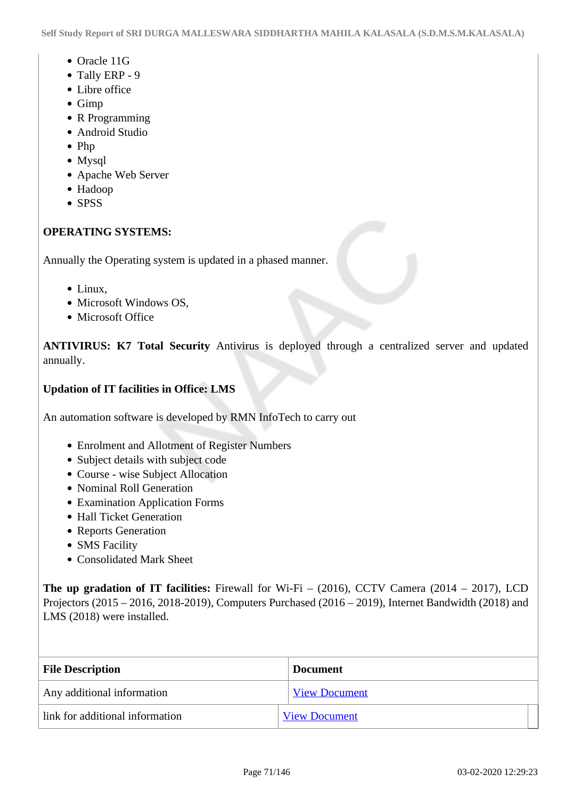- Oracle 11G
- Tally ERP 9
- Libre office
- $\bullet$  Gimp
- R Programming
- Android Studio
- Php
- Mysql
- Apache Web Server
- Hadoop
- SPSS

#### **OPERATING SYSTEMS:**

Annually the Operating system is updated in a phased manner.

- Linux.
- Microsoft Windows OS,
- Microsoft Office

**ANTIVIRUS: K7 Total Security** Antivirus is deployed through a centralized server and updated annually.

### **Updation of IT facilities in Office: LMS**

An automation software is developed by RMN InfoTech to carry out

- Enrolment and Allotment of Register Numbers
- Subject details with subject code
- Course wise Subject Allocation
- Nominal Roll Generation
- Examination Application Forms
- Hall Ticket Generation
- Reports Generation
- SMS Facility
- Consolidated Mark Sheet

**The up gradation of IT facilities:** Firewall for Wi-Fi – (2016), CCTV Camera (2014 – 2017), LCD Projectors (2015 – 2016, 2018-2019), Computers Purchased (2016 – 2019), Internet Bandwidth (2018) and LMS (2018) were installed.

| <b>File Description</b>         | <b>Document</b>      |
|---------------------------------|----------------------|
| Any additional information      | <b>View Document</b> |
| link for additional information | <b>View Document</b> |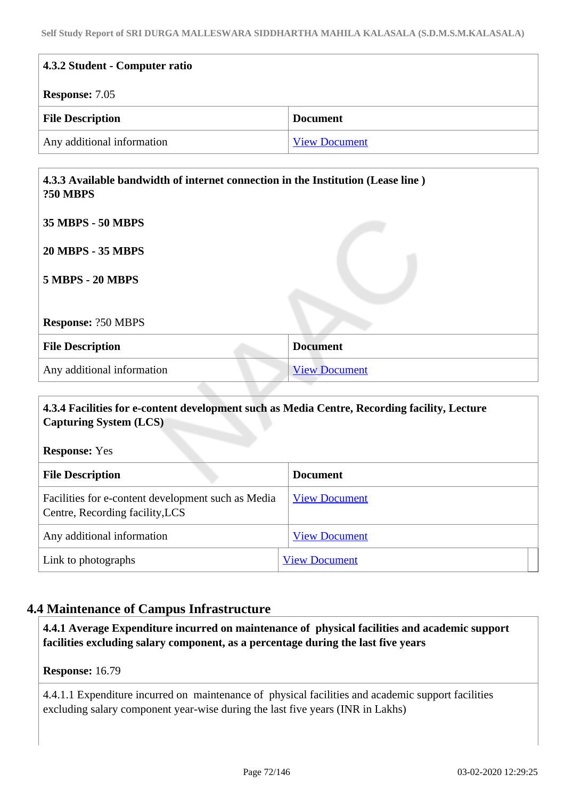| <b>Response: 7.05</b>                                |                                                                                  |
|------------------------------------------------------|----------------------------------------------------------------------------------|
| <b>File Description</b>                              | <b>Document</b>                                                                  |
| Any additional information                           | <b>View Document</b>                                                             |
| <b>?50 MBPS</b>                                      | 4.3.3 Available bandwidth of internet connection in the Institution (Lease line) |
|                                                      |                                                                                  |
| <b>35 MBPS - 50 MBPS</b><br><b>20 MBPS - 35 MBPS</b> |                                                                                  |

| <b>Response: ?50 MBPS</b>  |                      |
|----------------------------|----------------------|
| <b>File Description</b>    | <b>Document</b>      |
| Any additional information | <b>View Document</b> |

### **4.3.4 Facilities for e-content development such as Media Centre, Recording facility, Lecture Capturing System (LCS)**

**Response:** Yes

 $\mathbb{R}^n$ 

| <b>File Description</b>                                                               | <b>Document</b>      |
|---------------------------------------------------------------------------------------|----------------------|
| Facilities for e-content development such as Media<br>Centre, Recording facility, LCS | <b>View Document</b> |
| Any additional information                                                            | <b>View Document</b> |
| Link to photographs                                                                   | <b>View Document</b> |

# **4.4 Maintenance of Campus Infrastructure**

 **4.4.1 Average Expenditure incurred on maintenance of physical facilities and academic support facilities excluding salary component, as a percentage during the last five years**

### **Response:** 16.79

4.4.1.1 Expenditure incurred on maintenance of physical facilities and academic support facilities excluding salary component year-wise during the last five years (INR in Lakhs)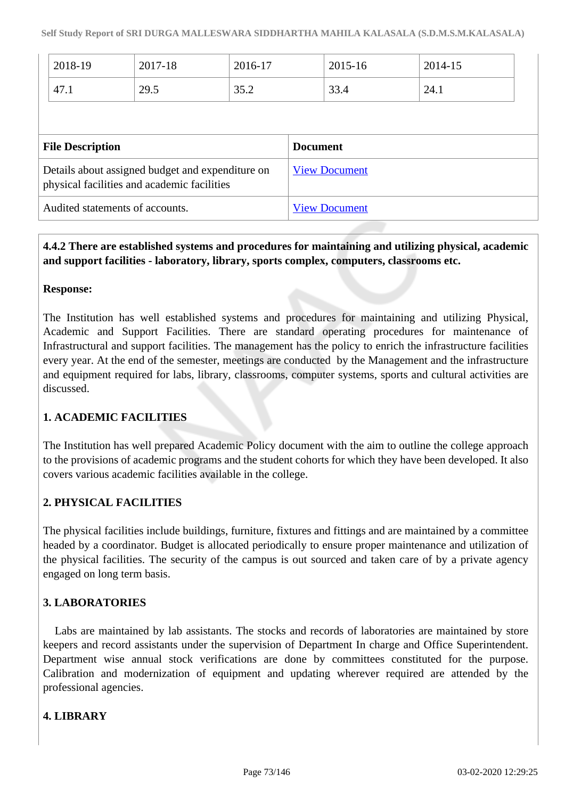| <b>File Description</b> |         |         | <b>Document</b> |         |
|-------------------------|---------|---------|-----------------|---------|
|                         |         |         |                 |         |
| 47.1                    | 29.5    | 35.2    | 33.4            | 24.1    |
| 2018-19                 | 2017-18 | 2016-17 | 2015-16         | 2014-15 |

| <b>File Description</b>                                                                         | Document             |
|-------------------------------------------------------------------------------------------------|----------------------|
| Details about assigned budget and expenditure on<br>physical facilities and academic facilities | <b>View Document</b> |
| Audited statements of accounts.                                                                 | <b>View Document</b> |

 **4.4.2 There are established systems and procedures for maintaining and utilizing physical, academic and support facilities - laboratory, library, sports complex, computers, classrooms etc.**

### **Response:**

The Institution has well established systems and procedures for maintaining and utilizing Physical, Academic and Support Facilities. There are standard operating procedures for maintenance of Infrastructural and support facilities. The management has the policy to enrich the infrastructure facilities every year. At the end of the semester, meetings are conducted by the Management and the infrastructure and equipment required for labs, library, classrooms, computer systems, sports and cultural activities are discussed.

# **1. ACADEMIC FACILITIES**

The Institution has well prepared Academic Policy document with the aim to outline the college approach to the provisions of academic programs and the student cohorts for which they have been developed. It also covers various academic facilities available in the college.

### **2. PHYSICAL FACILITIES**

The physical facilities include buildings, furniture, fixtures and fittings and are maintained by a committee headed by a coordinator. Budget is allocated periodically to ensure proper maintenance and utilization of the physical facilities. The security of the campus is out sourced and taken care of by a private agency engaged on long term basis.

### **3. LABORATORIES**

 Labs are maintained by lab assistants. The stocks and records of laboratories are maintained by store keepers and record assistants under the supervision of Department In charge and Office Superintendent. Department wise annual stock verifications are done by committees constituted for the purpose. Calibration and modernization of equipment and updating wherever required are attended by the professional agencies.

### **4. LIBRARY**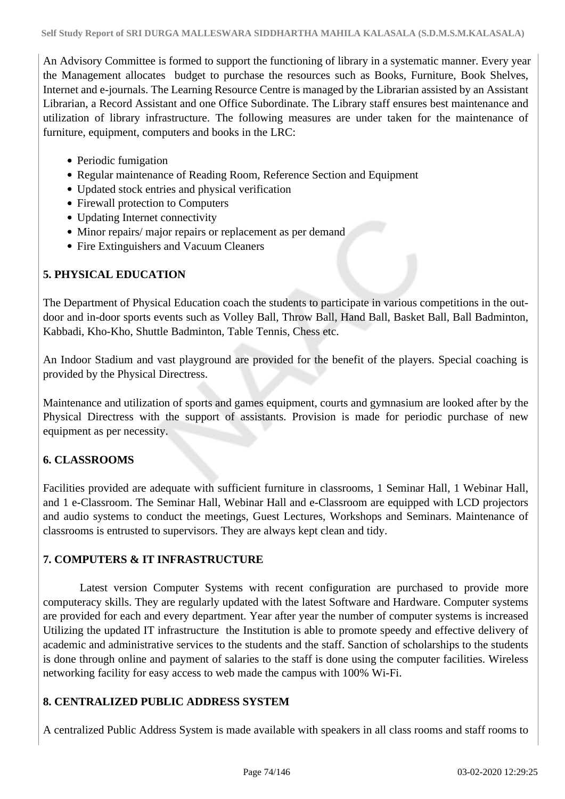An Advisory Committee is formed to support the functioning of library in a systematic manner. Every year the Management allocates budget to purchase the resources such as Books, Furniture, Book Shelves, Internet and e-journals. The Learning Resource Centre is managed by the Librarian assisted by an Assistant Librarian, a Record Assistant and one Office Subordinate. The Library staff ensures best maintenance and utilization of library infrastructure. The following measures are under taken for the maintenance of furniture, equipment, computers and books in the LRC:

- Periodic fumigation
- Regular maintenance of Reading Room, Reference Section and Equipment
- Updated stock entries and physical verification
- Firewall protection to Computers
- Updating Internet connectivity
- Minor repairs/ major repairs or replacement as per demand
- Fire Extinguishers and Vacuum Cleaners

# **5. PHYSICAL EDUCATION**

The Department of Physical Education coach the students to participate in various competitions in the outdoor and in-door sports events such as Volley Ball, Throw Ball, Hand Ball, Basket Ball, Ball Badminton, Kabbadi, Kho-Kho, Shuttle Badminton, Table Tennis, Chess etc.

An Indoor Stadium and vast playground are provided for the benefit of the players. Special coaching is provided by the Physical Directress.

Maintenance and utilization of sports and games equipment, courts and gymnasium are looked after by the Physical Directress with the support of assistants. Provision is made for periodic purchase of new equipment as per necessity.

# **6. CLASSROOMS**

Facilities provided are adequate with sufficient furniture in classrooms, 1 Seminar Hall, 1 Webinar Hall, and 1 e-Classroom. The Seminar Hall, Webinar Hall and e-Classroom are equipped with LCD projectors and audio systems to conduct the meetings, Guest Lectures, Workshops and Seminars. Maintenance of classrooms is entrusted to supervisors. They are always kept clean and tidy.

# **7. COMPUTERS & IT INFRASTRUCTURE**

 Latest version Computer Systems with recent configuration are purchased to provide more computeracy skills. They are regularly updated with the latest Software and Hardware. Computer systems are provided for each and every department. Year after year the number of computer systems is increased Utilizing the updated IT infrastructure the Institution is able to promote speedy and effective delivery of academic and administrative services to the students and the staff. Sanction of scholarships to the students is done through online and payment of salaries to the staff is done using the computer facilities. Wireless networking facility for easy access to web made the campus with 100% Wi-Fi.

# **8. CENTRALIZED PUBLIC ADDRESS SYSTEM**

A centralized Public Address System is made available with speakers in all class rooms and staff rooms to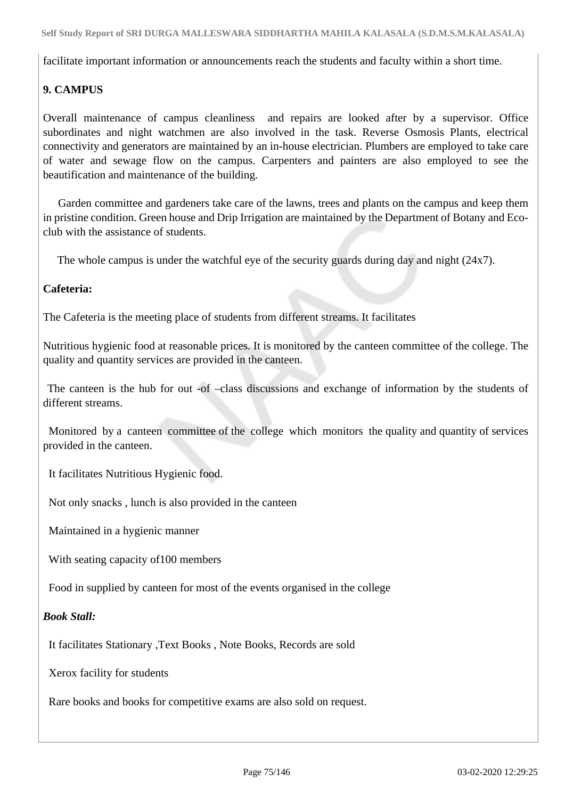facilitate important information or announcements reach the students and faculty within a short time.

# **9. CAMPUS**

Overall maintenance of campus cleanliness and repairs are looked after by a supervisor. Office subordinates and night watchmen are also involved in the task. Reverse Osmosis Plants, electrical connectivity and generators are maintained by an in-house electrician. Plumbers are employed to take care of water and sewage flow on the campus. Carpenters and painters are also employed to see the beautification and maintenance of the building.

 Garden committee and gardeners take care of the lawns, trees and plants on the campus and keep them in pristine condition. Green house and Drip Irrigation are maintained by the Department of Botany and Ecoclub with the assistance of students.

The whole campus is under the watchful eye of the security guards during day and night (24x7).

## **Cafeteria:**

The Cafeteria is the meeting place of students from different streams. It facilitates

Nutritious hygienic food at reasonable prices. It is monitored by the canteen committee of the college. The quality and quantity services are provided in the canteen.

 The canteen is the hub for out -of –class discussions and exchange of information by the students of different streams.

 Monitored by a canteen committee of the college which monitors the quality and quantity of services provided in the canteen.

It facilitates Nutritious Hygienic food.

Not only snacks , lunch is also provided in the canteen

Maintained in a hygienic manner

With seating capacity of100 members

Food in supplied by canteen for most of the events organised in the college

### *Book Stall:*

It facilitates Stationary ,Text Books , Note Books, Records are sold

Xerox facility for students

Rare books and books for competitive exams are also sold on request.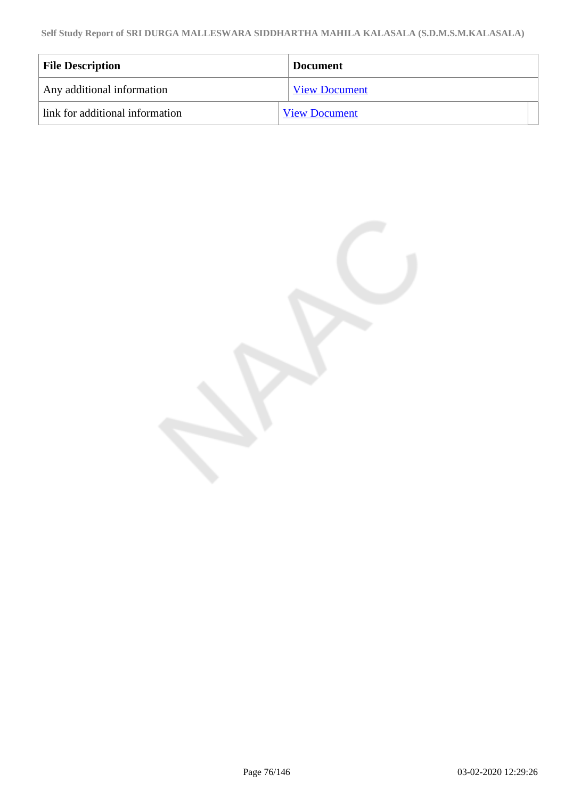| <b>File Description</b>         | <b>Document</b>      |  |
|---------------------------------|----------------------|--|
| Any additional information      | <b>View Document</b> |  |
| link for additional information | <b>View Document</b> |  |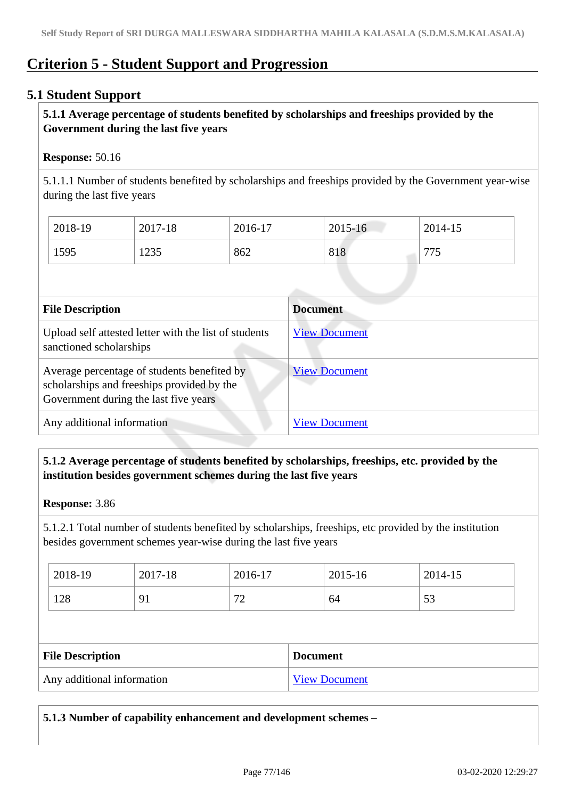# **Criterion 5 - Student Support and Progression**

# **5.1 Student Support**

## **5.1.1 Average percentage of students benefited by scholarships and freeships provided by the Government during the last five years**

### **Response:** 50.16

5.1.1.1 Number of students benefited by scholarships and freeships provided by the Government year-wise during the last five years

| 2018-19 | 2017-18 | 2016-17 | 2015-16 | 2014-15               |
|---------|---------|---------|---------|-----------------------|
| 1595    | 1235    | 862     | 818     | $\overline{a}$<br>ل ا |

| <b>File Description</b>                                                                                                            | <b>Document</b>      |
|------------------------------------------------------------------------------------------------------------------------------------|----------------------|
| Upload self attested letter with the list of students<br>sanctioned scholarships                                                   | <b>View Document</b> |
| Average percentage of students benefited by<br>scholarships and freeships provided by the<br>Government during the last five years | <b>View Document</b> |
| Any additional information                                                                                                         | <b>View Document</b> |

# **5.1.2 Average percentage of students benefited by scholarships, freeships, etc. provided by the institution besides government schemes during the last five years**

### **Response:** 3.86

5.1.2.1 Total number of students benefited by scholarships, freeships, etc provided by the institution besides government schemes year-wise during the last five years

| 2018-19 | 2017-18             | 2016-17           | 2015-16 | 2014-15      |
|---------|---------------------|-------------------|---------|--------------|
| 128     | $Q^{\dagger}$<br>フェ | $\mathbf{a}$<br>∼ | 64      | $\sim$<br>IJ |

| <b>File Description</b>    | <b>Document</b>      |
|----------------------------|----------------------|
| Any additional information | <b>View Document</b> |

**5.1.3 Number of capability enhancement and development schemes –**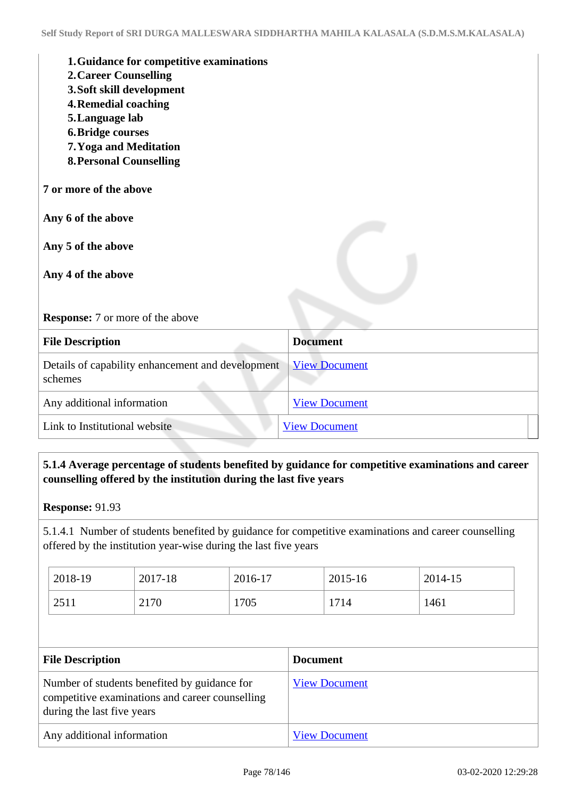| 1. Guidance for competitive examinations                     |                      |
|--------------------------------------------------------------|----------------------|
| <b>2. Career Counselling</b>                                 |                      |
| 3. Soft skill development                                    |                      |
| <b>4. Remedial coaching</b>                                  |                      |
| 5. Language lab                                              |                      |
| <b>6. Bridge courses</b>                                     |                      |
| 7. Yoga and Meditation                                       |                      |
| <b>8. Personal Counselling</b>                               |                      |
| 7 or more of the above                                       |                      |
| Any 6 of the above                                           |                      |
| Any 5 of the above                                           |                      |
| Any 4 of the above                                           |                      |
| <b>Response:</b> 7 or more of the above                      |                      |
| <b>File Description</b>                                      | <b>Document</b>      |
| Details of capability enhancement and development<br>schemes | <b>View Document</b> |
| Any additional information                                   | <b>View Document</b> |
| Link to Institutional website                                | <b>View Document</b> |

## **5.1.4 Average percentage of students benefited by guidance for competitive examinations and career counselling offered by the institution during the last five years**

5.1.4.1 Number of students benefited by guidance for competitive examinations and career counselling offered by the institution year-wise during the last five years

| 2018-19 | 2017-18 | 2016-17 | 2015-16 | 2014-15 |
|---------|---------|---------|---------|---------|
| 2511    | 2170    | 1705    | 1714    | 1461    |

| <b>File Description</b>                                                                                                       | <b>Document</b>      |
|-------------------------------------------------------------------------------------------------------------------------------|----------------------|
| Number of students benefited by guidance for<br>competitive examinations and career counselling<br>during the last five years | <b>View Document</b> |
| Any additional information                                                                                                    | <b>View Document</b> |

**Response:** 91.93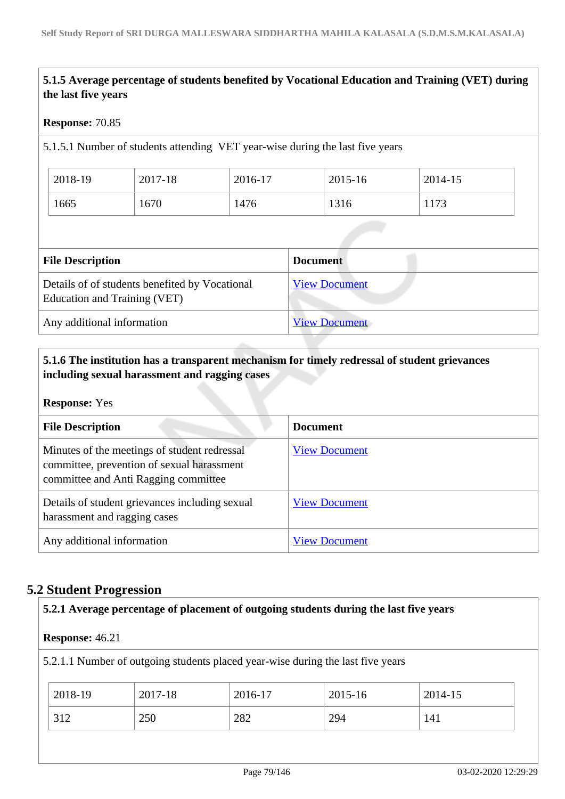# **5.1.5 Average percentage of students benefited by Vocational Education and Training (VET) during the last five years**

### **Response:** 70.85

5.1.5.1 Number of students attending VET year-wise during the last five years

| 2018-19 | 2017-18 | 2016-17 | 2015-16 | 2014-15 |
|---------|---------|---------|---------|---------|
| 1665    | 1670    | 1476    | 1316    | 1173    |

| <b>File Description</b>                                                        | <b>Document</b>      |
|--------------------------------------------------------------------------------|----------------------|
| Details of of students benefited by Vocational<br>Education and Training (VET) | <b>View Document</b> |
| Any additional information                                                     | <b>View Document</b> |

## **5.1.6 The institution has a transparent mechanism for timely redressal of student grievances including sexual harassment and ragging cases**

### **Response:** Yes

| <b>File Description</b>                                                                                                            | <b>Document</b>      |
|------------------------------------------------------------------------------------------------------------------------------------|----------------------|
| Minutes of the meetings of student redressal<br>committee, prevention of sexual harassment<br>committee and Anti Ragging committee | <b>View Document</b> |
| Details of student grievances including sexual<br>harassment and ragging cases                                                     | <b>View Document</b> |
| Any additional information                                                                                                         | <b>View Document</b> |

# **5.2 Student Progression**

| <b>Response: 46.21</b> |         |                                                                                 |         |         |
|------------------------|---------|---------------------------------------------------------------------------------|---------|---------|
|                        |         | 5.2.1.1 Number of outgoing students placed year-wise during the last five years |         |         |
|                        |         |                                                                                 |         |         |
|                        |         |                                                                                 |         |         |
| 2018-19                | 2017-18 | 2016-17                                                                         | 2015-16 | 2014-15 |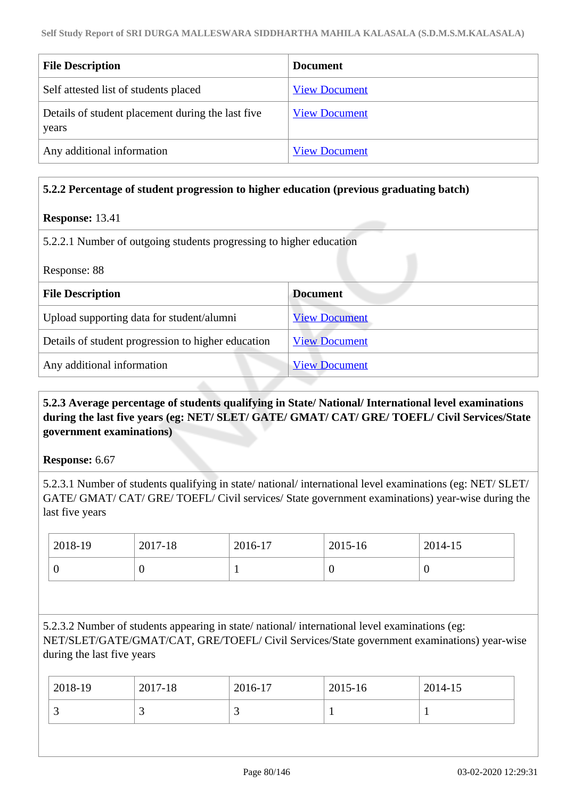| <b>File Description</b>                                    | <b>Document</b>      |
|------------------------------------------------------------|----------------------|
| Self attested list of students placed                      | <b>View Document</b> |
| Details of student placement during the last five<br>years | <b>View Document</b> |
| Any additional information                                 | <b>View Document</b> |

### **5.2.2 Percentage of student progression to higher education (previous graduating batch)**

### **Response:** 13.41

5.2.2.1 Number of outgoing students progressing to higher education

| Response: 88                                       |                      |  |  |
|----------------------------------------------------|----------------------|--|--|
| <b>File Description</b>                            | <b>Document</b>      |  |  |
| Upload supporting data for student/alumni          | <b>View Document</b> |  |  |
| Details of student progression to higher education | <b>View Document</b> |  |  |
| Any additional information                         | <b>View Document</b> |  |  |

## **5.2.3 Average percentage of students qualifying in State/ National/ International level examinations during the last five years (eg: NET/ SLET/ GATE/ GMAT/ CAT/ GRE/ TOEFL/ Civil Services/State government examinations)**

**Response:** 6.67

5.2.3.1 Number of students qualifying in state/ national/ international level examinations (eg: NET/ SLET/ GATE/ GMAT/ CAT/ GRE/ TOEFL/ Civil services/ State government examinations) year-wise during the last five years

| 2018-19 | 2017-18 | 2016-17 | 2015-16 | 2014-15 |
|---------|---------|---------|---------|---------|
|         |         | <br>-   |         |         |

5.2.3.2 Number of students appearing in state/ national/ international level examinations (eg: NET/SLET/GATE/GMAT/CAT, GRE/TOEFL/ Civil Services/State government examinations) year-wise during the last five years

|                          | $^{\circ}$ 2018-19 | 2017-18 | 2016-17 | 2015-16 | 2014-15 |
|--------------------------|--------------------|---------|---------|---------|---------|
| ັ<br>ت<br><u>ب</u><br>л. |                    |         |         |         |         |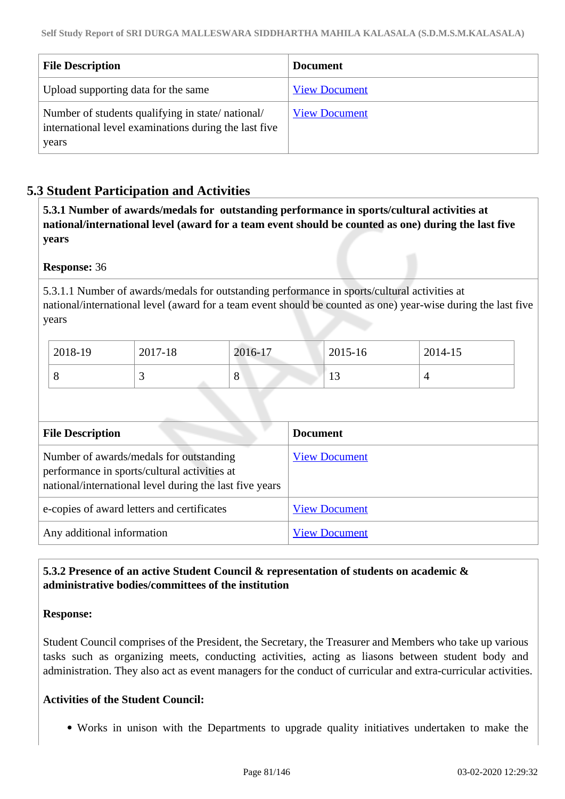| <b>File Description</b>                                                                                            | <b>Document</b>      |
|--------------------------------------------------------------------------------------------------------------------|----------------------|
| Upload supporting data for the same                                                                                | <b>View Document</b> |
| Number of students qualifying in state/national/<br>international level examinations during the last five<br>years | <b>View Document</b> |

# **5.3 Student Participation and Activities**

 **5.3.1 Number of awards/medals for outstanding performance in sports/cultural activities at national/international level (award for a team event should be counted as one) during the last five years**

### **Response:** 36

5.3.1.1 Number of awards/medals for outstanding performance in sports/cultural activities at national/international level (award for a team event should be counted as one) year-wise during the last five years

| 2018-19 | 2017-18  | 2016-17 | 2015-16 | 2014-15 |
|---------|----------|---------|---------|---------|
|         | <u>ب</u> | $\circ$ |         |         |

| <b>File Description</b>                                                                                                                            | <b>Document</b>      |
|----------------------------------------------------------------------------------------------------------------------------------------------------|----------------------|
| Number of awards/medals for outstanding<br>performance in sports/cultural activities at<br>national/international level during the last five years | <b>View Document</b> |
| e-copies of award letters and certificates                                                                                                         | <b>View Document</b> |
| Any additional information                                                                                                                         | <b>View Document</b> |

## **5.3.2 Presence of an active Student Council & representation of students on academic & administrative bodies/committees of the institution**

### **Response:**

Student Council comprises of the President, the Secretary, the Treasurer and Members who take up various tasks such as organizing meets, conducting activities, acting as liasons between student body and administration. They also act as event managers for the conduct of curricular and extra-curricular activities.

### **Activities of the Student Council:**

Works in unison with the Departments to upgrade quality initiatives undertaken to make the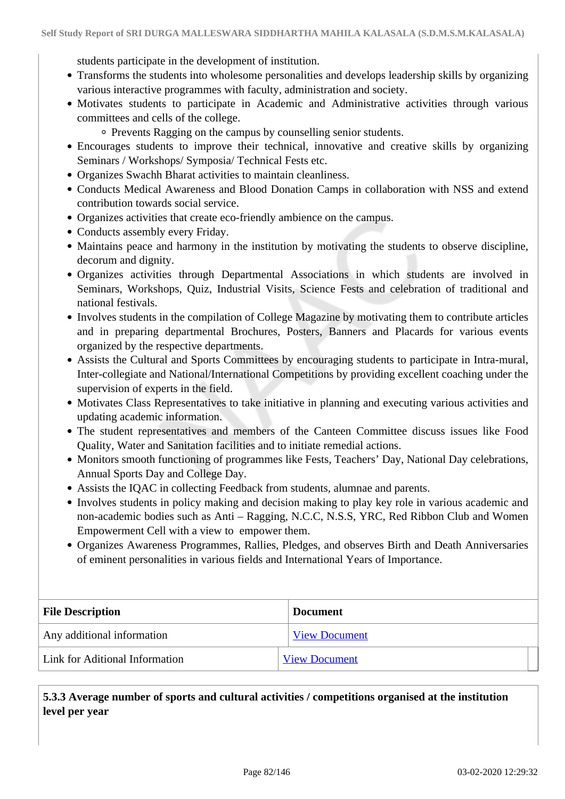students participate in the development of institution.

- Transforms the students into wholesome personalities and develops leadership skills by organizing various interactive programmes with faculty, administration and society.
- Motivates students to participate in Academic and Administrative activities through various committees and cells of the college.
	- Prevents Ragging on the campus by counselling senior students.
- Encourages students to improve their technical, innovative and creative skills by organizing Seminars / Workshops/ Symposia/ Technical Fests etc.
- Organizes Swachh Bharat activities to maintain cleanliness.
- Conducts Medical Awareness and Blood Donation Camps in collaboration with NSS and extend contribution towards social service.
- Organizes activities that create eco-friendly ambience on the campus.
- Conducts assembly every Friday.
- Maintains peace and harmony in the institution by motivating the students to observe discipline, decorum and dignity.
- Organizes activities through Departmental Associations in which students are involved in Seminars, Workshops, Quiz, Industrial Visits, Science Fests and celebration of traditional and national festivals.
- Involves students in the compilation of College Magazine by motivating them to contribute articles and in preparing departmental Brochures, Posters, Banners and Placards for various events organized by the respective departments.
- Assists the Cultural and Sports Committees by encouraging students to participate in Intra-mural, Inter-collegiate and National/International Competitions by providing excellent coaching under the supervision of experts in the field.
- Motivates Class Representatives to take initiative in planning and executing various activities and updating academic information.
- The student representatives and members of the Canteen Committee discuss issues like Food Quality, Water and Sanitation facilities and to initiate remedial actions.
- Monitors smooth functioning of programmes like Fests, Teachers' Day, National Day celebrations, Annual Sports Day and College Day.
- Assists the IQAC in collecting Feedback from students, alumnae and parents.
- Involves students in policy making and decision making to play key role in various academic and non-academic bodies such as Anti – Ragging, N.C.C, N.S.S, YRC, Red Ribbon Club and Women Empowerment Cell with a view to empower them.
- Organizes Awareness Programmes, Rallies, Pledges, and observes Birth and Death Anniversaries of eminent personalities in various fields and International Years of Importance.

| <b>File Description</b>        | <b>Document</b>      |
|--------------------------------|----------------------|
| Any additional information     | <b>View Document</b> |
| Link for Aditional Information | <b>View Document</b> |

 **5.3.3 Average number of sports and cultural activities / competitions organised at the institution level per year**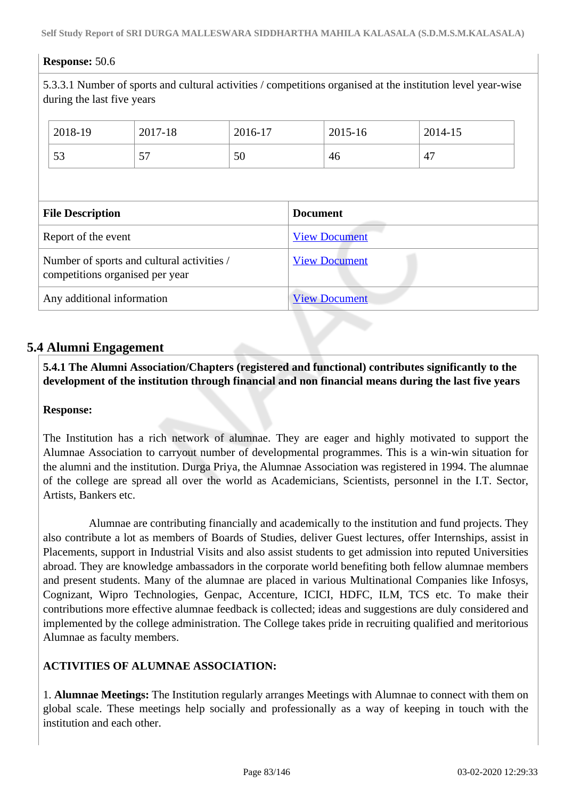### **Response:** 50.6

5.3.3.1 Number of sports and cultural activities / competitions organised at the institution level year-wise during the last five years

| 2018-19                                                                       | 2017-18 | 2016-17              |                      | $2015 - 16$ | 2014-15 |  |
|-------------------------------------------------------------------------------|---------|----------------------|----------------------|-------------|---------|--|
| 53                                                                            | 57      | 50                   |                      | 46          | 47      |  |
|                                                                               |         |                      |                      |             |         |  |
| <b>File Description</b>                                                       |         |                      | <b>Document</b>      |             |         |  |
| Report of the event                                                           |         | <b>View Document</b> |                      |             |         |  |
| Number of sports and cultural activities /<br>competitions organised per year |         | <b>View Document</b> |                      |             |         |  |
| Any additional information                                                    |         |                      | <b>View Document</b> |             |         |  |

# **5.4 Alumni Engagement**

 **5.4.1 The Alumni Association/Chapters (registered and functional) contributes significantly to the development of the institution through financial and non financial means during the last five years**

### **Response:**

The Institution has a rich network of alumnae. They are eager and highly motivated to support the Alumnae Association to carryout number of developmental programmes. This is a win-win situation for the alumni and the institution. Durga Priya, the Alumnae Association was registered in 1994. The alumnae of the college are spread all over the world as Academicians, Scientists, personnel in the I.T. Sector, Artists, Bankers etc.

 Alumnae are contributing financially and academically to the institution and fund projects. They also contribute a lot as members of Boards of Studies, deliver Guest lectures, offer Internships, assist in Placements, support in Industrial Visits and also assist students to get admission into reputed Universities abroad. They are knowledge ambassadors in the corporate world benefiting both fellow alumnae members and present students. Many of the alumnae are placed in various Multinational Companies like Infosys, Cognizant, Wipro Technologies, Genpac, Accenture, ICICI, HDFC, ILM, TCS etc. To make their contributions more effective alumnae feedback is collected; ideas and suggestions are duly considered and implemented by the college administration. The College takes pride in recruiting qualified and meritorious Alumnae as faculty members.

### **ACTIVITIES OF ALUMNAE ASSOCIATION:**

1. **Alumnae Meetings:** The Institution regularly arranges Meetings with Alumnae to connect with them on global scale. These meetings help socially and professionally as a way of keeping in touch with the institution and each other.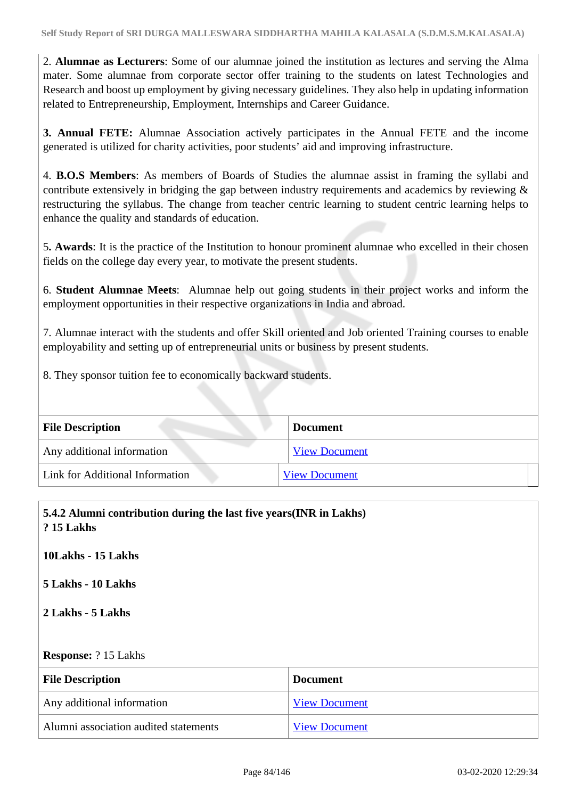2. **Alumnae as Lecturers**: Some of our alumnae joined the institution as lectures and serving the Alma mater. Some alumnae from corporate sector offer training to the students on latest Technologies and Research and boost up employment by giving necessary guidelines. They also help in updating information related to Entrepreneurship, Employment, Internships and Career Guidance.

**3. Annual FETE:** Alumnae Association actively participates in the Annual FETE and the income generated is utilized for charity activities, poor students' aid and improving infrastructure.

4. **B.O.S Members**: As members of Boards of Studies the alumnae assist in framing the syllabi and contribute extensively in bridging the gap between industry requirements and academics by reviewing & restructuring the syllabus. The change from teacher centric learning to student centric learning helps to enhance the quality and standards of education.

5**. Awards**: It is the practice of the Institution to honour prominent alumnae who excelled in their chosen fields on the college day every year, to motivate the present students.

6. **Student Alumnae Meets**: Alumnae help out going students in their project works and inform the employment opportunities in their respective organizations in India and abroad.

7. Alumnae interact with the students and offer Skill oriented and Job oriented Training courses to enable employability and setting up of entrepreneurial units or business by present students.

8. They sponsor tuition fee to economically backward students.

| <b>File Description</b>         | <b>Document</b>      |
|---------------------------------|----------------------|
| Any additional information      | <b>View Document</b> |
| Link for Additional Information | <b>View Document</b> |

| 5.4.2 Alumni contribution during the last five years (INR in Lakhs)<br>? 15 Lakhs |  |  |
|-----------------------------------------------------------------------------------|--|--|
| 10Lakhs - 15 Lakhs                                                                |  |  |
| 5 Lakhs - 10 Lakhs                                                                |  |  |
| 2 Lakhs - 5 Lakhs                                                                 |  |  |
| <b>Response:</b> ? 15 Lakhs                                                       |  |  |
| <b>Document</b><br><b>File Description</b>                                        |  |  |
| <b>View Document</b><br>Any additional information                                |  |  |
| Alumni association audited statements<br><b>View Document</b>                     |  |  |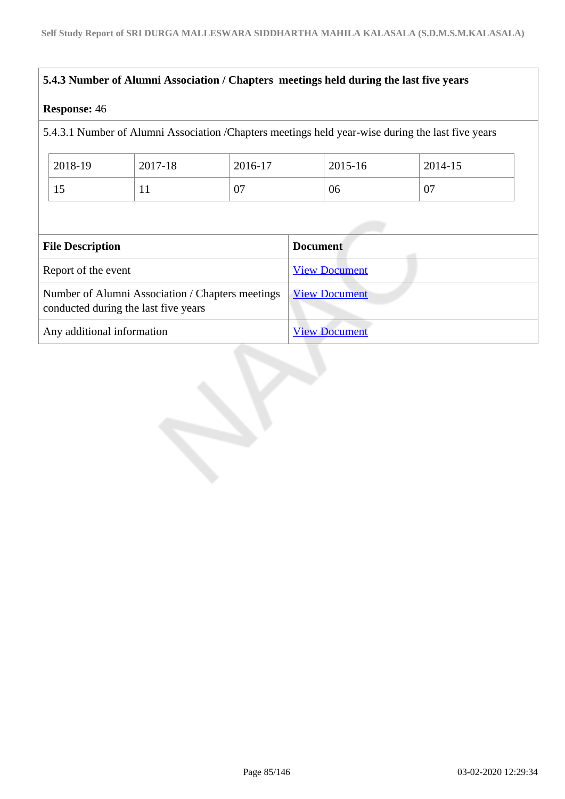|                            |                                                                                          |                      | 5.4.3 Number of Alumni Association / Chapters meetings held during the last five years             |         |
|----------------------------|------------------------------------------------------------------------------------------|----------------------|----------------------------------------------------------------------------------------------------|---------|
| <b>Response: 46</b>        |                                                                                          |                      |                                                                                                    |         |
|                            |                                                                                          |                      | 5.4.3.1 Number of Alumni Association / Chapters meetings held year-wise during the last five years |         |
| 2018-19                    | 2017-18                                                                                  | 2016-17              | 2015-16                                                                                            | 2014-15 |
| 15                         | 11                                                                                       | 07                   | 06                                                                                                 | 07      |
| <b>File Description</b>    |                                                                                          |                      | <b>Document</b>                                                                                    |         |
| Report of the event        |                                                                                          | <b>View Document</b> |                                                                                                    |         |
|                            | Number of Alumni Association / Chapters meetings<br>conducted during the last five years |                      | <b>View Document</b>                                                                               |         |
| Any additional information |                                                                                          |                      | <b>View Document</b>                                                                               |         |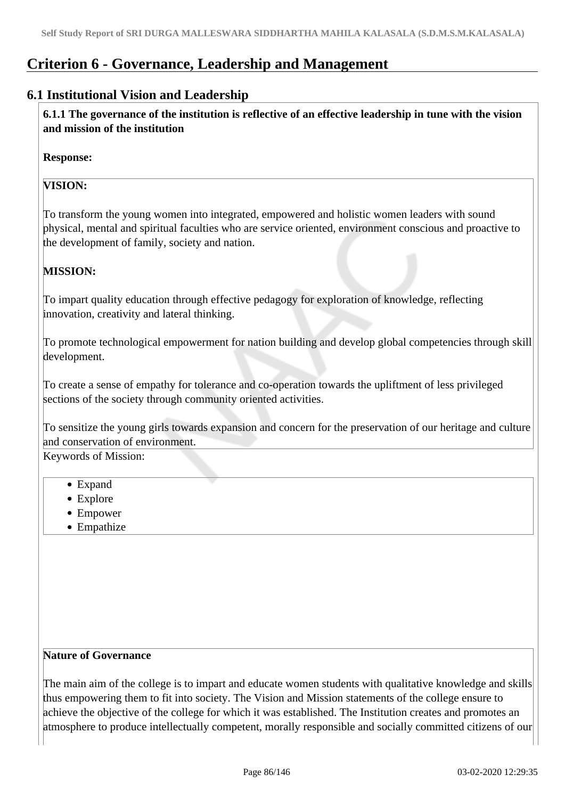# **Criterion 6 - Governance, Leadership and Management**

# **6.1 Institutional Vision and Leadership**

 **6.1.1 The governance of the institution is reflective of an effective leadership in tune with the vision and mission of the institution**

### **Response:**

## **VISION:**

To transform the young women into integrated, empowered and holistic women leaders with sound physical, mental and spiritual faculties who are service oriented, environment conscious and proactive to the development of family, society and nation.

# **MISSION:**

To impart quality education through effective pedagogy for exploration of knowledge, reflecting innovation, creativity and lateral thinking.

To promote technological empowerment for nation building and develop global competencies through skill development.

To create a sense of empathy for tolerance and co-operation towards the upliftment of less privileged sections of the society through community oriented activities.

To sensitize the young girls towards expansion and concern for the preservation of our heritage and culture and conservation of environment.

Keywords of Mission:

- Expand
- Explore
- Empower
- Empathize

### **Nature of Governance**

The main aim of the college is to impart and educate women students with qualitative knowledge and skills thus empowering them to fit into society. The Vision and Mission statements of the college ensure to achieve the objective of the college for which it was established. The Institution creates and promotes an atmosphere to produce intellectually competent, morally responsible and socially committed citizens of our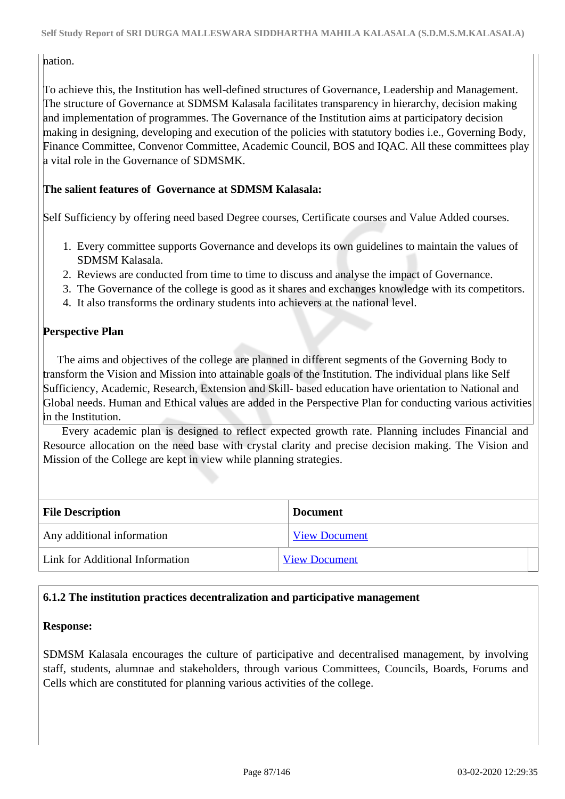# nation.

To achieve this, the Institution has well-defined structures of Governance, Leadership and Management. The structure of Governance at SDMSM Kalasala facilitates transparency in hierarchy, decision making and implementation of programmes. The Governance of the Institution aims at participatory decision making in designing, developing and execution of the policies with statutory bodies i.e., Governing Body, Finance Committee, Convenor Committee, Academic Council, BOS and IQAC. All these committees play a vital role in the Governance of SDMSMK.

## **The salient features of Governance at SDMSM Kalasala:**

Self Sufficiency by offering need based Degree courses, Certificate courses and Value Added courses.

- 1. Every committee supports Governance and develops its own guidelines to maintain the values of SDMSM Kalasala.
- 2. Reviews are conducted from time to time to discuss and analyse the impact of Governance.
- 3. The Governance of the college is good as it shares and exchanges knowledge with its competitors.
- 4. It also transforms the ordinary students into achievers at the national level.

## **Perspective Plan**

 The aims and objectives of the college are planned in different segments of the Governing Body to transform the Vision and Mission into attainable goals of the Institution. The individual plans like Self Sufficiency, Academic, Research, Extension and Skill- based education have orientation to National and Global needs. Human and Ethical values are added in the Perspective Plan for conducting various activities in the Institution.

 Every academic plan is designed to reflect expected growth rate. Planning includes Financial and Resource allocation on the need base with crystal clarity and precise decision making. The Vision and Mission of the College are kept in view while planning strategies.

| <b>File Description</b>         | <b>Document</b>      |
|---------------------------------|----------------------|
| Any additional information      | <b>View Document</b> |
| Link for Additional Information | <b>View Document</b> |

### **6.1.2 The institution practices decentralization and participative management**

### **Response:**

SDMSM Kalasala encourages the culture of participative and decentralised management, by involving staff, students, alumnae and stakeholders, through various Committees, Councils, Boards, Forums and Cells which are constituted for planning various activities of the college.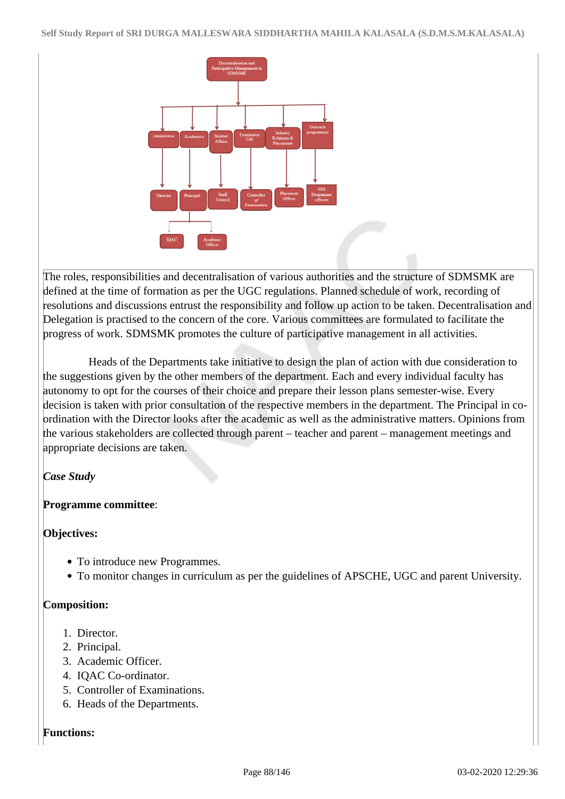

The roles, responsibilities and decentralisation of various authorities and the structure of SDMSMK are defined at the time of formation as per the UGC regulations. Planned schedule of work, recording of resolutions and discussions entrust the responsibility and follow up action to be taken. Decentralisation and Delegation is practised to the concern of the core. Various committees are formulated to facilitate the progress of work. SDMSMK promotes the culture of participative management in all activities.

 Heads of the Departments take initiative to design the plan of action with due consideration to the suggestions given by the other members of the department. Each and every individual faculty has autonomy to opt for the courses of their choice and prepare their lesson plans semester-wise. Every decision is taken with prior consultation of the respective members in the department. The Principal in coordination with the Director looks after the academic as well as the administrative matters. Opinions from the various stakeholders are collected through parent – teacher and parent – management meetings and appropriate decisions are taken.

*Case Study* 

# **Programme committee**:

# **Objectives:**

- To introduce new Programmes.
- To monitor changes in curriculum as per the guidelines of APSCHE, UGC and parent University.

# **Composition:**

- 1. Director.
- 2. Principal.
- 3. Academic Officer.
- 4. IQAC Co-ordinator.
- 5. Controller of Examinations.
- 6. Heads of the Departments.

# **Functions:**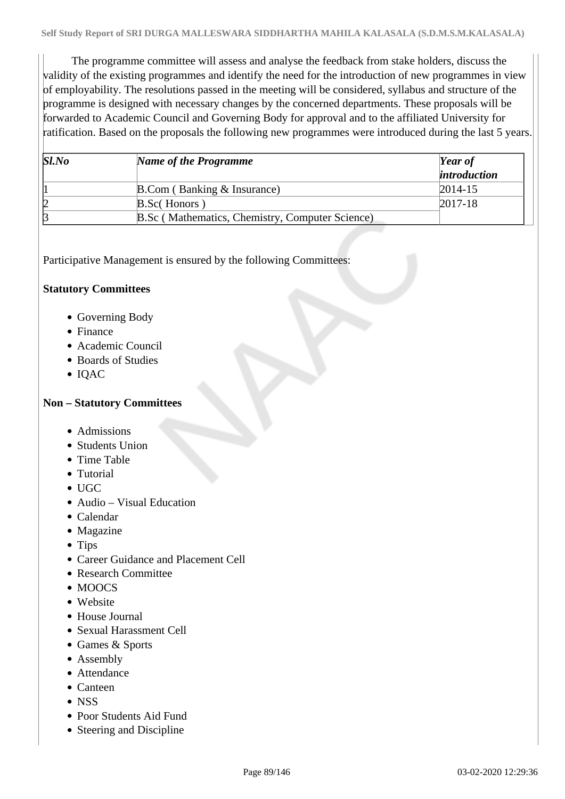The programme committee will assess and analyse the feedback from stake holders, discuss the validity of the existing programmes and identify the need for the introduction of new programmes in view of employability. The resolutions passed in the meeting will be considered, syllabus and structure of the programme is designed with necessary changes by the concerned departments. These proposals will be forwarded to Academic Council and Governing Body for approval and to the affiliated University for ratification. Based on the proposals the following new programmes were introduced during the last 5 years.

| SI. No | Name of the Programme                           | Year of      |
|--------|-------------------------------------------------|--------------|
|        |                                                 | introduction |
|        | <b>B.Com</b> (Banking & Insurance)              | $2014 - 15$  |
| 12     | B.Sc(Honors)                                    | $2017 - 18$  |
| B      | B.Sc (Mathematics, Chemistry, Computer Science) |              |

Participative Management is ensured by the following Committees:

## **Statutory Committees**

- Governing Body
- Finance
- Academic Council
- Boards of Studies
- IOAC

### **Non – Statutory Committees**

- Admissions
- Students Union
- Time Table
- Tutorial
- $\bullet$  UGC
- Audio Visual Education
- Calendar
- Magazine
- $\bullet$  Tips
- Career Guidance and Placement Cell
- Research Committee
- MOOCS
- Website
- House Journal
- Sexual Harassment Cell
- Games & Sports
- Assembly
- Attendance
- Canteen
- NSS
- Poor Students Aid Fund
- Steering and Discipline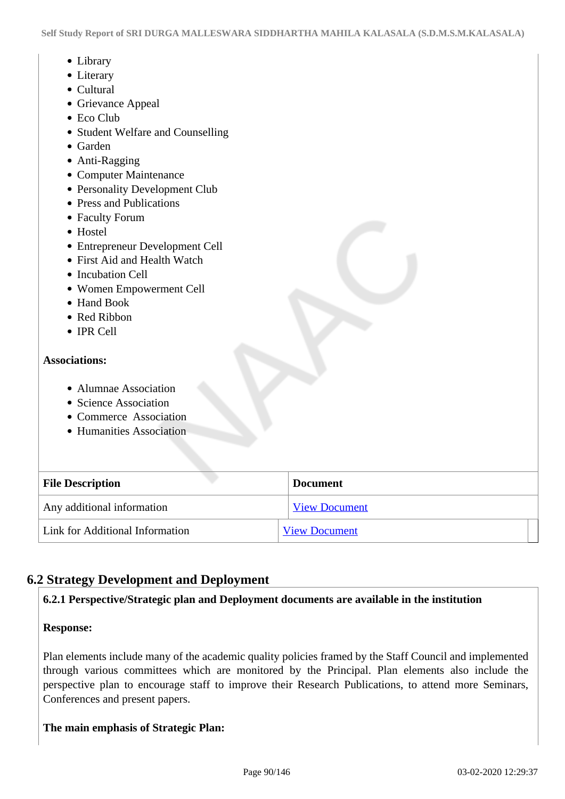- Library
- Literary
- Cultural
- Grievance Appeal
- Eco Club
- Student Welfare and Counselling
- Garden
- Anti-Ragging
- Computer Maintenance
- Personality Development Club
- Press and Publications
- Faculty Forum
- Hostel
- Entrepreneur Development Cell
- First Aid and Health Watch
- Incubation Cell
- Women Empowerment Cell
- Hand Book
- Red Ribbon
- IPR Cell

### **Associations:**

- Alumnae Association
- Science Association
- Commerce Association
- Humanities Association

| <b>File Description</b>         | <b>Document</b>      |
|---------------------------------|----------------------|
| Any additional information      | <b>View Document</b> |
| Link for Additional Information | <b>View Document</b> |

# **6.2 Strategy Development and Deployment**

### **6.2.1 Perspective/Strategic plan and Deployment documents are available in the institution**

### **Response:**

Plan elements include many of the academic quality policies framed by the Staff Council and implemented through various committees which are monitored by the Principal. Plan elements also include the perspective plan to encourage staff to improve their Research Publications, to attend more Seminars, Conferences and present papers.

### **The main emphasis of Strategic Plan:**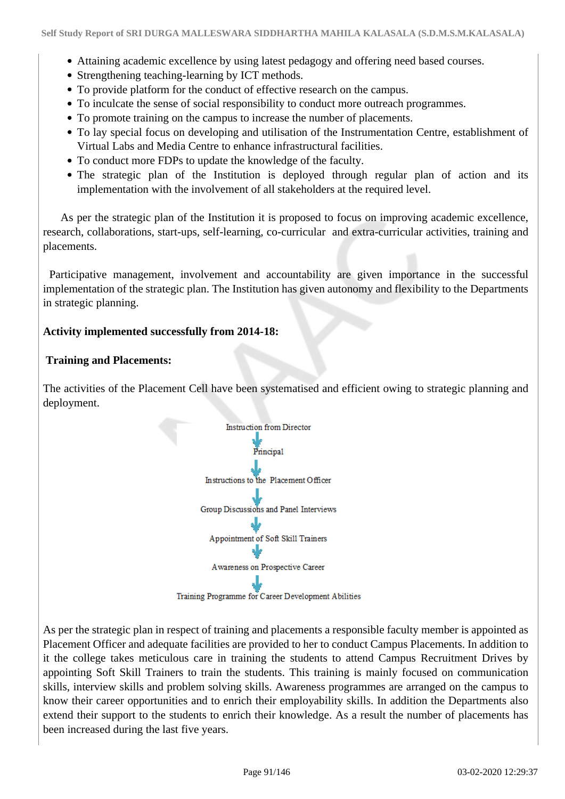- Attaining academic excellence by using latest pedagogy and offering need based courses.
- Strengthening teaching-learning by ICT methods.
- To provide platform for the conduct of effective research on the campus.
- To inculcate the sense of social responsibility to conduct more outreach programmes.
- To promote training on the campus to increase the number of placements.
- To lay special focus on developing and utilisation of the Instrumentation Centre, establishment of Virtual Labs and Media Centre to enhance infrastructural facilities.
- To conduct more FDPs to update the knowledge of the faculty.
- The strategic plan of the Institution is deployed through regular plan of action and its implementation with the involvement of all stakeholders at the required level.

 As per the strategic plan of the Institution it is proposed to focus on improving academic excellence, research, collaborations, start-ups, self-learning, co-curricular and extra-curricular activities, training and placements.

 Participative management, involvement and accountability are given importance in the successful implementation of the strategic plan. The Institution has given autonomy and flexibility to the Departments in strategic planning.

## **Activity implemented successfully from 2014-18:**

### **Training and Placements:**

The activities of the Placement Cell have been systematised and efficient owing to strategic planning and deployment.



Training Programme for Career Development Abilities

As per the strategic plan in respect of training and placements a responsible faculty member is appointed as Placement Officer and adequate facilities are provided to her to conduct Campus Placements. In addition to it the college takes meticulous care in training the students to attend Campus Recruitment Drives by appointing Soft Skill Trainers to train the students. This training is mainly focused on communication skills, interview skills and problem solving skills. Awareness programmes are arranged on the campus to know their career opportunities and to enrich their employability skills. In addition the Departments also extend their support to the students to enrich their knowledge. As a result the number of placements has been increased during the last five years.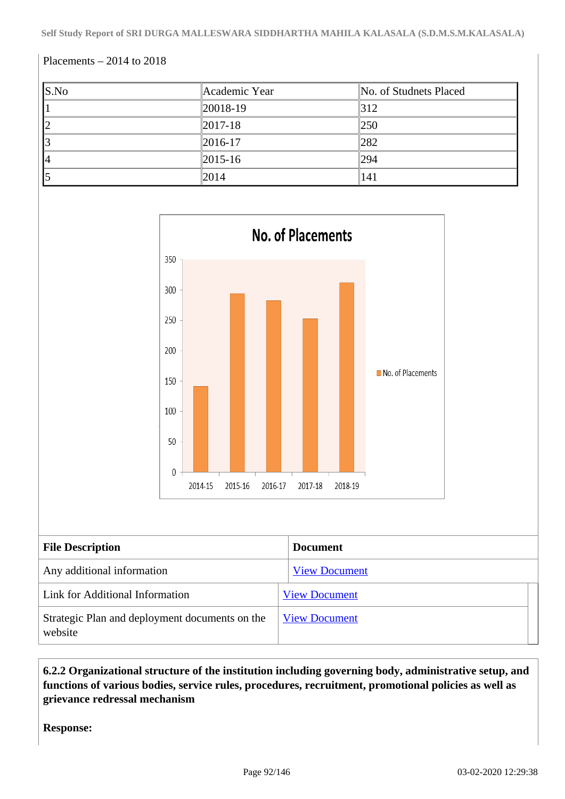# Placements – 2014 to 2018

| $\vert$ S.No | Academic Year | No. of Studnets Placed |
|--------------|---------------|------------------------|
|              | 20018-19      | 312                    |
| 2            | $ 2017 - 18 $ | 250                    |
| 13           | $ 2016-17$    | 282                    |
| 14           | $ 2015 - 16 $ | 294                    |
| 15           | 2014          | 141                    |



| <b>File Description</b>                                   | <b>Document</b>      |
|-----------------------------------------------------------|----------------------|
| Any additional information                                | <b>View Document</b> |
| Link for Additional Information                           | <b>View Document</b> |
| Strategic Plan and deployment documents on the<br>website | <b>View Document</b> |

 **6.2.2 Organizational structure of the institution including governing body, administrative setup, and functions of various bodies, service rules, procedures, recruitment, promotional policies as well as grievance redressal mechanism**

**Response:**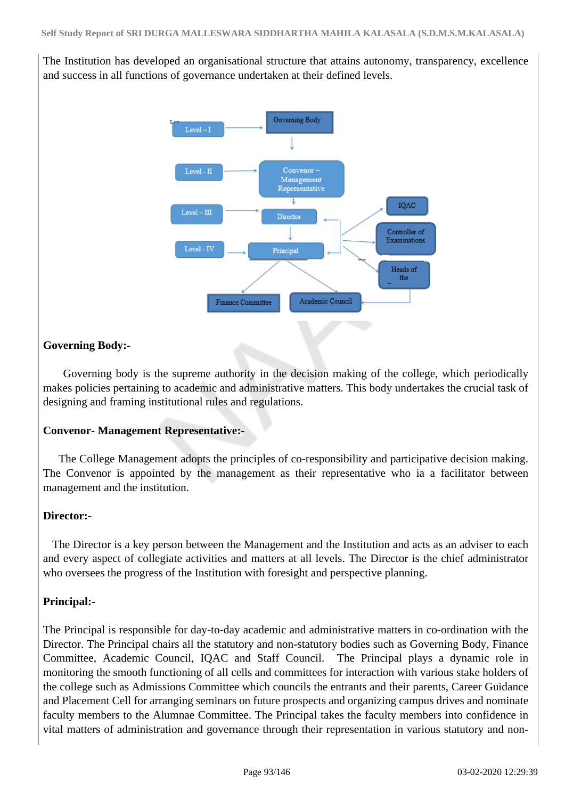The Institution has developed an organisational structure that attains autonomy, transparency, excellence and success in all functions of governance undertaken at their defined levels.



# **Governing Body:-**

 Governing body is the supreme authority in the decision making of the college, which periodically makes policies pertaining to academic and administrative matters. This body undertakes the crucial task of designing and framing institutional rules and regulations.

# **Convenor- Management Representative:-**

 The College Management adopts the principles of co-responsibility and participative decision making. The Convenor is appointed by the management as their representative who ia a facilitator between management and the institution.

### **Director:-**

 The Director is a key person between the Management and the Institution and acts as an adviser to each and every aspect of collegiate activities and matters at all levels. The Director is the chief administrator who oversees the progress of the Institution with foresight and perspective planning.

### **Principal:-**

The Principal is responsible for day-to-day academic and administrative matters in co-ordination with the Director. The Principal chairs all the statutory and non-statutory bodies such as Governing Body, Finance Committee, Academic Council, IQAC and Staff Council. The Principal plays a dynamic role in monitoring the smooth functioning of all cells and committees for interaction with various stake holders of the college such as Admissions Committee which councils the entrants and their parents, Career Guidance and Placement Cell for arranging seminars on future prospects and organizing campus drives and nominate faculty members to the Alumnae Committee. The Principal takes the faculty members into confidence in vital matters of administration and governance through their representation in various statutory and non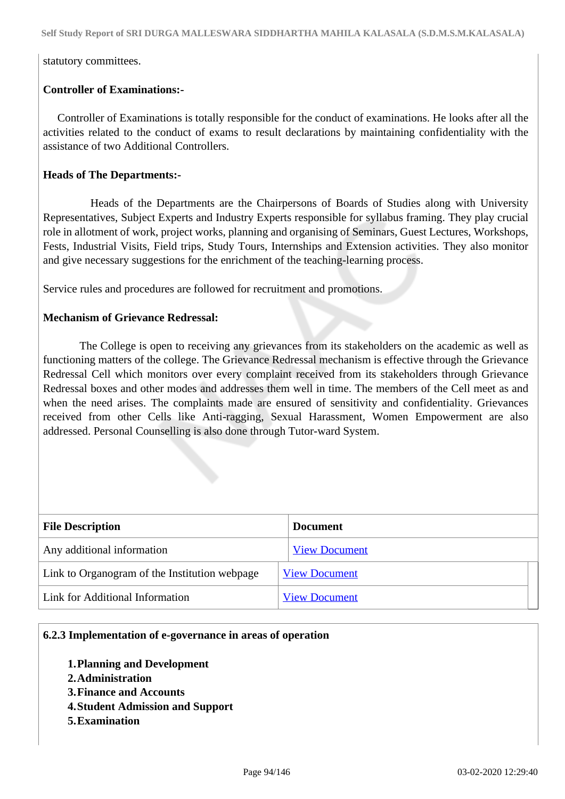statutory committees.

### **Controller of Examinations:-**

 Controller of Examinations is totally responsible for the conduct of examinations. He looks after all the activities related to the conduct of exams to result declarations by maintaining confidentiality with the assistance of two Additional Controllers.

### **Heads of The Departments:-**

 Heads of the Departments are the Chairpersons of Boards of Studies along with University Representatives, Subject Experts and Industry Experts responsible for syllabus framing. They play crucial role in allotment of work, project works, planning and organising of Seminars, Guest Lectures, Workshops, Fests, Industrial Visits, Field trips, Study Tours, Internships and Extension activities. They also monitor and give necessary suggestions for the enrichment of the teaching-learning process.

Service rules and procedures are followed for recruitment and promotions.

#### **Mechanism of Grievance Redressal:**

 The College is open to receiving any grievances from its stakeholders on the academic as well as functioning matters of the college. The Grievance Redressal mechanism is effective through the Grievance Redressal Cell which monitors over every complaint received from its stakeholders through Grievance Redressal boxes and other modes and addresses them well in time. The members of the Cell meet as and when the need arises. The complaints made are ensured of sensitivity and confidentiality. Grievances received from other Cells like Anti-ragging, Sexual Harassment, Women Empowerment are also addressed. Personal Counselling is also done through Tutor-ward System.

| <b>File Description</b>                       | <b>Document</b>      |
|-----------------------------------------------|----------------------|
| Any additional information                    | <b>View Document</b> |
| Link to Organogram of the Institution webpage | <b>View Document</b> |
| Link for Additional Information               | <b>View Document</b> |

#### **6.2.3 Implementation of e-governance in areas of operation**

- **1.Planning and Development**
- **2.Administration**
- **3.Finance and Accounts**
- **4.Student Admission and Support**
- **5.Examination**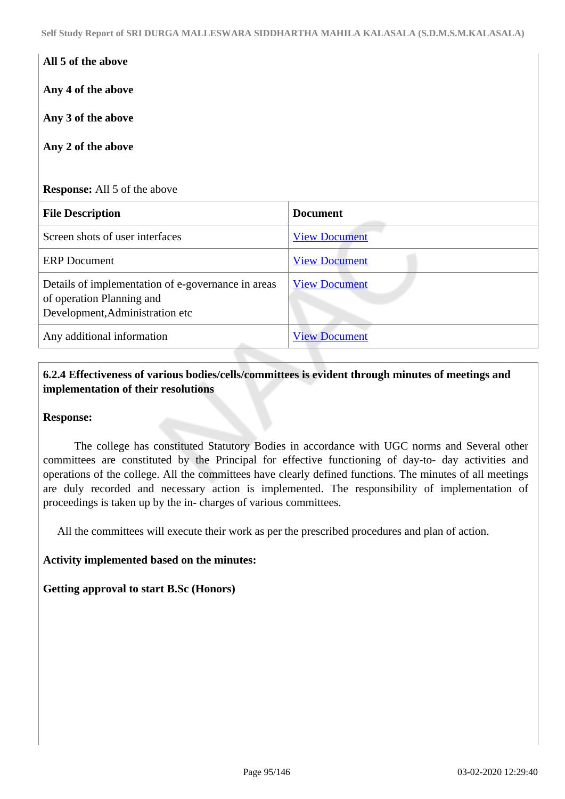**All 5 of the above**

**Any 4 of the above**

**Any 3 of the above**

**Any 2 of the above**

**Response:** All 5 of the above

| <b>File Description</b>                                                                                            | <b>Document</b>      |
|--------------------------------------------------------------------------------------------------------------------|----------------------|
| Screen shots of user interfaces                                                                                    | <b>View Document</b> |
| <b>ERP</b> Document                                                                                                | <b>View Document</b> |
| Details of implementation of e-governance in areas<br>of operation Planning and<br>Development, Administration etc | <b>View Document</b> |
| Any additional information                                                                                         | <b>View Document</b> |

# **6.2.4 Effectiveness of various bodies/cells/committees is evident through minutes of meetings and implementation of their resolutions**

### **Response:**

 The college has constituted Statutory Bodies in accordance with UGC norms and Several other committees are constituted by the Principal for effective functioning of day-to- day activities and operations of the college. All the committees have clearly defined functions. The minutes of all meetings are duly recorded and necessary action is implemented. The responsibility of implementation of proceedings is taken up by the in- charges of various committees.

All the committees will execute their work as per the prescribed procedures and plan of action.

**Activity implemented based on the minutes:**

**Getting approval to start B.Sc (Honors)**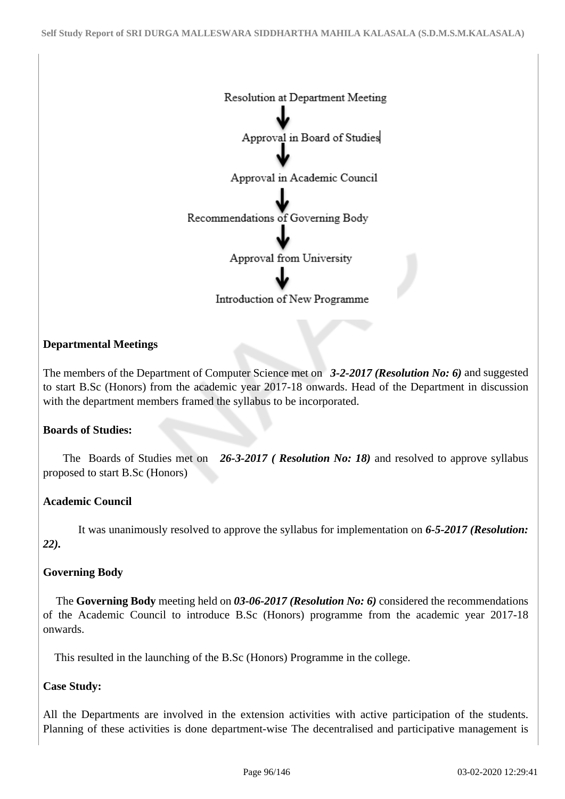

### **Departmental Meetings**

The members of the Department of Computer Science met on *3-2-2017 (Resolution No: 6)* and suggested to start B.Sc (Honors) from the academic year 2017-18 onwards. Head of the Department in discussion with the department members framed the syllabus to be incorporated.

### **Boards of Studies:**

 The Boards of Studies met on *26-3-2017 ( Resolution No: 18)* and resolved to approve syllabus proposed to start B.Sc (Honors)

### **Academic Council**

 It was unanimously resolved to approve the syllabus for implementation on *6-5-2017 (Resolution: 22).*

### **Governing Body**

 The **Governing Body** meeting held on *03-06-2017 (Resolution No: 6)* considered the recommendations of the Academic Council to introduce B.Sc (Honors) programme from the academic year 2017-18 onwards.

This resulted in the launching of the B.Sc (Honors) Programme in the college.

### **Case Study:**

All the Departments are involved in the extension activities with active participation of the students. Planning of these activities is done department-wise The decentralised and participative management is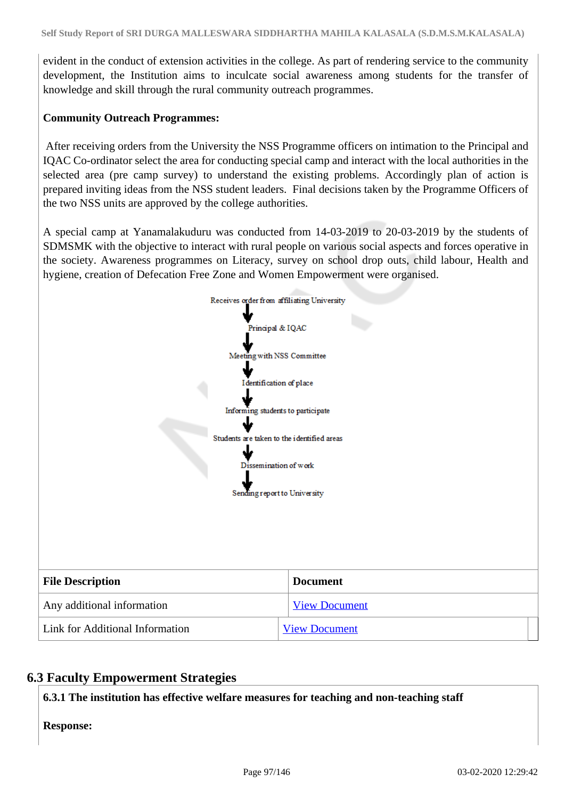evident in the conduct of extension activities in the college. As part of rendering service to the community development, the Institution aims to inculcate social awareness among students for the transfer of knowledge and skill through the rural community outreach programmes.

### **Community Outreach Programmes:**

 After receiving orders from the University the NSS Programme officers on intimation to the Principal and IQAC Co-ordinator select the area for conducting special camp and interact with the local authorities in the selected area (pre camp survey) to understand the existing problems. Accordingly plan of action is prepared inviting ideas from the NSS student leaders. Final decisions taken by the Programme Officers of the two NSS units are approved by the college authorities.

A special camp at Yanamalakuduru was conducted from 14-03-2019 to 20-03-2019 by the students of SDMSMK with the objective to interact with rural people on various social aspects and forces operative in the society. Awareness programmes on Literacy, survey on school drop outs, child labour, Health and hygiene, creation of Defecation Free Zone and Women Empowerment were organised.



# **6.3 Faculty Empowerment Strategies**

**6.3.1 The institution has effective welfare measures for teaching and non-teaching staff**

**Response:**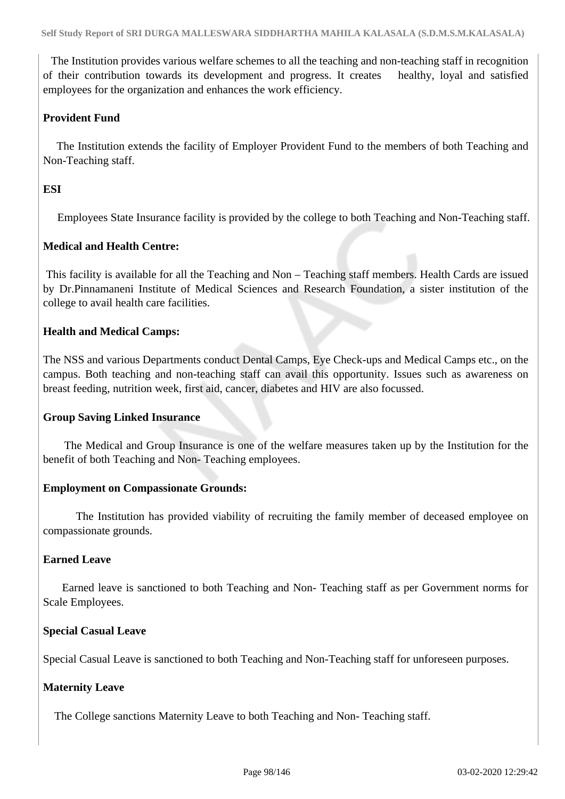The Institution provides various welfare schemes to all the teaching and non-teaching staff in recognition of their contribution towards its development and progress. It creates healthy, loyal and satisfied employees for the organization and enhances the work efficiency.

## **Provident Fund**

 The Institution extends the facility of Employer Provident Fund to the members of both Teaching and Non-Teaching staff.

## **ESI**

Employees State Insurance facility is provided by the college to both Teaching and Non-Teaching staff.

## **Medical and Health Centre:**

 This facility is available for all the Teaching and Non – Teaching staff members. Health Cards are issued by Dr.Pinnamaneni Institute of Medical Sciences and Research Foundation, a sister institution of the college to avail health care facilities.

## **Health and Medical Camps:**

The NSS and various Departments conduct Dental Camps, Eye Check-ups and Medical Camps etc., on the campus. Both teaching and non-teaching staff can avail this opportunity. Issues such as awareness on breast feeding, nutrition week, first aid, cancer, diabetes and HIV are also focussed.

### **Group Saving Linked Insurance**

 The Medical and Group Insurance is one of the welfare measures taken up by the Institution for the benefit of both Teaching and Non- Teaching employees.

### **Employment on Compassionate Grounds:**

 The Institution has provided viability of recruiting the family member of deceased employee on compassionate grounds.

### **Earned Leave**

 Earned leave is sanctioned to both Teaching and Non- Teaching staff as per Government norms for Scale Employees.

### **Special Casual Leave**

Special Casual Leave is sanctioned to both Teaching and Non-Teaching staff for unforeseen purposes.

### **Maternity Leave**

The College sanctions Maternity Leave to both Teaching and Non- Teaching staff.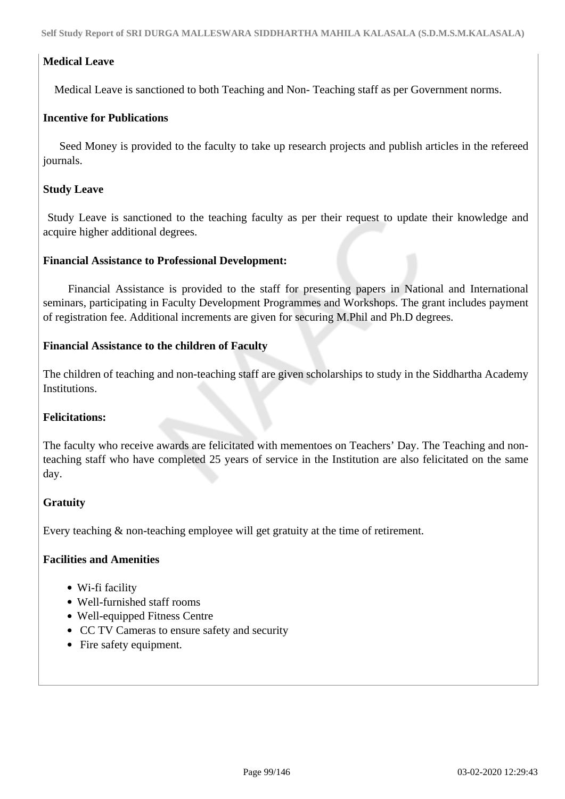### **Medical Leave**

Medical Leave is sanctioned to both Teaching and Non- Teaching staff as per Government norms.

### **Incentive for Publications**

 Seed Money is provided to the faculty to take up research projects and publish articles in the refereed journals.

### **Study Leave**

 Study Leave is sanctioned to the teaching faculty as per their request to update their knowledge and acquire higher additional degrees.

### **Financial Assistance to Professional Development:**

 Financial Assistance is provided to the staff for presenting papers in National and International seminars, participating in Faculty Development Programmes and Workshops. The grant includes payment of registration fee. Additional increments are given for securing M.Phil and Ph.D degrees.

### **Financial Assistance to the children of Faculty**

The children of teaching and non-teaching staff are given scholarships to study in the Siddhartha Academy Institutions.

### **Felicitations:**

The faculty who receive awards are felicitated with mementoes on Teachers' Day. The Teaching and nonteaching staff who have completed 25 years of service in the Institution are also felicitated on the same day.

### **Gratuity**

Every teaching & non-teaching employee will get gratuity at the time of retirement.

### **Facilities and Amenities**

- Wi-fi facility
- Well-furnished staff rooms
- Well-equipped Fitness Centre
- CC TV Cameras to ensure safety and security
- Fire safety equipment.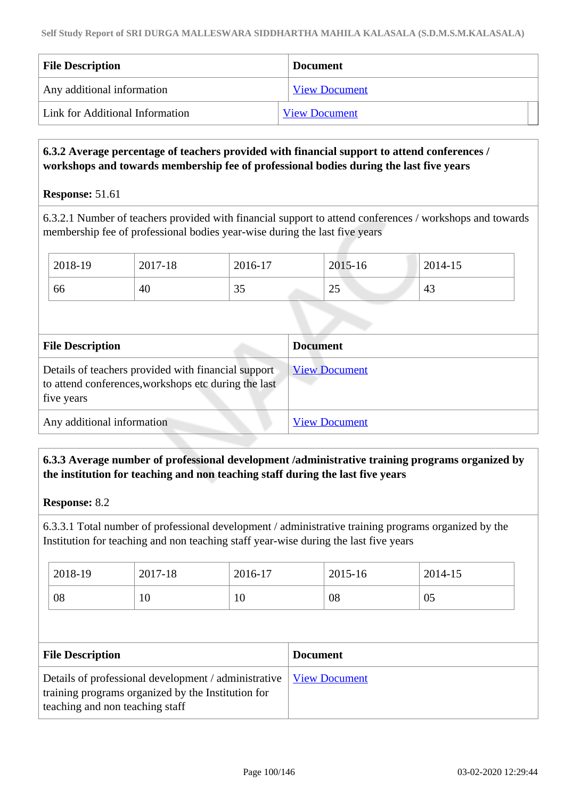| <b>File Description</b>         | <b>Document</b>      |
|---------------------------------|----------------------|
| Any additional information      | <b>View Document</b> |
| Link for Additional Information | <b>View Document</b> |

## **6.3.2 Average percentage of teachers provided with financial support to attend conferences / workshops and towards membership fee of professional bodies during the last five years**

### **Response:** 51.61

6.3.2.1 Number of teachers provided with financial support to attend conferences / workshops and towards membership fee of professional bodies year-wise during the last five years

| 2018-19 | 2017-18 | 2016-17 | 2015-16  | 2014-15 |
|---------|---------|---------|----------|---------|
| 66      | 40      | 35      | つく<br>رے | 43      |

| <b>File Description</b>                                                                                                   | <b>Document</b>      |
|---------------------------------------------------------------------------------------------------------------------------|----------------------|
| Details of teachers provided with financial support<br>to attend conferences, workshops etc during the last<br>five years | <b>View Document</b> |
| Any additional information                                                                                                | <b>View Document</b> |

# **6.3.3 Average number of professional development /administrative training programs organized by the institution for teaching and non teaching staff during the last five years**

### **Response:** 8.2

6.3.3.1 Total number of professional development / administrative training programs organized by the Institution for teaching and non teaching staff year-wise during the last five years

| 2018-19 | 2017-18 | 2016-17    | 2015-16 | 2014-15 |
|---------|---------|------------|---------|---------|
| 08      | 10      | ı n<br>1 V | 08      | 05      |

| <b>File Description</b>                                                                                                                                       | <b>Document</b> |
|---------------------------------------------------------------------------------------------------------------------------------------------------------------|-----------------|
| Details of professional development / administrative   View Document<br>training programs organized by the Institution for<br>teaching and non teaching staff |                 |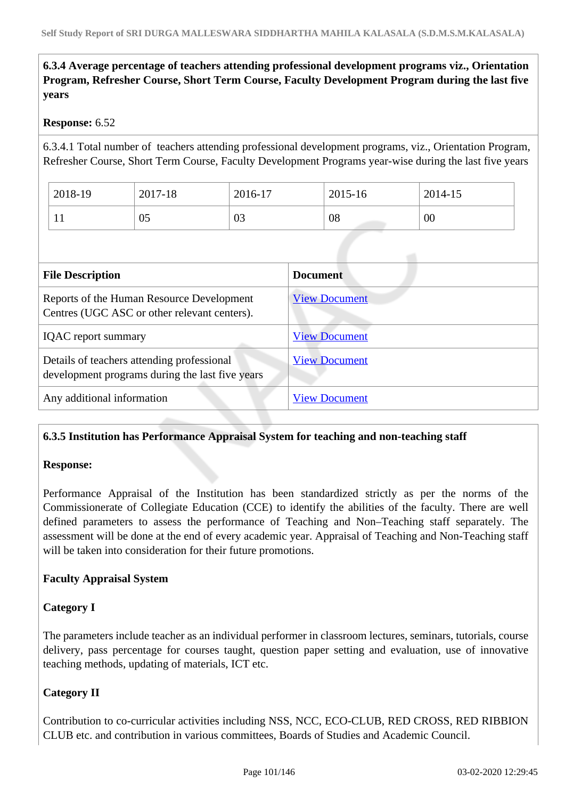# **6.3.4 Average percentage of teachers attending professional development programs viz., Orientation Program, Refresher Course, Short Term Course, Faculty Development Program during the last five years**

## **Response:** 6.52

6.3.4.1 Total number of teachers attending professional development programs, viz., Orientation Program, Refresher Course, Short Term Course, Faculty Development Programs year-wise during the last five years

| 2018-19      | 2017-18 | 2016-17 | 2015-16 | 2014-15 |
|--------------|---------|---------|---------|---------|
| $\mathbf{r}$ | 05      | 03      | 08      | $00\,$  |

| <b>File Description</b>                                                                       | <b>Document</b>      |
|-----------------------------------------------------------------------------------------------|----------------------|
| Reports of the Human Resource Development<br>Centres (UGC ASC or other relevant centers).     | <b>View Document</b> |
| <b>IQAC</b> report summary                                                                    | <b>View Document</b> |
| Details of teachers attending professional<br>development programs during the last five years | <b>View Document</b> |
| Any additional information                                                                    | <b>View Document</b> |

# **6.3.5 Institution has Performance Appraisal System for teaching and non-teaching staff**

### **Response:**

Performance Appraisal of the Institution has been standardized strictly as per the norms of the Commissionerate of Collegiate Education (CCE) to identify the abilities of the faculty. There are well defined parameters to assess the performance of Teaching and Non–Teaching staff separately. The assessment will be done at the end of every academic year. Appraisal of Teaching and Non-Teaching staff will be taken into consideration for their future promotions.

### **Faculty Appraisal System**

### **Category I**

The parameters include teacher as an individual performer in classroom lectures, seminars, tutorials, course delivery, pass percentage for courses taught, question paper setting and evaluation, use of innovative teaching methods, updating of materials, ICT etc.

# **Category II**

Contribution to co-curricular activities including NSS, NCC, ECO-CLUB, RED CROSS, RED RIBBION CLUB etc. and contribution in various committees, Boards of Studies and Academic Council.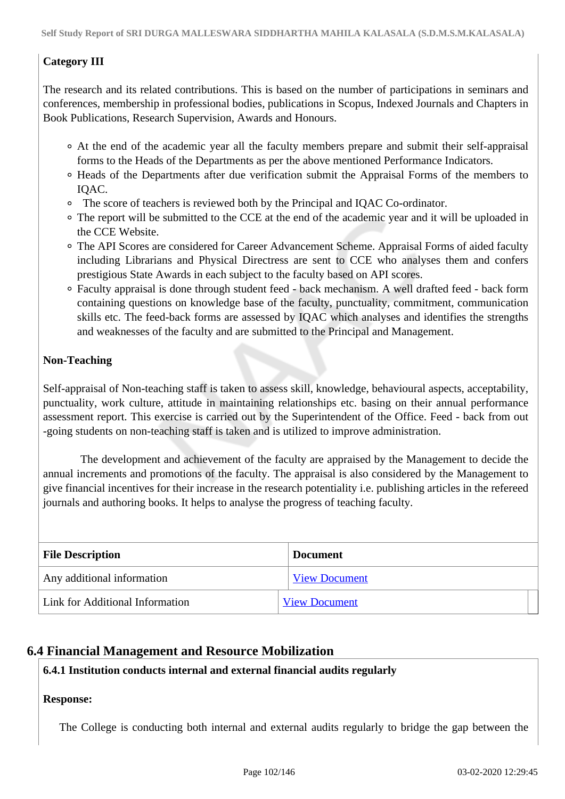# **Category III**

The research and its related contributions. This is based on the number of participations in seminars and conferences, membership in professional bodies, publications in Scopus, Indexed Journals and Chapters in Book Publications, Research Supervision, Awards and Honours.

- At the end of the academic year all the faculty members prepare and submit their self-appraisal forms to the Heads of the Departments as per the above mentioned Performance Indicators.
- Heads of the Departments after due verification submit the Appraisal Forms of the members to IQAC.
- The score of teachers is reviewed both by the Principal and IQAC Co-ordinator.
- The report will be submitted to the CCE at the end of the academic year and it will be uploaded in the CCE Website.
- The API Scores are considered for Career Advancement Scheme. Appraisal Forms of aided faculty including Librarians and Physical Directress are sent to CCE who analyses them and confers prestigious State Awards in each subject to the faculty based on API scores.
- Faculty appraisal is done through student feed back mechanism. A well drafted feed back form containing questions on knowledge base of the faculty, punctuality, commitment, communication skills etc. The feed-back forms are assessed by IQAC which analyses and identifies the strengths and weaknesses of the faculty and are submitted to the Principal and Management.

# **Non-Teaching**

Self-appraisal of Non-teaching staff is taken to assess skill, knowledge, behavioural aspects, acceptability, punctuality, work culture, attitude in maintaining relationships etc. basing on their annual performance assessment report. This exercise is carried out by the Superintendent of the Office. Feed - back from out -going students on non-teaching staff is taken and is utilized to improve administration.

 The development and achievement of the faculty are appraised by the Management to decide the annual increments and promotions of the faculty. The appraisal is also considered by the Management to give financial incentives for their increase in the research potentiality i.e. publishing articles in the refereed journals and authoring books. It helps to analyse the progress of teaching faculty.

| <b>File Description</b>         | <b>Document</b>      |
|---------------------------------|----------------------|
| Any additional information      | <b>View Document</b> |
| Link for Additional Information | <b>View Document</b> |

# **6.4 Financial Management and Resource Mobilization**

# **6.4.1 Institution conducts internal and external financial audits regularly**

### **Response:**

The College is conducting both internal and external audits regularly to bridge the gap between the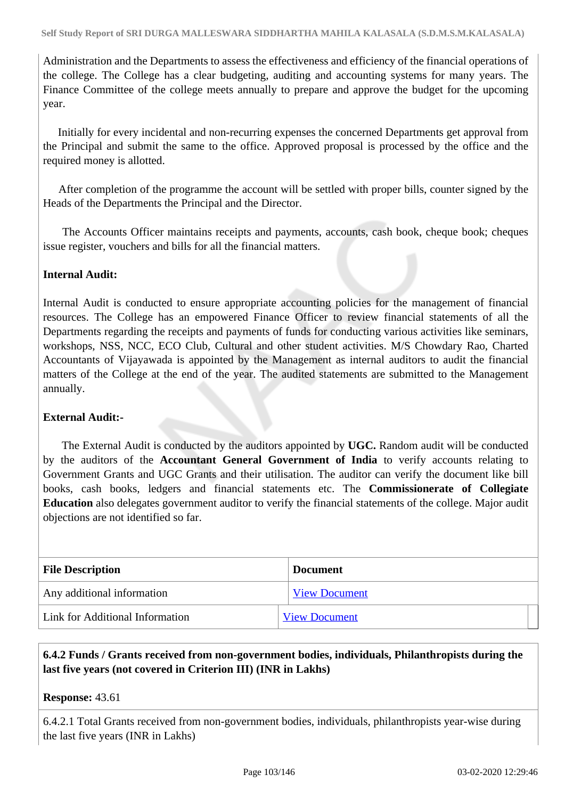Administration and the Departments to assess the effectiveness and efficiency of the financial operations of the college. The College has a clear budgeting, auditing and accounting systems for many years. The Finance Committee of the college meets annually to prepare and approve the budget for the upcoming year.

 Initially for every incidental and non-recurring expenses the concerned Departments get approval from the Principal and submit the same to the office. Approved proposal is processed by the office and the required money is allotted.

 After completion of the programme the account will be settled with proper bills, counter signed by the Heads of the Departments the Principal and the Director.

 The Accounts Officer maintains receipts and payments, accounts, cash book, cheque book; cheques issue register, vouchers and bills for all the financial matters.

## **Internal Audit:**

Internal Audit is conducted to ensure appropriate accounting policies for the management of financial resources. The College has an empowered Finance Officer to review financial statements of all the Departments regarding the receipts and payments of funds for conducting various activities like seminars, workshops, NSS, NCC, ECO Club, Cultural and other student activities. M/S Chowdary Rao, Charted Accountants of Vijayawada is appointed by the Management as internal auditors to audit the financial matters of the College at the end of the year. The audited statements are submitted to the Management annually.

### **External Audit:-**

 The External Audit is conducted by the auditors appointed by **UGC.** Random audit will be conducted by the auditors of the **Accountant General Government of India** to verify accounts relating to Government Grants and UGC Grants and their utilisation. The auditor can verify the document like bill books, cash books, ledgers and financial statements etc. The **Commissionerate of Collegiate Education** also delegates government auditor to verify the financial statements of the college. Major audit objections are not identified so far.

| <b>File Description</b>         | <b>Document</b>      |
|---------------------------------|----------------------|
| Any additional information      | <b>View Document</b> |
| Link for Additional Information | <b>View Document</b> |

# **6.4.2 Funds / Grants received from non-government bodies, individuals, Philanthropists during the last five years (not covered in Criterion III) (INR in Lakhs)**

**Response:** 43.61

6.4.2.1 Total Grants received from non-government bodies, individuals, philanthropists year-wise during the last five years (INR in Lakhs)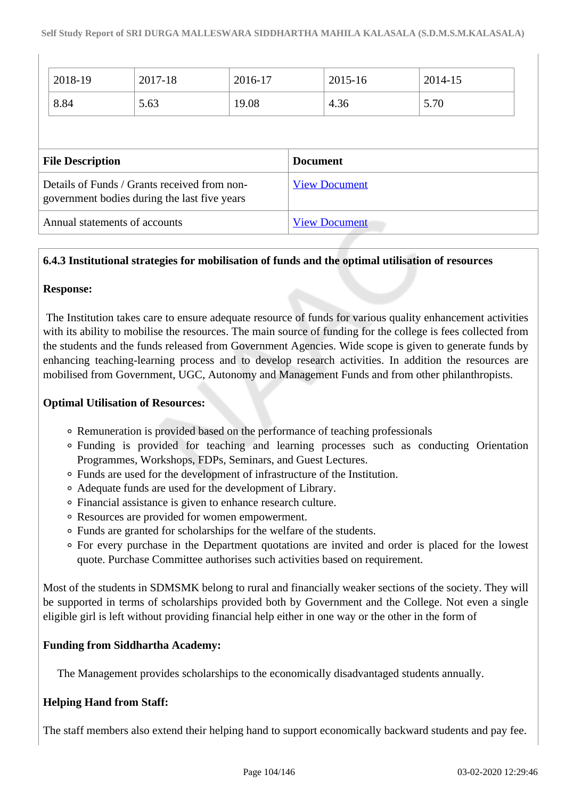| 2018-19                                                                                      | 2017-18 | 2016-17              |                 | 2015-16 | 2014-15 |
|----------------------------------------------------------------------------------------------|---------|----------------------|-----------------|---------|---------|
| 8.84                                                                                         | 5.63    | 19.08                | 4.36            |         | 5.70    |
|                                                                                              |         |                      |                 |         |         |
| <b>File Description</b>                                                                      |         |                      | <b>Document</b> |         |         |
| Details of Funds / Grants received from non-<br>government bodies during the last five years |         | <b>View Document</b> |                 |         |         |
| Annual statements of accounts                                                                |         | <b>View Document</b> |                 |         |         |

## **6.4.3 Institutional strategies for mobilisation of funds and the optimal utilisation of resources**

### **Response:**

 The Institution takes care to ensure adequate resource of funds for various quality enhancement activities with its ability to mobilise the resources. The main source of funding for the college is fees collected from the students and the funds released from Government Agencies. Wide scope is given to generate funds by enhancing teaching-learning process and to develop research activities. In addition the resources are mobilised from Government, UGC, Autonomy and Management Funds and from other philanthropists.

### **Optimal Utilisation of Resources:**

- Remuneration is provided based on the performance of teaching professionals
- Funding is provided for teaching and learning processes such as conducting Orientation Programmes, Workshops, FDPs, Seminars, and Guest Lectures.
- Funds are used for the development of infrastructure of the Institution.
- Adequate funds are used for the development of Library.
- Financial assistance is given to enhance research culture.
- Resources are provided for women empowerment.
- Funds are granted for scholarships for the welfare of the students.
- For every purchase in the Department quotations are invited and order is placed for the lowest quote. Purchase Committee authorises such activities based on requirement.

Most of the students in SDMSMK belong to rural and financially weaker sections of the society. They will be supported in terms of scholarships provided both by Government and the College. Not even a single eligible girl is left without providing financial help either in one way or the other in the form of

### **Funding from Siddhartha Academy:**

The Management provides scholarships to the economically disadvantaged students annually.

### **Helping Hand from Staff:**

The staff members also extend their helping hand to support economically backward students and pay fee.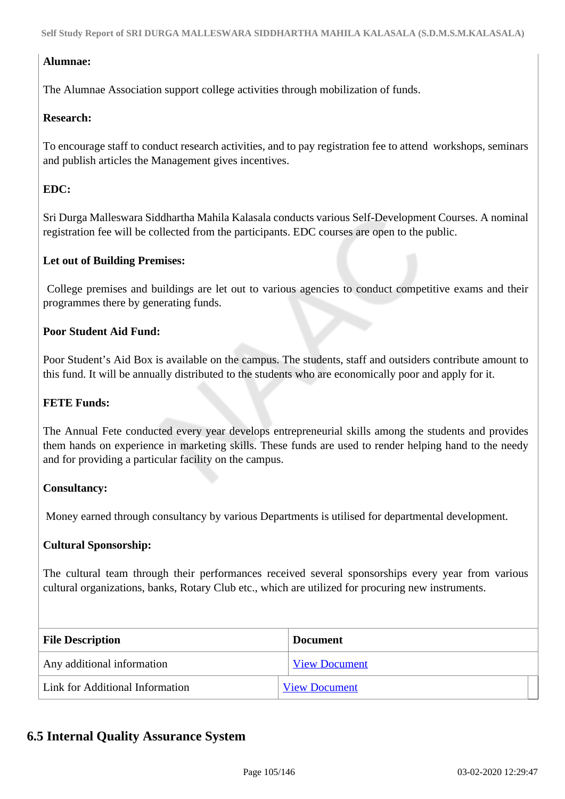# **Alumnae:**

The Alumnae Association support college activities through mobilization of funds.

### **Research:**

To encourage staff to conduct research activities, and to pay registration fee to attend workshops, seminars and publish articles the Management gives incentives.

### **EDC:**

Sri Durga Malleswara Siddhartha Mahila Kalasala conducts various Self-Development Courses. A nominal registration fee will be collected from the participants. EDC courses are open to the public.

### **Let out of Building Premises:**

 College premises and buildings are let out to various agencies to conduct competitive exams and their programmes there by generating funds.

### **Poor Student Aid Fund:**

Poor Student's Aid Box is available on the campus. The students, staff and outsiders contribute amount to this fund. It will be annually distributed to the students who are economically poor and apply for it.

### **FETE Funds:**

The Annual Fete conducted every year develops entrepreneurial skills among the students and provides them hands on experience in marketing skills. These funds are used to render helping hand to the needy and for providing a particular facility on the campus.

### **Consultancy:**

Money earned through consultancy by various Departments is utilised for departmental development.

### **Cultural Sponsorship:**

The cultural team through their performances received several sponsorships every year from various cultural organizations, banks, Rotary Club etc., which are utilized for procuring new instruments.

| <b>File Description</b>         | <b>Document</b>      |
|---------------------------------|----------------------|
| Any additional information      | <b>View Document</b> |
| Link for Additional Information | <b>View Document</b> |

# **6.5 Internal Quality Assurance System**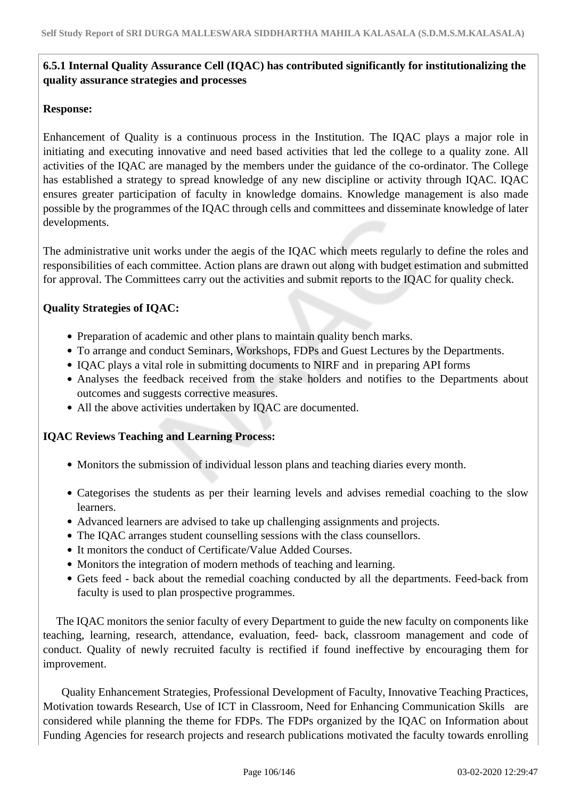# **6.5.1 Internal Quality Assurance Cell (IQAC) has contributed significantly for institutionalizing the quality assurance strategies and processes**

### **Response:**

Enhancement of Quality is a continuous process in the Institution. The IQAC plays a major role in initiating and executing innovative and need based activities that led the college to a quality zone. All activities of the IQAC are managed by the members under the guidance of the co-ordinator. The College has established a strategy to spread knowledge of any new discipline or activity through IQAC. IQAC ensures greater participation of faculty in knowledge domains. Knowledge management is also made possible by the programmes of the IQAC through cells and committees and disseminate knowledge of later developments.

The administrative unit works under the aegis of the IQAC which meets regularly to define the roles and responsibilities of each committee. Action plans are drawn out along with budget estimation and submitted for approval. The Committees carry out the activities and submit reports to the IQAC for quality check.

## **Quality Strategies of IQAC:**

- Preparation of academic and other plans to maintain quality bench marks.
- To arrange and conduct Seminars, Workshops, FDPs and Guest Lectures by the Departments.
- IQAC plays a vital role in submitting documents to NIRF and in preparing API forms
- Analyses the feedback received from the stake holders and notifies to the Departments about outcomes and suggests corrective measures.
- All the above activities undertaken by IQAC are documented.

### **IQAC Reviews Teaching and Learning Process:**

- Monitors the submission of individual lesson plans and teaching diaries every month.
- Categorises the students as per their learning levels and advises remedial coaching to the slow learners.
- Advanced learners are advised to take up challenging assignments and projects.
- The IQAC arranges student counselling sessions with the class counsellors.
- It monitors the conduct of Certificate/Value Added Courses.
- Monitors the integration of modern methods of teaching and learning.
- Gets feed back about the remedial coaching conducted by all the departments. Feed-back from faculty is used to plan prospective programmes.

 The IQAC monitors the senior faculty of every Department to guide the new faculty on components like teaching, learning, research, attendance, evaluation, feed- back, classroom management and code of conduct. Quality of newly recruited faculty is rectified if found ineffective by encouraging them for improvement.

 Quality Enhancement Strategies, Professional Development of Faculty, Innovative Teaching Practices, Motivation towards Research, Use of ICT in Classroom, Need for Enhancing Communication Skills are considered while planning the theme for FDPs. The FDPs organized by the IQAC on Information about Funding Agencies for research projects and research publications motivated the faculty towards enrolling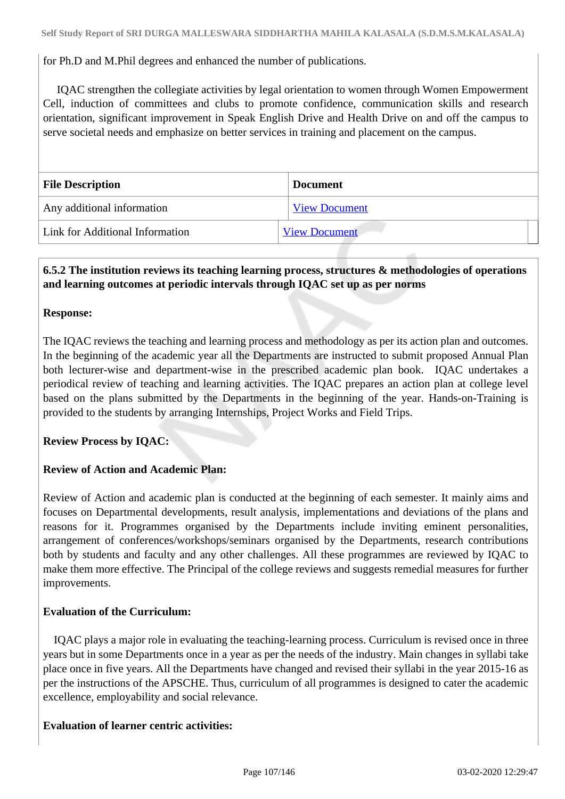for Ph.D and M.Phil degrees and enhanced the number of publications.

 IQAC strengthen the collegiate activities by legal orientation to women through Women Empowerment Cell, induction of committees and clubs to promote confidence, communication skills and research orientation, significant improvement in Speak English Drive and Health Drive on and off the campus to serve societal needs and emphasize on better services in training and placement on the campus.

| <b>File Description</b>         | <b>Document</b>      |  |
|---------------------------------|----------------------|--|
| Any additional information      | <b>View Document</b> |  |
| Link for Additional Information | <b>View Document</b> |  |

## **6.5.2 The institution reviews its teaching learning process, structures & methodologies of operations and learning outcomes at periodic intervals through IQAC set up as per norms**

### **Response:**

The IQAC reviews the teaching and learning process and methodology as per its action plan and outcomes. In the beginning of the academic year all the Departments are instructed to submit proposed Annual Plan both lecturer-wise and department-wise in the prescribed academic plan book. IQAC undertakes a periodical review of teaching and learning activities. The IQAC prepares an action plan at college level based on the plans submitted by the Departments in the beginning of the year. Hands-on-Training is provided to the students by arranging Internships, Project Works and Field Trips.

### **Review Process by IQAC:**

### **Review of Action and Academic Plan:**

Review of Action and academic plan is conducted at the beginning of each semester. It mainly aims and focuses on Departmental developments, result analysis, implementations and deviations of the plans and reasons for it. Programmes organised by the Departments include inviting eminent personalities, arrangement of conferences/workshops/seminars organised by the Departments, research contributions both by students and faculty and any other challenges. All these programmes are reviewed by IQAC to make them more effective. The Principal of the college reviews and suggests remedial measures for further improvements.

### **Evaluation of the Curriculum:**

 IQAC plays a major role in evaluating the teaching-learning process. Curriculum is revised once in three years but in some Departments once in a year as per the needs of the industry. Main changes in syllabi take place once in five years. All the Departments have changed and revised their syllabi in the year 2015-16 as per the instructions of the APSCHE. Thus, curriculum of all programmes is designed to cater the academic excellence, employability and social relevance.

### **Evaluation of learner centric activities:**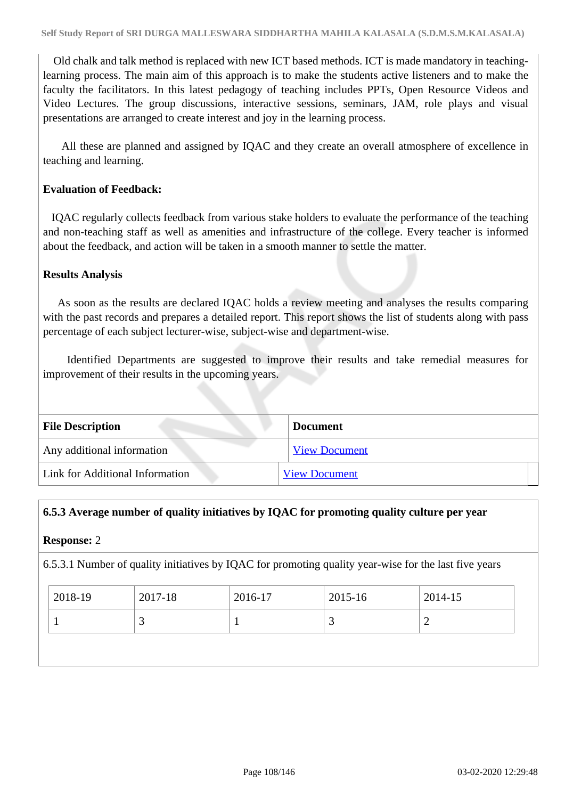Old chalk and talk method is replaced with new ICT based methods. ICT is made mandatory in teachinglearning process. The main aim of this approach is to make the students active listeners and to make the faculty the facilitators. In this latest pedagogy of teaching includes PPTs, Open Resource Videos and Video Lectures. The group discussions, interactive sessions, seminars, JAM, role plays and visual presentations are arranged to create interest and joy in the learning process.

 All these are planned and assigned by IQAC and they create an overall atmosphere of excellence in teaching and learning.

## **Evaluation of Feedback:**

 IQAC regularly collects feedback from various stake holders to evaluate the performance of the teaching and non-teaching staff as well as amenities and infrastructure of the college. Every teacher is informed about the feedback, and action will be taken in a smooth manner to settle the matter.

## **Results Analysis**

 As soon as the results are declared IQAC holds a review meeting and analyses the results comparing with the past records and prepares a detailed report. This report shows the list of students along with pass percentage of each subject lecturer-wise, subject-wise and department-wise.

 Identified Departments are suggested to improve their results and take remedial measures for improvement of their results in the upcoming years.

| <b>File Description</b>         | <b>Document</b>      |
|---------------------------------|----------------------|
| Any additional information      | <b>View Document</b> |
| Link for Additional Information | <b>View Document</b> |

### **6.5.3 Average number of quality initiatives by IQAC for promoting quality culture per year**

### **Response:** 2

6.5.3.1 Number of quality initiatives by IQAC for promoting quality year-wise for the last five years

| 2018-19 | 2017-18 | 2016-17 | 2015-16 | 2014-15 |
|---------|---------|---------|---------|---------|
|         | ັ       |         | ت       | -       |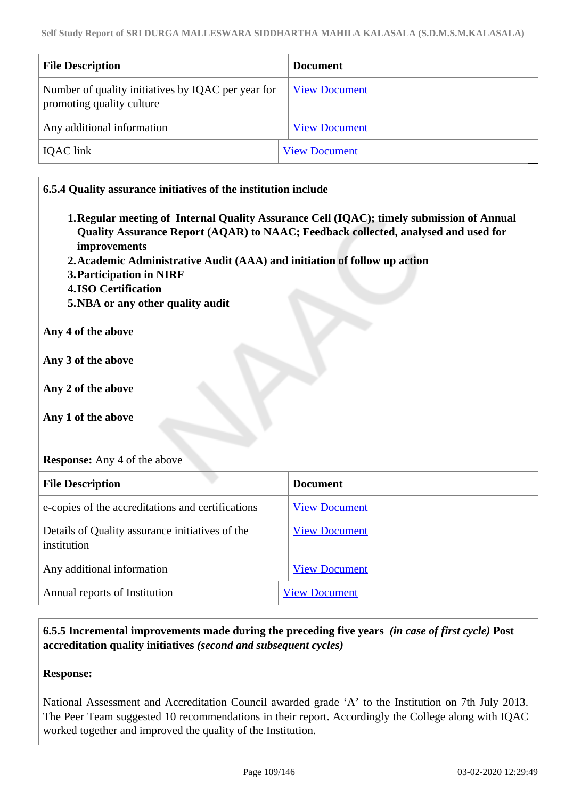| <b>File Description</b>                                                         | <b>Document</b>      |
|---------------------------------------------------------------------------------|----------------------|
| Number of quality initiatives by IQAC per year for<br>promoting quality culture | <b>View Document</b> |
| Any additional information                                                      | <b>View Document</b> |
| <b>IQAC</b> link                                                                | <b>View Document</b> |

|                                                                                                                                                                                                                                                                                                  | 1. Regular meeting of Internal Quality Assurance Cell (IQAC); timely submission of Annual<br>Quality Assurance Report (AQAR) to NAAC; Feedback collected, analysed and used for |
|--------------------------------------------------------------------------------------------------------------------------------------------------------------------------------------------------------------------------------------------------------------------------------------------------|---------------------------------------------------------------------------------------------------------------------------------------------------------------------------------|
| improvements                                                                                                                                                                                                                                                                                     |                                                                                                                                                                                 |
| 2. Academic Administrative Audit (AAA) and initiation of follow up action<br><b>3. Participation in NIRF</b>                                                                                                                                                                                     |                                                                                                                                                                                 |
| <b>4.ISO Certification</b>                                                                                                                                                                                                                                                                       |                                                                                                                                                                                 |
| 5. NBA or any other quality audit                                                                                                                                                                                                                                                                |                                                                                                                                                                                 |
|                                                                                                                                                                                                                                                                                                  |                                                                                                                                                                                 |
| Any 4 of the above                                                                                                                                                                                                                                                                               |                                                                                                                                                                                 |
|                                                                                                                                                                                                                                                                                                  |                                                                                                                                                                                 |
| Any 3 of the above                                                                                                                                                                                                                                                                               |                                                                                                                                                                                 |
|                                                                                                                                                                                                                                                                                                  |                                                                                                                                                                                 |
|                                                                                                                                                                                                                                                                                                  |                                                                                                                                                                                 |
|                                                                                                                                                                                                                                                                                                  |                                                                                                                                                                                 |
|                                                                                                                                                                                                                                                                                                  |                                                                                                                                                                                 |
|                                                                                                                                                                                                                                                                                                  |                                                                                                                                                                                 |
|                                                                                                                                                                                                                                                                                                  |                                                                                                                                                                                 |
|                                                                                                                                                                                                                                                                                                  |                                                                                                                                                                                 |
|                                                                                                                                                                                                                                                                                                  | <b>Document</b>                                                                                                                                                                 |
|                                                                                                                                                                                                                                                                                                  | <b>View Document</b>                                                                                                                                                            |
|                                                                                                                                                                                                                                                                                                  | <b>View Document</b>                                                                                                                                                            |
|                                                                                                                                                                                                                                                                                                  | <b>View Document</b>                                                                                                                                                            |
| Any 2 of the above<br>Any 1 of the above<br><b>Response:</b> Any 4 of the above<br><b>File Description</b><br>e-copies of the accreditations and certifications<br>Details of Quality assurance initiatives of the<br>institution<br>Any additional information<br>Annual reports of Institution | <b>View Document</b>                                                                                                                                                            |

 **6.5.5 Incremental improvements made during the preceding five years** *(in case of first cycle)* **Post accreditation quality initiatives** *(second and subsequent cycles)*

## **Response:**

National Assessment and Accreditation Council awarded grade 'A' to the Institution on 7th July 2013. The Peer Team suggested 10 recommendations in their report. Accordingly the College along with IQAC worked together and improved the quality of the Institution.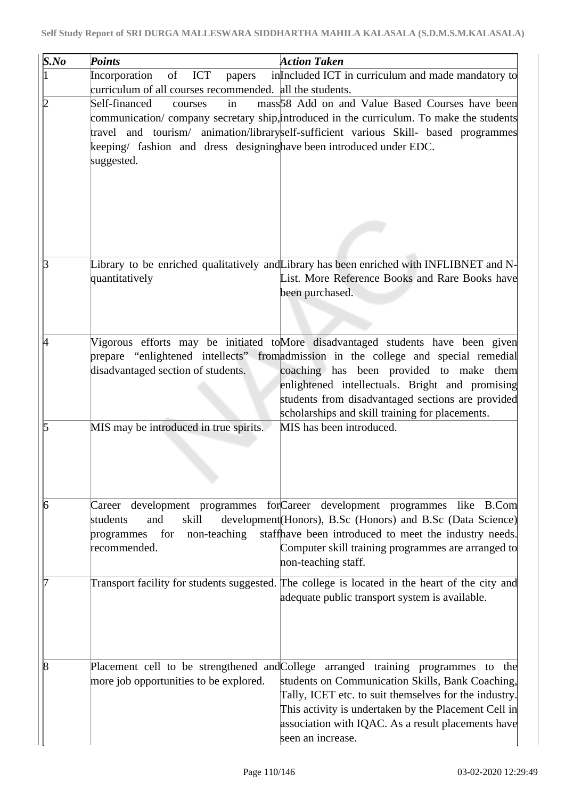| $S$ .No | <b>Points</b>                                                                                                       | <b>Action Taken</b>                                                                                                                                                                                                                                                                                                                                                           |
|---------|---------------------------------------------------------------------------------------------------------------------|-------------------------------------------------------------------------------------------------------------------------------------------------------------------------------------------------------------------------------------------------------------------------------------------------------------------------------------------------------------------------------|
|         | ICT<br>of<br>Incorporation<br>papers                                                                                | in Included ICT in curriculum and made mandatory to                                                                                                                                                                                                                                                                                                                           |
|         | curriculum of all courses recommended. all the students.                                                            |                                                                                                                                                                                                                                                                                                                                                                               |
| 12      | Self-financed<br>in<br>courses<br>keeping/ fashion and dress designinghave been introduced under EDC.<br>suggested. | mass 58 Add on and Value Based Courses have been<br>communication/company secretary ship, introduced in the curriculum. To make the students<br>travel and tourism/ animation/libraryself-sufficient various Skill- based programmes                                                                                                                                          |
|         |                                                                                                                     |                                                                                                                                                                                                                                                                                                                                                                               |
| ß       | quantitatively                                                                                                      | Library to be enriched qualitatively and Library has been enriched with INFLIBNET and N-<br>List. More Reference Books and Rare Books have<br>been purchased.                                                                                                                                                                                                                 |
|         | disadvantaged section of students.                                                                                  | Vigorous efforts may be initiated to More disadvantaged students have been given<br>prepare "enlightened intellects" from admission in the college and special remedial<br>coaching has been provided to make them<br>enlightened intellectuals. Bright and promising<br>students from disadvantaged sections are provided<br>scholarships and skill training for placements. |
|         | MIS may be introduced in true spirits.                                                                              | MIS has been introduced.                                                                                                                                                                                                                                                                                                                                                      |
| 16      | students<br>and<br>skill<br>for<br>non-teaching<br>programmes<br>recommended.                                       | Career development programmes for Career development programmes like B.Com<br>development(Honors), B.Sc (Honors) and B.Sc (Data Science)<br>staffhave been introduced to meet the industry needs.<br>Computer skill training programmes are arranged to<br>non-teaching staff.                                                                                                |
|         |                                                                                                                     | Transport facility for students suggested. The college is located in the heart of the city and<br>adequate public transport system is available.                                                                                                                                                                                                                              |
|         | more job opportunities to be explored.                                                                              | Placement cell to be strengthened and College arranged training programmes to<br>the<br>students on Communication Skills, Bank Coaching,<br>Tally, ICET etc. to suit themselves for the industry.<br>This activity is undertaken by the Placement Cell in<br>association with IQAC. As a result placements have<br>seen an increase.                                          |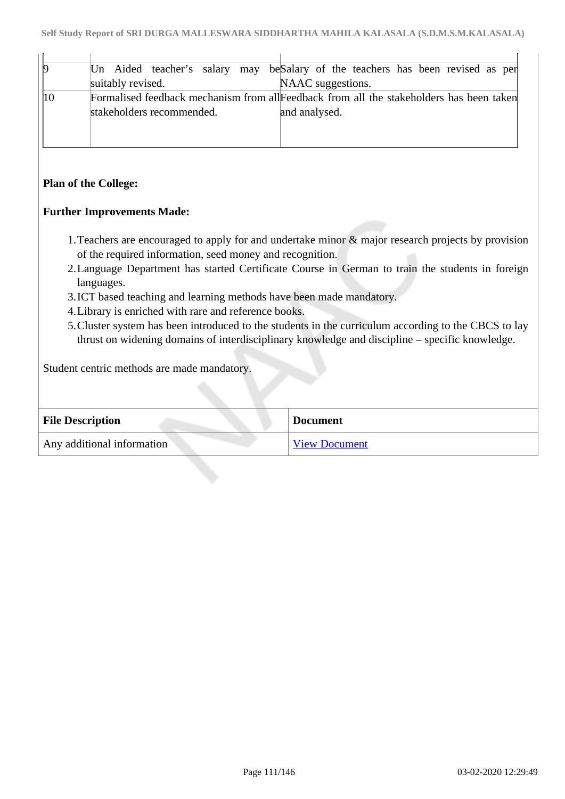| $\beta$                                                                                              |                                                                                                    | Un Aided teacher's salary may be Salary of the teachers has been revised as per                  |  |
|------------------------------------------------------------------------------------------------------|----------------------------------------------------------------------------------------------------|--------------------------------------------------------------------------------------------------|--|
|                                                                                                      | suitably revised.                                                                                  | NAAC suggestions.                                                                                |  |
| 10                                                                                                   |                                                                                                    | Formalised feedback mechanism from all Feedback from all the stakeholders has been taken         |  |
|                                                                                                      | stakeholders recommended.                                                                          | and analysed.                                                                                    |  |
|                                                                                                      |                                                                                                    |                                                                                                  |  |
|                                                                                                      |                                                                                                    |                                                                                                  |  |
|                                                                                                      |                                                                                                    |                                                                                                  |  |
|                                                                                                      |                                                                                                    |                                                                                                  |  |
|                                                                                                      | <b>Plan of the College:</b>                                                                        |                                                                                                  |  |
|                                                                                                      |                                                                                                    |                                                                                                  |  |
|                                                                                                      | <b>Further Improvements Made:</b>                                                                  |                                                                                                  |  |
|                                                                                                      |                                                                                                    |                                                                                                  |  |
|                                                                                                      | 1. Teachers are encouraged to apply for and undertake minor & major research projects by provision |                                                                                                  |  |
|                                                                                                      | of the required information, seed money and recognition.                                           |                                                                                                  |  |
|                                                                                                      |                                                                                                    | 2. Language Department has started Certificate Course in German to train the students in foreign |  |
|                                                                                                      | languages.                                                                                         |                                                                                                  |  |
|                                                                                                      | 3.ICT based teaching and learning methods have been made mandatory.                                |                                                                                                  |  |
|                                                                                                      | 4. Library is enriched with rare and reference books.                                              |                                                                                                  |  |
| 5. Cluster system has been introduced to the students in the curriculum according to the CBCS to lay |                                                                                                    |                                                                                                  |  |
|                                                                                                      |                                                                                                    | thrust on widening domains of interdisciplinary knowledge and discipline – specific knowledge.   |  |
|                                                                                                      |                                                                                                    |                                                                                                  |  |
|                                                                                                      | Student centric methods are made mandatory.                                                        |                                                                                                  |  |
|                                                                                                      |                                                                                                    |                                                                                                  |  |
|                                                                                                      |                                                                                                    |                                                                                                  |  |
| <b>File Description</b>                                                                              |                                                                                                    | <b>Document</b>                                                                                  |  |
|                                                                                                      | Any additional information                                                                         | <b>View Document</b>                                                                             |  |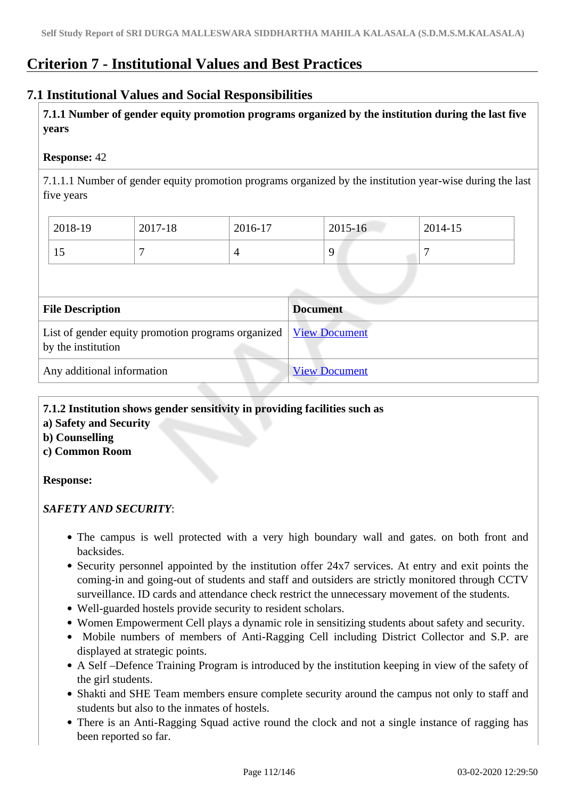## **Criterion 7 - Institutional Values and Best Practices**

## **7.1 Institutional Values and Social Responsibilities**

 **7.1.1 Number of gender equity promotion programs organized by the institution during the last five years** 

#### **Response:** 42

7.1.1.1 Number of gender equity promotion programs organized by the institution year-wise during the last five years

| 2018-19 | 2017-18 | 2016-17 | 2015-16 | 2014-15 |
|---------|---------|---------|---------|---------|
| -<br>IJ |         |         |         |         |

| <b>File Description</b>                                                                  | <b>Document</b>      |
|------------------------------------------------------------------------------------------|----------------------|
| List of gender equity promotion programs organized   View Document<br>by the institution |                      |
| Any additional information                                                               | <b>View Document</b> |

## **7.1.2 Institution shows gender sensitivity in providing facilities such as**

- **a) Safety and Security**
- **b) Counselling**
- **c) Common Room**

#### **Response:**

## *SAFETY AND SECURITY*:

- The campus is well protected with a very high boundary wall and gates. on both front and backsides.
- Security personnel appointed by the institution offer 24x7 services. At entry and exit points the coming-in and going-out of students and staff and outsiders are strictly monitored through CCTV surveillance. ID cards and attendance check restrict the unnecessary movement of the students.
- Well-guarded hostels provide security to resident scholars.
- Women Empowerment Cell plays a dynamic role in sensitizing students about safety and security.
- Mobile numbers of members of Anti-Ragging Cell including District Collector and S.P. are displayed at strategic points.
- A Self –Defence Training Program is introduced by the institution keeping in view of the safety of the girl students.
- Shakti and SHE Team members ensure complete security around the campus not only to staff and students but also to the inmates of hostels.
- There is an Anti-Ragging Squad active round the clock and not a single instance of ragging has been reported so far.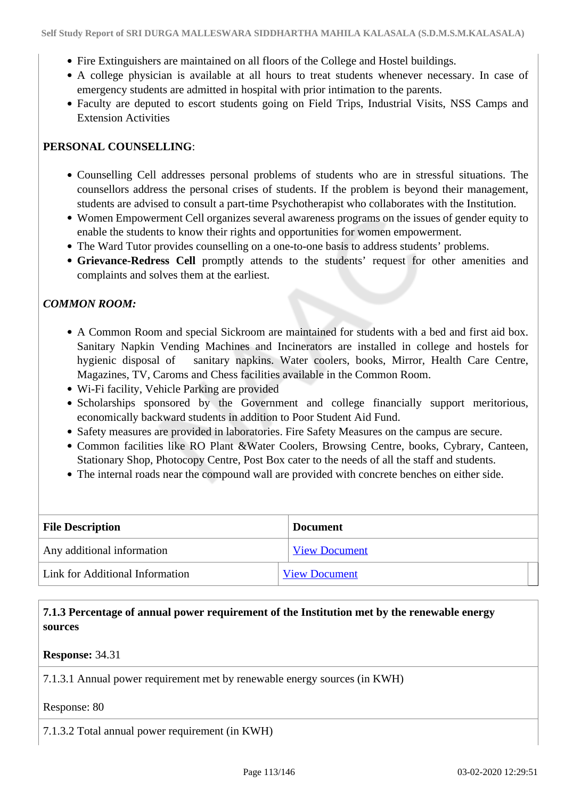- Fire Extinguishers are maintained on all floors of the College and Hostel buildings.
- A college physician is available at all hours to treat students whenever necessary. In case of emergency students are admitted in hospital with prior intimation to the parents.
- Faculty are deputed to escort students going on Field Trips, Industrial Visits, NSS Camps and Extension Activities

## **PERSONAL COUNSELLING**:

- Counselling Cell addresses personal problems of students who are in stressful situations. The counsellors address the personal crises of students. If the problem is beyond their management, students are advised to consult a part-time Psychotherapist who collaborates with the Institution.
- Women Empowerment Cell organizes several awareness programs on the issues of gender equity to enable the students to know their rights and opportunities for women empowerment.
- The Ward Tutor provides counselling on a one-to-one basis to address students' problems.
- **Grievance-Redress Cell** promptly attends to the students' request for other amenities and complaints and solves them at the earliest.

## *COMMON ROOM:*

- A Common Room and special Sickroom are maintained for students with a bed and first aid box. Sanitary Napkin Vending Machines and Incinerators are installed in college and hostels for hygienic disposal of sanitary napkins. Water coolers, books, Mirror, Health Care Centre, Magazines, TV, Caroms and Chess facilities available in the Common Room.
- Wi-Fi facility, Vehicle Parking are provided
- Scholarships sponsored by the Government and college financially support meritorious, economically backward students in addition to Poor Student Aid Fund.
- Safety measures are provided in laboratories. Fire Safety Measures on the campus are secure.
- Common facilities like RO Plant &Water Coolers, Browsing Centre, books, Cybrary, Canteen, Stationary Shop, Photocopy Centre, Post Box cater to the needs of all the staff and students.
- The internal roads near the compound wall are provided with concrete benches on either side.

| <b>File Description</b>         | <b>Document</b>      |  |
|---------------------------------|----------------------|--|
| Any additional information      | <b>View Document</b> |  |
| Link for Additional Information | <b>View Document</b> |  |

 **7.1.3 Percentage of annual power requirement of the Institution met by the renewable energy sources**

#### **Response:** 34.31

7.1.3.1 Annual power requirement met by renewable energy sources (in KWH)

Response: 80

7.1.3.2 Total annual power requirement (in KWH)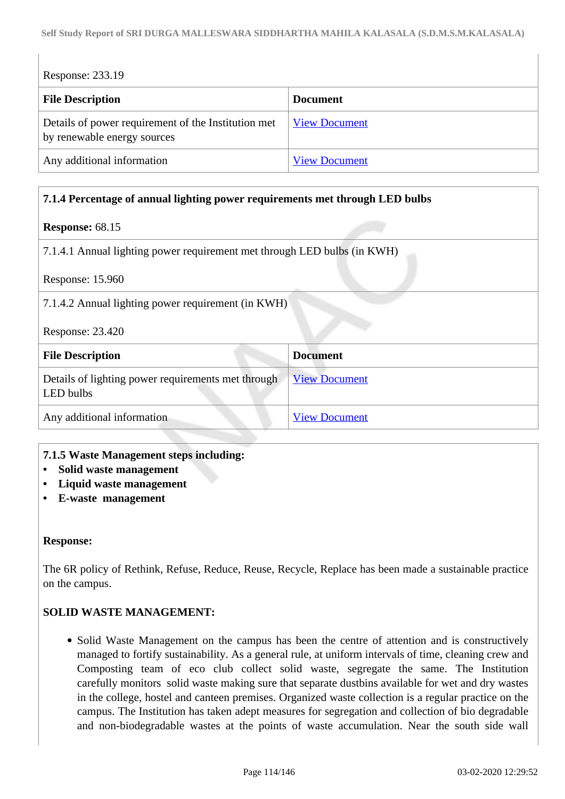**Self Study Report of SRI DURGA MALLESWARA SIDDHARTHA MAHILA KALASALA (S.D.M.S.M.KALASALA)**

| Response: 233.19                                                                   |                      |  |
|------------------------------------------------------------------------------------|----------------------|--|
| <b>File Description</b>                                                            | <b>Document</b>      |  |
| Details of power requirement of the Institution met<br>by renewable energy sources | <b>View Document</b> |  |
| Any additional information                                                         | <b>View Document</b> |  |

#### **7.1.4 Percentage of annual lighting power requirements met through LED bulbs**

#### **Response:** 68.15

7.1.4.1 Annual lighting power requirement met through LED bulbs (in KWH)

Response: 15.960

7.1.4.2 Annual lighting power requirement (in KWH)

Response: 23.420

| <b>File Description</b>                                         | <b>Document</b>      |
|-----------------------------------------------------------------|----------------------|
| Details of lighting power requirements met through<br>LED bulbs | <b>View Document</b> |
| Any additional information                                      | <b>View Document</b> |

#### **7.1.5 Waste Management steps including:**

- **Solid waste management**
- **Liquid waste management**
- **E-waste management**

#### **Response:**

The 6R policy of Rethink, Refuse, Reduce, Reuse, Recycle, Replace has been made a sustainable practice on the campus.

## **SOLID WASTE MANAGEMENT:**

• Solid Waste Management on the campus has been the centre of attention and is constructively managed to fortify sustainability. As a general rule, at uniform intervals of time, cleaning crew and Composting team of eco club collect solid waste, segregate the same. The Institution carefully monitors solid waste making sure that separate dustbins available for wet and dry wastes in the college, hostel and canteen premises. Organized waste collection is a regular practice on the campus. The Institution has taken adept measures for segregation and collection of bio degradable and non-biodegradable wastes at the points of waste accumulation. Near the south side wall

 $\overline{\phantom{a}}$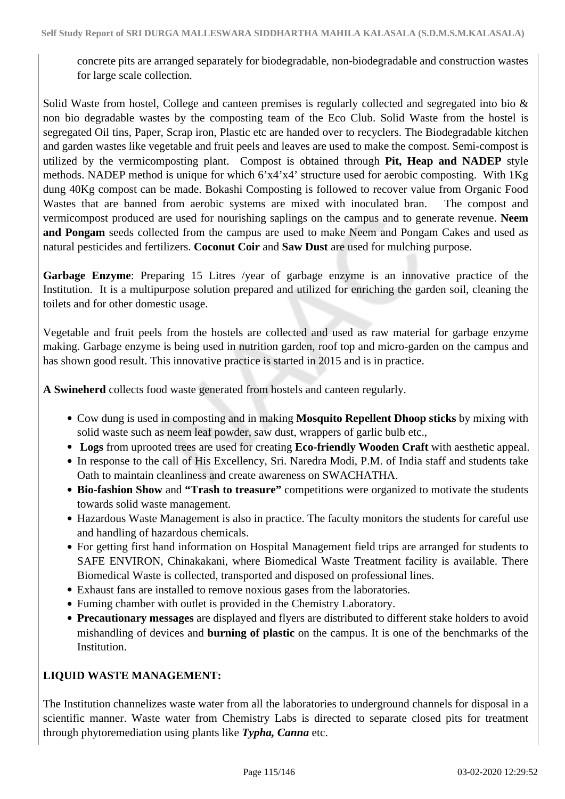concrete pits are arranged separately for biodegradable, non-biodegradable and construction wastes for large scale collection.

Solid Waste from hostel, College and canteen premises is regularly collected and segregated into bio & non bio degradable wastes by the composting team of the Eco Club. Solid Waste from the hostel is segregated Oil tins, Paper, Scrap iron, Plastic etc are handed over to recyclers. The Biodegradable kitchen and garden wastes like vegetable and fruit peels and leaves are used to make the compost. Semi-compost is utilized by the vermicomposting plant. Compost is obtained through **Pit, Heap and NADEP** style methods. NADEP method is unique for which 6'x4'x4' structure used for aerobic composting. With 1Kg dung 40Kg compost can be made. Bokashi Composting is followed to recover value from Organic Food Wastes that are banned from aerobic systems are mixed with inoculated bran. The compost and vermicompost produced are used for nourishing saplings on the campus and to generate revenue. **Neem and Pongam** seeds collected from the campus are used to make Neem and Pongam Cakes and used as natural pesticides and fertilizers. **Coconut Coir** and **Saw Dust** are used for mulching purpose.

**Garbage Enzyme**: Preparing 15 Litres /year of garbage enzyme is an innovative practice of the Institution. It is a multipurpose solution prepared and utilized for enriching the garden soil, cleaning the toilets and for other domestic usage.

Vegetable and fruit peels from the hostels are collected and used as raw material for garbage enzyme making. Garbage enzyme is being used in nutrition garden, roof top and micro-garden on the campus and has shown good result. This innovative practice is started in 2015 and is in practice.

**A Swineherd** collects food waste generated from hostels and canteen regularly.

- Cow dung is used in composting and in making **Mosquito Repellent Dhoop sticks** by mixing with solid waste such as neem leaf powder, saw dust, wrappers of garlic bulb etc.,
- **Logs** from uprooted trees are used for creating **Eco-friendly Wooden Craft** with aesthetic appeal.
- In response to the call of His Excellency, Sri. Naredra Modi, P.M. of India staff and students take Oath to maintain cleanliness and create awareness on SWACHATHA.
- **Bio-fashion Show** and **"Trash to treasure"** competitions were organized to motivate the students towards solid waste management.
- Hazardous Waste Management is also in practice. The faculty monitors the students for careful use and handling of hazardous chemicals.
- For getting first hand information on Hospital Management field trips are arranged for students to SAFE ENVIRON, Chinakakani, where Biomedical Waste Treatment facility is available. There Biomedical Waste is collected, transported and disposed on professional lines.
- Exhaust fans are installed to remove noxious gases from the laboratories.
- Fuming chamber with outlet is provided in the Chemistry Laboratory.
- **Precautionary messages** are displayed and flyers are distributed to different stake holders to avoid mishandling of devices and **burning of plastic** on the campus. It is one of the benchmarks of the Institution.

## **LIQUID WASTE MANAGEMENT:**

The Institution channelizes waste water from all the laboratories to underground channels for disposal in a scientific manner. Waste water from Chemistry Labs is directed to separate closed pits for treatment through phytoremediation using plants like *Typha, Canna* etc.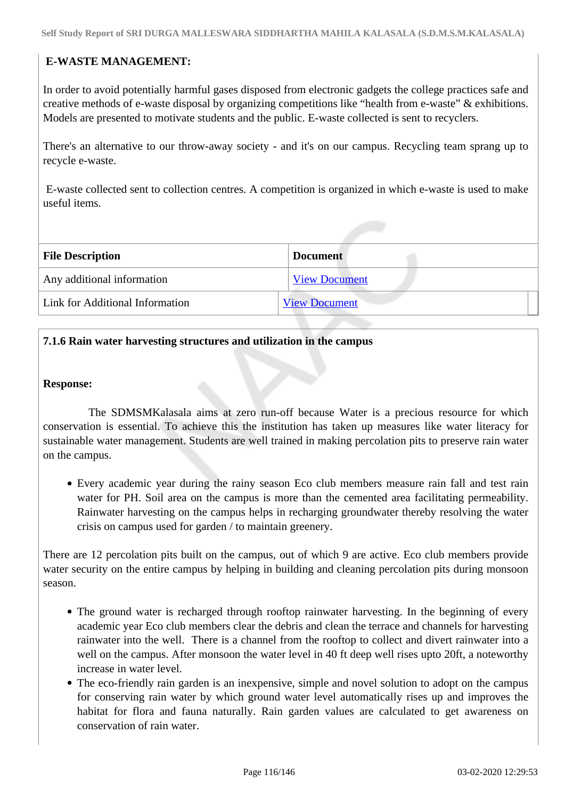## **E-WASTE MANAGEMENT:**

In order to avoid potentially harmful gases disposed from electronic gadgets the college practices safe and creative methods of e-waste disposal by organizing competitions like "health from e-waste" & exhibitions. Models are presented to motivate students and the public. E-waste collected is sent to recyclers.

There's an alternative to our throw-away society - and it's on our campus. Recycling team sprang up to recycle e-waste.

 E-waste collected sent to collection centres. A competition is organized in which e-waste is used to make useful items.

| <b>File Description</b>         | <b>Document</b>      |
|---------------------------------|----------------------|
| Any additional information      | <b>View Document</b> |
| Link for Additional Information | <b>View Document</b> |

#### **7.1.6 Rain water harvesting structures and utilization in the campus**

#### **Response:**

 The SDMSMKalasala aims at zero run-off because Water is a precious resource for which conservation is essential. To achieve this the institution has taken up measures like water literacy for sustainable water management. Students are well trained in making percolation pits to preserve rain water on the campus.

Every academic year during the rainy season Eco club members measure rain fall and test rain water for PH. Soil area on the campus is more than the cemented area facilitating permeability. Rainwater harvesting on the campus helps in recharging groundwater thereby resolving the water crisis on campus used for garden / to maintain greenery.

There are 12 percolation pits built on the campus, out of which 9 are active. Eco club members provide water security on the entire campus by helping in building and cleaning percolation pits during monsoon season.

- The ground water is recharged through rooftop rainwater harvesting. In the beginning of every academic year Eco club members clear the debris and clean the terrace and channels for harvesting rainwater into the well. There is a channel from the rooftop to collect and divert rainwater into a well on the campus. After monsoon the water level in 40 ft deep well rises upto 20ft, a noteworthy increase in water level.
- The eco-friendly rain garden is an inexpensive, simple and novel solution to adopt on the campus for conserving rain water by which ground water level automatically rises up and improves the habitat for flora and fauna naturally. Rain garden values are calculated to get awareness on conservation of rain water.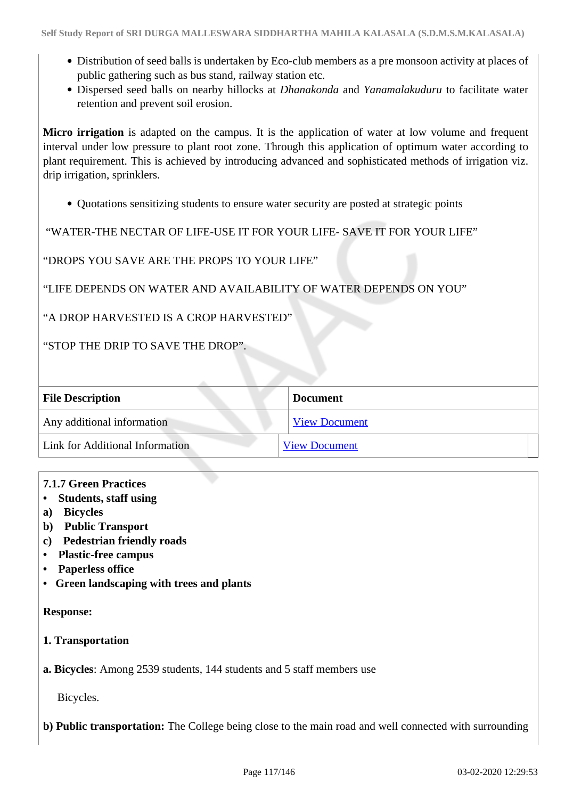- Distribution of seed balls is undertaken by Eco-club members as a pre monsoon activity at places of public gathering such as bus stand, railway station etc.
- Dispersed seed balls on nearby hillocks at *Dhanakonda* and *Yanamalakuduru* to facilitate water retention and prevent soil erosion.

**Micro irrigation** is adapted on the campus. It is the application of water at low volume and frequent interval under low pressure to plant root zone. Through this application of optimum water according to plant requirement. This is achieved by introducing advanced and sophisticated methods of irrigation viz. drip irrigation, sprinklers.

Quotations sensitizing students to ensure water security are posted at strategic points

"WATER-THE NECTAR OF LIFE-USE IT FOR YOUR LIFE- SAVE IT FOR YOUR LIFE"

"DROPS YOU SAVE ARE THE PROPS TO YOUR LIFE"

"LIFE DEPENDS ON WATER AND AVAILABILITY OF WATER DEPENDS ON YOU"

"A DROP HARVESTED IS A CROP HARVESTED"

"STOP THE DRIP TO SAVE THE DROP".

| <b>File Description</b>         | <b>Document</b>      |  |
|---------------------------------|----------------------|--|
| Any additional information      | <b>View Document</b> |  |
| Link for Additional Information | <b>View Document</b> |  |

- **7.1.7 Green Practices**
- **Students, staff using**
- **a) Bicycles**
- **b) Public Transport**
- **c) Pedestrian friendly roads**
- **Plastic-free campus**
- **Paperless office**
- **Green landscaping with trees and plants**

**Response:** 

- **1. Transportation**
- **a. Bicycles**: Among 2539 students, 144 students and 5 staff members use

Bicycles.

**b) Public transportation:** The College being close to the main road and well connected with surrounding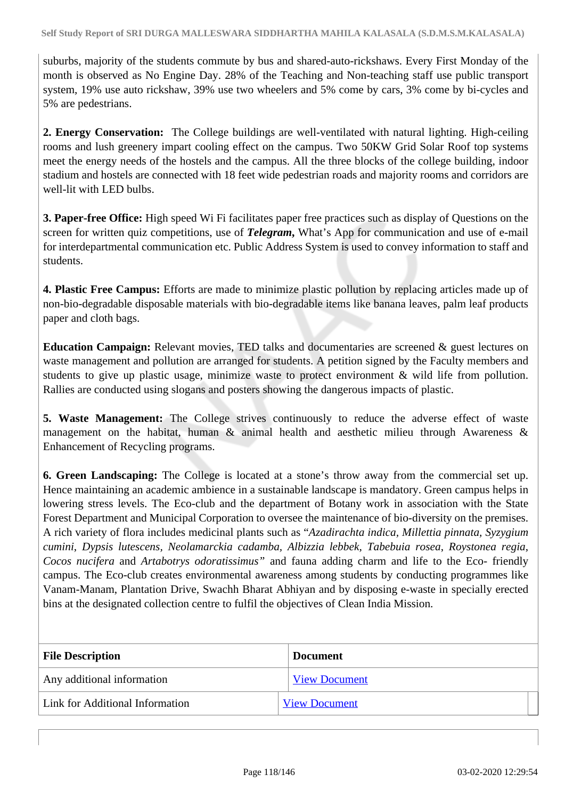suburbs, majority of the students commute by bus and shared-auto-rickshaws. Every First Monday of the month is observed as No Engine Day. 28% of the Teaching and Non-teaching staff use public transport system, 19% use auto rickshaw, 39% use two wheelers and 5% come by cars, 3% come by bi-cycles and 5% are pedestrians.

**2. Energy Conservation:** The College buildings are well-ventilated with natural lighting. High-ceiling rooms and lush greenery impart cooling effect on the campus. Two 50KW Grid Solar Roof top systems meet the energy needs of the hostels and the campus. All the three blocks of the college building, indoor stadium and hostels are connected with 18 feet wide pedestrian roads and majority rooms and corridors are well-lit with LED bulbs.

**3. Paper-free Office:** High speed Wi Fi facilitates paper free practices such as display of Questions on the screen for written quiz competitions, use of *Telegram*, What's App for communication and use of e-mail for interdepartmental communication etc. Public Address System is used to convey information to staff and students.

**4. Plastic Free Campus:** Efforts are made to minimize plastic pollution by replacing articles made up of non-bio-degradable disposable materials with bio-degradable items like banana leaves, palm leaf products paper and cloth bags.

**Education Campaign:** Relevant movies, TED talks and documentaries are screened & guest lectures on waste management and pollution are arranged for students. A petition signed by the Faculty members and students to give up plastic usage, minimize waste to protect environment  $\&$  wild life from pollution. Rallies are conducted using slogans and posters showing the dangerous impacts of plastic.

**5. Waste Management:** The College strives continuously to reduce the adverse effect of waste management on the habitat, human  $\&$  animal health and aesthetic milieu through Awareness  $\&$ Enhancement of Recycling programs.

**6. Green Landscaping:** The College is located at a stone's throw away from the commercial set up. Hence maintaining an academic ambience in a sustainable landscape is mandatory. Green campus helps in lowering stress levels. The Eco-club and the department of Botany work in association with the State Forest Department and Municipal Corporation to oversee the maintenance of bio-diversity on the premises. A rich variety of flora includes medicinal plants such as "*Azadirachta indica, Millettia pinnata, Syzygium cumini*, *Dypsis lutescens, Neolamarckia cadamba, Albizzia lebbek, Tabebuia rosea*, *Roystonea regia*, *Cocos nucifera* and *Artabotrys odoratissimus"* and fauna adding charm and life to the Eco- friendly campus. The Eco-club creates environmental awareness among students by conducting programmes like Vanam-Manam, Plantation Drive, Swachh Bharat Abhiyan and by disposing e-waste in specially erected bins at the designated collection centre to fulfil the objectives of Clean India Mission.

| <b>File Description</b>         | <b>Document</b>      |
|---------------------------------|----------------------|
| Any additional information      | <b>View Document</b> |
| Link for Additional Information | <b>View Document</b> |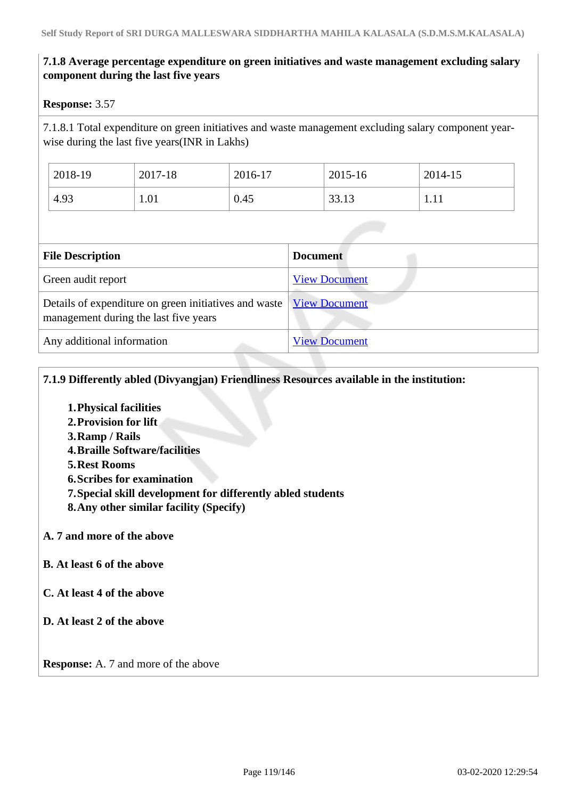## **7.1.8 Average percentage expenditure on green initiatives and waste management excluding salary component during the last five years**

## **Response:** 3.57

7.1.8.1 Total expenditure on green initiatives and waste management excluding salary component yearwise during the last five years(INR in Lakhs)

| 2018-19 | 2017-18 | 2016-17 | 2015-16       | 2014-15 |
|---------|---------|---------|---------------|---------|
| 4.93    | 1.01    | 0.45    | 2212<br>JJ.IJ | 1.11    |

| <b>File Description</b>                                                                        | <b>Document</b>      |
|------------------------------------------------------------------------------------------------|----------------------|
| Green audit report                                                                             | <b>View Document</b> |
| Details of expenditure on green initiatives and waste<br>management during the last five years | <b>View Document</b> |
| Any additional information                                                                     | <b>View Document</b> |

**7.1.9 Differently abled (Divyangjan) Friendliness Resources available in the institution:**

- **1.Physical facilities**
- **2.Provision for lift**
- **3.Ramp / Rails**
- **4.Braille Software/facilities**
- **5.Rest Rooms**
- **6.Scribes for examination**
- **7.Special skill development for differently abled students**
- **8.Any other similar facility (Specify)**
- **A. 7 and more of the above**
- **B. At least 6 of the above**
- **C. At least 4 of the above**
- **D. At least 2 of the above**

**Response:** A. 7 and more of the above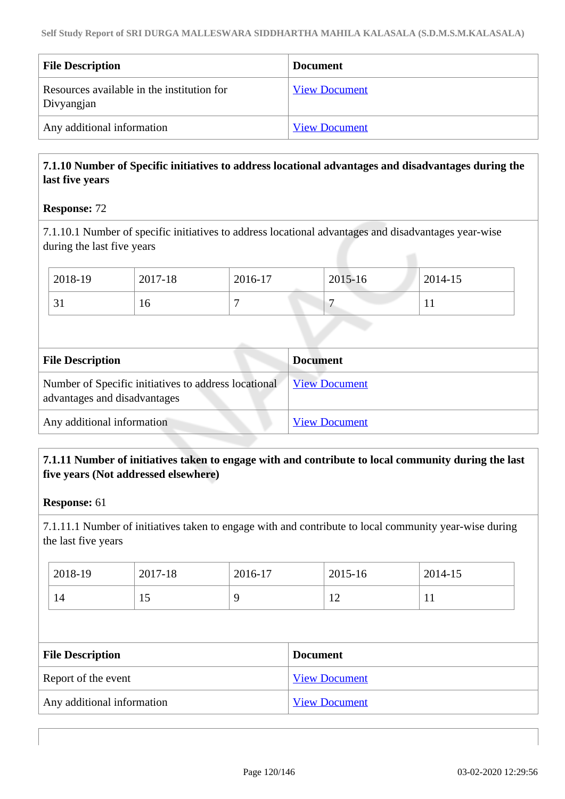| <b>File Description</b>                                  | <b>Document</b>      |
|----------------------------------------------------------|----------------------|
| Resources available in the institution for<br>Divyangjan | <b>View Document</b> |
| Any additional information                               | <b>View Document</b> |

## **7.1.10 Number of Specific initiatives to address locational advantages and disadvantages during the last five years**

## **Response:** 72

7.1.10.1 Number of specific initiatives to address locational advantages and disadvantages year-wise during the last five years

| 2018-19 | 2017-18 | 2016-17 | 2015-16 | 2014-15 |
|---------|---------|---------|---------|---------|
| JІ      | 10      |         |         | . .     |

| <b>File Description</b>                                                              | <b>Document</b>      |
|--------------------------------------------------------------------------------------|----------------------|
| Number of Specific initiatives to address locational<br>advantages and disadvantages | <b>View Document</b> |
| Any additional information                                                           | <b>View Document</b> |

## **7.1.11 Number of initiatives taken to engage with and contribute to local community during the last five years (Not addressed elsewhere)**

## **Response:** 61

7.1.11.1 Number of initiatives taken to engage with and contribute to local community year-wise during the last five years

| 2018-19 | 2017-18 | 2016-17 | 2015-16 | 2014-15 |
|---------|---------|---------|---------|---------|
| 14      | ⊥J      |         | --      | 1 T     |

| <b>File Description</b>    | <b>Document</b>      |
|----------------------------|----------------------|
| Report of the event        | <b>View Document</b> |
| Any additional information | <b>View Document</b> |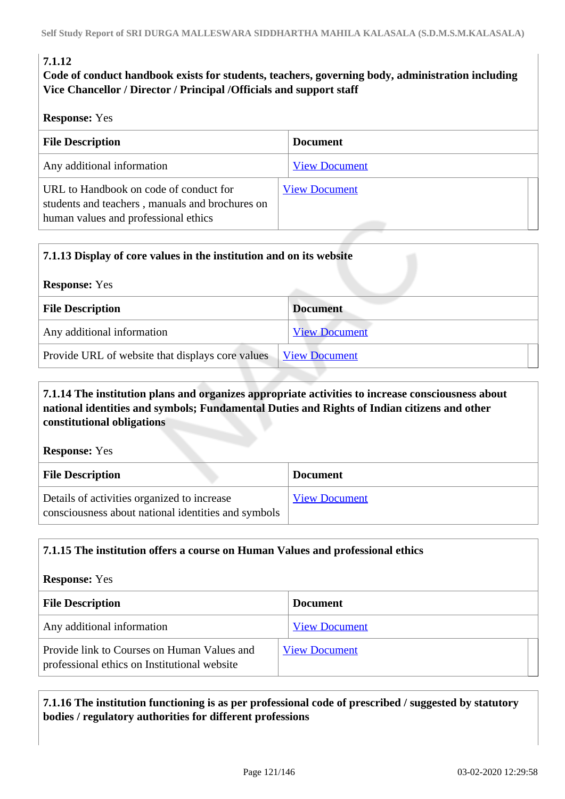## **7.1.12**

**Code of conduct handbook exists for students, teachers, governing body, administration including Vice Chancellor / Director / Principal /Officials and support staff**

## **Response:** Yes

| <b>File Description</b>                                                                                                           | <b>Document</b>      |
|-----------------------------------------------------------------------------------------------------------------------------------|----------------------|
| Any additional information                                                                                                        | <b>View Document</b> |
| URL to Handbook on code of conduct for<br>students and teachers, manuals and brochures on<br>human values and professional ethics | <b>View Document</b> |

| 7.1.13 Display of core values in the institution and on its website |                      |  |
|---------------------------------------------------------------------|----------------------|--|
| <b>Response:</b> Yes                                                |                      |  |
| <b>File Description</b>                                             | <b>Document</b>      |  |
| Any additional information                                          | <b>View Document</b> |  |
| Provide URL of website that displays core values                    | <b>View Document</b> |  |

## **7.1.14 The institution plans and organizes appropriate activities to increase consciousness about national identities and symbols; Fundamental Duties and Rights of Indian citizens and other constitutional obligations**

**Response:** Yes

| <b>File Description</b>                                                                            | <b>Document</b>      |
|----------------------------------------------------------------------------------------------------|----------------------|
| Details of activities organized to increase<br>consciousness about national identities and symbols | <b>View Document</b> |

## **7.1.15 The institution offers a course on Human Values and professional ethics**

| <b>Response:</b> Yes                                                                        |                      |  |
|---------------------------------------------------------------------------------------------|----------------------|--|
| <b>File Description</b>                                                                     | <b>Document</b>      |  |
| Any additional information                                                                  | <b>View Document</b> |  |
| Provide link to Courses on Human Values and<br>professional ethics on Institutional website | <b>View Document</b> |  |

## **7.1.16 The institution functioning is as per professional code of prescribed / suggested by statutory bodies / regulatory authorities for different professions**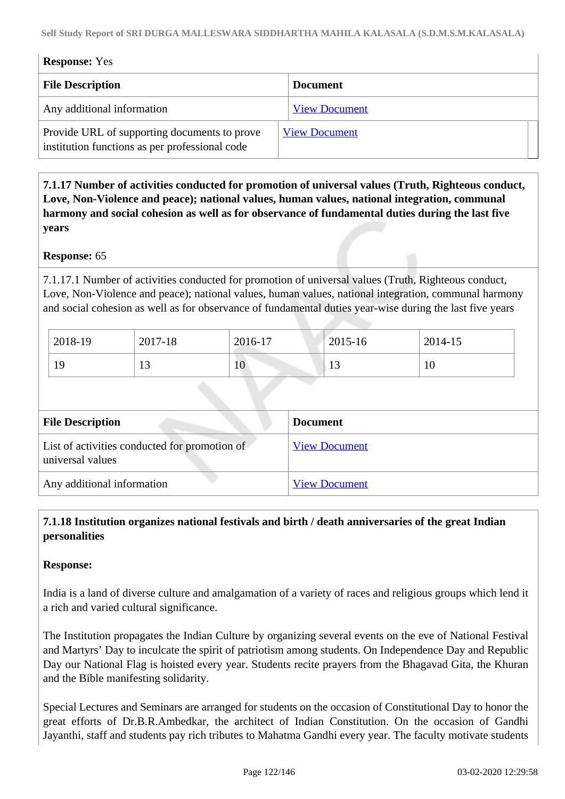**Self Study Report of SRI DURGA MALLESWARA SIDDHARTHA MAHILA KALASALA (S.D.M.S.M.KALASALA)**

| <b>Response:</b> Yes                                                                           |                      |  |
|------------------------------------------------------------------------------------------------|----------------------|--|
| <b>File Description</b>                                                                        | <b>Document</b>      |  |
| Any additional information                                                                     | <b>View Document</b> |  |
| Provide URL of supporting documents to prove<br>institution functions as per professional code | <b>View Document</b> |  |

 **7.1.17 Number of activities conducted for promotion of universal values (Truth, Righteous conduct, Love, Non-Violence and peace); national values, human values, national integration, communal harmony and social cohesion as well as for observance of fundamental duties during the last five years**

## **Response:** 65

7.1.17.1 Number of activities conducted for promotion of universal values (Truth, Righteous conduct, Love, Non-Violence and peace); national values, human values, national integration, communal harmony and social cohesion as well as for observance of fundamental duties year-wise during the last five years

| 2018-19 | 2017-18           | 2016-17 | 2015-16 | 2014-15 |
|---------|-------------------|---------|---------|---------|
| 19      | $1\bigcap$<br>1 J | 10      | ⊥ັ      | 10      |

| <b>File Description</b>                                           | <b>Document</b>      |
|-------------------------------------------------------------------|----------------------|
| List of activities conducted for promotion of<br>universal values | <b>View Document</b> |
| Any additional information                                        | <b>View Document</b> |

## **7.1.18 Institution organizes national festivals and birth / death anniversaries of the great Indian personalities**

## **Response:**

India is a land of diverse culture and amalgamation of a variety of races and religious groups which lend it a rich and varied cultural significance.

The Institution propagates the Indian Culture by organizing several events on the eve of National Festival and Martyrs' Day to inculcate the spirit of patriotism among students. On Independence Day and Republic Day our National Flag is hoisted every year. Students recite prayers from the Bhagavad Gita, the Khuran and the Bible manifesting solidarity.

Special Lectures and Seminars are arranged for students on the occasion of Constitutional Day to honor the great efforts of Dr.B.R.Ambedkar, the architect of Indian Constitution. On the occasion of Gandhi Jayanthi, staff and students pay rich tributes to Mahatma Gandhi every year. The faculty motivate students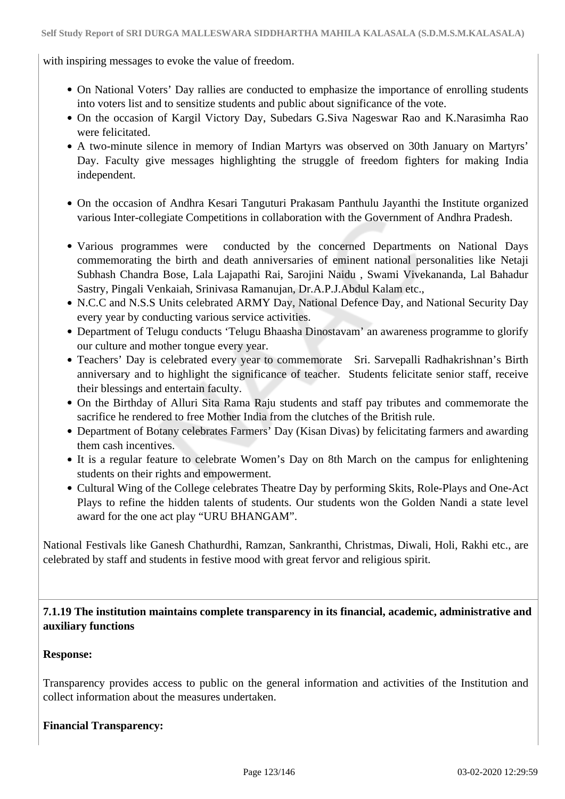with inspiring messages to evoke the value of freedom.

- On National Voters' Day rallies are conducted to emphasize the importance of enrolling students into voters list and to sensitize students and public about significance of the vote.
- On the occasion of Kargil Victory Day, Subedars G.Siva Nageswar Rao and K.Narasimha Rao were felicitated.
- A two-minute silence in memory of Indian Martyrs was observed on 30th January on Martyrs' Day. Faculty give messages highlighting the struggle of freedom fighters for making India independent.
- On the occasion of Andhra Kesari Tanguturi Prakasam Panthulu Jayanthi the Institute organized various Inter-collegiate Competitions in collaboration with the Government of Andhra Pradesh.
- Various programmes were conducted by the concerned Departments on National Days commemorating the birth and death anniversaries of eminent national personalities like Netaji Subhash Chandra Bose, Lala Lajapathi Rai, Sarojini Naidu , Swami Vivekananda, Lal Bahadur Sastry, Pingali Venkaiah, Srinivasa Ramanujan, Dr.A.P.J.Abdul Kalam etc.,
- N.C.C and N.S.S Units celebrated ARMY Day, National Defence Day, and National Security Day every year by conducting various service activities.
- Department of Telugu conducts 'Telugu Bhaasha Dinostavam' an awareness programme to glorify our culture and mother tongue every year.
- Teachers' Day is celebrated every year to commemorate Sri. Sarvepalli Radhakrishnan's Birth anniversary and to highlight the significance of teacher. Students felicitate senior staff, receive their blessings and entertain faculty.
- On the Birthday of Alluri Sita Rama Raju students and staff pay tributes and commemorate the sacrifice he rendered to free Mother India from the clutches of the British rule.
- Department of Botany celebrates Farmers' Day (Kisan Divas) by felicitating farmers and awarding them cash incentives.
- It is a regular feature to celebrate Women's Day on 8th March on the campus for enlightening students on their rights and empowerment.
- Cultural Wing of the College celebrates Theatre Day by performing Skits, Role-Plays and One-Act Plays to refine the hidden talents of students. Our students won the Golden Nandi a state level award for the one act play "URU BHANGAM".

National Festivals like Ganesh Chathurdhi, Ramzan, Sankranthi, Christmas, Diwali, Holi, Rakhi etc., are celebrated by staff and students in festive mood with great fervor and religious spirit.

## **7.1.19 The institution maintains complete transparency in its financial, academic, administrative and auxiliary functions**

## **Response:**

Transparency provides access to public on the general information and activities of the Institution and collect information about the measures undertaken.

## **Financial Transparency:**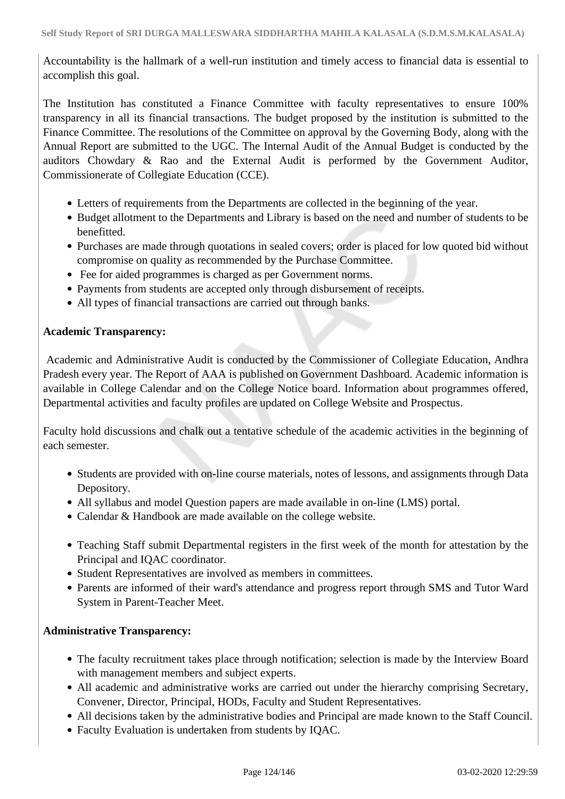Accountability is the hallmark of a well-run institution and timely access to financial data is essential to accomplish this goal.

The Institution has constituted a Finance Committee with faculty representatives to ensure 100% transparency in all its financial transactions. The budget proposed by the institution is submitted to the Finance Committee. The resolutions of the Committee on approval by the Governing Body, along with the Annual Report are submitted to the UGC. The Internal Audit of the Annual Budget is conducted by the auditors Chowdary & Rao and the External Audit is performed by the Government Auditor, Commissionerate of Collegiate Education (CCE).

- Letters of requirements from the Departments are collected in the beginning of the year.
- Budget allotment to the Departments and Library is based on the need and number of students to be benefitted.
- Purchases are made through quotations in sealed covers; order is placed for low quoted bid without compromise on quality as recommended by the Purchase Committee.
- Fee for aided programmes is charged as per Government norms.
- Payments from students are accepted only through disbursement of receipts.
- All types of financial transactions are carried out through banks.

## **Academic Transparency:**

 Academic and Administrative Audit is conducted by the Commissioner of Collegiate Education, Andhra Pradesh every year. The Report of AAA is published on Government Dashboard. Academic information is available in College Calendar and on the College Notice board. Information about programmes offered, Departmental activities and faculty profiles are updated on College Website and Prospectus.

Faculty hold discussions and chalk out a tentative schedule of the academic activities in the beginning of each semester.

- Students are provided with on-line course materials, notes of lessons, and assignments through Data Depository.
- All syllabus and model Question papers are made available in on-line (LMS) portal.
- Calendar & Handbook are made available on the college website.
- Teaching Staff submit Departmental registers in the first week of the month for attestation by the Principal and IQAC coordinator.
- Student Representatives are involved as members in committees.
- Parents are informed of their ward's attendance and progress report through SMS and Tutor Ward System in Parent-Teacher Meet.

## **Administrative Transparency:**

- The faculty recruitment takes place through notification; selection is made by the Interview Board with management members and subject experts.
- All academic and administrative works are carried out under the hierarchy comprising Secretary, Convener, Director, Principal, HODs, Faculty and Student Representatives.
- All decisions taken by the administrative bodies and Principal are made known to the Staff Council.
- Faculty Evaluation is undertaken from students by IQAC.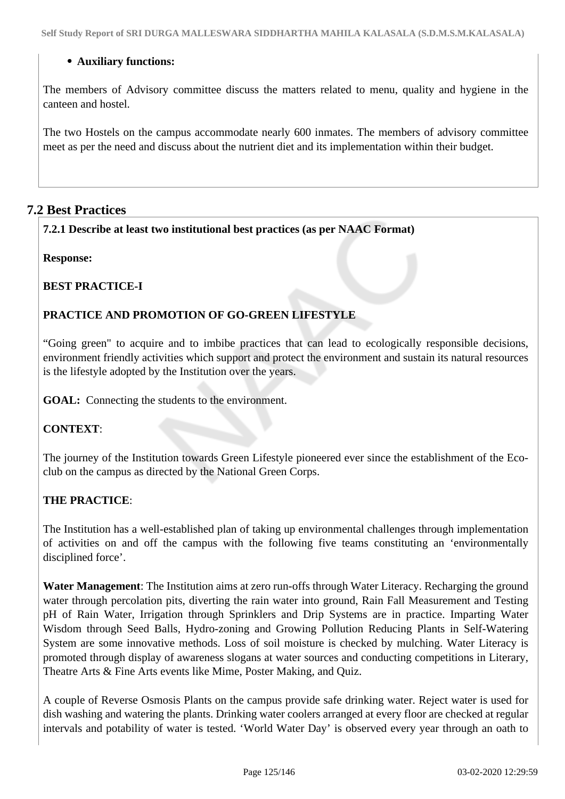## **Auxiliary functions:**

The members of Advisory committee discuss the matters related to menu, quality and hygiene in the canteen and hostel.

The two Hostels on the campus accommodate nearly 600 inmates. The members of advisory committee meet as per the need and discuss about the nutrient diet and its implementation within their budget.

## **7.2 Best Practices**

**7.2.1 Describe at least two institutional best practices (as per NAAC Format)**

**Response:** 

**BEST PRACTICE-I**

## **PRACTICE AND PROMOTION OF GO-GREEN LIFESTYLE**

"Going green" to acquire and to imbibe practices that can lead to ecologically responsible decisions, environment friendly activities which support and protect the environment and sustain its natural resources is the lifestyle adopted by the Institution over the years.

**GOAL:** Connecting the students to the environment.

## **CONTEXT**:

The journey of the Institution towards Green Lifestyle pioneered ever since the establishment of the Ecoclub on the campus as directed by the National Green Corps.

## **THE PRACTICE**:

The Institution has a well-established plan of taking up environmental challenges through implementation of activities on and off the campus with the following five teams constituting an 'environmentally disciplined force'.

**Water Management**: The Institution aims at zero run-offs through Water Literacy. Recharging the ground water through percolation pits, diverting the rain water into ground, Rain Fall Measurement and Testing pH of Rain Water, Irrigation through Sprinklers and Drip Systems are in practice. Imparting Water Wisdom through Seed Balls, Hydro-zoning and Growing Pollution Reducing Plants in Self-Watering System are some innovative methods. Loss of soil moisture is checked by mulching. Water Literacy is promoted through display of awareness slogans at water sources and conducting competitions in Literary, Theatre Arts & Fine Arts events like Mime, Poster Making, and Quiz.

A couple of Reverse Osmosis Plants on the campus provide safe drinking water. Reject water is used for dish washing and watering the plants. Drinking water coolers arranged at every floor are checked at regular intervals and potability of water is tested. 'World Water Day' is observed every year through an oath to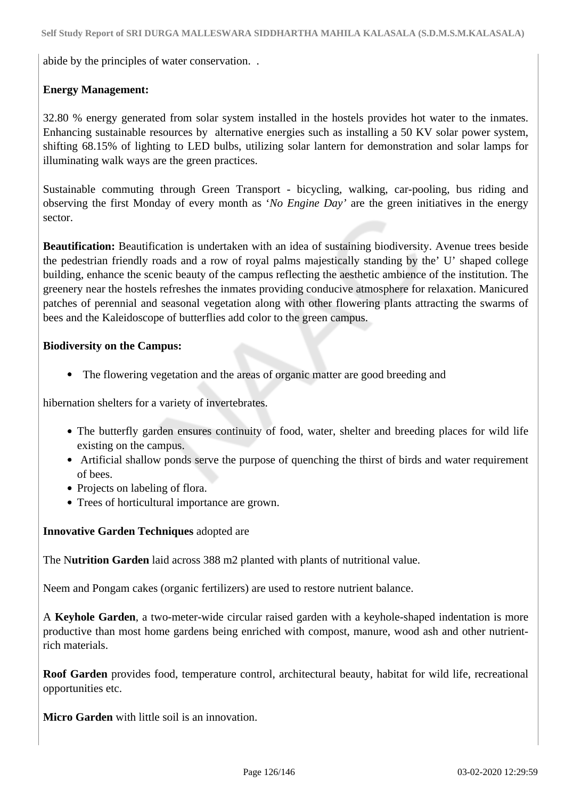abide by the principles of water conservation. .

## **Energy Management:**

32.80 % energy generated from solar system installed in the hostels provides hot water to the inmates. Enhancing sustainable resources by alternative energies such as installing a 50 KV solar power system, shifting 68.15% of lighting to LED bulbs, utilizing solar lantern for demonstration and solar lamps for illuminating walk ways are the green practices.

Sustainable commuting through Green Transport - bicycling, walking, car-pooling, bus riding and observing the first Monday of every month as '*No Engine Day'* are the green initiatives in the energy sector.

**Beautification:** Beautification is undertaken with an idea of sustaining biodiversity. Avenue trees beside the pedestrian friendly roads and a row of royal palms majestically standing by the' U' shaped college building, enhance the scenic beauty of the campus reflecting the aesthetic ambience of the institution. The greenery near the hostels refreshes the inmates providing conducive atmosphere for relaxation. Manicured patches of perennial and seasonal vegetation along with other flowering plants attracting the swarms of bees and the Kaleidoscope of butterflies add color to the green campus.

## **Biodiversity on the Campus:**

 The flowering vegetation and the areas of organic matter are good breeding and  $\bullet$ 

hibernation shelters for a variety of invertebrates.

- The butterfly garden ensures continuity of food, water, shelter and breeding places for wild life existing on the campus.
- Artificial shallow ponds serve the purpose of quenching the thirst of birds and water requirement of bees.
- Projects on labeling of flora.
- Trees of horticultural importance are grown.

**Innovative Garden Techniques** adopted are

The N**utrition Garden** laid across 388 m2 planted with plants of nutritional value.

Neem and Pongam cakes (organic fertilizers) are used to restore nutrient balance.

A **Keyhole Garden**, a two-meter-wide circular raised garden with a keyhole-shaped indentation is more productive than most home gardens being enriched with compost, manure, wood ash and other nutrientrich materials.

**Roof Garden** provides food, temperature control, architectural beauty, habitat for wild life, recreational opportunities etc.

**Micro Garden** with little soil is an innovation.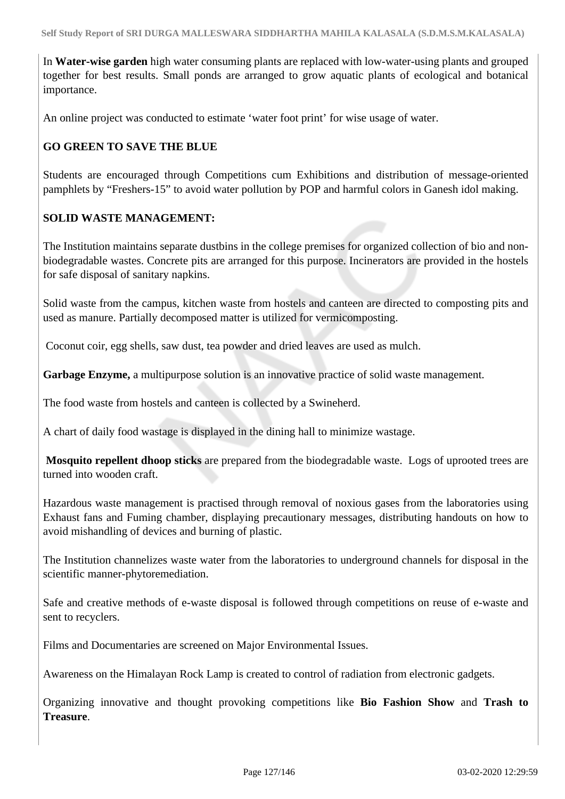In **Water-wise garden** high water consuming plants are replaced with low-water-using plants and grouped together for best results. Small ponds are arranged to grow aquatic plants of ecological and botanical importance.

An online project was conducted to estimate 'water foot print' for wise usage of water.

## **GO GREEN TO SAVE THE BLUE**

Students are encouraged through Competitions cum Exhibitions and distribution of message-oriented pamphlets by "Freshers-15" to avoid water pollution by POP and harmful colors in Ganesh idol making.

## **SOLID WASTE MANAGEMENT:**

The Institution maintains separate dustbins in the college premises for organized collection of bio and nonbiodegradable wastes. Concrete pits are arranged for this purpose. Incinerators are provided in the hostels for safe disposal of sanitary napkins.

Solid waste from the campus, kitchen waste from hostels and canteen are directed to composting pits and used as manure. Partially decomposed matter is utilized for vermicomposting.

Coconut coir, egg shells, saw dust, tea powder and dried leaves are used as mulch.

**Garbage Enzyme,** a multipurpose solution is an innovative practice of solid waste management.

The food waste from hostels and canteen is collected by a Swineherd.

A chart of daily food wastage is displayed in the dining hall to minimize wastage.

 **Mosquito repellent dhoop sticks** are prepared from the biodegradable waste. Logs of uprooted trees are turned into wooden craft.

Hazardous waste management is practised through removal of noxious gases from the laboratories using Exhaust fans and Fuming chamber, displaying precautionary messages, distributing handouts on how to avoid mishandling of devices and burning of plastic.

The Institution channelizes waste water from the laboratories to underground channels for disposal in the scientific manner-phytoremediation.

Safe and creative methods of e-waste disposal is followed through competitions on reuse of e-waste and sent to recyclers.

Films and Documentaries are screened on Major Environmental Issues.

Awareness on the Himalayan Rock Lamp is created to control of radiation from electronic gadgets.

Organizing innovative and thought provoking competitions like **Bio Fashion Show** and **Trash to Treasure**.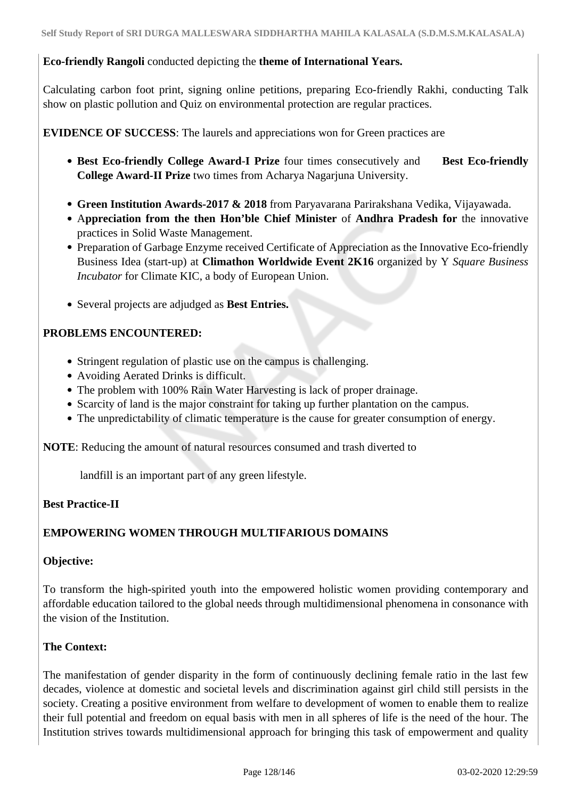## **Eco-friendly Rangoli** conducted depicting the **theme of International Years.**

Calculating carbon foot print, signing online petitions, preparing Eco-friendly Rakhi, conducting Talk show on plastic pollution and Quiz on environmental protection are regular practices.

**EVIDENCE OF SUCCESS**: The laurels and appreciations won for Green practices are

- **Best Eco-friendly College Award**-**I Prize** four times consecutively and **Best Eco-friendly College Award-II Prize** two times from Acharya Nagarjuna University.
- **Green Institution Awards-2017 & 2018** from Paryavarana Parirakshana Vedika, Vijayawada.
- A**ppreciation from the then Hon'ble Chief Minister** of **Andhra Pradesh for** the innovative practices in Solid Waste Management.
- Preparation of Garbage Enzyme received Certificate of Appreciation as the Innovative Eco-friendly Business Idea (start-up) at **Climathon Worldwide Event 2K16** organized by Y *Square Business Incubator* for Climate KIC, a body of European Union.
- Several projects are adjudged as **Best Entries.**

## **PROBLEMS ENCOUNTERED:**

- Stringent regulation of plastic use on the campus is challenging.
- Avoiding Aerated Drinks is difficult.
- The problem with 100% Rain Water Harvesting is lack of proper drainage.
- Scarcity of land is the major constraint for taking up further plantation on the campus.
- The unpredictability of climatic temperature is the cause for greater consumption of energy.

**NOTE**: Reducing the amount of natural resources consumed and trash diverted to

landfill is an important part of any green lifestyle.

#### **Best Practice-II**

## **EMPOWERING WOMEN THROUGH MULTIFARIOUS DOMAINS**

#### **Objective:**

To transform the high-spirited youth into the empowered holistic women providing contemporary and affordable education tailored to the global needs through multidimensional phenomena in consonance with the vision of the Institution.

## **The Context:**

The manifestation of gender disparity in the form of continuously declining female ratio in the last few decades, violence at domestic and societal levels and discrimination against girl child still persists in the society. Creating a positive environment from welfare to development of women to enable them to realize their full potential and freedom on equal basis with men in all spheres of life is the need of the hour. The Institution strives towards multidimensional approach for bringing this task of empowerment and quality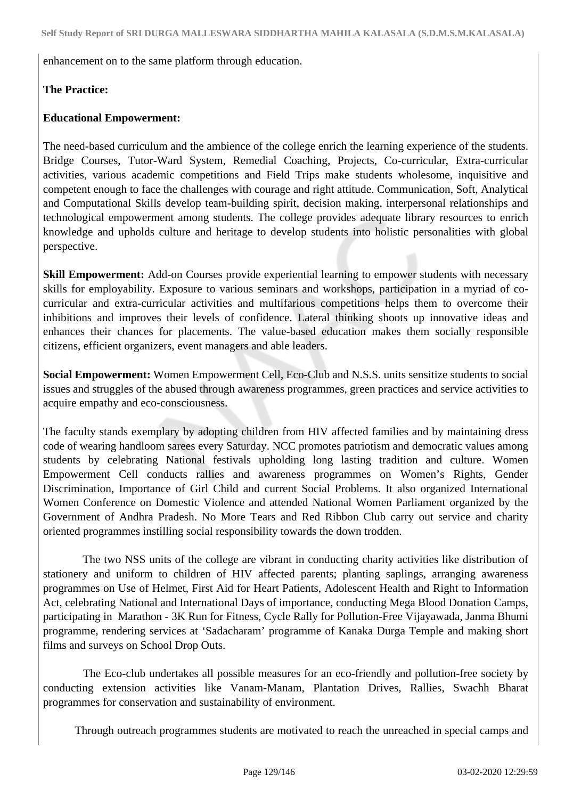enhancement on to the same platform through education.

## **The Practice:**

## **Educational Empowerment:**

The need-based curriculum and the ambience of the college enrich the learning experience of the students. Bridge Courses, Tutor-Ward System, Remedial Coaching, Projects, Co-curricular, Extra-curricular activities, various academic competitions and Field Trips make students wholesome, inquisitive and competent enough to face the challenges with courage and right attitude. Communication, Soft, Analytical and Computational Skills develop team-building spirit, decision making, interpersonal relationships and technological empowerment among students. The college provides adequate library resources to enrich knowledge and upholds culture and heritage to develop students into holistic personalities with global perspective.

**Skill Empowerment:** Add-on Courses provide experiential learning to empower students with necessary skills for employability. Exposure to various seminars and workshops, participation in a myriad of cocurricular and extra-curricular activities and multifarious competitions helps them to overcome their inhibitions and improves their levels of confidence. Lateral thinking shoots up innovative ideas and enhances their chances for placements. The value-based education makes them socially responsible citizens, efficient organizers, event managers and able leaders.

**Social Empowerment:** Women Empowerment Cell, Eco-Club and N.S.S. units sensitize students to social issues and struggles of the abused through awareness programmes, green practices and service activities to acquire empathy and eco-consciousness.

The faculty stands exemplary by adopting children from HIV affected families and by maintaining dress code of wearing handloom sarees every Saturday. NCC promotes patriotism and democratic values among students by celebrating National festivals upholding long lasting tradition and culture. Women Empowerment Cell conducts rallies and awareness programmes on Women's Rights, Gender Discrimination, Importance of Girl Child and current Social Problems. It also organized International Women Conference on Domestic Violence and attended National Women Parliament organized by the Government of Andhra Pradesh. No More Tears and Red Ribbon Club carry out service and charity oriented programmes instilling social responsibility towards the down trodden.

 The two NSS units of the college are vibrant in conducting charity activities like distribution of stationery and uniform to children of HIV affected parents; planting saplings, arranging awareness programmes on Use of Helmet, First Aid for Heart Patients, Adolescent Health and Right to Information Act, celebrating National and International Days of importance, conducting Mega Blood Donation Camps, participating in Marathon - 3K Run for Fitness, Cycle Rally for Pollution-Free Vijayawada, Janma Bhumi programme, rendering services at 'Sadacharam' programme of Kanaka Durga Temple and making short films and surveys on School Drop Outs.

 The Eco-club undertakes all possible measures for an eco-friendly and pollution-free society by conducting extension activities like Vanam-Manam, Plantation Drives, Rallies, Swachh Bharat programmes for conservation and sustainability of environment.

Through outreach programmes students are motivated to reach the unreached in special camps and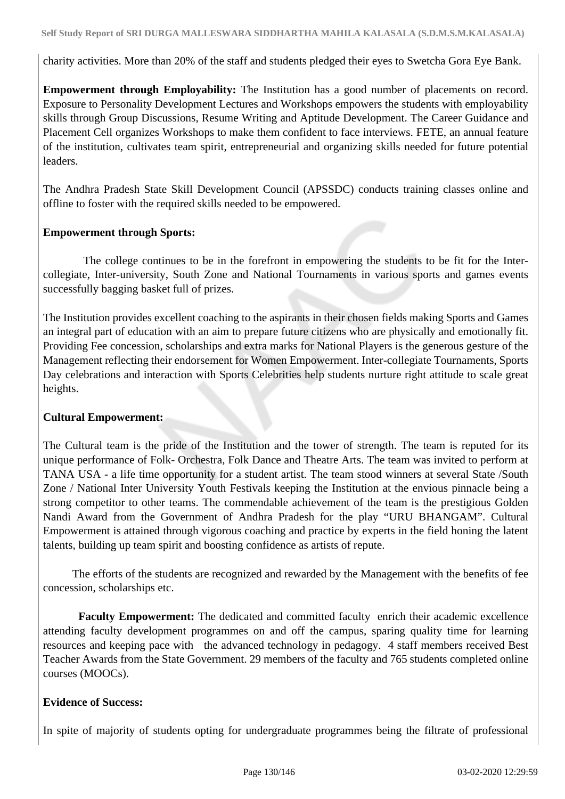charity activities. More than 20% of the staff and students pledged their eyes to Swetcha Gora Eye Bank.

**Empowerment through Employability:** The Institution has a good number of placements on record. Exposure to Personality Development Lectures and Workshops empowers the students with employability skills through Group Discussions, Resume Writing and Aptitude Development. The Career Guidance and Placement Cell organizes Workshops to make them confident to face interviews. FETE, an annual feature of the institution, cultivates team spirit, entrepreneurial and organizing skills needed for future potential leaders.

The Andhra Pradesh State Skill Development Council (APSSDC) conducts training classes online and offline to foster with the required skills needed to be empowered.

## **Empowerment through Sports:**

 The college continues to be in the forefront in empowering the students to be fit for the Intercollegiate, Inter-university, South Zone and National Tournaments in various sports and games events successfully bagging basket full of prizes.

The Institution provides excellent coaching to the aspirants in their chosen fields making Sports and Games an integral part of education with an aim to prepare future citizens who are physically and emotionally fit. Providing Fee concession, scholarships and extra marks for National Players is the generous gesture of the Management reflecting their endorsement for Women Empowerment. Inter-collegiate Tournaments, Sports Day celebrations and interaction with Sports Celebrities help students nurture right attitude to scale great heights.

## **Cultural Empowerment:**

The Cultural team is the pride of the Institution and the tower of strength. The team is reputed for its unique performance of Folk- Orchestra, Folk Dance and Theatre Arts. The team was invited to perform at TANA USA - a life time opportunity for a student artist. The team stood winners at several State /South Zone / National Inter University Youth Festivals keeping the Institution at the envious pinnacle being a strong competitor to other teams. The commendable achievement of the team is the prestigious Golden Nandi Award from the Government of Andhra Pradesh for the play "URU BHANGAM". Cultural Empowerment is attained through vigorous coaching and practice by experts in the field honing the latent talents, building up team spirit and boosting confidence as artists of repute.

 The efforts of the students are recognized and rewarded by the Management with the benefits of fee concession, scholarships etc.

**Faculty Empowerment:** The dedicated and committed faculty enrich their academic excellence attending faculty development programmes on and off the campus, sparing quality time for learning resources and keeping pace with the advanced technology in pedagogy. 4 staff members received Best Teacher Awards from the State Government. 29 members of the faculty and 765 students completed online courses (MOOCs).

## **Evidence of Success:**

In spite of majority of students opting for undergraduate programmes being the filtrate of professional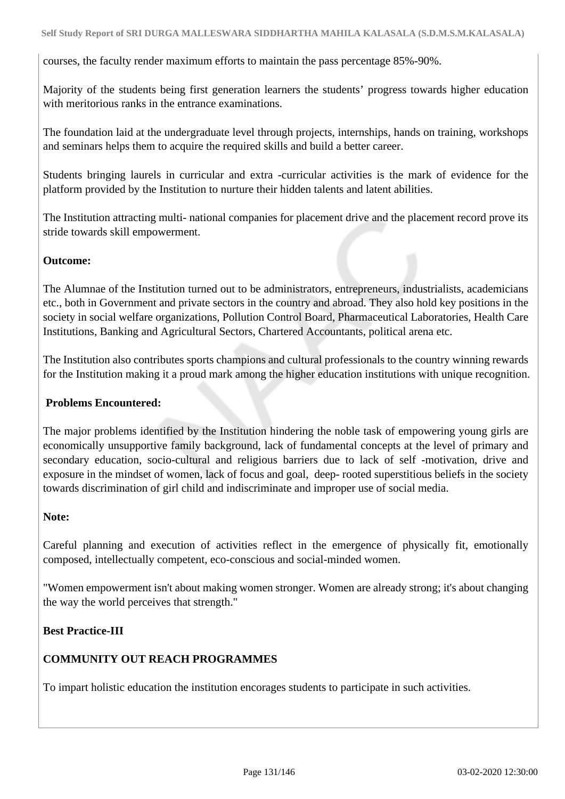courses, the faculty render maximum efforts to maintain the pass percentage 85%-90%.

Majority of the students being first generation learners the students' progress towards higher education with meritorious ranks in the entrance examinations.

The foundation laid at the undergraduate level through projects, internships, hands on training, workshops and seminars helps them to acquire the required skills and build a better career.

Students bringing laurels in curricular and extra -curricular activities is the mark of evidence for the platform provided by the Institution to nurture their hidden talents and latent abilities.

The Institution attracting multi- national companies for placement drive and the placement record prove its stride towards skill empowerment.

## **Outcome:**

The Alumnae of the Institution turned out to be administrators, entrepreneurs, industrialists, academicians etc., both in Government and private sectors in the country and abroad. They also hold key positions in the society in social welfare organizations, Pollution Control Board, Pharmaceutical Laboratories, Health Care Institutions, Banking and Agricultural Sectors, Chartered Accountants, political arena etc.

The Institution also contributes sports champions and cultural professionals to the country winning rewards for the Institution making it a proud mark among the higher education institutions with unique recognition.

## **Problems Encountered:**

The major problems identified by the Institution hindering the noble task of empowering young girls are economically unsupportive family background, lack of fundamental concepts at the level of primary and secondary education, socio-cultural and religious barriers due to lack of self -motivation, drive and exposure in the mindset of women, lack of focus and goal, deep- rooted superstitious beliefs in the society towards discrimination of girl child and indiscriminate and improper use of social media.

## **Note:**

Careful planning and execution of activities reflect in the emergence of physically fit, emotionally composed, intellectually competent, eco-conscious and social-minded women.

"Women empowerment isn't about making women stronger. Women are already strong; it's about changing the way the world perceives that strength."

## **Best Practice-III**

## **COMMUNITY OUT REACH PROGRAMMES**

To impart holistic education the institution encorages students to participate in such activities.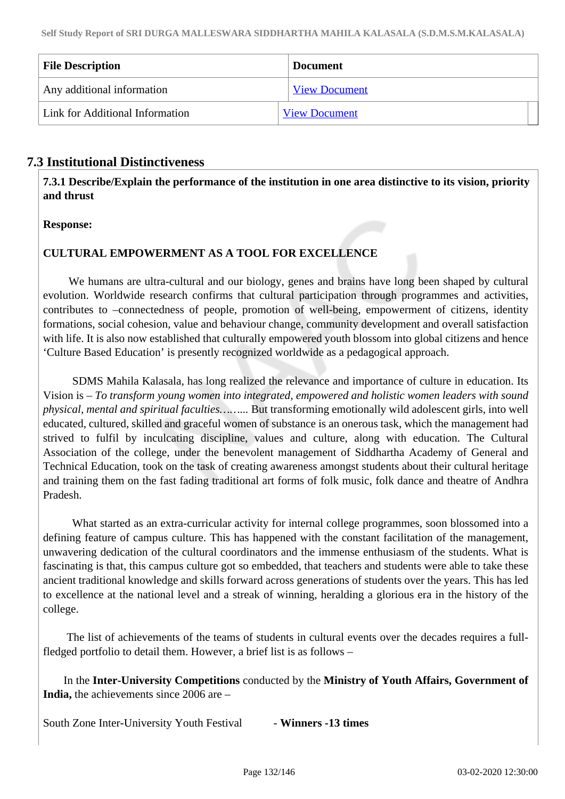| <b>File Description</b>         | <b>Document</b>      |
|---------------------------------|----------------------|
| Any additional information      | <b>View Document</b> |
| Link for Additional Information | <b>View Document</b> |

## **7.3 Institutional Distinctiveness**

 **7.3.1 Describe/Explain the performance of the institution in one area distinctive to its vision, priority and thrust**

## **Response:**

## **CULTURAL EMPOWERMENT AS A TOOL FOR EXCELLENCE**

 We humans are ultra-cultural and our biology, genes and brains have long been shaped by cultural evolution. Worldwide research confirms that cultural participation through programmes and activities, contributes to –connectedness of people, promotion of well-being, empowerment of citizens, identity formations, social cohesion, value and behaviour change, community development and overall satisfaction with life. It is also now established that culturally empowered youth blossom into global citizens and hence 'Culture Based Education' is presently recognized worldwide as a pedagogical approach.

 SDMS Mahila Kalasala, has long realized the relevance and importance of culture in education. Its Vision is – *To transform young women into integrated, empowered and holistic women leaders with sound physical, mental and spiritual faculties……...* But transforming emotionally wild adolescent girls, into well educated, cultured, skilled and graceful women of substance is an onerous task, which the management had strived to fulfil by inculcating discipline, values and culture, along with education. The Cultural Association of the college, under the benevolent management of Siddhartha Academy of General and Technical Education, took on the task of creating awareness amongst students about their cultural heritage and training them on the fast fading traditional art forms of folk music, folk dance and theatre of Andhra Pradesh.

 What started as an extra-curricular activity for internal college programmes, soon blossomed into a defining feature of campus culture. This has happened with the constant facilitation of the management, unwavering dedication of the cultural coordinators and the immense enthusiasm of the students. What is fascinating is that, this campus culture got so embedded, that teachers and students were able to take these ancient traditional knowledge and skills forward across generations of students over the years. This has led to excellence at the national level and a streak of winning, heralding a glorious era in the history of the college.

 The list of achievements of the teams of students in cultural events over the decades requires a fullfledged portfolio to detail them. However, a brief list is as follows –

 In the **Inter-University Competitions** conducted by the **Ministry of Youth Affairs, Government of India,** the achievements since 2006 are –

South Zone Inter-University Youth Festival - **Winners -13 times**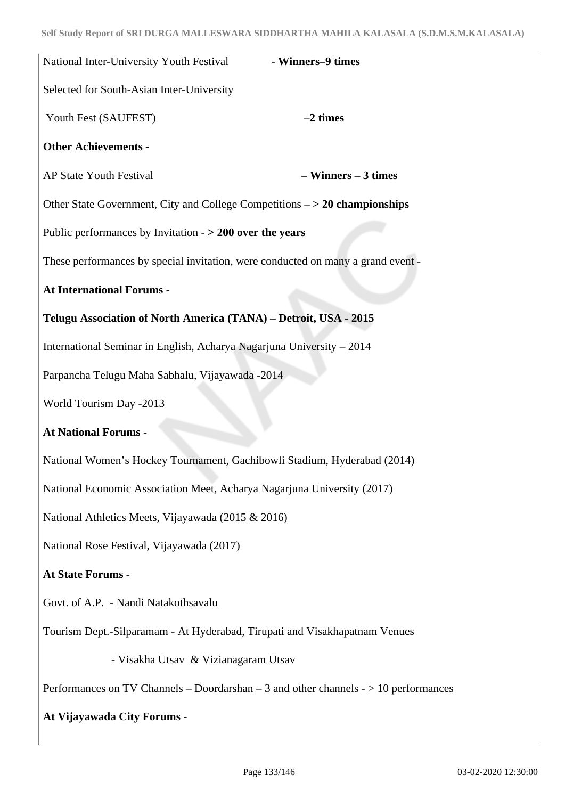| National Inter-University Youth Festival                                               | - Winners-9 times   |
|----------------------------------------------------------------------------------------|---------------------|
| Selected for South-Asian Inter-University                                              |                     |
| Youth Fest (SAUFEST)                                                                   | $-2$ times          |
| <b>Other Achievements -</b>                                                            |                     |
| <b>AP State Youth Festival</b>                                                         | - Winners - 3 times |
| Other State Government, City and College Competitions $-$ > 20 championships           |                     |
| Public performances by Invitation $-$ > 200 over the years                             |                     |
| These performances by special invitation, were conducted on many a grand event -       |                     |
| <b>At International Forums -</b>                                                       |                     |
| Telugu Association of North America (TANA) - Detroit, USA - 2015                       |                     |
| International Seminar in English, Acharya Nagarjuna University - 2014                  |                     |
| Parpancha Telugu Maha Sabhalu, Vijayawada -2014                                        |                     |
| World Tourism Day -2013                                                                |                     |
| <b>At National Forums -</b>                                                            |                     |
| National Women's Hockey Tournament, Gachibowli Stadium, Hyderabad (2014)               |                     |
| National Economic Association Meet, Acharya Nagarjuna University (2017)                |                     |
| National Athletics Meets, Vijayawada (2015 & 2016)                                     |                     |
| National Rose Festival, Vijayawada (2017)                                              |                     |
| At State Forums -                                                                      |                     |
| Govt. of A.P. - Nandi Natakothsavalu                                                   |                     |
| Tourism Dept.-Silparamam - At Hyderabad, Tirupati and Visakhapatnam Venues             |                     |
| - Visakha Utsav & Vizianagaram Utsav                                                   |                     |
| Performances on TV Channels – Doordarshan – 3 and other channels - $> 10$ performances |                     |
| At Vijayawada City Forums -                                                            |                     |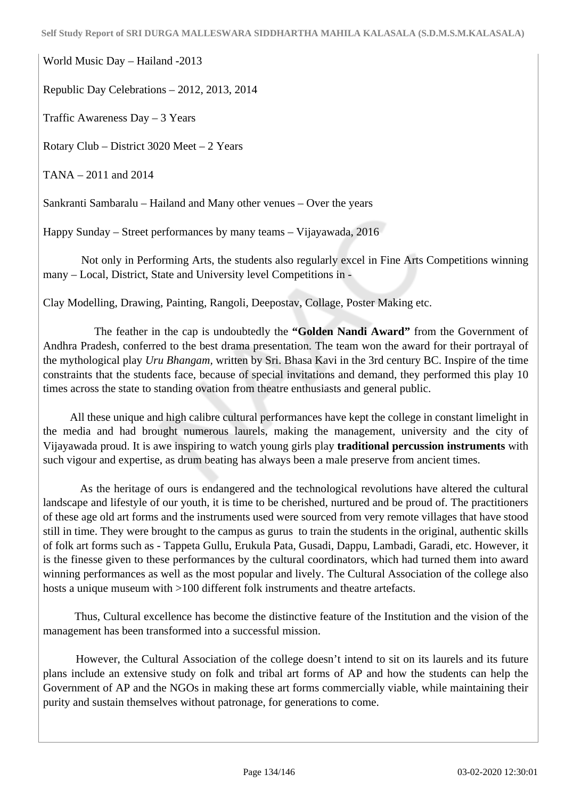World Music Day – Hailand -2013

Republic Day Celebrations – 2012, 2013, 2014

Traffic Awareness Day – 3 Years

Rotary Club – District 3020 Meet – 2 Years

TANA – 2011 and 2014

Sankranti Sambaralu – Hailand and Many other venues – Over the years

Happy Sunday – Street performances by many teams – Vijayawada, 2016

 Not only in Performing Arts, the students also regularly excel in Fine Arts Competitions winning many – Local, District, State and University level Competitions in -

Clay Modelling, Drawing, Painting, Rangoli, Deepostav, Collage, Poster Making etc.

 The feather in the cap is undoubtedly the **"Golden Nandi Award"** from the Government of Andhra Pradesh, conferred to the best drama presentation. The team won the award for their portrayal of the mythological play *Uru Bhangam,* written by Sri. Bhasa Kavi in the 3rd century BC. Inspire of the time constraints that the students face, because of special invitations and demand, they performed this play 10 times across the state to standing ovation from theatre enthusiasts and general public.

 All these unique and high calibre cultural performances have kept the college in constant limelight in the media and had brought numerous laurels, making the management, university and the city of Vijayawada proud. It is awe inspiring to watch young girls play **traditional percussion instruments** with such vigour and expertise, as drum beating has always been a male preserve from ancient times.

 As the heritage of ours is endangered and the technological revolutions have altered the cultural landscape and lifestyle of our youth, it is time to be cherished, nurtured and be proud of. The practitioners of these age old art forms and the instruments used were sourced from very remote villages that have stood still in time. They were brought to the campus as gurus to train the students in the original, authentic skills of folk art forms such as - Tappeta Gullu, Erukula Pata, Gusadi, Dappu, Lambadi, Garadi, etc. However, it is the finesse given to these performances by the cultural coordinators, which had turned them into award winning performances as well as the most popular and lively. The Cultural Association of the college also hosts a unique museum with >100 different folk instruments and theatre artefacts.

 Thus, Cultural excellence has become the distinctive feature of the Institution and the vision of the management has been transformed into a successful mission.

 However, the Cultural Association of the college doesn't intend to sit on its laurels and its future plans include an extensive study on folk and tribal art forms of AP and how the students can help the Government of AP and the NGOs in making these art forms commercially viable, while maintaining their purity and sustain themselves without patronage, for generations to come.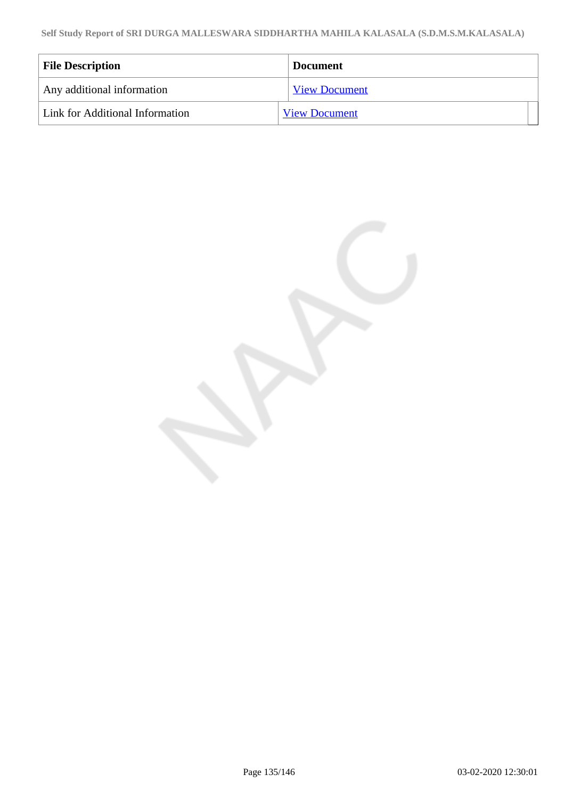**Self Study Report of SRI DURGA MALLESWARA SIDDHARTHA MAHILA KALASALA (S.D.M.S.M.KALASALA)**

| <b>File Description</b>         | <b>Document</b>      |
|---------------------------------|----------------------|
| Any additional information      | <b>View Document</b> |
| Link for Additional Information | <b>View Document</b> |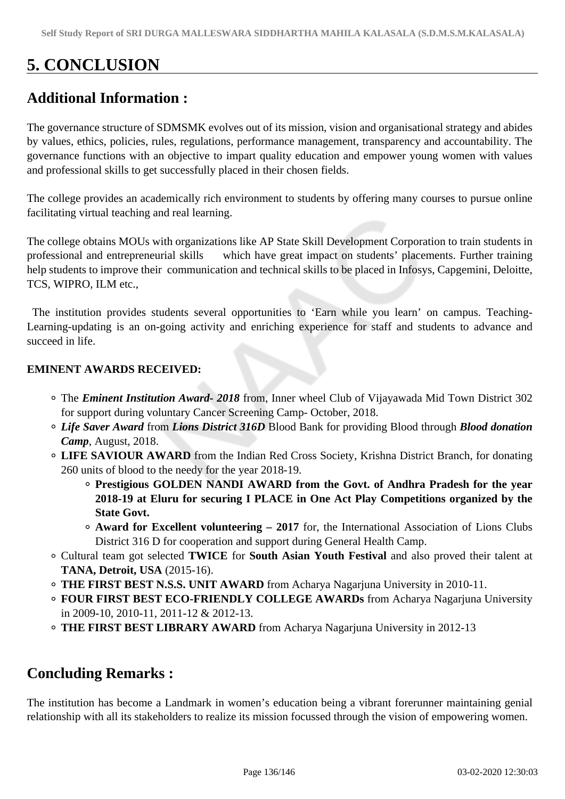# **5. CONCLUSION**

## **Additional Information :**

The governance structure of SDMSMK evolves out of its mission, vision and organisational strategy and abides by values, ethics, policies, rules, regulations, performance management, transparency and accountability. The governance functions with an objective to impart quality education and empower young women with values and professional skills to get successfully placed in their chosen fields.

The college provides an academically rich environment to students by offering many courses to pursue online facilitating virtual teaching and real learning.

The college obtains MOUs with organizations like AP State Skill Development Corporation to train students in professional and entrepreneurial skills which have great impact on students' placements. Further training help students to improve their communication and technical skills to be placed in Infosys, Capgemini, Deloitte, TCS, WIPRO, ILM etc.,

 The institution provides students several opportunities to 'Earn while you learn' on campus. Teaching-Learning-updating is an on-going activity and enriching experience for staff and students to advance and succeed in life.

#### **EMINENT AWARDS RECEIVED:**

- The *Eminent Institution Award- 2018* from, Inner wheel Club of Vijayawada Mid Town District 302 for support during voluntary Cancer Screening Camp- October, 2018.
- *Life Saver Award* from *Lions District 316D* Blood Bank for providing Blood through *Blood donation Camp*, August, 2018.
- **LIFE SAVIOUR AWARD** from the Indian Red Cross Society, Krishna District Branch, for donating 260 units of blood to the needy for the year 2018-19.
	- **Prestigious GOLDEN NANDI AWARD from the Govt. of Andhra Pradesh for the year 2018-19 at Eluru for securing I PLACE in One Act Play Competitions organized by the State Govt.**
	- **Award for Excellent volunteering 2017** for, the International Association of Lions Clubs District 316 D for cooperation and support during General Health Camp.
- Cultural team got selected **TWICE** for **South Asian Youth Festival** and also proved their talent at **TANA, Detroit, USA** (2015-16).
- **THE FIRST BEST N.S.S. UNIT AWARD** from Acharya Nagarjuna University in 2010-11.
- **FOUR FIRST BEST ECO-FRIENDLY COLLEGE AWARDs** from Acharya Nagarjuna University in 2009-10, 2010-11, 2011-12 & 2012-13.
- **THE FIRST BEST LIBRARY AWARD** from Acharya Nagarjuna University in 2012-13

# **Concluding Remarks :**

The institution has become a Landmark in women's education being a vibrant forerunner maintaining genial relationship with all its stakeholders to realize its mission focussed through the vision of empowering women.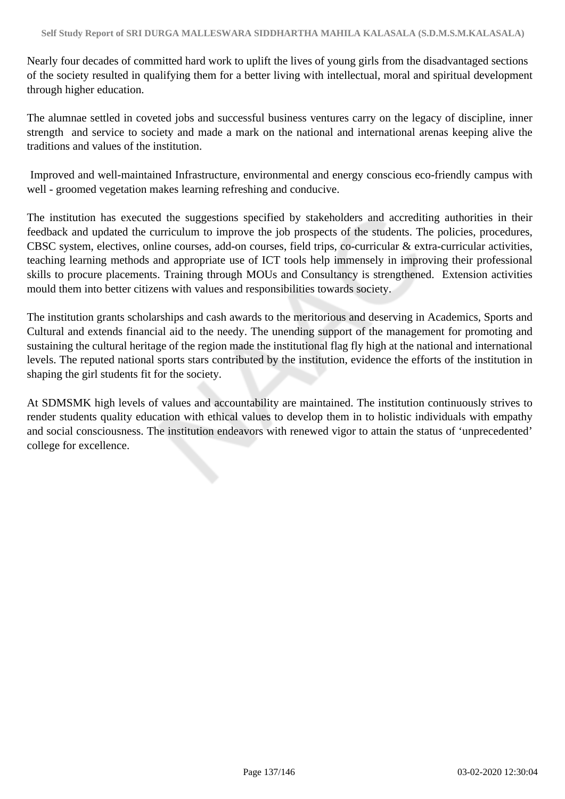Nearly four decades of committed hard work to uplift the lives of young girls from the disadvantaged sections of the society resulted in qualifying them for a better living with intellectual, moral and spiritual development through higher education.

The alumnae settled in coveted jobs and successful business ventures carry on the legacy of discipline, inner strength and service to society and made a mark on the national and international arenas keeping alive the traditions and values of the institution.

 Improved and well-maintained Infrastructure, environmental and energy conscious eco-friendly campus with well - groomed vegetation makes learning refreshing and conducive.

The institution has executed the suggestions specified by stakeholders and accrediting authorities in their feedback and updated the curriculum to improve the job prospects of the students. The policies, procedures, CBSC system, electives, online courses, add-on courses, field trips, co-curricular & extra-curricular activities, teaching learning methods and appropriate use of ICT tools help immensely in improving their professional skills to procure placements. Training through MOUs and Consultancy is strengthened. Extension activities mould them into better citizens with values and responsibilities towards society.

The institution grants scholarships and cash awards to the meritorious and deserving in Academics, Sports and Cultural and extends financial aid to the needy. The unending support of the management for promoting and sustaining the cultural heritage of the region made the institutional flag fly high at the national and international levels. The reputed national sports stars contributed by the institution, evidence the efforts of the institution in shaping the girl students fit for the society.

At SDMSMK high levels of values and accountability are maintained. The institution continuously strives to render students quality education with ethical values to develop them in to holistic individuals with empathy and social consciousness. The institution endeavors with renewed vigor to attain the status of 'unprecedented' college for excellence.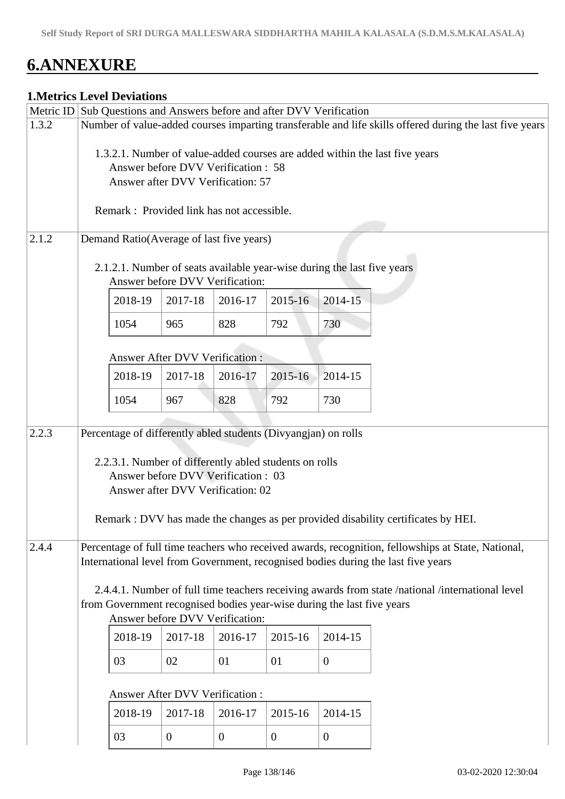# **6.ANNEXURE**

## **1.Metrics Level Deviations**

|       | Metric ID Sub Questions and Answers before and after DVV Verification                                   |                                                                                                                                   |                |                |                  |                |                                                                                                                                                                                         |
|-------|---------------------------------------------------------------------------------------------------------|-----------------------------------------------------------------------------------------------------------------------------------|----------------|----------------|------------------|----------------|-----------------------------------------------------------------------------------------------------------------------------------------------------------------------------------------|
| 1.3.2 | Number of value-added courses imparting transferable and life skills offered during the last five years |                                                                                                                                   |                |                |                  |                |                                                                                                                                                                                         |
|       |                                                                                                         | Answer before DVV Verification : 58<br>Answer after DVV Verification: 57<br>Remark: Provided link has not accessible.             |                |                |                  |                | 1.3.2.1. Number of value-added courses are added within the last five years                                                                                                             |
| 2.1.2 |                                                                                                         | Demand Ratio(Average of last five years)                                                                                          |                |                |                  |                |                                                                                                                                                                                         |
|       |                                                                                                         | 2.1.2.1. Number of seats available year-wise during the last five years<br>Answer before DVV Verification:                        |                |                |                  |                |                                                                                                                                                                                         |
|       |                                                                                                         | 2018-19                                                                                                                           | 2017-18        | 2016-17        | 2015-16          | $2014 - 15$    |                                                                                                                                                                                         |
|       |                                                                                                         | 1054                                                                                                                              | 965            | 828            | 792              | 730            |                                                                                                                                                                                         |
|       |                                                                                                         | Answer After DVV Verification:                                                                                                    |                |                |                  |                |                                                                                                                                                                                         |
|       |                                                                                                         | 2018-19                                                                                                                           | 2017-18        | 2016-17        | 2015-16          | 2014-15        |                                                                                                                                                                                         |
|       |                                                                                                         | 1054                                                                                                                              | 967            | 828            | 792              | 730            |                                                                                                                                                                                         |
| 2.2.3 |                                                                                                         | Percentage of differently abled students (Divyangjan) on rolls                                                                    |                |                |                  |                |                                                                                                                                                                                         |
|       |                                                                                                         | 2.2.3.1. Number of differently abled students on rolls<br>Answer before DVV Verification: 03<br>Answer after DVV Verification: 02 |                |                |                  |                | Remark : DVV has made the changes as per provided disability certificates by HEI.                                                                                                       |
| 2.4.4 |                                                                                                         |                                                                                                                                   |                |                |                  |                | Percentage of full time teachers who received awards, recognition, fellowships at State, National,<br>International level from Government, recognised bodies during the last five years |
|       |                                                                                                         | from Government recognised bodies year-wise during the last five years<br>Answer before DVV Verification:                         |                |                |                  |                | 2.4.4.1. Number of full time teachers receiving awards from state /national /international level                                                                                        |
|       |                                                                                                         | 2018-19                                                                                                                           | 2017-18        | 2016-17        | 2015-16          | 2014-15        |                                                                                                                                                                                         |
|       |                                                                                                         | 03                                                                                                                                | 02             | 01             | 01               | $\overline{0}$ |                                                                                                                                                                                         |
|       |                                                                                                         | Answer After DVV Verification:                                                                                                    |                |                |                  |                |                                                                                                                                                                                         |
|       |                                                                                                         | 2018-19                                                                                                                           | 2017-18        | 2016-17        | 2015-16          | 2014-15        |                                                                                                                                                                                         |
|       |                                                                                                         | 03                                                                                                                                | $\overline{0}$ | $\overline{0}$ | $\boldsymbol{0}$ | $\overline{0}$ |                                                                                                                                                                                         |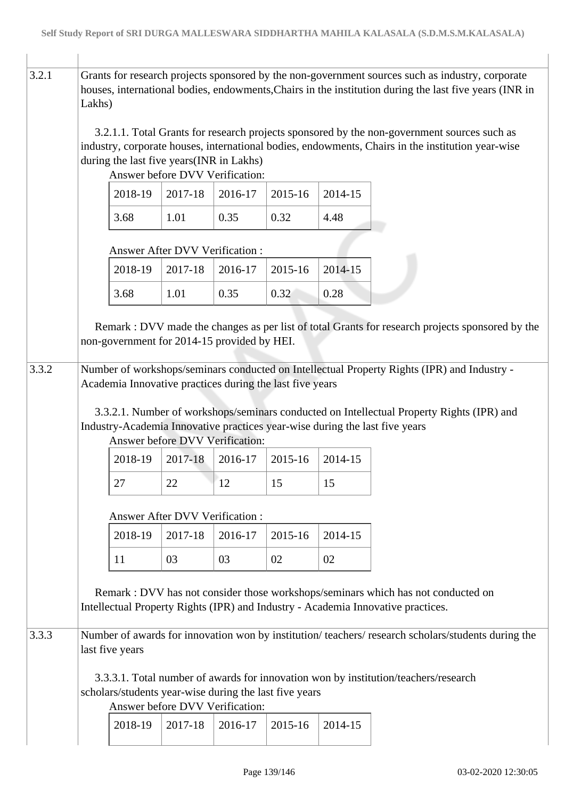| 3.2.1 | Lakhs) |                                                          |                                       |                                 |         |         | Grants for research projects sponsored by the non-government sources such as industry, corporate<br>houses, international bodies, endowments, Chairs in the institution during the last five years (INR in |
|-------|--------|----------------------------------------------------------|---------------------------------------|---------------------------------|---------|---------|------------------------------------------------------------------------------------------------------------------------------------------------------------------------------------------------------------|
|       |        | during the last five years(INR in Lakhs)                 |                                       | Answer before DVV Verification: |         |         | 3.2.1.1. Total Grants for research projects sponsored by the non-government sources such as<br>industry, corporate houses, international bodies, endowments, Chairs in the institution year-wise           |
|       |        | 2018-19                                                  | 2017-18                               | 2016-17                         | 2015-16 | 2014-15 |                                                                                                                                                                                                            |
|       |        | 3.68                                                     | 1.01                                  | 0.35                            | 0.32    | 4.48    |                                                                                                                                                                                                            |
|       |        |                                                          | <b>Answer After DVV Verification:</b> |                                 |         |         |                                                                                                                                                                                                            |
|       |        | 2018-19                                                  | 2017-18                               | 2016-17                         | 2015-16 | 2014-15 |                                                                                                                                                                                                            |
|       |        | 3.68                                                     | 1.01                                  | 0.35                            | 0.32    | 0.28    |                                                                                                                                                                                                            |
|       |        | non-government for 2014-15 provided by HEI.              |                                       |                                 |         |         | Remark : DVV made the changes as per list of total Grants for research projects sponsored by the                                                                                                           |
| 3.3.2 |        | Academia Innovative practices during the last five years |                                       |                                 |         |         | Number of workshops/seminars conducted on Intellectual Property Rights (IPR) and Industry -                                                                                                                |
|       |        |                                                          |                                       | Answer before DVV Verification: |         |         | 3.3.2.1. Number of workshops/seminars conducted on Intellectual Property Rights (IPR) and<br>Industry-Academia Innovative practices year-wise during the last five years                                   |
|       |        | 2018-19                                                  | 2017-18                               | 2016-17                         | 2015-16 | 2014-15 |                                                                                                                                                                                                            |
|       |        | 27                                                       | 22                                    | 12                              | 15      | 15      |                                                                                                                                                                                                            |
|       |        |                                                          | Answer After DVV Verification:        |                                 |         |         |                                                                                                                                                                                                            |
|       |        | 2018-19                                                  | 2017-18                               | 2016-17                         | 2015-16 | 2014-15 |                                                                                                                                                                                                            |
|       |        | 11                                                       | 03                                    | 03                              | 02      | 02      |                                                                                                                                                                                                            |
|       |        |                                                          |                                       |                                 |         |         | Remark : DVV has not consider those workshops/seminars which has not conducted on<br>Intellectual Property Rights (IPR) and Industry - Academia Innovative practices.                                      |
| 3.3.3 |        | last five years                                          |                                       |                                 |         |         | Number of awards for innovation won by institution/teachers/research scholars/students during the                                                                                                          |
|       |        | scholars/students year-wise during the last five years   |                                       | Answer before DVV Verification: |         |         | 3.3.3.1. Total number of awards for innovation won by institution/teachers/research                                                                                                                        |
|       |        | 2018-19                                                  | 2017-18                               | 2016-17                         | 2015-16 | 2014-15 |                                                                                                                                                                                                            |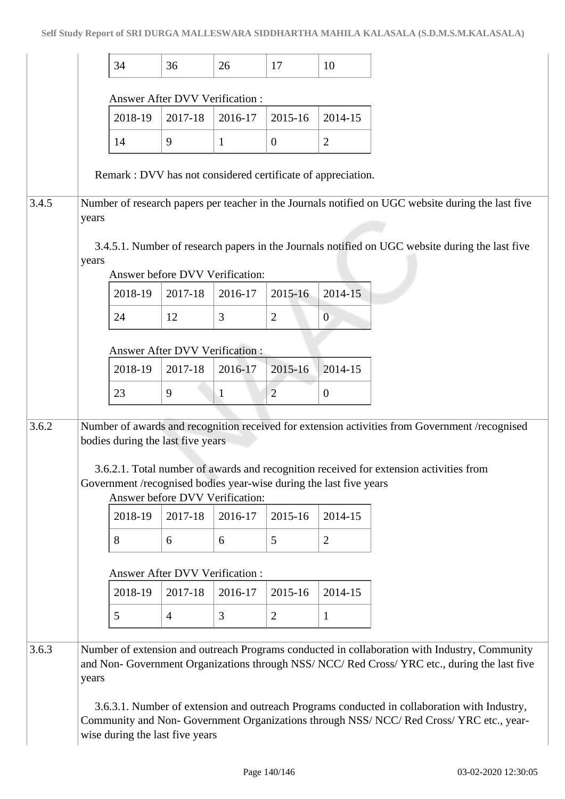|       |       | 34                                                                                                                                                                                       | 36                                        | 26           | 17             | 10             |  |
|-------|-------|------------------------------------------------------------------------------------------------------------------------------------------------------------------------------------------|-------------------------------------------|--------------|----------------|----------------|--|
|       |       |                                                                                                                                                                                          | <b>Answer After DVV Verification:</b>     |              |                |                |  |
|       |       | 2018-19                                                                                                                                                                                  | 2017-18                                   | 2016-17      | 2015-16        | 2014-15        |  |
|       |       | 14                                                                                                                                                                                       | 9                                         | $\mathbf{1}$ | $\overline{0}$ | $\overline{2}$ |  |
|       |       | Remark : DVV has not considered certificate of appreciation.                                                                                                                             |                                           |              |                |                |  |
|       |       |                                                                                                                                                                                          |                                           |              |                |                |  |
| 3.4.5 | years | Number of research papers per teacher in the Journals notified on UGC website during the last five                                                                                       |                                           |              |                |                |  |
|       |       | 3.4.5.1. Number of research papers in the Journals notified on UGC website during the last five                                                                                          |                                           |              |                |                |  |
|       | years |                                                                                                                                                                                          | Answer before DVV Verification:           |              |                |                |  |
|       |       | 2018-19                                                                                                                                                                                  | 2017-18                                   | 2016-17      | 2015-16        | 2014-15        |  |
|       |       | 24                                                                                                                                                                                       | 12                                        | 3            | $\overline{2}$ | $\overline{0}$ |  |
|       |       |                                                                                                                                                                                          |                                           |              |                |                |  |
|       |       | 2018-19                                                                                                                                                                                  | Answer After DVV Verification:<br>2017-18 | 2016-17      | 2015-16        | 2014-15        |  |
|       |       | 23                                                                                                                                                                                       | 9                                         | $\mathbf{1}$ | $\overline{2}$ | $\theta$       |  |
|       |       |                                                                                                                                                                                          |                                           |              |                |                |  |
| 3.6.2 |       | Number of awards and recognition received for extension activities from Government /recognised<br>bodies during the last five years                                                      |                                           |              |                |                |  |
|       |       |                                                                                                                                                                                          |                                           |              |                |                |  |
|       |       | 3.6.2.1. Total number of awards and recognition received for extension activities from<br>Government /recognised bodies year-wise during the last five years                             |                                           |              |                |                |  |
|       |       |                                                                                                                                                                                          | Answer before DVV Verification:           |              |                |                |  |
|       |       | 2018-19                                                                                                                                                                                  | 2017-18                                   | 2016-17      | 2015-16        | 2014-15        |  |
|       |       | 8                                                                                                                                                                                        | 6                                         | 6            | 5              | 2              |  |
|       |       |                                                                                                                                                                                          | Answer After DVV Verification:            |              |                |                |  |
|       |       | 2018-19                                                                                                                                                                                  | 2017-18                                   | 2016-17      | 2015-16        | 2014-15        |  |
|       |       | 5                                                                                                                                                                                        | $\overline{4}$                            | 3            | $\overline{2}$ | $\mathbf{1}$   |  |
| 3.6.3 |       | Number of extension and outreach Programs conducted in collaboration with Industry, Community                                                                                            |                                           |              |                |                |  |
|       | years | and Non- Government Organizations through NSS/ NCC/ Red Cross/ YRC etc., during the last five                                                                                            |                                           |              |                |                |  |
|       |       |                                                                                                                                                                                          |                                           |              |                |                |  |
|       |       | 3.6.3.1. Number of extension and outreach Programs conducted in collaboration with Industry,<br>Community and Non- Government Organizations through NSS/ NCC/ Red Cross/ YRC etc., year- |                                           |              |                |                |  |
|       |       | wise during the last five years                                                                                                                                                          |                                           |              |                |                |  |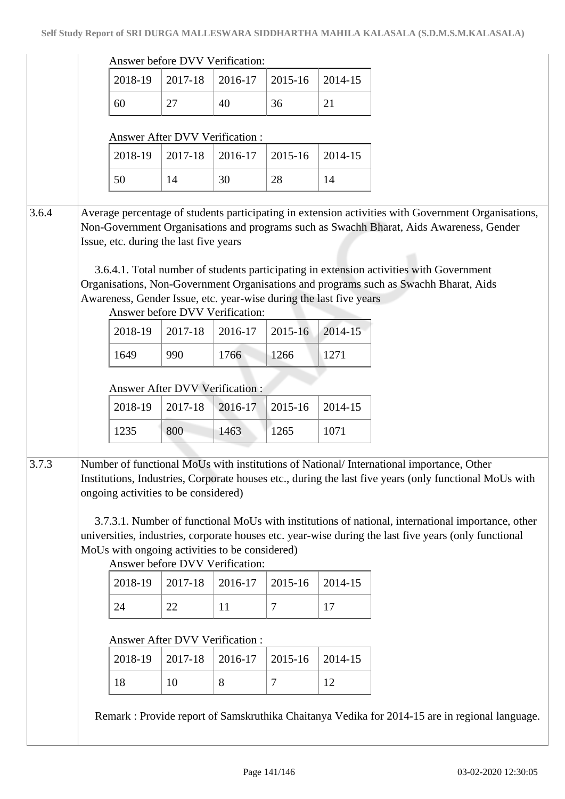| 2018-19                                                                                                                                                                                                                                                                                                                                                                                                                                                                                           | 2017-18                                    | 2016-17 | 2015-16 | 2014-15 |
|---------------------------------------------------------------------------------------------------------------------------------------------------------------------------------------------------------------------------------------------------------------------------------------------------------------------------------------------------------------------------------------------------------------------------------------------------------------------------------------------------|--------------------------------------------|---------|---------|---------|
| 60                                                                                                                                                                                                                                                                                                                                                                                                                                                                                                | 27                                         | 40      | 36      | 21      |
|                                                                                                                                                                                                                                                                                                                                                                                                                                                                                                   | Answer After DVV Verification :            |         |         |         |
| 2018-19                                                                                                                                                                                                                                                                                                                                                                                                                                                                                           | 2017-18                                    | 2016-17 | 2015-16 | 2014-15 |
| 50                                                                                                                                                                                                                                                                                                                                                                                                                                                                                                | 14                                         | 30      | 28      | 14      |
| Average percentage of students participating in extension activities with Government Organisations,<br>Non-Government Organisations and programs such as Swachh Bharat, Aids Awareness, Gender<br>Issue, etc. during the last five years<br>3.6.4.1. Total number of students participating in extension activities with Government<br>Organisations, Non-Government Organisations and programs such as Swachh Bharat, Aids<br>Awareness, Gender Issue, etc. year-wise during the last five years |                                            |         |         |         |
| 2018-19                                                                                                                                                                                                                                                                                                                                                                                                                                                                                           | Answer before DVV Verification:<br>2017-18 | 2016-17 | 2015-16 | 2014-15 |
| 1649                                                                                                                                                                                                                                                                                                                                                                                                                                                                                              | 990                                        | 1766    | 1266    | 1271    |
|                                                                                                                                                                                                                                                                                                                                                                                                                                                                                                   | <b>Answer After DVV Verification:</b>      |         |         |         |
| 2018-19                                                                                                                                                                                                                                                                                                                                                                                                                                                                                           | 2017-18                                    | 2016-17 | 2015-16 | 2014-15 |
| 1235                                                                                                                                                                                                                                                                                                                                                                                                                                                                                              | 800                                        | 1463    | 1265    | 1071    |
| Number of functional MoUs with institutions of National/International importance, Other<br>Institutions, Industries, Corporate houses etc., during the last five years (only functional MoUs with<br>ongoing activities to be considered)<br>3.7.3.1. Number of functional MoUs with institutions of national, international importance, other<br>universities, industries, corporate houses etc. year-wise during the last five years (only functional                                           |                                            |         |         |         |
| MoUs with ongoing activities to be considered)                                                                                                                                                                                                                                                                                                                                                                                                                                                    | Answer before DVV Verification:            |         |         |         |
| 2018-19                                                                                                                                                                                                                                                                                                                                                                                                                                                                                           | 2017-18                                    | 2016-17 | 2015-16 | 2014-15 |
| 24                                                                                                                                                                                                                                                                                                                                                                                                                                                                                                | 22                                         | 11      | 7       | 17      |
|                                                                                                                                                                                                                                                                                                                                                                                                                                                                                                   | Answer After DVV Verification :            |         |         |         |
| 2018-19                                                                                                                                                                                                                                                                                                                                                                                                                                                                                           | 2017-18                                    | 2016-17 | 2015-16 | 2014-15 |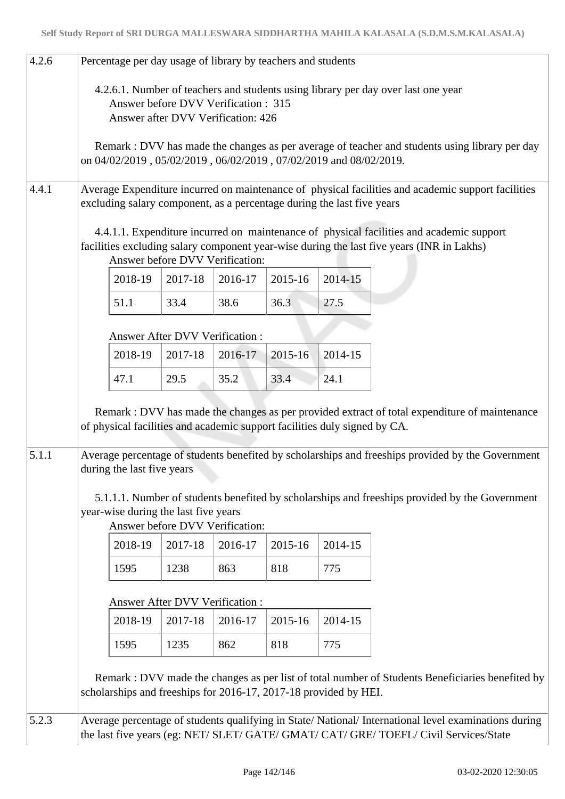| 4.2.6 |                                                                                                                                                                 | Percentage per day usage of library by teachers and students |                                       |                                                                           |         |             |                                                                                                                                                                                              |  |  |
|-------|-----------------------------------------------------------------------------------------------------------------------------------------------------------------|--------------------------------------------------------------|---------------------------------------|---------------------------------------------------------------------------|---------|-------------|----------------------------------------------------------------------------------------------------------------------------------------------------------------------------------------------|--|--|
|       | 4.2.6.1. Number of teachers and students using library per day over last one year<br>Answer before DVV Verification : 315<br>Answer after DVV Verification: 426 |                                                              |                                       |                                                                           |         |             |                                                                                                                                                                                              |  |  |
|       |                                                                                                                                                                 |                                                              |                                       | on 04/02/2019, 05/02/2019, 06/02/2019, 07/02/2019 and 08/02/2019.         |         |             | Remark : DVV has made the changes as per average of teacher and students using library per day                                                                                               |  |  |
| 4.4.1 |                                                                                                                                                                 |                                                              |                                       | excluding salary component, as a percentage during the last five years    |         |             | Average Expenditure incurred on maintenance of physical facilities and academic support facilities                                                                                           |  |  |
|       |                                                                                                                                                                 |                                                              |                                       | Answer before DVV Verification:                                           |         |             | 4.4.1.1. Expenditure incurred on maintenance of physical facilities and academic support<br>facilities excluding salary component year-wise during the last five years (INR in Lakhs)        |  |  |
|       |                                                                                                                                                                 | 2018-19                                                      | 2017-18                               | 2016-17                                                                   | 2015-16 | 2014-15     |                                                                                                                                                                                              |  |  |
|       |                                                                                                                                                                 | 51.1                                                         | 33.4                                  | 38.6                                                                      | 36.3    | 27.5        |                                                                                                                                                                                              |  |  |
|       |                                                                                                                                                                 |                                                              | Answer After DVV Verification :       |                                                                           |         |             |                                                                                                                                                                                              |  |  |
|       |                                                                                                                                                                 | 2018-19                                                      | 2017-18                               | 2016-17                                                                   | 2015-16 | $2014 - 15$ |                                                                                                                                                                                              |  |  |
|       |                                                                                                                                                                 | 47.1                                                         | 29.5                                  | 35.2                                                                      | 33.4    | 24.1        |                                                                                                                                                                                              |  |  |
|       |                                                                                                                                                                 |                                                              |                                       | of physical facilities and academic support facilities duly signed by CA. |         |             | Remark : DVV has made the changes as per provided extract of total expenditure of maintenance                                                                                                |  |  |
| 5.1.1 |                                                                                                                                                                 | during the last five years                                   |                                       |                                                                           |         |             | Average percentage of students benefited by scholarships and freeships provided by the Government                                                                                            |  |  |
|       |                                                                                                                                                                 |                                                              | year-wise during the last five years  | Answer before DVV Verification:                                           |         |             | 5.1.1.1. Number of students benefited by scholarships and freeships provided by the Government                                                                                               |  |  |
|       |                                                                                                                                                                 | 2018-19                                                      | 2017-18                               | 2016-17                                                                   | 2015-16 | 2014-15     |                                                                                                                                                                                              |  |  |
|       |                                                                                                                                                                 | 1595                                                         | 1238                                  | 863                                                                       | 818     | 775         |                                                                                                                                                                                              |  |  |
|       |                                                                                                                                                                 |                                                              | <b>Answer After DVV Verification:</b> |                                                                           |         |             |                                                                                                                                                                                              |  |  |
|       |                                                                                                                                                                 | 2018-19                                                      | 2017-18                               | 2016-17                                                                   | 2015-16 | 2014-15     |                                                                                                                                                                                              |  |  |
|       |                                                                                                                                                                 | 1595                                                         | 1235                                  | 862                                                                       | 818     | 775         |                                                                                                                                                                                              |  |  |
|       |                                                                                                                                                                 |                                                              |                                       | scholarships and freeships for 2016-17, 2017-18 provided by HEI.          |         |             | Remark : DVV made the changes as per list of total number of Students Beneficiaries benefited by                                                                                             |  |  |
| 5.2.3 |                                                                                                                                                                 |                                                              |                                       |                                                                           |         |             | Average percentage of students qualifying in State/National/International level examinations during<br>the last five years (eg: NET/ SLET/ GATE/ GMAT/ CAT/ GRE/ TOEFL/ Civil Services/State |  |  |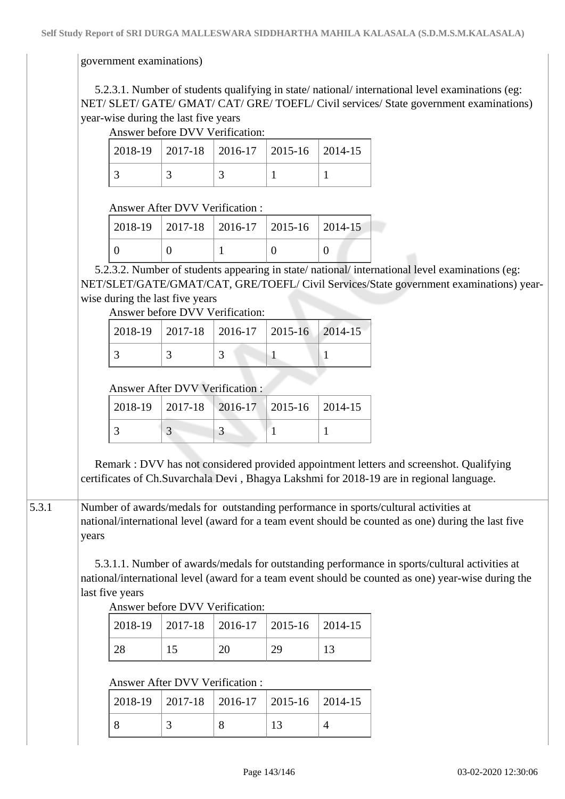government examinations)

 5.2.3.1. Number of students qualifying in state/ national/ international level examinations (eg: NET/ SLET/ GATE/ GMAT/ CAT/ GRE/ TOEFL/ Civil services/ State government examinations) year-wise during the last five years

Answer before DVV Verification:

|  | $2018-19$   2017-18   2016-17   2015-16   2014-15 |  |
|--|---------------------------------------------------|--|
|  |                                                   |  |

#### Answer After DVV Verification :

|  | $2018-19$   2017-18   2016-17   2015-16   2014-15 |  |
|--|---------------------------------------------------|--|
|  |                                                   |  |

 5.2.3.2. Number of students appearing in state/ national/ international level examinations (eg: NET/SLET/GATE/GMAT/CAT, GRE/TOEFL/ Civil Services/State government examinations) yearwise during the last five years

Answer before DVV Verification:

|  | 2018-19   2017-18   2016-17   2015-16   2014-15 |  |
|--|-------------------------------------------------|--|
|  |                                                 |  |

#### Answer After DVV Verification :

|  | 2018-19   2017-18   2016-17   2015-16   2014-15 |  |
|--|-------------------------------------------------|--|
|  |                                                 |  |

 Remark : DVV has not considered provided appointment letters and screenshot. Qualifying certificates of Ch.Suvarchala Devi , Bhagya Lakshmi for 2018-19 are in regional language.

5.3.1 Number of awards/medals for outstanding performance in sports/cultural activities at national/international level (award for a team event should be counted as one) during the last five years

> 5.3.1.1. Number of awards/medals for outstanding performance in sports/cultural activities at national/international level (award for a team event should be counted as one) year-wise during the last five years

Answer before DVV Verification:

|  | $2018-19$   2017-18   2016-17   2015-16   2014-15 |    |  |  |
|--|---------------------------------------------------|----|--|--|
|  | 20                                                | 29 |  |  |

#### Answer After DVV Verification :

|  |   | $2018-19$   2017-18   2016-17   2015-16   2014-15 |  |
|--|---|---------------------------------------------------|--|
|  | ت |                                                   |  |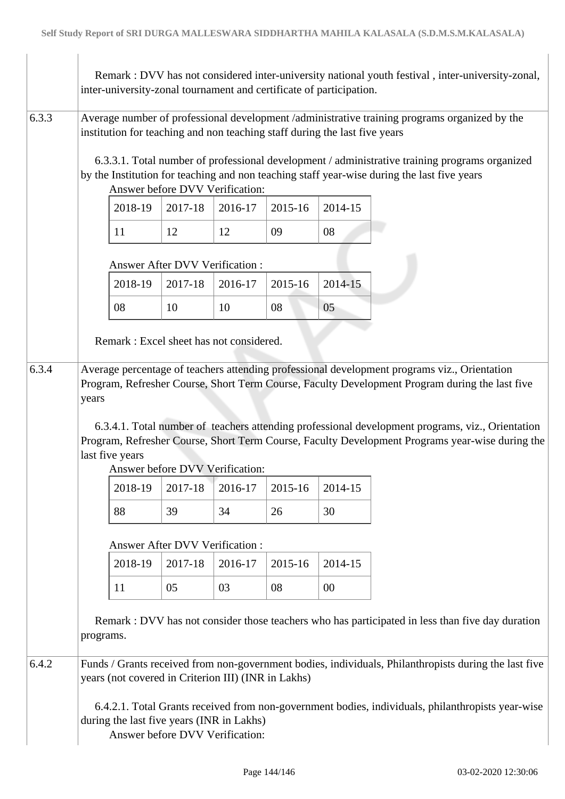|       |                                                                                                                                                                             |               |                                                                              |               | inter-university-zonal tournament and certificate of participation. |               | Remark : DVV has not considered inter-university national youth festival, inter-university-zonal,                                                                                                                                                                                                                                                                                                     |  |
|-------|-----------------------------------------------------------------------------------------------------------------------------------------------------------------------------|---------------|------------------------------------------------------------------------------|---------------|---------------------------------------------------------------------|---------------|-------------------------------------------------------------------------------------------------------------------------------------------------------------------------------------------------------------------------------------------------------------------------------------------------------------------------------------------------------------------------------------------------------|--|
| 6.3.3 | Average number of professional development /administrative training programs organized by the<br>institution for teaching and non teaching staff during the last five years |               |                                                                              |               |                                                                     |               |                                                                                                                                                                                                                                                                                                                                                                                                       |  |
|       |                                                                                                                                                                             |               | Answer before DVV Verification:                                              |               |                                                                     |               | 6.3.3.1. Total number of professional development / administrative training programs organized<br>by the Institution for teaching and non teaching staff year-wise during the last five years                                                                                                                                                                                                         |  |
|       |                                                                                                                                                                             | 2018-19       | 2017-18                                                                      | 2016-17       | 2015-16                                                             | 2014-15       |                                                                                                                                                                                                                                                                                                                                                                                                       |  |
|       |                                                                                                                                                                             | 11            | 12                                                                           | 12            | 09                                                                  | 08            |                                                                                                                                                                                                                                                                                                                                                                                                       |  |
|       |                                                                                                                                                                             |               | Answer After DVV Verification:                                               |               |                                                                     |               |                                                                                                                                                                                                                                                                                                                                                                                                       |  |
|       |                                                                                                                                                                             | 2018-19       | 2017-18                                                                      | 2016-17       | 2015-16                                                             | 2014-15       |                                                                                                                                                                                                                                                                                                                                                                                                       |  |
|       |                                                                                                                                                                             | 08            | 10                                                                           | 10            | 08                                                                  | 05            |                                                                                                                                                                                                                                                                                                                                                                                                       |  |
| 6.3.4 | years<br>last five years                                                                                                                                                    | 2018-19<br>88 | Answer before DVV Verification:<br>2017-18<br>39                             | 2016-17<br>34 | 2015-16<br>26                                                       | 2014-15<br>30 | Average percentage of teachers attending professional development programs viz., Orientation<br>Program, Refresher Course, Short Term Course, Faculty Development Program during the last five<br>6.3.4.1. Total number of teachers attending professional development programs, viz., Orientation<br>Program, Refresher Course, Short Term Course, Faculty Development Programs year-wise during the |  |
|       | <b>Answer After DVV Verification:</b>                                                                                                                                       |               |                                                                              |               |                                                                     |               |                                                                                                                                                                                                                                                                                                                                                                                                       |  |
|       |                                                                                                                                                                             | 2018-19       | 2017-18                                                                      | 2016-17       | 2015-16                                                             | 2014-15       |                                                                                                                                                                                                                                                                                                                                                                                                       |  |
|       |                                                                                                                                                                             | 11            | 05                                                                           | 03            | 08                                                                  | 00            |                                                                                                                                                                                                                                                                                                                                                                                                       |  |
|       | programs.                                                                                                                                                                   |               |                                                                              |               |                                                                     |               | Remark : DVV has not consider those teachers who has participated in less than five day duration                                                                                                                                                                                                                                                                                                      |  |
| 6.4.2 |                                                                                                                                                                             |               | years (not covered in Criterion III) (INR in Lakhs)                          |               |                                                                     |               | Funds / Grants received from non-government bodies, individuals, Philanthropists during the last five                                                                                                                                                                                                                                                                                                 |  |
|       |                                                                                                                                                                             |               | during the last five years (INR in Lakhs)<br>Answer before DVV Verification: |               |                                                                     |               | 6.4.2.1. Total Grants received from non-government bodies, individuals, philanthropists year-wise                                                                                                                                                                                                                                                                                                     |  |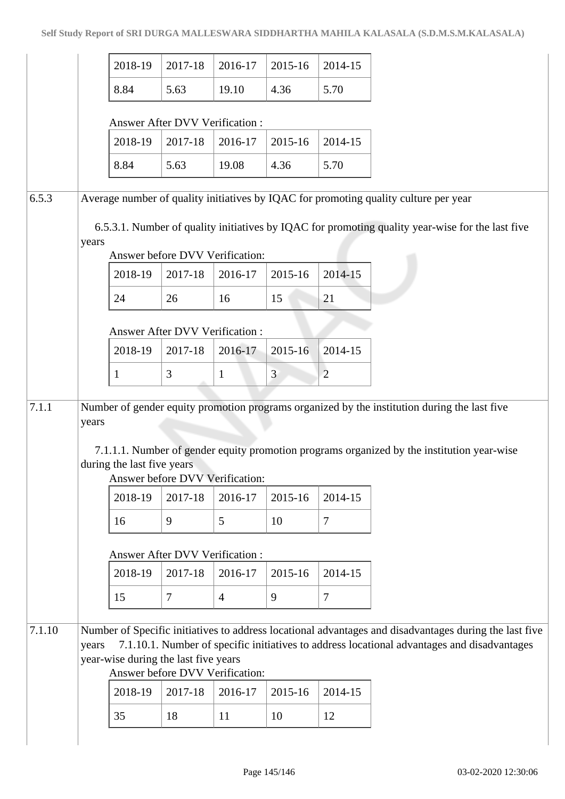|        |                                                                                                                                                             | 2018-19 | 2017-18                                                                                                                                                                                               | 2016-17        | 2015-16 | 2014-15        |  |  |  |
|--------|-------------------------------------------------------------------------------------------------------------------------------------------------------------|---------|-------------------------------------------------------------------------------------------------------------------------------------------------------------------------------------------------------|----------------|---------|----------------|--|--|--|
|        |                                                                                                                                                             | 8.84    | 5.63                                                                                                                                                                                                  | 19.10          | 4.36    | 5.70           |  |  |  |
|        |                                                                                                                                                             |         | Answer After DVV Verification :                                                                                                                                                                       |                |         |                |  |  |  |
|        |                                                                                                                                                             | 2018-19 | 2017-18                                                                                                                                                                                               | 2016-17        | 2015-16 | 2014-15        |  |  |  |
|        |                                                                                                                                                             | 8.84    | 5.63                                                                                                                                                                                                  | 19.08          | 4.36    | 5.70           |  |  |  |
| 6.5.3  |                                                                                                                                                             |         | Average number of quality initiatives by IQAC for promoting quality culture per year                                                                                                                  |                |         |                |  |  |  |
|        | years                                                                                                                                                       |         | 6.5.3.1. Number of quality initiatives by IQAC for promoting quality year-wise for the last five<br>Answer before DVV Verification:                                                                   |                |         |                |  |  |  |
|        |                                                                                                                                                             | 2018-19 | 2017-18                                                                                                                                                                                               | 2016-17        | 2015-16 | 2014-15        |  |  |  |
|        |                                                                                                                                                             | 24      | 26                                                                                                                                                                                                    | 16             | 15      | 21             |  |  |  |
|        |                                                                                                                                                             |         |                                                                                                                                                                                                       |                |         |                |  |  |  |
|        |                                                                                                                                                             | 2018-19 | Answer After DVV Verification :<br>2017-18                                                                                                                                                            | 2016-17        | 2015-16 | 2014-15        |  |  |  |
|        |                                                                                                                                                             |         |                                                                                                                                                                                                       |                |         |                |  |  |  |
|        |                                                                                                                                                             |         | 3                                                                                                                                                                                                     | 1              | 3       | $\overline{2}$ |  |  |  |
| 7.1.1  | Number of gender equity promotion programs organized by the institution during the last five                                                                |         |                                                                                                                                                                                                       |                |         |                |  |  |  |
|        | years                                                                                                                                                       |         |                                                                                                                                                                                                       |                |         |                |  |  |  |
|        | 7.1.1.1. Number of gender equity promotion programs organized by the institution year-wise<br>during the last five years<br>Answer before DVV Verification: |         |                                                                                                                                                                                                       |                |         |                |  |  |  |
|        |                                                                                                                                                             | 2018-19 | 2017-18                                                                                                                                                                                               | 2016-17        | 2015-16 | 2014-15        |  |  |  |
|        |                                                                                                                                                             | 16      | 9                                                                                                                                                                                                     | 5              | 10      | $\overline{7}$ |  |  |  |
|        |                                                                                                                                                             |         | <b>Answer After DVV Verification:</b>                                                                                                                                                                 |                |         |                |  |  |  |
|        |                                                                                                                                                             | 2018-19 | 2017-18                                                                                                                                                                                               | 2016-17        | 2015-16 | 2014-15        |  |  |  |
|        |                                                                                                                                                             | 15      | 7                                                                                                                                                                                                     | $\overline{4}$ | 9       | 7              |  |  |  |
| 7.1.10 | years                                                                                                                                                       |         | Number of Specific initiatives to address locational advantages and disadvantages during the last five<br>7.1.10.1. Number of specific initiatives to address locational advantages and disadvantages |                |         |                |  |  |  |
|        |                                                                                                                                                             |         | year-wise during the last five years<br>Answer before DVV Verification:                                                                                                                               |                |         |                |  |  |  |
|        |                                                                                                                                                             | 2018-19 | 2017-18                                                                                                                                                                                               | 2016-17        | 2015-16 | 2014-15        |  |  |  |
|        |                                                                                                                                                             | 35      | 18                                                                                                                                                                                                    | 11             | 10      | 12             |  |  |  |
|        |                                                                                                                                                             |         |                                                                                                                                                                                                       |                |         |                |  |  |  |